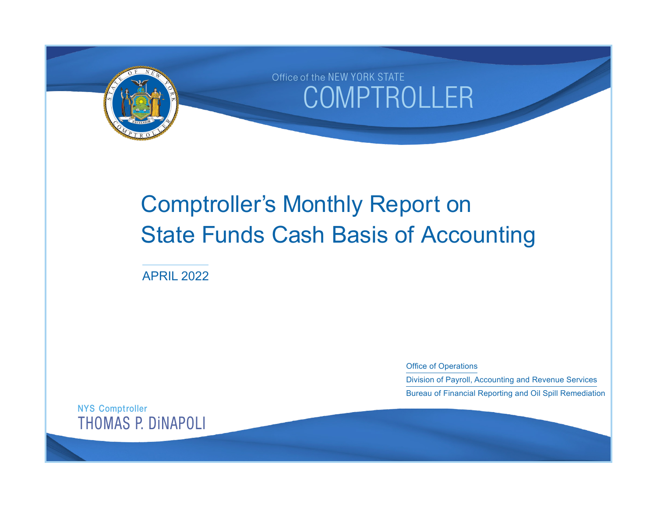

# Comptroller's Monthly Report on State Funds Cash Basis of Accounting

APRIL 2022

Office of Operations

Division of Payroll, Accounting and Revenue Services Bureau of Financial Reporting and Oil Spill Remediation

NYS Comptroller THOMAS P. DiNAPOLI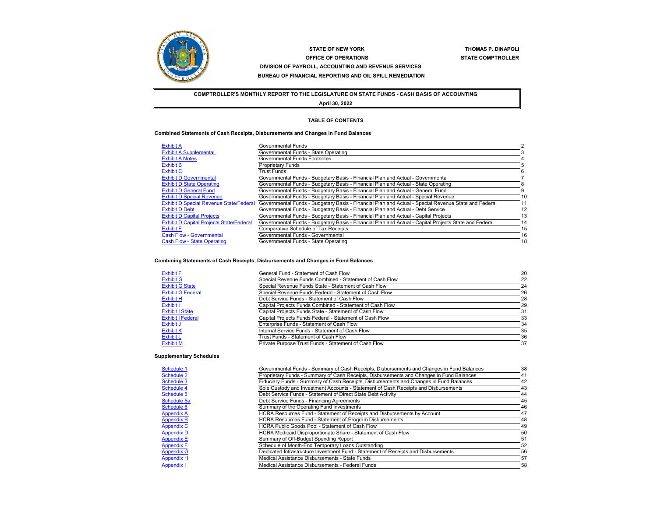

# **STATE OF NEW YORKOFFICE OF OPERATIONS DIVISION OF PAYROLL, ACCOUNTING AND REVENUE SERVICES BUREAU OF FINANCIAL REPORTING AND OIL SPILL REMEDIATION**

 **THOMAS P. DiNAPOLI STATE COMPTROLLER** 

**COMPTROLLER'S MONTHLY REPORT TO THE LEGISLATURE ON STATE FUNDS - CASH BASIS OF ACCOUNTING April 30, 2022**

#### **TABLE OF CONTENTS**

#### **Combined Statements of Cash Receipts, Disbursements and Changes in Fund Balances**

| <b>Exhibit A</b>                                | Governmental Funds                                                                                    |    |
|-------------------------------------------------|-------------------------------------------------------------------------------------------------------|----|
| <b>Exhibit A Supplemental</b>                   | Governmental Funds - State Operating                                                                  |    |
| <b>Exhibit A Notes</b>                          | Governmental Funds Footnotes                                                                          |    |
| <b>Exhibit B</b>                                | <b>Proprietary Funds</b>                                                                              |    |
| <b>Exhibit C</b>                                | <b>Trust Funds</b>                                                                                    |    |
| <b>Exhibit D Governmental</b>                   | Governmental Funds - Budgetary Basis - Financial Plan and Actual - Governmental                       |    |
| <b>Exhibit D State Operating</b>                | Governmental Funds - Budgetary Basis - Financial Plan and Actual - State Operating                    |    |
| <b>Exhibit D General Fund</b>                   | Governmental Funds - Budgetary Basis - Financial Plan and Actual - General Fund                       |    |
| <b>Exhibit D Special Revenue</b>                | Governmental Funds - Budgetary Basis - Financial Plan and Actual - Special Revenue                    | 10 |
| <b>Exhibit D Special Revenue State/Federal</b>  | Governmental Funds - Budgetary Basis - Financial Plan and Actual - Special Revenue State and Federal  | 11 |
| <b>Exhibit D Debt</b>                           | Governmental Funds - Budgetary Basis - Financial Plan and Actual - Debt Service                       | 12 |
| <b>Exhibit D Capital Projects</b>               | Governmental Funds - Budgetary Basis - Financial Plan and Actual - Capital Projects                   | 13 |
| <b>Exhibit D Capital Projects State/Federal</b> | Governmental Funds - Budgetary Basis - Financial Plan and Actual - Capital Projects State and Federal | 14 |
| <b>Exhibit E</b>                                | <b>Comparative Schedule of Tax Receipts</b>                                                           | 15 |
| <b>Cash Flow - Governmental</b>                 | Governmental Funds - Governmental                                                                     | 16 |
| <b>Cash Flow - State Operating</b>              | Governmental Funds - State Operating                                                                  | 18 |

#### **Combining Statements of Cash Receipts, Disbursements and Changes in Fund Balances**

| <b>Exhibit F</b>         | General Fund - Statement of Cash Flow                    | 20 |
|--------------------------|----------------------------------------------------------|----|
| <b>Exhibit G</b>         | Special Revenue Funds Combined - Statement of Cash Flow  | 22 |
| <b>Exhibit G State</b>   | Special Revenue Funds State - Statement of Cash Flow     | 24 |
| <b>Exhibit G Federal</b> | Special Revenue Funds Federal - Statement of Cash Flow   | 26 |
| <b>Exhibit H</b>         | Debt Service Funds - Statement of Cash Flow              | 28 |
| Exhibit I                | Capital Projects Funds Combined - Statement of Cash Flow | 29 |
| <b>Exhibit I State</b>   | Capital Projects Funds State - Statement of Cash Flow    | 31 |
| <b>Exhibit I Federal</b> | Capital Projects Funds Federal - Statement of Cash Flow  | 33 |
| Exhibit J                | Enterprise Funds - Statement of Cash Flow                | 34 |
| <b>Exhibit K</b>         | Internal Service Funds - Statement of Cash Flow          | 35 |
| <b>Exhibit L</b>         | Trust Funds - Statement of Cash Flow                     | 36 |
| <b>Exhibit M</b>         | Private Purpose Trust Funds - Statement of Cash Flow     | 37 |

## **Supplementary Schedules**

| Schedule 1        | Governmental Funds - Summary of Cash Receipts, Disbursements and Changes in Fund Balances | 38 |
|-------------------|-------------------------------------------------------------------------------------------|----|
| Schedule 2        | Proprietary Funds - Summary of Cash Receipts, Disbursements and Changes in Fund Balances  | 41 |
| Schedule 3        | Fiduciary Funds - Summary of Cash Receipts, Disbursements and Changes in Fund Balances    | 42 |
| Schedule 4        | Sole Custody and Investment Accounts - Statement of Cash Receipts and Disbursements       | 43 |
| Schedule 5        | Debt Service Funds - Statement of Direct State Debt Activity                              | 44 |
| Schedule 5a       | Debt Service Funds - Financing Agreements                                                 | 45 |
| Schedule 6        | Summary of the Operating Fund Investments                                                 | 46 |
| <b>Appendix A</b> | HCRA Resources Fund - Statement of Receipts and Disbursements by Account                  | 47 |
| <b>Appendix B</b> | <b>HCRA Resources Fund - Statement of Program Disbursements</b>                           | 48 |
| <b>Appendix C</b> | HCRA Public Goods Pool - Statement of Cash Flow                                           | 49 |
| <b>Appendix D</b> | HCRA Medicaid Disproportionate Share - Statement of Cash Flow                             | 50 |
| <b>Appendix E</b> | Summary of Off-Budget Spending Report                                                     | 51 |
| <b>Appendix F</b> | Schedule of Month-End Temporary Loans Outstanding                                         | 52 |
| <b>Appendix G</b> | Dedicated Infrastructure Investment Fund - Statement of Receipts and Disbursements        | 56 |
| <b>Appendix H</b> | Medical Assistance Disbursements - State Funds                                            | 57 |
| <b>Appendix I</b> | Medical Assistance Disbursements - Federal Funds                                          | 58 |
|                   |                                                                                           |    |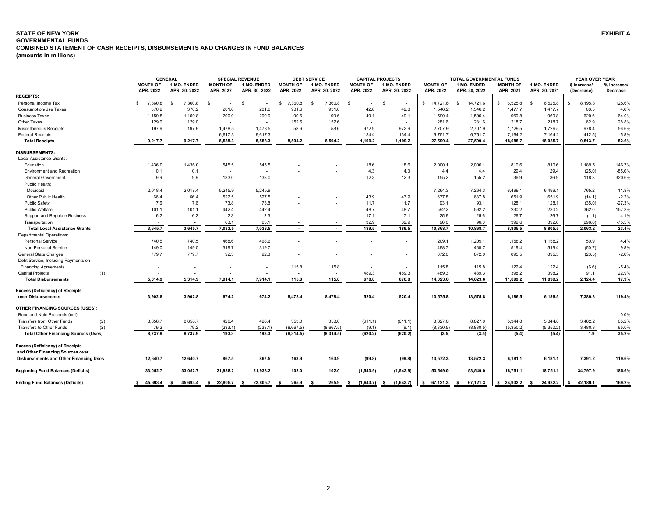# <span id="page-2-0"></span>**STATE OF NEW YORK EXHIBIT A GOVERNMENTAL FUNDS COMBINED STATEMENT OF CASH RECEIPTS, DISBURSEMENTS AND CHANGES IN FUND BALANCES**

**(amounts in millions)**

|                                             |                 | <b>GENERAL</b> |                          | <b>SPECIAL REVENUE</b> |                          | <b>DEBT SERVICE</b> |                          | <b>CAPITAL PROJECTS</b> |                 | TOTAL GOVERNMENTAL FUNDS |                 |                  |              | YEAR OVER YEAR |
|---------------------------------------------|-----------------|----------------|--------------------------|------------------------|--------------------------|---------------------|--------------------------|-------------------------|-----------------|--------------------------|-----------------|------------------|--------------|----------------|
|                                             | <b>MONTH OF</b> | 1 MO. ENDED    | <b>MONTH OF</b>          | 1 MO. ENDED            | <b>MONTH OF</b>          | 1 MO. ENDED         | <b>MONTH OF</b>          | 1 MO. ENDED             | <b>MONTH OF</b> | 1 MO. ENDED              | <b>MONTH OF</b> | 1 MO. ENDED      | \$ Increase/ | % Increase/    |
| <b>RECEIPTS:</b>                            | APR. 2022       | APR. 30, 2022  | APR. 2022                | APR. 30, 2022          | APR. 2022                | APR. 30, 2022       | APR. 2022                | APR. 30, 2022           | APR. 2022       | APR. 30, 2022            | APR. 2021       | APR. 30, 2021    | (Decrease)   | Decrease       |
| Personal Income Tax                         | 7,360.8<br>S.   | 7,360.8<br>\$. | - \$                     | -9                     | 7,360.8<br>\$            | 7,360.8<br>-S       | - \$<br>$\sim$           | - \$                    | \$.<br>14,721.6 | 14,721.6                 | 6,525.8<br>\$.  | 6,525.8<br>-S    | 8,195.8      | 125.6%         |
| Consumption/Use Taxes                       | 370.2           | 370.2          | 201.6                    | 201.6                  | 931.6                    | 931.6               | 42.8                     | 42.8                    | 1,546.2         | 1,546.2                  | 1,477.7         | 1,477.7          | 68.5         | 4.6%           |
| <b>Business Taxes</b>                       | 1,159.8         | 1.159.8        | 290.9                    | 290.9                  | 90.6                     | 90.6                | 49.1                     | 49.1                    | 1,590.4         | 1,590.4                  | 969.8           | 969.8            | 620.6        | 64.0%          |
| Other Taxes                                 | 129.0           | 129.0          | $\overline{\phantom{a}}$ |                        | 152.6                    | 152.6               |                          |                         | 281.6           | 281.6                    | 218.7           | 218.7            | 62.9         | 28.8%          |
| <b>Miscellaneous Receipts</b>               | 197.9           | 197.9          | 1.478.5                  | 1,478.5                | 58.6                     | 58.6                | 972.9                    | 972.9                   | 2,707.9         | 2,707.9                  | 1,729.5         | 1,729.5          | 978.4        | 56.6%          |
| <b>Federal Receipts</b>                     |                 |                | 6,617.3                  | 6,617.3                |                          |                     | 134.4                    | 134.4                   | 6,751.7         | 6,751.7                  | 7,164.2         | 7,164.2          | (412.5)      | $-5.8%$        |
| <b>Total Receipts</b>                       | 9,217.7         | 9,217.7        | 8,588.3                  | 8,588.3                | 8,594.2                  | 8,594.2             | 1,199.2                  | 1,199.2                 | 27,599.4        | 27,599.4                 | 18,085.7        | 18,085.7         | 9,513.7      | 52.6%          |
|                                             |                 |                |                          |                        |                          |                     |                          |                         |                 |                          |                 |                  |              |                |
| <b>DISBURSEMENTS:</b>                       |                 |                |                          |                        |                          |                     |                          |                         |                 |                          |                 |                  |              |                |
| Local Assistance Grants:                    |                 |                |                          |                        |                          |                     |                          |                         |                 |                          |                 |                  |              |                |
| Education                                   | 1,436.0         | 1,436.0        | 545.5                    | 545.5                  |                          |                     | 18.6                     | 18.6                    | 2,000.1         | 2,000.1                  | 810.6           | 810.6            | 1,189.5      | 146.7%         |
| <b>Environment and Recreation</b>           | 0.1             | 0.1            | $\overline{\phantom{a}}$ |                        |                          |                     | 4.3                      | 4.3                     | 4.4             | 4.4                      | 29.4            | 29.4             | (25.0)       | $-85.0%$       |
| <b>General Government</b>                   | 9.9             | 9.9            | 133.0                    | 133.0                  |                          |                     | 12.3                     | 12.3                    | 155.2           | 155.2                    | 36.9            | 36.9             | 118.3        | 320.6%         |
| Public Health:                              |                 |                |                          |                        |                          |                     |                          |                         |                 |                          |                 |                  |              |                |
| Medicaid                                    | 2,018.4         | 2,018.4        | 5.245.9                  | 5,245.9                |                          |                     | $\overline{\phantom{a}}$ |                         | 7,264.3         | 7,264.3                  | 6.499.1         | 6,499.1          | 765.2        | 11.8%          |
| Other Public Health                         | 66.4            | 66.4           | 527.5                    | 527.5                  |                          |                     | 43.9                     | 43.9                    | 637.8           | 637.8                    | 651.9           | 651.9            | (14.1)       | $-2.2%$        |
| <b>Public Safety</b>                        | 7.6             | 7.6            | 73.8                     | 73.8                   |                          |                     | 11.7                     | 11.7                    | 93.1            | 93.1                     | 128.1           | 128.1            | (35.0)       | $-27.3%$       |
| Public Welfare                              | 101.1           | 101.1          | 442.4                    | 442.4                  |                          |                     | 48.7                     | 48.7                    | 592.2           | 592.2                    | 230.2           | 230.2            | 362.0        | 157.3%         |
| <b>Support and Regulate Business</b>        | 6.2             | 6.2            | 2.3                      | 2.3                    |                          |                     | 17.1                     | 17.1                    | 25.6            | 25.6                     | 26.7            | 26.7             | (1.1)        | $-4.1%$        |
| Transportation                              |                 |                | 63.1                     | 63.1                   |                          |                     | 32.9                     | 32.9                    | 96.0            | 96.0                     | 392.6           | 392.6            | (296.6)      | $-75.5%$       |
| <b>Total Local Assistance Grants</b>        | 3,645.7         | 3,645.7        | 7,033.5                  | 7,033.5                | $\overline{\phantom{a}}$ |                     | 189.5                    | 189.5                   | 10,868.7        | 10,868.7                 | 8,805.5         | 8,805.5          | 2,063.2      | 23.4%          |
| <b>Departmental Operations:</b>             |                 |                |                          |                        |                          |                     |                          |                         |                 |                          |                 |                  |              |                |
| <b>Personal Service</b>                     | 740.5           | 740.5          | 468.6                    | 468.6                  |                          |                     |                          |                         | 1,209.1         | 1,209.1                  | 1.158.2         | 1,158.2          | 50.9         | 4.4%           |
| Non-Personal Service                        | 149.0           | 149.0          | 319.7                    | 319.7                  |                          |                     |                          |                         | 468.7           | 468.7                    | 519.4           | 519.4            | (50.7)       | $-9.8%$        |
| <b>General State Charges</b>                | 779.7           | 779.7          | 92.3                     | 92.3                   |                          |                     |                          |                         | 872.0           | 872.0                    | 895.5           | 895.5            | (23.5)       | $-2.6%$        |
| Debt Service, Including Payments on         |                 |                |                          |                        |                          |                     |                          |                         |                 |                          |                 |                  |              |                |
| <b>Financing Agreements</b>                 |                 |                |                          |                        | 115.8                    | 115.8               |                          |                         | 115.8           | 115.8                    | 122.4           | 122.4            | (6.6)        | $-5.4%$        |
| <b>Capital Projects</b><br>(1)              |                 |                |                          |                        |                          |                     | 489.3                    | 489.3                   | 489.3           | 489.3                    | 398.2           | 398.2            | 91.1         | 22.9%          |
| <b>Total Disbursements</b>                  | 5,314.9         | 5,314.9        | 7,914.1                  | 7,914.1                | 115.8                    | 115.8               | 678.8                    | 678.8                   | 14,023.6        | 14,023.6                 | 11,899.2        | 11,899.2         | 2,124.4      | 17.9%          |
| <b>Excess (Deficiency) of Receipts</b>      |                 |                |                          |                        |                          |                     |                          |                         |                 |                          |                 |                  |              |                |
| over Disbursements                          | 3,902.8         | 3,902.8        | 674.2                    | 674.2                  | 8,478.4                  | 8,478.4             | 520.4                    | 520.4                   | 13,575.8        | 13,575.8                 | 6,186.5         | 6,186.5          | 7,389.3      | 119.4%         |
|                                             |                 |                |                          |                        |                          |                     |                          |                         |                 |                          |                 |                  |              |                |
| OTHER FINANCING SOURCES (USES):             |                 |                |                          |                        |                          |                     |                          |                         |                 |                          |                 |                  |              |                |
| Bond and Note Proceeds (net)                |                 |                |                          |                        |                          |                     |                          |                         |                 |                          |                 |                  |              | 0.0%           |
| (2)<br><b>Transfers from Other Funds</b>    | 8,658.7         | 8,658.7        | 426.4                    | 426.4                  | 353.0                    | 353.0               | (611.1)                  | (611.1)                 | 8,827.0         | 8,827.0                  | 5,344.8         | 5,344.8          | 3,482.2      | 65.2%          |
| (2)<br>Transfers to Other Funds             | 79.2            | 79.2           | (233.1)                  | (233.1)                | (8,667.5)                | (8,667.5)           | (9.1)                    | (9.1)                   | (8,830.5)       | (8,830.5)                | (5,350.2)       | (5, 350.2)       | 3,480.3      | 65.0%          |
| <b>Total Other Financing Sources (Uses)</b> | 8,737.9         | 8.737.9        | 193.3                    | 193.3                  | (8,314.5)                | (8,314.5)           | (620.2)                  | (620.2)                 | (3.5)           | (3.5)                    | (5.4)           | (5.4)            | 1.9          | 35.2%          |
|                                             |                 |                |                          |                        |                          |                     |                          |                         |                 |                          |                 |                  |              |                |
| <b>Excess (Deficiency) of Receipts</b>      |                 |                |                          |                        |                          |                     |                          |                         |                 |                          |                 |                  |              |                |
| and Other Financing Sources over            |                 |                |                          |                        |                          |                     |                          |                         |                 |                          |                 |                  |              |                |
| Disbursements and Other Financing Uses      | 12,640.7        | 12,640.7       | 867.5                    | 867.5                  | 163.9                    | 163.9               | (99.8)                   | (99.8)                  | 13,572.3        | 13,572.3                 | 6,181.1         | 6,181.1          | 7,391.2      | 119.6%         |
| <b>Beginning Fund Balances (Deficits)</b>   | 33,052.7        | 33,052.7       | 21,938.2                 | 21,938.2               | 102.0                    | 102.0               | (1, 543.9)               | (1,543.9)               | 53,549.0        | 53,549.0                 | 18,751.1        | 18,751.1         | 34,797.9     | 185.6%         |
|                                             |                 |                |                          |                        |                          |                     |                          |                         |                 |                          |                 |                  |              |                |
| <b>Ending Fund Balances (Deficits)</b>      | \$45,693.4      | 45,693.4<br>-S | 22,805.7<br>\$           | 22,805.7<br>- \$       | 265.9<br>- \$            | 265.9<br>- \$       | (1,643.7)<br>- \$        | (1,643.7)<br>- \$       | 67,121.3<br>\$  | 67,121.3<br>- \$         | \$24,932.2      | 24,932.2<br>- \$ | 42,189.1     | 169.2%         |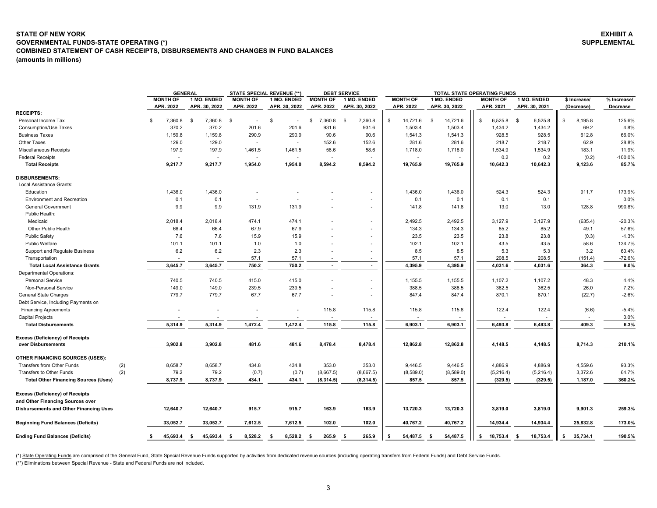# <span id="page-3-0"></span>**(amounts in millions) STATE OF NEW YORKGOVERNMENTAL FUNDS-STATE OPERATING (\*) COMBINED STATEMENT OF CASH RECEIPTS, DISBURSEMENTS AND CHANGES IN FUND BALANCES**

|                                                                                                                      | <b>GENERAL</b> |                 |               | <b>STATE SPECIAL REVENUE (**)</b> |               | <b>DEBT SERVICE</b> |                          |                 | <b>TOTAL STATE OPERATING FUNDS</b> |                 |                     |               |             |
|----------------------------------------------------------------------------------------------------------------------|----------------|-----------------|---------------|-----------------------------------|---------------|---------------------|--------------------------|-----------------|------------------------------------|-----------------|---------------------|---------------|-------------|
|                                                                                                                      |                | <b>MONTH OF</b> | 1 MO. ENDED   | <b>MONTH OF</b>                   | 1 MO. ENDED   | <b>MONTH OF</b>     | 1 MO. ENDED              | <b>MONTH OF</b> | 1 MO. ENDED                        | <b>MONTH OF</b> | 1 MO. ENDED         | \$ Increase/  | % Increase/ |
|                                                                                                                      |                | APR. 2022       | APR. 30, 2022 | APR. 2022                         | APR. 30, 2022 | APR. 2022           | APR. 30, 2022            | APR. 2022       | APR. 30, 2022                      | APR. 2021       | APR. 30, 2021       | (Decrease)    | Decrease    |
| <b>RECEIPTS:</b>                                                                                                     |                |                 |               |                                   |               |                     |                          |                 |                                    |                 |                     |               |             |
| Personal Income Tax                                                                                                  | \$             | 7,360.8         | 7,360.8<br>\$ | -S                                | \$            | 7,360.8<br>\$       | 7,360.8<br>\$            | \$<br>14,721.6  | 14,721.6<br>\$                     | 6,525.8<br>\$.  | 6,525.8<br><b>S</b> | \$<br>8,195.8 | 125.6%      |
| Consumption/Use Taxes                                                                                                |                | 370.2           | 370.2         | 201.6                             | 201.6         | 931.6               | 931.6                    | 1,503.4         | 1,503.4                            | 1,434.2         | 1,434.2             | 69.2          | 4.8%        |
| <b>Business Taxes</b>                                                                                                |                | 1,159.8         | 1,159.8       | 290.9                             | 290.9         | 90.6                | 90.6                     | 1,541.3         | 1,541.3                            | 928.5           | 928.5               | 612.8         | 66.0%       |
| Other Taxes                                                                                                          |                | 129.0           | 129.0         | $\overline{\phantom{a}}$          |               | 152.6               | 152.6                    | 281.6           | 281.6                              | 218.7           | 218.7               | 62.9          | 28.8%       |
| Miscellaneous Receipts                                                                                               |                | 197.9           | 197.9         | 1,461.5                           | 1,461.5       | 58.6                | 58.6                     | 1,718.0         | 1,718.0                            | 1,534.9         | 1,534.9             | 183.1         | 11.9%       |
| <b>Federal Receipts</b>                                                                                              |                |                 |               |                                   |               |                     |                          |                 |                                    | 0.2             | 0.2                 | (0.2)         | -100.0%     |
| <b>Total Receipts</b>                                                                                                |                | 9,217.7         | 9,217.7       | 1,954.0                           | 1,954.0       | 8,594.2             | 8,594.2                  | 19,765.9        | 19,765.9                           | 10,642.3        | 10,642.3            | 9,123.6       | 85.7%       |
| <b>DISBURSEMENTS:</b><br>Local Assistance Grants:                                                                    |                |                 |               |                                   |               |                     |                          |                 |                                    |                 |                     |               |             |
| Education                                                                                                            |                | 1,436.0         | 1,436.0       |                                   |               |                     |                          | 1,436.0         | 1,436.0                            | 524.3           | 524.3               | 911.7         | 173.9%      |
| <b>Environment and Recreation</b>                                                                                    |                | 0.1             | 0.1           | $\overline{\phantom{a}}$          |               |                     | $\overline{\phantom{a}}$ | 0.1             | 0.1                                | 0.1             | 0.1                 | $\sim$        | 0.0%        |
| <b>General Government</b>                                                                                            |                | 9.9             | 9.9           | 131.9                             | 131.9         |                     |                          | 141.8           | 141.8                              | 13.0            | 13.0                | 128.8         | 990.8%      |
| Public Health:                                                                                                       |                |                 |               |                                   |               |                     |                          |                 |                                    |                 |                     |               |             |
| Medicaid                                                                                                             |                | 2,018.4         | 2,018.4       | 474.1                             | 474.1         |                     |                          | 2,492.5         | 2,492.5                            | 3,127.9         | 3,127.9             | (635.4)       | $-20.3%$    |
| Other Public Health                                                                                                  |                | 66.4            | 66.4          | 67.9                              | 67.9          |                     | ٠                        | 134.3           | 134.3                              | 85.2            | 85.2                | 49.1          | 57.6%       |
| <b>Public Safety</b>                                                                                                 |                | 7.6             | 7.6           | 15.9                              | 15.9          |                     |                          | 23.5            | 23.5                               | 23.8            | 23.8                | (0.3)         | $-1.3%$     |
| <b>Public Welfare</b>                                                                                                |                | 101.1           | 101.1         | 1.0                               | 1.0           |                     |                          | 102.1           | 102.1                              | 43.5            | 43.5                | 58.6          | 134.7%      |
| Support and Regulate Business                                                                                        |                | 6.2             | 6.2           | 2.3                               | 2.3           |                     |                          | 8.5             | 8.5                                | 5.3             | 5.3                 | 3.2           | 60.4%       |
| Transportation                                                                                                       |                |                 |               | 57.1                              | 57.1          |                     |                          | 57.1            | 57.1                               | 208.5           | 208.5               | (151.4)       | $-72.6%$    |
| <b>Total Local Assistance Grants</b>                                                                                 |                | 3,645.7         | 3,645.7       | 750.2                             | 750.2         |                     | $\blacksquare$           | 4,395.9         | 4,395.9                            | 4,031.6         | 4,031.6             | 364.3         | $9.0\%$     |
| Departmental Operations:                                                                                             |                |                 |               |                                   |               |                     |                          |                 |                                    |                 |                     |               |             |
| Personal Service                                                                                                     |                | 740.5           | 740.5         | 415.0                             | 415.0         |                     |                          | 1,155.5         | 1,155.5                            | 1,107.2         | 1,107.2             | 48.3          | 4.4%        |
| Non-Personal Service                                                                                                 |                | 149.0           | 149.0         | 239.5                             | 239.5         |                     | $\overline{\phantom{a}}$ | 388.5           | 388.5                              | 362.5           | 362.5               | 26.0          | 7.2%        |
| General State Charges                                                                                                |                | 779.7           | 779.7         | 67.7                              | 67.7          |                     | ٠                        | 847.4           | 847.4                              | 870.1           | 870.1               | (22.7)        | $-2.6%$     |
| Debt Service, Including Payments on                                                                                  |                |                 |               |                                   |               |                     |                          |                 |                                    |                 |                     |               |             |
| <b>Financing Agreements</b>                                                                                          |                |                 |               |                                   |               | 115.8               | 115.8                    | 115.8           | 115.8                              | 122.4           | 122.4               | (6.6)         | $-5.4%$     |
| <b>Capital Projects</b>                                                                                              |                |                 |               |                                   |               |                     |                          |                 |                                    |                 |                     |               | 0.0%        |
| <b>Total Disbursements</b>                                                                                           |                | 5,314.9         | 5,314.9       | 1,472.4                           | 1,472.4       | 115.8               | 115.8                    | 6,903.1         | 6,903.1                            | 6,493.8         | 6,493.8             | 409.3         | 6.3%        |
| <b>Excess (Deficiency) of Receipts</b><br>over Disbursements                                                         |                | 3,902.8         | 3,902.8       | 481.6                             | 481.6         | 8,478.4             | 8,478.4                  | 12,862.8        | 12,862.8                           | 4,148.5         | 4,148.5             | 8,714.3       | 210.1%      |
| OTHER FINANCING SOURCES (USES):                                                                                      |                |                 |               |                                   |               |                     |                          |                 |                                    |                 |                     |               |             |
| (2)<br><b>Transfers from Other Funds</b>                                                                             |                | 8,658.7         | 8,658.7       | 434.8                             | 434.8         | 353.0               | 353.0                    | 9,446.5         | 9,446.5                            | 4,886.9         | 4,886.9             | 4,559.6       | 93.3%       |
| Transfers to Other Funds<br>(2)                                                                                      |                | 79.2            | 79.2          | (0.7)                             | (0.7)         | (8,667.5)           | (8,667.5)                | (8,589.0)       | (8,589.0)                          | (5,216.4)       | (5,216.4)           | 3,372.6       | 64.7%       |
| <b>Total Other Financing Sources (Uses)</b>                                                                          |                | 8,737.9         | 8,737.9       | 434.1                             | 434.1         | (8, 314.5)          | (8, 314.5)               | 857.5           | 857.5                              | (329.5)         | (329.5)             | 1,187.0       | 360.2%      |
| <b>Excess (Deficiency) of Receipts</b><br>and Other Financing Sources over<br>Disbursements and Other Financing Uses |                | 12,640.7        | 12,640.7      | 915.7                             | 915.7         | 163.9               | 163.9                    | 13,720.3        | 13,720.3                           | 3,819.0         | 3,819.0             | 9,901.3       | 259.3%      |
| <b>Beginning Fund Balances (Deficits)</b>                                                                            |                | 33,052.7        | 33,052.7      | 7,612.5                           | 7,612.5       | 102.0               | 102.0                    | 40,767.2        | 40,767.2                           | 14,934.4        | 14,934.4            | 25,832.8      | 173.0%      |
|                                                                                                                      |                |                 |               |                                   |               |                     |                          |                 |                                    |                 |                     |               |             |

(\*) State Operating Funds are comprised of the General Fund, State Special Revenue Funds supported by activities from dedicated revenue sources (including operating transfers from Federal Funds) and Debt Service Funds.

(\*\*) Eliminations between Special Revenue - State and Federal Funds are not included.

Ending Fund Balances (Deficits) \$ 45,693.4 \$ 45,693.4 \$ 8,528.2 \$ 8,528.2 \$ 265.9 \$ 265.9 \$ 54,487.5 \$ 54,487.5 \$ 54,487.5 \$ 18,753.4 \$ 18,753.4 \$ 35,734.1 190.5%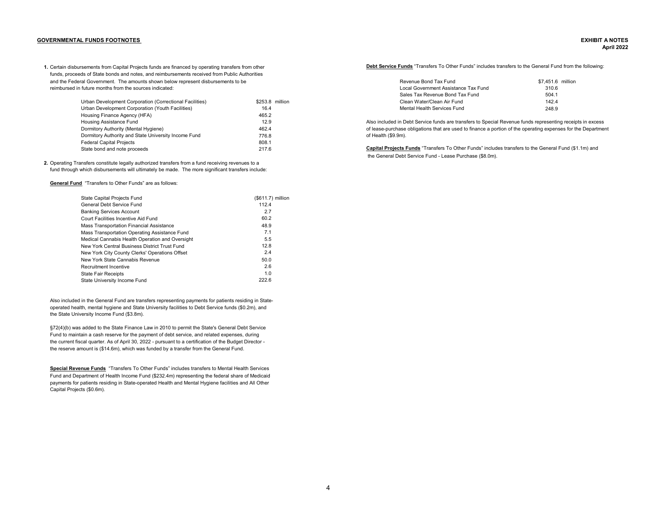## <span id="page-4-0"></span>**GOVERNMENTAL FUNDS FOOTNOTES EXHIBIT A NOTES**

# **April 2022**

1. Certain disbursements from Capital Projects funds are financed by operating transfers from other **Debt Service Funds** "Transfers To Other Funds" includes transfers to the General Fund from the following: funds, proceeds of State bonds and notes, and reimbursements received from Public Authorities and the Federal Government. The amounts shown below represent disbursements to be  $$7.451.6$  million reimbursed in future months from the sources indicated:

| Urban Development Corporation (Correctional Facilities) | \$253.8 million | Clean Water/Clean Air Fund                                                                                   | 142.4 |
|---------------------------------------------------------|-----------------|--------------------------------------------------------------------------------------------------------------|-------|
| Urban Development Corporation (Youth Facilities)        | 16.4            | Mental Health Services Fund                                                                                  | 248.9 |
| Housing Finance Agency (HFA)                            | 465.2           |                                                                                                              |       |
| Housing Assistance Fund                                 | 12.9            | Also included in Debt Service funds are transfers to Special Revenue funds representing receipts in excess   |       |
| Dormitory Authority (Mental Hygiene)                    | 462.4           | of lease-purchase obligations that are used to finance a portion of the operating expenses for the Departmen |       |
| Dormitory Authority and State University Income Fund    | 776.8           | of Health (\$9.9m).                                                                                          |       |
| <b>Federal Capital Projects</b>                         | 808.1           |                                                                                                              |       |
| State bond and note proceeds                            | 217.6           | Capital Projects Funds "Transfers To Other Funds" includes transfers to the General Fund (\$1.1m) and        |       |

**2.** Operating Transfers constitute legally authorized transfers from a fund receiving revenues to a fund through which disbursements will ultimately be made. The more significant transfers include:

**General Fund** "Transfers to Other Funds" are as follows:

| General Debt Service Fund<br>112.4                     |  |
|--------------------------------------------------------|--|
| <b>Banking Services Account</b><br>2.7                 |  |
| 60.2<br>Court Facilities Incentive Aid Fund            |  |
| 48.9<br>Mass Transportation Financial Assistance       |  |
| 7.1<br>Mass Transportation Operating Assistance Fund   |  |
| 5.5<br>Medical Cannabis Health Operation and Oversight |  |
| 12.8<br>New York Central Business District Trust Fund  |  |
| 2.4<br>New York City County Clerks' Operations Offset  |  |
| New York State Cannabis Revenue<br>50.0                |  |
| 2.6<br>Recruitment Incentive                           |  |
| 1.0<br><b>State Fair Receipts</b>                      |  |
| 222.6<br>State University Income Fund                  |  |

Also included in the General Fund are transfers representing payments for patients residing in Stateoperated health, mental hygiene and State University facilities to Debt Service funds (\$0.2m), and the State University Income Fund (\$3.8m).

§72(4)(b) was added to the State Finance Law in 2010 to permit the State's General Debt Service Fund to maintain a cash reserve for the payment of debt service, and related expenses, during the current fiscal quarter. As of April 30, 2022 - pursuant to a certification of the Budget Director the reserve amount is (\$14.6m), which was funded by a transfer from the General Fund.

**Special Revenue Funds** "Transfers To Other Funds" includes transfers to Mental Health Services Fund and Department of Health Income Fund (\$232.4m) representing the federal share of Medicaid payments for patients residing in State-operated Health and Mental Hygiene facilities and All Other Capital Projects (\$0.6m).

| ow represent disbursements to be |                 | Revenue Bond Tax Fund                | \$7.451.6 milli |
|----------------------------------|-----------------|--------------------------------------|-----------------|
|                                  |                 | Local Government Assistance Tax Fund | 310.6           |
|                                  |                 | Sales Tax Revenue Bond Tax Fund      | 504.1           |
| ional Facilities).               | \$253.8 million | Clean Water/Clean Air Fund           | 142.4           |
| acilities) <sup>-</sup>          | 16.4            | Mental Health Services Fund          | 248.9           |

the General Debt Service Fund - Lease Purchase (\$8.0m).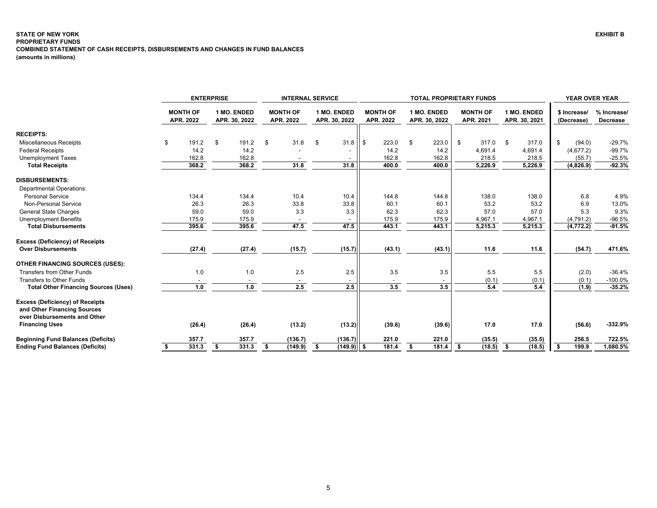# <span id="page-5-0"></span>**STATE OF NEW YORK PROPRIETARY FUNDS COMBINED STATEMENT OF CASH RECEIPTS, DISBURSEMENTS AND CHANGES IN FUND BALANCES (amounts in millions)**

|                                                                                                                                | <b>ENTERPRISE</b> |                              |    | <b>INTERNAL SERVICE</b>      |     |                              |     | <b>TOTAL PROPRIETARY FUNDS</b> |       |                              |    |                              |      |                              |      | YEAR OVER YEAR               |    |                            |                         |
|--------------------------------------------------------------------------------------------------------------------------------|-------------------|------------------------------|----|------------------------------|-----|------------------------------|-----|--------------------------------|-------|------------------------------|----|------------------------------|------|------------------------------|------|------------------------------|----|----------------------------|-------------------------|
|                                                                                                                                |                   | <b>MONTH OF</b><br>APR. 2022 |    | 1 MO. ENDED<br>APR. 30, 2022 |     | <b>MONTH OF</b><br>APR. 2022 |     | 1 MO. ENDED<br>APR. 30, 2022   |       | <b>MONTH OF</b><br>APR. 2022 |    | 1 MO. ENDED<br>APR. 30, 2022 |      | <b>MONTH OF</b><br>APR. 2021 |      | 1 MO. ENDED<br>APR. 30, 2021 |    | \$ Increase/<br>(Decrease) | % Increase/<br>Decrease |
| <b>RECEIPTS:</b>                                                                                                               |                   |                              |    |                              |     |                              |     |                                |       |                              |    |                              |      |                              |      |                              |    |                            |                         |
| <b>Miscellaneous Receipts</b>                                                                                                  | \$                | 191.2                        | \$ | 191.2                        | -\$ | 31.8                         | -\$ | 31.8                           | ll \$ | 223.0                        | \$ | 223.0                        | \$   | $317.0$ \$                   |      | 317.0                        | \$ | (94.0)                     | $-29.7%$                |
| <b>Federal Receipts</b>                                                                                                        |                   | 14.2                         |    | 14.2                         |     |                              |     |                                |       | 14.2                         |    | 14.2                         |      | 4,691.4                      |      | 4,691.4                      |    | (4,677.2)                  | $-99.7%$                |
| <b>Unemployment Taxes</b>                                                                                                      |                   | 162.8                        |    | 162.8                        |     |                              |     |                                |       | 162.8                        |    | 162.8                        |      | 218.5                        |      | 218.5                        |    | (55.7)                     | $-25.5%$                |
| <b>Total Receipts</b>                                                                                                          |                   | 368.2                        |    | 368.2                        |     | 31.8                         |     | 31.8                           |       | 400.0                        |    | 400.0                        |      | 5,226.9                      |      | 5,226.9                      |    | (4,826.9)                  | $-92.3%$                |
| <b>DISBURSEMENTS:</b>                                                                                                          |                   |                              |    |                              |     |                              |     |                                |       |                              |    |                              |      |                              |      |                              |    |                            |                         |
| <b>Departmental Operations:</b>                                                                                                |                   |                              |    |                              |     |                              |     |                                |       |                              |    |                              |      |                              |      |                              |    |                            |                         |
| <b>Personal Service</b>                                                                                                        |                   | 134.4                        |    | 134.4                        |     | 10.4                         |     | 10.4                           |       | 144.8                        |    | 144.8                        |      | 138.0                        |      | 138.0                        |    | 6.8                        | 4.9%                    |
| Non-Personal Service                                                                                                           |                   | 26.3                         |    | 26.3                         |     | 33.8                         |     | 33.8                           |       | 60.1                         |    | 60.1                         |      | 53.2                         |      | 53.2                         |    | 6.9                        | 13.0%                   |
| <b>General State Charges</b>                                                                                                   |                   | 59.0                         |    | 59.0                         |     | 3.3                          |     | 3.3                            |       | 62.3                         |    | 62.3                         |      | 57.0                         |      | 57.0                         |    | 5.3                        | 9.3%                    |
| <b>Unemployment Benefits</b>                                                                                                   |                   | 175.9                        |    | 175.9                        |     |                              |     |                                |       | 175.9                        |    | 175.9                        |      | 4,967.1                      |      | 4,967.1                      |    | (4,791.2)                  | $-96.5%$                |
| <b>Total Disbursements</b>                                                                                                     |                   | 395.6                        |    | 395.6                        |     | 47.5                         |     | 47.5                           |       | 443.1                        |    | 443.1                        |      | 5,215.3                      |      | 5,215.3                      |    | (4, 772.2)                 | $-91.5%$                |
| <b>Excess (Deficiency) of Receipts</b>                                                                                         |                   |                              |    |                              |     |                              |     |                                |       |                              |    |                              |      |                              |      |                              |    |                            |                         |
| <b>Over Disbursements</b>                                                                                                      |                   | (27.4)                       |    | (27.4)                       |     | (15.7)                       |     | (15.7)                         |       | (43.1)                       |    | (43.1)                       |      | 11.6                         |      | 11.6                         |    | (54.7)                     | 471.6%                  |
| <b>OTHER FINANCING SOURCES (USES):</b>                                                                                         |                   |                              |    |                              |     |                              |     |                                |       |                              |    |                              |      |                              |      |                              |    |                            |                         |
| Transfers from Other Funds                                                                                                     |                   | 1.0                          |    | 1.0                          |     | 2.5                          |     | 2.5                            |       | 3.5                          |    | 3.5                          |      | 5.5                          |      | 5.5                          |    | (2.0)                      | $-36.4%$                |
| Transfers to Other Funds                                                                                                       |                   |                              |    |                              |     |                              |     |                                |       |                              |    |                              |      | (0.1)                        |      | (0.1)                        |    | (0.1)                      | $-100.0%$               |
| <b>Total Other Financing Sources (Uses)</b>                                                                                    |                   | 1.0                          |    | 1.0                          |     | 2.5                          |     | 2.5                            |       | 3.5                          |    | 3.5                          |      | 5.4                          |      | 5.4                          |    | (1.9)                      | $-35.2%$                |
| <b>Excess (Deficiency) of Receipts</b><br>and Other Financing Sources<br>over Disbursements and Other<br><b>Financing Uses</b> |                   | (26.4)                       |    | (26.4)                       |     | (13.2)                       |     | (13.2)                         |       | (39.6)                       |    | (39.6)                       |      | 17.0                         |      | 17.0                         |    | (56.6)                     | $-332.9%$               |
|                                                                                                                                |                   |                              |    |                              |     |                              |     |                                |       |                              |    |                              |      |                              |      |                              |    |                            |                         |
| <b>Beginning Fund Balances (Deficits)</b>                                                                                      |                   | 357.7                        |    | 357.7                        |     | (136.7)                      |     | (136.7)                        |       | 221.0                        |    | 221.0                        |      | (35.5)                       |      | (35.5)                       |    | 256.5                      | 722.5%                  |
| <b>Ending Fund Balances (Deficits)</b>                                                                                         | \$                | 331.3                        | \$ | 331.3                        | s.  | (149.9)                      | \$  | $(149.9)$ \$                   |       | 181.4                        | \$ | 181.4                        | - \$ | (18.5)                       | - \$ | (18.5)                       |    | 199.9                      | 1,080.5%                |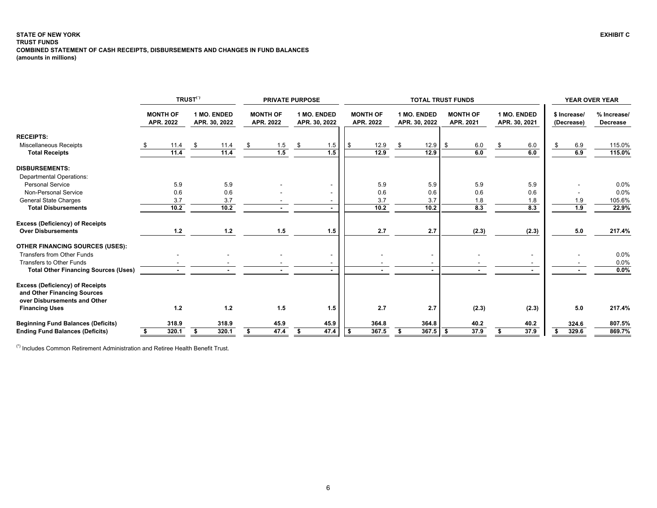#### <span id="page-6-0"></span>**STATE OF NEW YORK EXHIBIT C TRUST FUNDS COMBINED STATEMENT OF CASH RECEIPTS, DISBURSEMENTS AND CHANGES IN FUND BALANCES (amounts in millions)**

|                                                                                                       |                              | <b>TRUST<sup>(*)</sup></b> |                              | <b>PRIVATE PURPOSE</b>       |      |                              |      |                              |                              | <b>TOTAL TRUST FUNDS</b>     |         |                              |                            | <b>YEAR OVER YEAR</b>   |
|-------------------------------------------------------------------------------------------------------|------------------------------|----------------------------|------------------------------|------------------------------|------|------------------------------|------|------------------------------|------------------------------|------------------------------|---------|------------------------------|----------------------------|-------------------------|
|                                                                                                       | <b>MONTH OF</b><br>APR. 2022 |                            | 1 MO. ENDED<br>APR. 30, 2022 | <b>MONTH OF</b><br>APR. 2022 |      | 1 MO. ENDED<br>APR. 30, 2022 |      | <b>MONTH OF</b><br>APR. 2022 | 1 MO. ENDED<br>APR. 30, 2022 | <b>MONTH OF</b><br>APR. 2021 |         | 1 MO. ENDED<br>APR. 30, 2021 | \$ Increase/<br>(Decrease) | % Increase/<br>Decrease |
| <b>RECEIPTS:</b>                                                                                      |                              |                            |                              |                              |      |                              |      |                              |                              |                              |         |                              |                            |                         |
| Miscellaneous Receipts                                                                                | 11.4                         | \$                         | 11.4                         | 1.5                          | - \$ | 1.5                          | - \$ | 12.9                         | \$<br>12.9                   | -\$                          | $6.0\,$ | 6.0                          | 6.9                        | 115.0%                  |
| <b>Total Receipts</b>                                                                                 | 11.4                         |                            | 11.4                         | 1.5                          |      | 1.5                          |      | 12.9                         | 12.9                         |                              | 6.0     | 6.0                          | 6.9                        | 115.0%                  |
| <b>DISBURSEMENTS:</b>                                                                                 |                              |                            |                              |                              |      |                              |      |                              |                              |                              |         |                              |                            |                         |
| <b>Departmental Operations:</b>                                                                       |                              |                            |                              |                              |      |                              |      |                              |                              |                              |         |                              |                            |                         |
| <b>Personal Service</b>                                                                               | 5.9                          |                            | 5.9                          |                              |      |                              |      | 5.9                          | 5.9                          |                              | 5.9     | 5.9                          |                            | 0.0%                    |
| Non-Personal Service                                                                                  | 0.6                          |                            | 0.6                          |                              |      |                              |      | 0.6                          | 0.6                          |                              | 0.6     | 0.6                          |                            | 0.0%                    |
| <b>General State Charges</b>                                                                          | 3.7                          |                            | 3.7                          |                              |      |                              |      | 3.7                          | 3.7                          |                              | 1.8     | 1.8                          | 1.9                        | 105.6%                  |
| <b>Total Disbursements</b>                                                                            | $\overline{10.2}$            |                            | 10.2                         |                              |      |                              |      | 10.2                         | 10.2                         |                              | 8.3     | 8.3                          | 1.9                        | 22.9%                   |
| <b>Excess (Deficiency) of Receipts</b>                                                                |                              |                            |                              |                              |      |                              |      |                              |                              |                              |         |                              |                            |                         |
| <b>Over Disbursements</b>                                                                             | $1.2$                        |                            | $1.2$                        | 1.5                          |      | 1.5                          |      | 2.7                          | 2.7                          |                              | (2.3)   | (2.3)                        | 5.0                        | 217.4%                  |
| <b>OTHER FINANCING SOURCES (USES):</b>                                                                |                              |                            |                              |                              |      |                              |      |                              |                              |                              |         |                              |                            |                         |
| Transfers from Other Funds                                                                            |                              |                            |                              |                              |      | $\blacksquare$               |      |                              | $\overline{\phantom{0}}$     |                              |         |                              |                            | 0.0%                    |
| Transfers to Other Funds                                                                              |                              |                            |                              |                              |      |                              |      |                              |                              |                              |         |                              |                            | 0.0%                    |
| <b>Total Other Financing Sources (Uses)</b>                                                           |                              |                            |                              |                              |      |                              |      | $\blacksquare$               | $\sim$                       |                              |         |                              |                            | 0.0%                    |
| <b>Excess (Deficiency) of Receipts</b><br>and Other Financing Sources<br>over Disbursements and Other |                              |                            |                              |                              |      |                              |      |                              |                              |                              |         |                              |                            |                         |
| <b>Financing Uses</b>                                                                                 | 1.2                          |                            | 1.2                          | 1.5                          |      | 1.5                          |      | 2.7                          | 2.7                          |                              | (2.3)   | (2.3)                        | 5.0                        | 217.4%                  |
| <b>Beginning Fund Balances (Deficits)</b>                                                             | 318.9                        |                            | 318.9                        | 45.9                         |      | 45.9                         |      | 364.8                        | 364.8                        |                              | 40.2    | 40.2                         | 324.6                      | 807.5%                  |
| <b>Ending Fund Balances (Deficits)</b>                                                                | 320.1                        |                            | 320.1                        | 47.4                         |      | 47.4                         |      | 367.5                        | 367.5                        | - \$                         | 37.9    | 37.9                         | 329.6                      | 869.7%                  |

(\*) Includes Common Retirement Administration and Retiree Health Benefit Trust.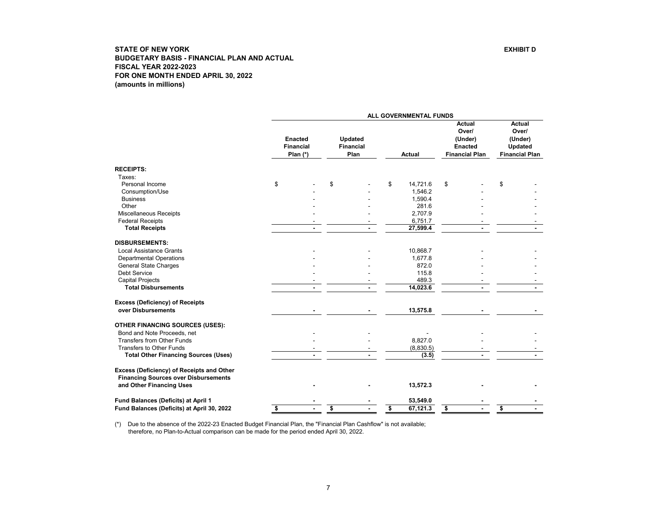<span id="page-7-0"></span>

|                                                                                          |                                                  | ALL GOVERNMENTAL FUNDS                     |                |                                                                              |  |    |                                                                              |
|------------------------------------------------------------------------------------------|--------------------------------------------------|--------------------------------------------|----------------|------------------------------------------------------------------------------|--|----|------------------------------------------------------------------------------|
|                                                                                          | <b>Enacted</b><br><b>Financial</b><br>Plan $(*)$ | <b>Updated</b><br><b>Financial</b><br>Plan | <b>Actual</b>  | <b>Actual</b><br>Over/<br>(Under)<br><b>Enacted</b><br><b>Financial Plan</b> |  |    | <b>Actual</b><br>Over/<br>(Under)<br><b>Updated</b><br><b>Financial Plan</b> |
| <b>RECEIPTS:</b>                                                                         |                                                  |                                            |                |                                                                              |  |    |                                                                              |
| Taxes:                                                                                   |                                                  |                                            |                |                                                                              |  |    |                                                                              |
| Personal Income                                                                          | \$                                               | \$                                         | \$<br>14,721.6 | \$                                                                           |  | \$ |                                                                              |
| Consumption/Use                                                                          |                                                  |                                            | 1,546.2        |                                                                              |  |    |                                                                              |
| <b>Business</b>                                                                          |                                                  |                                            | 1,590.4        |                                                                              |  |    |                                                                              |
| Other                                                                                    |                                                  |                                            | 281.6          |                                                                              |  |    |                                                                              |
| Miscellaneous Receipts                                                                   |                                                  |                                            | 2,707.9        |                                                                              |  |    |                                                                              |
| <b>Federal Receipts</b>                                                                  |                                                  |                                            | 6,751.7        |                                                                              |  |    |                                                                              |
| <b>Total Receipts</b>                                                                    |                                                  |                                            | 27,599.4       |                                                                              |  |    |                                                                              |
| <b>DISBURSEMENTS:</b>                                                                    |                                                  |                                            |                |                                                                              |  |    |                                                                              |
| <b>Local Assistance Grants</b>                                                           |                                                  |                                            | 10,868.7       |                                                                              |  |    |                                                                              |
| <b>Departmental Operations</b>                                                           |                                                  |                                            | 1,677.8        |                                                                              |  |    |                                                                              |
| <b>General State Charges</b>                                                             |                                                  |                                            | 872.0          |                                                                              |  |    |                                                                              |
| <b>Debt Service</b>                                                                      |                                                  |                                            | 115.8          |                                                                              |  |    |                                                                              |
| <b>Capital Projects</b>                                                                  |                                                  |                                            | 489.3          |                                                                              |  |    |                                                                              |
| <b>Total Disbursements</b>                                                               |                                                  |                                            | 14,023.6       |                                                                              |  |    |                                                                              |
| <b>Excess (Deficiency) of Receipts</b>                                                   |                                                  |                                            |                |                                                                              |  |    |                                                                              |
| over Disbursements                                                                       |                                                  |                                            | 13,575.8       |                                                                              |  |    |                                                                              |
| <b>OTHER FINANCING SOURCES (USES):</b>                                                   |                                                  |                                            |                |                                                                              |  |    |                                                                              |
| Bond and Note Proceeds, net                                                              |                                                  |                                            |                |                                                                              |  |    |                                                                              |
| <b>Transfers from Other Funds</b>                                                        |                                                  |                                            | 8,827.0        |                                                                              |  |    |                                                                              |
| <b>Transfers to Other Funds</b>                                                          |                                                  |                                            | (8,830.5)      |                                                                              |  |    |                                                                              |
| <b>Total Other Financing Sources (Uses)</b>                                              |                                                  |                                            | (3.5)          |                                                                              |  |    |                                                                              |
| Excess (Deficiency) of Receipts and Other<br><b>Financing Sources over Disbursements</b> |                                                  |                                            |                |                                                                              |  |    |                                                                              |
| and Other Financing Uses                                                                 |                                                  |                                            | 13,572.3       |                                                                              |  |    |                                                                              |
| Fund Balances (Deficits) at April 1                                                      |                                                  |                                            | 53,549.0       |                                                                              |  |    |                                                                              |
| Fund Balances (Deficits) at April 30, 2022                                               | \$                                               | \$                                         | \$<br>67,121.3 | \$                                                                           |  | s  |                                                                              |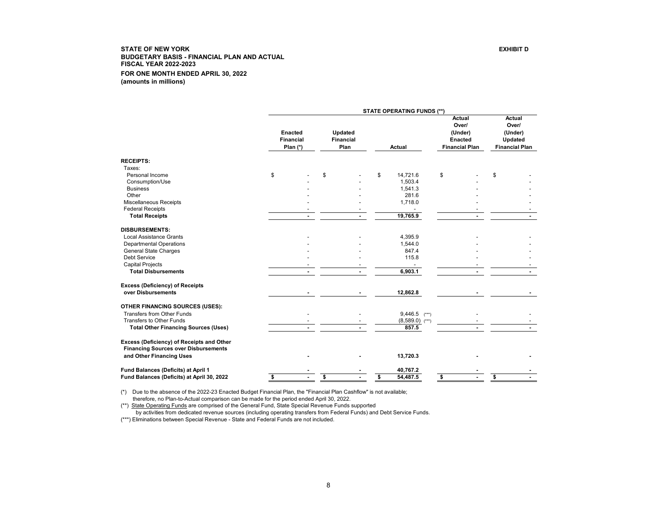<span id="page-8-0"></span>

|                                                              | <b>STATE OPERATING FUNDS (**)</b> |                                           |    |                                     |    |                   |    |                                                                       |    |                                                                |  |  |  |
|--------------------------------------------------------------|-----------------------------------|-------------------------------------------|----|-------------------------------------|----|-------------------|----|-----------------------------------------------------------------------|----|----------------------------------------------------------------|--|--|--|
|                                                              |                                   | Enacted<br><b>Financial</b><br>Plan $(*)$ |    | Updated<br><b>Financial</b><br>Plan |    | Actual            |    | Actual<br>Over/<br>(Under)<br><b>Enacted</b><br><b>Financial Plan</b> |    | Actual<br>Over/<br>(Under)<br>Updated<br><b>Financial Plan</b> |  |  |  |
| <b>RECEIPTS:</b>                                             |                                   |                                           |    |                                     |    |                   |    |                                                                       |    |                                                                |  |  |  |
| Taxes:                                                       |                                   |                                           |    |                                     |    |                   |    |                                                                       |    |                                                                |  |  |  |
| Personal Income                                              | \$                                |                                           | \$ |                                     | \$ | 14,721.6          | \$ |                                                                       | \$ |                                                                |  |  |  |
| Consumption/Use                                              |                                   |                                           |    |                                     |    | 1,503.4           |    |                                                                       |    |                                                                |  |  |  |
| <b>Business</b>                                              |                                   |                                           |    |                                     |    | 1,541.3           |    |                                                                       |    |                                                                |  |  |  |
| Other                                                        |                                   |                                           |    |                                     |    | 281.6             |    |                                                                       |    |                                                                |  |  |  |
| Miscellaneous Receipts                                       |                                   |                                           |    |                                     |    | 1,718.0           |    |                                                                       |    |                                                                |  |  |  |
| <b>Federal Receipts</b>                                      |                                   |                                           |    |                                     |    |                   |    |                                                                       |    |                                                                |  |  |  |
| <b>Total Receipts</b>                                        |                                   |                                           |    |                                     |    | 19,765.9          |    |                                                                       |    |                                                                |  |  |  |
| <b>DISBURSEMENTS:</b>                                        |                                   |                                           |    |                                     |    |                   |    |                                                                       |    |                                                                |  |  |  |
| <b>Local Assistance Grants</b>                               |                                   |                                           |    |                                     |    | 4,395.9           |    |                                                                       |    |                                                                |  |  |  |
| <b>Departmental Operations</b>                               |                                   |                                           |    |                                     |    | 1,544.0           |    |                                                                       |    |                                                                |  |  |  |
| <b>General State Charges</b>                                 |                                   |                                           |    |                                     |    | 847.4             |    |                                                                       |    |                                                                |  |  |  |
| Debt Service                                                 |                                   |                                           |    |                                     |    | 115.8             |    |                                                                       |    |                                                                |  |  |  |
| <b>Capital Projects</b>                                      |                                   |                                           |    |                                     |    |                   |    |                                                                       |    |                                                                |  |  |  |
| <b>Total Disbursements</b>                                   |                                   |                                           |    |                                     |    | 6,903.1           |    |                                                                       |    |                                                                |  |  |  |
|                                                              |                                   |                                           |    |                                     |    |                   |    |                                                                       |    |                                                                |  |  |  |
| <b>Excess (Deficiency) of Receipts</b><br>over Disbursements |                                   |                                           |    |                                     |    | 12,862.8          |    |                                                                       |    |                                                                |  |  |  |
| <b>OTHER FINANCING SOURCES (USES):</b>                       |                                   |                                           |    |                                     |    |                   |    |                                                                       |    |                                                                |  |  |  |
| <b>Transfers from Other Funds</b>                            |                                   |                                           |    |                                     |    | $9,446.5$ (***)   |    |                                                                       |    |                                                                |  |  |  |
| Transfers to Other Funds                                     |                                   |                                           |    |                                     |    | $(8,589.0)$ (***) |    |                                                                       |    |                                                                |  |  |  |
| <b>Total Other Financing Sources (Uses)</b>                  |                                   |                                           |    |                                     |    | 857.5             |    |                                                                       |    |                                                                |  |  |  |
|                                                              |                                   |                                           |    |                                     |    |                   |    |                                                                       |    |                                                                |  |  |  |
| Excess (Deficiency) of Receipts and Other                    |                                   |                                           |    |                                     |    |                   |    |                                                                       |    |                                                                |  |  |  |
| <b>Financing Sources over Disbursements</b>                  |                                   |                                           |    |                                     |    |                   |    |                                                                       |    |                                                                |  |  |  |
| and Other Financing Uses                                     |                                   |                                           |    |                                     |    | 13,720.3          |    |                                                                       |    |                                                                |  |  |  |
| Fund Balances (Deficits) at April 1                          |                                   |                                           |    |                                     |    | 40,767.2          |    |                                                                       |    |                                                                |  |  |  |
| Fund Balances (Deficits) at April 30, 2022                   | \$                                |                                           | \$ |                                     | \$ | 54,487.5          | \$ |                                                                       | \$ |                                                                |  |  |  |

(\*) Due to the absence of the 2022-23 Enacted Budget Financial Plan, the "Financial Plan Cashflow" is not available; therefore, no Plan-to-Actual comparison can be made for the period ended April 30, 2022.

(\*\*) State Operating Funds are comprised of the General Fund, State Special Revenue Funds supported

by activities from dedicated revenue sources (including operating transfers from Federal Funds) and Debt Service Funds.

(\*\*\*) Eliminations between Special Revenue - State and Federal Funds are not included.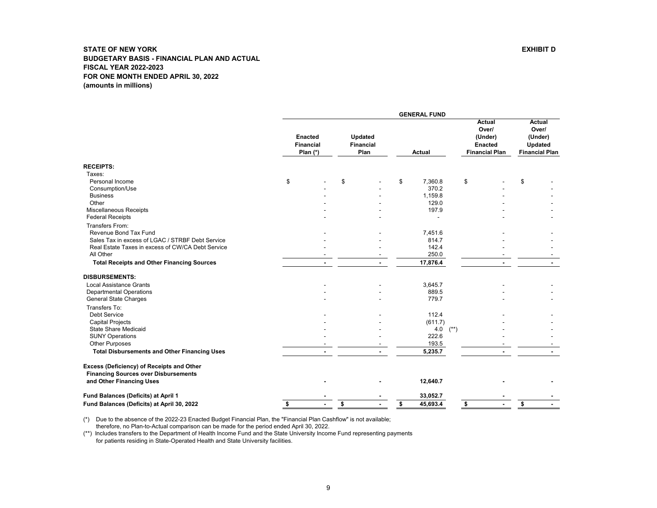<span id="page-9-0"></span>

|                                                                                          |                                                  |                                     | <b>GENERAL FUND</b> |        |                                                                              |                                                                              |
|------------------------------------------------------------------------------------------|--------------------------------------------------|-------------------------------------|---------------------|--------|------------------------------------------------------------------------------|------------------------------------------------------------------------------|
|                                                                                          | <b>Enacted</b><br><b>Financial</b><br>Plan $(*)$ | Updated<br><b>Financial</b><br>Plan | <b>Actual</b>       |        | <b>Actual</b><br>Over/<br>(Under)<br><b>Enacted</b><br><b>Financial Plan</b> | <b>Actual</b><br>Over/<br>(Under)<br><b>Updated</b><br><b>Financial Plan</b> |
| <b>RECEIPTS:</b>                                                                         |                                                  |                                     |                     |        |                                                                              |                                                                              |
| Taxes:                                                                                   |                                                  |                                     |                     |        |                                                                              |                                                                              |
| Personal Income                                                                          | \$                                               | \$                                  | \$<br>7,360.8       | \$     |                                                                              | \$                                                                           |
| Consumption/Use                                                                          |                                                  |                                     | 370.2               |        |                                                                              |                                                                              |
| <b>Business</b>                                                                          |                                                  |                                     | 1,159.8             |        |                                                                              |                                                                              |
| Other                                                                                    |                                                  |                                     | 129.0               |        |                                                                              |                                                                              |
| <b>Miscellaneous Receipts</b>                                                            |                                                  |                                     | 197.9               |        |                                                                              |                                                                              |
| <b>Federal Receipts</b>                                                                  |                                                  |                                     |                     |        |                                                                              |                                                                              |
| Transfers From:                                                                          |                                                  |                                     |                     |        |                                                                              |                                                                              |
| Revenue Bond Tax Fund                                                                    |                                                  |                                     | 7,451.6             |        |                                                                              |                                                                              |
| Sales Tax in excess of LGAC / STRBF Debt Service                                         |                                                  |                                     | 814.7               |        |                                                                              |                                                                              |
| Real Estate Taxes in excess of CW/CA Debt Service                                        |                                                  |                                     | 142.4               |        |                                                                              |                                                                              |
| All Other                                                                                |                                                  |                                     | 250.0               |        |                                                                              |                                                                              |
| <b>Total Receipts and Other Financing Sources</b>                                        |                                                  |                                     | 17,876.4            |        | $\blacksquare$                                                               |                                                                              |
| <b>DISBURSEMENTS:</b>                                                                    |                                                  |                                     |                     |        |                                                                              |                                                                              |
| <b>Local Assistance Grants</b>                                                           |                                                  |                                     | 3,645.7             |        |                                                                              |                                                                              |
| <b>Departmental Operations</b>                                                           |                                                  |                                     | 889.5               |        |                                                                              |                                                                              |
| General State Charges                                                                    |                                                  |                                     | 779.7               |        |                                                                              |                                                                              |
| Transfers To:                                                                            |                                                  |                                     |                     |        |                                                                              |                                                                              |
| Debt Service                                                                             |                                                  |                                     | 112.4               |        |                                                                              |                                                                              |
| <b>Capital Projects</b>                                                                  |                                                  |                                     | (611.7)             |        |                                                                              |                                                                              |
| State Share Medicaid                                                                     |                                                  |                                     | 4.0                 | $(**)$ |                                                                              |                                                                              |
| <b>SUNY Operations</b>                                                                   |                                                  |                                     | 222.6               |        |                                                                              |                                                                              |
| <b>Other Purposes</b>                                                                    |                                                  |                                     | 193.5               |        |                                                                              |                                                                              |
| <b>Total Disbursements and Other Financing Uses</b>                                      |                                                  |                                     | 5,235.7             |        |                                                                              |                                                                              |
| Excess (Deficiency) of Receipts and Other<br><b>Financing Sources over Disbursements</b> |                                                  |                                     |                     |        |                                                                              |                                                                              |
| and Other Financing Uses                                                                 |                                                  |                                     | 12,640.7            |        |                                                                              |                                                                              |
| Fund Balances (Deficits) at April 1                                                      |                                                  |                                     | 33,052.7            |        |                                                                              |                                                                              |
| Fund Balances (Deficits) at April 30, 2022                                               | \$                                               | \$                                  | \$<br>45,693.4      | \$     |                                                                              | \$                                                                           |

(\*) Due to the absence of the 2022-23 Enacted Budget Financial Plan, the "Financial Plan Cashflow" is not available;

therefore, no Plan-to-Actual comparison can be made for the period ended April 30, 2022.

(\*\*) Includes transfers to the Department of Health Income Fund and the State University Income Fund representing payments for patients residing in State-Operated Health and State University facilities.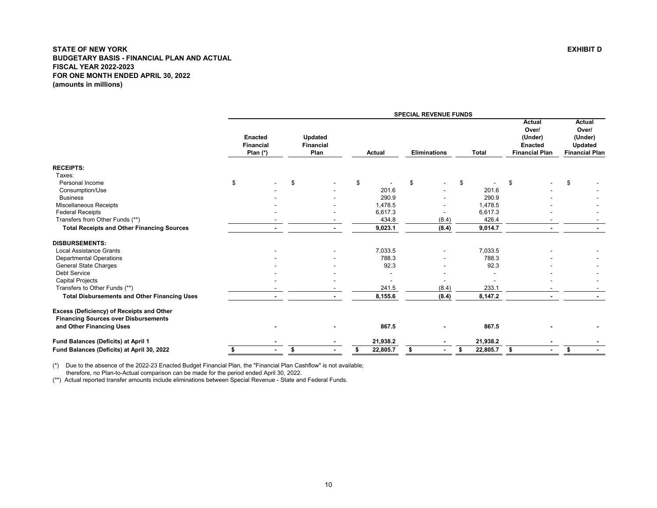<span id="page-10-0"></span>

|                                                                                          |                                                  |                                            |                | <b>SPECIAL REVENUE FUNDS</b> |                |                                                                              |                                                                       |
|------------------------------------------------------------------------------------------|--------------------------------------------------|--------------------------------------------|----------------|------------------------------|----------------|------------------------------------------------------------------------------|-----------------------------------------------------------------------|
|                                                                                          | <b>Enacted</b><br><b>Financial</b><br>Plan $(*)$ | <b>Updated</b><br><b>Financial</b><br>Plan | <b>Actual</b>  | <b>Eliminations</b>          | <b>Total</b>   | <b>Actual</b><br>Over/<br>(Under)<br><b>Enacted</b><br><b>Financial Plan</b> | Actual<br>Over/<br>(Under)<br><b>Updated</b><br><b>Financial Plan</b> |
| <b>RECEIPTS:</b>                                                                         |                                                  |                                            |                |                              |                |                                                                              |                                                                       |
| Taxes:                                                                                   |                                                  |                                            |                |                              |                |                                                                              |                                                                       |
| Personal Income                                                                          | \$                                               | \$                                         | \$             | \$                           | \$             | \$                                                                           | \$                                                                    |
| Consumption/Use                                                                          |                                                  |                                            | 201.6          |                              | 201.6          |                                                                              |                                                                       |
| <b>Business</b>                                                                          |                                                  |                                            | 290.9          |                              | 290.9          |                                                                              |                                                                       |
| Miscellaneous Receipts                                                                   |                                                  |                                            | 1,478.5        |                              | 1,478.5        |                                                                              |                                                                       |
| <b>Federal Receipts</b>                                                                  |                                                  |                                            | 6,617.3        |                              | 6,617.3        |                                                                              |                                                                       |
| Transfers from Other Funds (**)                                                          |                                                  | $\overline{\phantom{a}}$                   | 434.8          | (8.4)                        | 426.4          |                                                                              |                                                                       |
| <b>Total Receipts and Other Financing Sources</b>                                        |                                                  | $\blacksquare$                             | 9,023.1        | (8.4)                        | 9,014.7        |                                                                              |                                                                       |
| <b>DISBURSEMENTS:</b>                                                                    |                                                  |                                            |                |                              |                |                                                                              |                                                                       |
| <b>Local Assistance Grants</b>                                                           |                                                  |                                            | 7,033.5        |                              | 7,033.5        |                                                                              |                                                                       |
| <b>Departmental Operations</b>                                                           |                                                  |                                            | 788.3          |                              | 788.3          |                                                                              |                                                                       |
| <b>General State Charges</b>                                                             |                                                  |                                            | 92.3           |                              | 92.3           |                                                                              |                                                                       |
| <b>Debt Service</b>                                                                      |                                                  |                                            |                |                              |                |                                                                              |                                                                       |
| <b>Capital Projects</b>                                                                  |                                                  |                                            |                |                              |                |                                                                              |                                                                       |
| Transfers to Other Funds (**)                                                            |                                                  |                                            | 241.5          | (8.4)                        | 233.1          |                                                                              |                                                                       |
| <b>Total Disbursements and Other Financing Uses</b>                                      |                                                  |                                            | 8,155.6        | (8.4)                        | 8,147.2        |                                                                              |                                                                       |
| Excess (Deficiency) of Receipts and Other<br><b>Financing Sources over Disbursements</b> |                                                  |                                            |                |                              |                |                                                                              |                                                                       |
| and Other Financing Uses                                                                 |                                                  |                                            | 867.5          |                              | 867.5          |                                                                              |                                                                       |
| Fund Balances (Deficits) at April 1                                                      |                                                  |                                            | 21,938.2       |                              | 21,938.2       |                                                                              |                                                                       |
| Fund Balances (Deficits) at April 30, 2022                                               | \$                                               | \$                                         | \$<br>22,805.7 | \$                           | \$<br>22,805.7 | \$                                                                           | \$                                                                    |

(\*) Due to the absence of the 2022-23 Enacted Budget Financial Plan, the "Financial Plan Cashflow" is not available;

therefore, no Plan-to-Actual comparison can be made for the period ended April 30, 2022.

(\*\*) Actual reported transfer amounts include eliminations between Special Revenue - State and Federal Funds.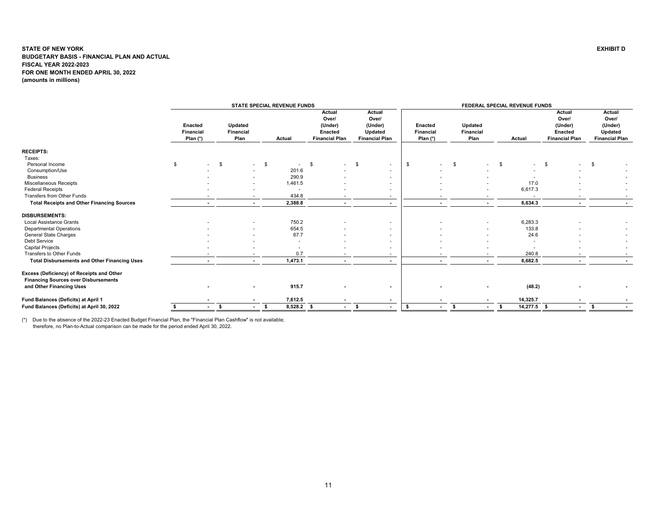<span id="page-11-0"></span>

|                                                                                          |                                         |                                     |                          | STATE SPECIAL REVENUE FUNDS |                                                                |    |                                                                |                                           |              | FEDERAL SPECIAL REVENUE FUNDS |      |               |                                                                |      |                                                                |
|------------------------------------------------------------------------------------------|-----------------------------------------|-------------------------------------|--------------------------|-----------------------------|----------------------------------------------------------------|----|----------------------------------------------------------------|-------------------------------------------|--------------|-------------------------------|------|---------------|----------------------------------------------------------------|------|----------------------------------------------------------------|
|                                                                                          | Enacted<br><b>Financial</b><br>Plan (*) | Updated<br><b>Financial</b><br>Plan |                          | Actual                      | Actual<br>Over/<br>(Under)<br>Enacted<br><b>Financial Plan</b> |    | Actual<br>Over/<br>(Under)<br>Updated<br><b>Financial Plan</b> | <b>Enacted</b><br>Financial<br>Plan $(*)$ |              | Updated<br>Financial<br>Plan  |      | Actual        | Actual<br>Over/<br>(Under)<br>Enacted<br><b>Financial Plan</b> |      | Actual<br>Over/<br>(Under)<br>Updated<br><b>Financial Plan</b> |
|                                                                                          |                                         |                                     |                          |                             |                                                                |    |                                                                |                                           |              |                               |      |               |                                                                |      |                                                                |
| <b>RECEIPTS:</b>                                                                         |                                         |                                     |                          |                             |                                                                |    |                                                                |                                           |              |                               |      |               |                                                                |      |                                                                |
| Taxes:                                                                                   |                                         |                                     |                          |                             |                                                                |    |                                                                |                                           |              |                               |      |               |                                                                |      |                                                                |
| Personal Income                                                                          | \$                                      | \$                                  | \$<br>$\sim$             |                             | \$<br>$\overline{\phantom{a}}$                                 | -S | ٠                                                              | \$                                        | \$<br>$\sim$ |                               | - \$ |               | - \$                                                           | \$   |                                                                |
| Consumption/Use                                                                          |                                         |                                     |                          | 201.6                       |                                                                |    |                                                                |                                           |              |                               |      |               |                                                                |      |                                                                |
| <b>Business</b>                                                                          |                                         |                                     |                          | 290.9                       |                                                                |    |                                                                |                                           |              |                               |      |               |                                                                |      |                                                                |
| Miscellaneous Receipts                                                                   |                                         |                                     |                          | 1,461.5                     |                                                                |    |                                                                |                                           |              |                               |      | 17.0          |                                                                |      |                                                                |
| <b>Federal Receipts</b>                                                                  |                                         |                                     |                          |                             |                                                                |    |                                                                |                                           |              |                               |      | 6,617.3       |                                                                |      |                                                                |
| Transfers from Other Funds                                                               |                                         |                                     | $\overline{a}$           | 434.8                       |                                                                |    |                                                                |                                           |              |                               |      |               |                                                                |      |                                                                |
| <b>Total Receipts and Other Financing Sources</b>                                        |                                         |                                     | $\overline{\phantom{a}}$ | 2,388.8                     |                                                                |    |                                                                |                                           |              |                               |      | 6,634.3       | $\overline{\phantom{a}}$                                       |      |                                                                |
| <b>DISBURSEMENTS:</b>                                                                    |                                         |                                     |                          |                             |                                                                |    |                                                                |                                           |              |                               |      |               |                                                                |      |                                                                |
| <b>Local Assistance Grants</b>                                                           |                                         |                                     |                          | 750.2                       |                                                                |    |                                                                |                                           |              |                               |      | 6,283.3       |                                                                |      |                                                                |
| <b>Departmental Operations</b>                                                           |                                         |                                     |                          | 654.5                       |                                                                |    |                                                                |                                           |              |                               |      | 133.8         |                                                                |      |                                                                |
| General State Charges                                                                    |                                         |                                     |                          | 67.7                        |                                                                |    |                                                                |                                           |              |                               |      | 24.6          |                                                                |      |                                                                |
| Debt Service                                                                             |                                         |                                     |                          | $\sim$                      |                                                                |    |                                                                |                                           |              |                               |      |               |                                                                |      |                                                                |
| Capital Projects                                                                         |                                         |                                     |                          |                             |                                                                |    |                                                                |                                           |              |                               |      |               |                                                                |      |                                                                |
| Transfers to Other Funds                                                                 |                                         |                                     |                          | 0.7                         |                                                                |    |                                                                |                                           |              |                               |      | 240.8         |                                                                |      |                                                                |
| <b>Total Disbursements and Other Financing Uses</b>                                      |                                         |                                     | $\sim$                   | 1,473.1                     |                                                                |    |                                                                |                                           |              |                               |      | 6.682.5       |                                                                |      |                                                                |
| Excess (Deficiency) of Receipts and Other<br><b>Financing Sources over Disbursements</b> |                                         |                                     |                          |                             |                                                                |    |                                                                |                                           |              |                               |      |               |                                                                |      |                                                                |
| and Other Financing Uses                                                                 |                                         |                                     | ٠                        | 915.7                       |                                                                |    |                                                                |                                           |              |                               |      | (48.2)        |                                                                |      |                                                                |
| Fund Balances (Deficits) at April 1                                                      |                                         |                                     | $\blacksquare$           | 7,612.5                     |                                                                |    |                                                                |                                           |              |                               |      | 14,325.7      |                                                                |      |                                                                |
| Fund Balances (Deficits) at April 30, 2022                                               |                                         | \$                                  | $\sim$                   | $8,528.2$ \$                | $\sim 100$                                                     | -S |                                                                | \$                                        | s.<br>$\sim$ | $\sim$                        | S.   | $14,277.5$ \$ | $\sim$                                                         | - \$ |                                                                |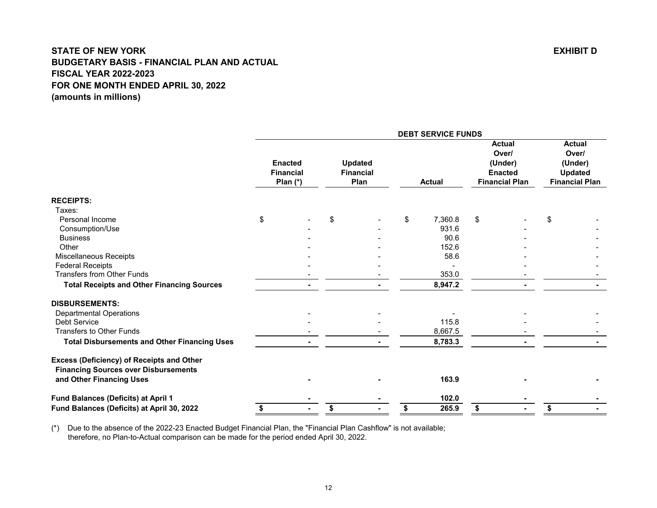<span id="page-12-0"></span>

|                                                     |    |                                                  |                                            | <b>DEBT SERVICE FUNDS</b> |                                                                              |                                              |                       |
|-----------------------------------------------------|----|--------------------------------------------------|--------------------------------------------|---------------------------|------------------------------------------------------------------------------|----------------------------------------------|-----------------------|
|                                                     |    | <b>Enacted</b><br><b>Financial</b><br>Plan $(*)$ | <b>Updated</b><br><b>Financial</b><br>Plan | <b>Actual</b>             | <b>Actual</b><br>Over/<br>(Under)<br><b>Enacted</b><br><b>Financial Plan</b> | <b>Actual</b><br>Over/<br>(Under)<br>Updated | <b>Financial Plan</b> |
| <b>RECEIPTS:</b>                                    |    |                                                  |                                            |                           |                                                                              |                                              |                       |
| Taxes:                                              |    |                                                  |                                            |                           |                                                                              |                                              |                       |
| Personal Income                                     | \$ |                                                  | \$                                         | \$<br>7,360.8             | \$                                                                           | \$                                           |                       |
| Consumption/Use                                     |    |                                                  |                                            | 931.6                     |                                                                              |                                              |                       |
| <b>Business</b>                                     |    |                                                  |                                            | 90.6                      |                                                                              |                                              |                       |
| Other                                               |    |                                                  |                                            | 152.6                     |                                                                              |                                              |                       |
| Miscellaneous Receipts                              |    |                                                  |                                            | 58.6                      |                                                                              |                                              |                       |
| <b>Federal Receipts</b>                             |    |                                                  |                                            |                           |                                                                              |                                              |                       |
| <b>Transfers from Other Funds</b>                   |    |                                                  |                                            | 353.0                     |                                                                              |                                              |                       |
| <b>Total Receipts and Other Financing Sources</b>   |    |                                                  |                                            | 8,947.2                   |                                                                              |                                              |                       |
| <b>DISBURSEMENTS:</b>                               |    |                                                  |                                            |                           |                                                                              |                                              |                       |
| <b>Departmental Operations</b>                      |    |                                                  |                                            |                           |                                                                              |                                              |                       |
| Debt Service                                        |    |                                                  |                                            | 115.8                     |                                                                              |                                              |                       |
| <b>Transfers to Other Funds</b>                     |    |                                                  |                                            | 8,667.5                   |                                                                              |                                              |                       |
| <b>Total Disbursements and Other Financing Uses</b> |    |                                                  |                                            | 8,783.3                   |                                                                              |                                              |                       |
| <b>Excess (Deficiency) of Receipts and Other</b>    |    |                                                  |                                            |                           |                                                                              |                                              |                       |
| <b>Financing Sources over Disbursements</b>         |    |                                                  |                                            |                           |                                                                              |                                              |                       |
| and Other Financing Uses                            |    |                                                  |                                            | 163.9                     |                                                                              |                                              |                       |
| Fund Balances (Deficits) at April 1                 |    |                                                  |                                            | 102.0                     |                                                                              |                                              |                       |
| Fund Balances (Deficits) at April 30, 2022          | S  |                                                  | \$                                         | \$<br>265.9               | \$                                                                           | \$                                           |                       |
|                                                     |    |                                                  |                                            |                           |                                                                              |                                              |                       |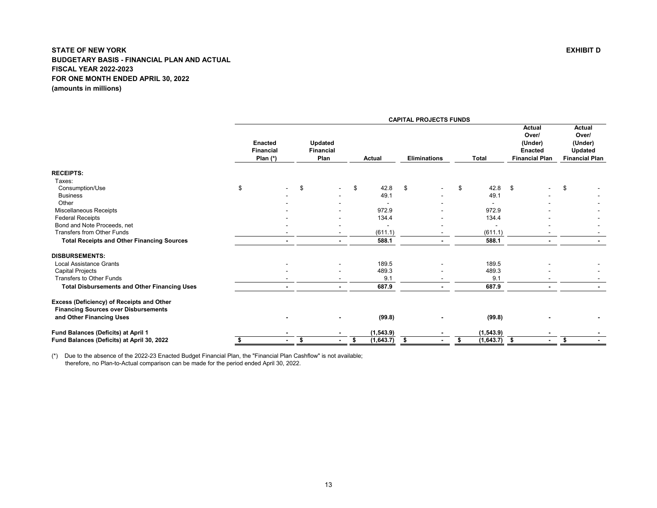<span id="page-13-0"></span>

|                                                                                          |                                                  |                                            |                  | <b>CAPITAL PROJECTS FUNDS</b> |                 |                                                                              |                                                                              |
|------------------------------------------------------------------------------------------|--------------------------------------------------|--------------------------------------------|------------------|-------------------------------|-----------------|------------------------------------------------------------------------------|------------------------------------------------------------------------------|
|                                                                                          | <b>Enacted</b><br><b>Financial</b><br>Plan $(*)$ | <b>Updated</b><br><b>Financial</b><br>Plan | Actual           | <b>Eliminations</b>           | <b>Total</b>    | <b>Actual</b><br>Over/<br>(Under)<br><b>Enacted</b><br><b>Financial Plan</b> | <b>Actual</b><br>Over/<br>(Under)<br><b>Updated</b><br><b>Financial Plan</b> |
| <b>RECEIPTS:</b>                                                                         |                                                  |                                            |                  |                               |                 |                                                                              |                                                                              |
| Taxes:                                                                                   |                                                  |                                            |                  |                               |                 |                                                                              |                                                                              |
| Consumption/Use                                                                          | \$                                               | \$                                         | \$<br>42.8       | \$                            | 42.8<br>\$      | - \$                                                                         | \$                                                                           |
| <b>Business</b>                                                                          |                                                  |                                            | 49.1             |                               | 49.1            |                                                                              |                                                                              |
| Other                                                                                    |                                                  |                                            |                  |                               |                 |                                                                              |                                                                              |
| Miscellaneous Receipts                                                                   |                                                  |                                            | 972.9            |                               | 972.9           |                                                                              |                                                                              |
| <b>Federal Receipts</b>                                                                  |                                                  |                                            | 134.4            |                               | 134.4           |                                                                              |                                                                              |
| Bond and Note Proceeds, net                                                              |                                                  |                                            |                  |                               |                 |                                                                              |                                                                              |
| <b>Transfers from Other Funds</b>                                                        |                                                  |                                            | (611.1)          |                               | (611.1)         |                                                                              |                                                                              |
| <b>Total Receipts and Other Financing Sources</b>                                        |                                                  | $\blacksquare$                             | 588.1            |                               | 588.1           |                                                                              |                                                                              |
| <b>DISBURSEMENTS:</b>                                                                    |                                                  |                                            |                  |                               |                 |                                                                              |                                                                              |
| <b>Local Assistance Grants</b>                                                           |                                                  |                                            | 189.5            |                               | 189.5           |                                                                              |                                                                              |
| <b>Capital Projects</b>                                                                  |                                                  | ۰                                          | 489.3            |                               | 489.3           |                                                                              |                                                                              |
| <b>Transfers to Other Funds</b>                                                          |                                                  |                                            | 9.1              |                               | 9.1             |                                                                              |                                                                              |
| <b>Total Disbursements and Other Financing Uses</b>                                      |                                                  |                                            | 687.9            |                               | 687.9           |                                                                              |                                                                              |
| Excess (Deficiency) of Receipts and Other<br><b>Financing Sources over Disbursements</b> |                                                  |                                            |                  |                               |                 |                                                                              |                                                                              |
| and Other Financing Uses                                                                 |                                                  |                                            | (99.8)           |                               | (99.8)          |                                                                              |                                                                              |
| Fund Balances (Deficits) at April 1                                                      |                                                  |                                            | (1, 543.9)       |                               | (1, 543.9)      |                                                                              |                                                                              |
| Fund Balances (Deficits) at April 30, 2022                                               | \$                                               | \$                                         | \$<br>(1, 643.7) | - \$                          | (1,643.7)<br>\$ | - \$                                                                         | \$                                                                           |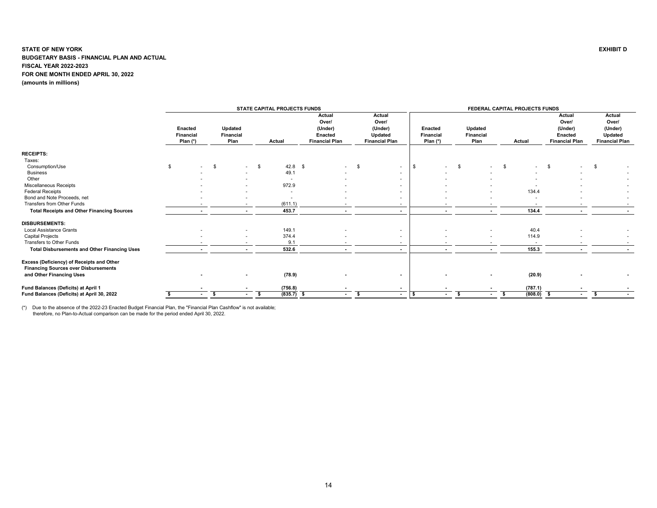<span id="page-14-0"></span>

|                                                                                                                      |                                           |                              |                          | STATE CAPITAL PROJECTS FUNDS |                                                                       |                                                                |                                           |                              | FEDERAL CAPITAL PROJECTS FUNDS |                                                                       |                                                                |
|----------------------------------------------------------------------------------------------------------------------|-------------------------------------------|------------------------------|--------------------------|------------------------------|-----------------------------------------------------------------------|----------------------------------------------------------------|-------------------------------------------|------------------------------|--------------------------------|-----------------------------------------------------------------------|----------------------------------------------------------------|
|                                                                                                                      | Enacted<br><b>Financial</b><br>Plan $(*)$ | Updated<br>Financial<br>Plan |                          | Actual                       | Actual<br>Over/<br>(Under)<br><b>Enacted</b><br><b>Financial Plan</b> | Actual<br>Over/<br>(Under)<br>Updated<br><b>Financial Plan</b> | <b>Enacted</b><br>Financial<br>Plan $(*)$ | Updated<br>Financial<br>Plan | Actual                         | Actual<br>Over/<br>(Under)<br><b>Enacted</b><br><b>Financial Plan</b> | Actual<br>Over/<br>(Under)<br>Updated<br><b>Financial Plan</b> |
| <b>RECEIPTS:</b>                                                                                                     |                                           |                              |                          |                              |                                                                       |                                                                |                                           |                              |                                |                                                                       |                                                                |
| Taxes:                                                                                                               |                                           |                              |                          |                              |                                                                       |                                                                |                                           |                              |                                |                                                                       |                                                                |
| Consumption/Use                                                                                                      | S.                                        | - \$                         | <b>S</b><br>$\sim$       | $42.8$ \$                    | $\sim$                                                                | \$<br>$\sim$                                                   | - \$<br>$\sim$                            | \$<br>$\sim$                 | \$                             | -\$                                                                   | \$                                                             |
| <b>Business</b>                                                                                                      |                                           |                              |                          | 49.1                         |                                                                       | $\sim$                                                         |                                           |                              |                                |                                                                       |                                                                |
| Other                                                                                                                |                                           |                              |                          | ٠                            |                                                                       | $\sim$                                                         |                                           |                              |                                |                                                                       |                                                                |
| Miscellaneous Receipts                                                                                               |                                           |                              | ٠                        | 972.9                        |                                                                       | $\overline{\phantom{a}}$                                       |                                           |                              |                                |                                                                       |                                                                |
| <b>Federal Receipts</b>                                                                                              |                                           |                              | ۰.                       | $\overline{\phantom{a}}$     |                                                                       | $\overline{\phantom{a}}$                                       |                                           | $\overline{\phantom{a}}$     | 134.4                          |                                                                       |                                                                |
| Bond and Note Proceeds, net                                                                                          |                                           |                              |                          | ٠                            |                                                                       | $\overline{\phantom{a}}$                                       |                                           |                              |                                |                                                                       |                                                                |
| Transfers from Other Funds                                                                                           |                                           |                              |                          | (611.1)                      |                                                                       | $\sim$                                                         | $\overline{\phantom{a}}$                  | $\overline{\phantom{a}}$     |                                |                                                                       |                                                                |
| <b>Total Receipts and Other Financing Sources</b>                                                                    |                                           |                              |                          | 453.7                        |                                                                       | $\sim$                                                         | $\blacksquare$                            |                              | 134.4                          |                                                                       |                                                                |
| <b>DISBURSEMENTS:</b>                                                                                                |                                           |                              |                          |                              |                                                                       |                                                                |                                           |                              |                                |                                                                       |                                                                |
| <b>Local Assistance Grants</b>                                                                                       |                                           |                              | $\overline{\phantom{a}}$ | 149.1                        |                                                                       | $\overline{\phantom{a}}$                                       |                                           | $\overline{\phantom{a}}$     | 40.4                           |                                                                       |                                                                |
| Capital Projects                                                                                                     |                                           |                              | ٠                        | 374.4                        |                                                                       | $\overline{\phantom{a}}$                                       |                                           |                              | 114.9                          |                                                                       |                                                                |
| Transfers to Other Funds                                                                                             |                                           |                              |                          | 9.1                          |                                                                       | $\overline{\phantom{a}}$                                       |                                           |                              |                                |                                                                       |                                                                |
| <b>Total Disbursements and Other Financing Uses</b>                                                                  |                                           |                              | $\overline{\phantom{a}}$ | 532.6                        | $\overline{\phantom{a}}$                                              | $\sim$                                                         | $\overline{\phantom{a}}$                  | $\sim$                       | 155.3                          |                                                                       |                                                                |
| Excess (Deficiency) of Receipts and Other<br><b>Financing Sources over Disbursements</b><br>and Other Financing Uses |                                           |                              | $\blacksquare$           | (78.9)                       |                                                                       | $\blacksquare$                                                 |                                           |                              | (20.9)                         |                                                                       |                                                                |
|                                                                                                                      |                                           |                              |                          |                              |                                                                       |                                                                |                                           |                              |                                |                                                                       |                                                                |
| Fund Balances (Deficits) at April 1                                                                                  |                                           |                              |                          | (756.8)                      |                                                                       | $\blacksquare$                                                 |                                           |                              | (787.1)                        |                                                                       |                                                                |
| Fund Balances (Deficits) at April 30, 2022                                                                           |                                           | - \$<br>$\sim$               | $\blacksquare$           | $(835.7)$ \$<br>S.           | $\sim$                                                                | \$<br>$\sim$                                                   | s<br>$\blacksquare$                       | -S<br>$\sim$                 | (808.0)<br>-S                  | - \$<br>$\sim$                                                        | \$                                                             |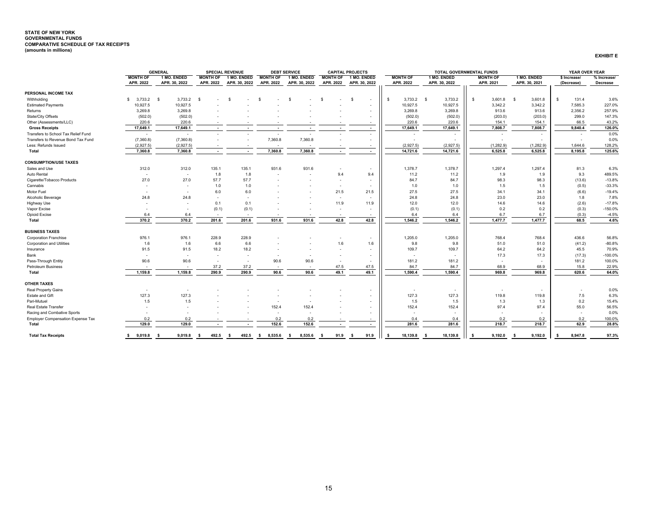#### <span id="page-15-0"></span>**STATE OF NEW YORK GOVERNMENTAL FUNDS COMPARATIVE SCHEDULE OF TAX RECEIPTS (amounts in millions)**

|                                     |                              | <b>GENERAL</b>               |                              | <b>SPECIAL REVENUE</b>       |                              | <b>DEBT SERVICE</b>          |                              | <b>CAPITAL PROJECTS</b>      |                              |                              | <b>TOTAL GOVERNMENTAL FUNDS</b> |                              | YEAR OVER YEAR              |                         |
|-------------------------------------|------------------------------|------------------------------|------------------------------|------------------------------|------------------------------|------------------------------|------------------------------|------------------------------|------------------------------|------------------------------|---------------------------------|------------------------------|-----------------------------|-------------------------|
|                                     | <b>MONTH OF</b><br>APR. 2022 | 1 MO. ENDED<br>APR. 30, 2022 | <b>MONTH OF</b><br>APR. 2022 | 1 MO. ENDED<br>APR. 30, 2022 | <b>MONTH OF</b><br>APR. 2022 | 1 MO. ENDED<br>APR. 30, 2022 | <b>MONTH OF</b><br>APR. 2022 | 1 MO. ENDED<br>APR. 30, 2022 | <b>MONTH OF</b><br>APR. 2022 | 1 MO. ENDED<br>APR. 30, 2022 | <b>MONTH OF</b><br>APR. 2021    | 1 MO. ENDED<br>APR. 30, 2021 | \$ Increase/<br>(Decrease)  | % Increase/<br>Decrease |
| PERSONAL INCOME TAX                 |                              |                              |                              |                              |                              |                              |                              |                              |                              |                              |                                 |                              |                             |                         |
| Withholding                         | $$3.733.2$ \$                | 3.733.2                      | - S                          |                              | s                            | - S                          | S                            | -S<br>$\sim$                 | $3,733.2$ \$<br><b>S</b>     | 3,733.2                      | S.<br>3.601.8                   | 3,601.8<br>$\mathbf{s}$      | 131.4<br>$\mathbf{\hat{S}}$ | 3.6%                    |
| <b>Estimated Payments</b>           | 10,927.5                     | 10,927.5                     |                              |                              |                              |                              |                              | $\sim$                       | 10,927.5                     | 10,927.5                     | 3,342.2                         | 3,342.2                      | 7.585.3                     | 227.0%                  |
| Returns                             | 3,269.8                      | 3,269.8                      |                              |                              |                              |                              |                              |                              | 3,269.8                      | 3,269.8                      | 913.6                           | 913.6                        | 2,356.2                     | 257.9%                  |
| State/City Offsets                  | (502.0)                      | (502.0)                      |                              |                              |                              |                              |                              |                              | (502.0)                      | (502.0)                      | (203.0)                         | (203.0)                      | 299.0                       | 147.3%                  |
| Other (Assessments/LLC)             | 220.6                        | 220.6                        | $\sim$                       | $\overline{\phantom{a}}$     | $\overline{\phantom{a}}$     | $\sim$                       | $\sim$                       | $\sim$                       | 220.6                        | 220.6                        | 154.1                           | 154.1                        | 66.5                        | 43.2%                   |
| <b>Gross Receipts</b>               | 17,649.1                     | 17,649.1                     | $\sim$                       | $\sim$                       | $\sim$                       | $\sim$                       | $\sim$                       | $\sim$                       | 17,649.1                     | 17,649.1                     | 7,808.7                         | 7,808.7                      | 9.840.4                     | 126.0%                  |
| Transfers to School Tax Relief Fund | $\sim$                       | ٠                            | $\overline{a}$               |                              |                              |                              |                              |                              |                              |                              |                                 |                              |                             | 0.0%                    |
| Transfers to Revenue Bond Tax Fund  | (7,360.8)                    | (7,360.8)                    |                              |                              | 7,360.8                      | 7,360.8                      |                              | $\sim$                       |                              |                              |                                 |                              |                             | 0.0%                    |
| Less: Refunds Issued                | (2,927.5)                    | (2,927.5)                    | $\sim$                       |                              |                              |                              |                              | $\sim$                       | (2,927.5)                    | (2,927.5)                    | (1,282.9)                       | (1,282.9)                    | 1,644.6                     | 128.2%                  |
| Total                               | 7,360.8                      | 7.360.8                      | $\overline{\phantom{a}}$     | $\sim$                       | 7,360.8                      | 7.360.8                      |                              |                              | 14,721.6                     | 14,721.6                     | 6.525.8                         | 6.525.8                      | 8.195.8                     | 125.6%                  |
| <b>CONSUMPTION/USE TAXES</b>        |                              |                              |                              |                              |                              |                              |                              |                              |                              |                              |                                 |                              |                             |                         |
| Sales and Use                       | 312.0                        | 312.0                        | 135.1                        | 135.1                        | 931.6                        | 931.6                        |                              | $\sim$                       | 1,378.7                      | 1,378.7                      | 1,297.4                         | 1,297.4                      | 81.3                        | 6.3%                    |
| Auto Rental                         | $\sim$                       | $\overline{\phantom{a}}$     | 1.8                          | 1.8                          | $\overline{\phantom{a}}$     | $\sim$                       | 9.4                          | 9.4                          | 11.2                         | 11.2                         | 1.9                             | 1.9                          | 9.3                         | 489.5%                  |
| Cigarette/Tobacco Products          | 27.0                         | 27.0                         | 57.7                         | 57.7                         |                              |                              | $\sim$                       | $\sim$                       | 84.7                         | 84.7                         | 98.3                            | 98.3                         | (13.6)                      | $-13.8%$                |
| Cannabis                            |                              | $\overline{\phantom{a}}$     | 1.0                          | 1.0                          |                              |                              | $\sim$                       |                              | 1.0                          | 1.0                          | 1.5                             | 1.5                          | (0.5)                       | $-33.3%$                |
| Motor Fuel                          |                              | ٠                            | 6.0                          | 6.0                          |                              |                              | 21.5                         | 21.5                         | 27.5                         | 27.5                         | 34.1                            | 34.1                         | (6.6)                       | $-19.4%$                |
| Alcoholic Beverage                  | 24.8                         | 24.8                         | $\sim$                       | $\sim$                       |                              |                              | $\sim$                       | $\sim$                       | 24.8                         | 24.8                         | 23.0                            | 23.0                         | 1.8                         | 7.8%                    |
| <b>Highway Use</b>                  | $\overline{\phantom{a}}$     | $\overline{a}$               | 0.1                          | 0.1                          |                              |                              | 11.9                         | 11.9                         | 12.0                         | 12.0                         | 14.6                            | 14.6                         | (2.6)                       | $-17.8%$                |
| Vapor Excise                        |                              | $\overline{\phantom{a}}$     | (0.1)                        | (0.1)                        |                              |                              | $\overline{\phantom{a}}$     | $\sim$                       | (0.1)                        | (0.1)                        | 0.2                             | 0.2                          | (0.3)                       | $-150.0%$               |
| Opioid Excise                       | 6.4                          | 6.4                          | $\overline{a}$               | $\sim$                       |                              |                              |                              | $\sim$                       | 6.4                          | 6.4                          | 6.7                             | 6.7                          | (0.3)                       | $-4.5%$                 |
| Total                               | 370.2                        | 370.2                        | 201.6                        | 201.6                        | 931.6                        | 931.6                        | 42.8                         | 42.8                         | 1.546.2                      | 1,546.2                      | 1,477.7                         | 1,477.7                      | 68.5                        | 4.6%                    |
| <b>BUSINESS TAXES</b>               |                              |                              |                              |                              |                              |                              |                              |                              |                              |                              |                                 |                              |                             |                         |
| <b>Corporation Franchise</b>        | 976.1                        | 976.1                        | 228.9                        | 228.9                        |                              |                              |                              | $\sim$                       | 1,205.0                      | 1,205.0                      | 768.4                           | 768.4                        | 436.6                       | 56.8%                   |
| <b>Corporation and Utilities</b>    | 1.6                          | 1.6                          | 6.6                          | 6.6                          |                              |                              | 1.6                          | 1.6                          | 9.8                          | 9.8                          | 51.0                            | 51.0                         | (41.2)                      | $-80.8%$                |
| Insurance                           | 91.5                         | 91.5                         | 18.2                         | 18.2                         |                              |                              |                              | $\sim$                       | 109.7                        | 109.7                        | 64.2                            | 64.2                         | 45.5                        | 70.9%                   |
| Bank                                | $\sim$                       | $\overline{\phantom{a}}$     | $\sim$                       | $\sim$                       | $\overline{\phantom{a}}$     | $\sim$                       |                              | $\sim$                       |                              |                              | 17.3                            | 17.3                         | (17.3)                      | $-100.0%$               |
| Pass-Through Entity                 | 90.6                         | 90.6                         | $\overline{a}$               | $\overline{\phantom{a}}$     | 90.6                         | 90.6                         | $\sim$                       | $\sim$                       | 181.2                        | 181.2                        |                                 |                              | 181.2                       | 100.0%                  |
| <b>Petroleum Business</b>           |                              |                              | 37.2                         | 37.2                         | . .                          | $\sim$                       | 47.5                         | 47.5                         | 84.7                         | 84.7                         | 68.9                            | 68.9                         | 15.8                        | 22.9%                   |
| Total                               | 1,159.8                      | 1.159.8                      | 290.9                        | 290.9                        | 90.6                         | 90.6                         | 49.1                         | 49.1                         | 1,590.4                      | 1,590.4                      | 969.8                           | 969.8                        | 620.6                       | 64.0%                   |
| <b>OTHER TAXES</b>                  |                              |                              |                              |                              |                              |                              |                              |                              |                              |                              |                                 |                              |                             |                         |
| <b>Real Property Gains</b>          |                              |                              |                              |                              |                              |                              |                              |                              |                              |                              |                                 |                              |                             | 0.0%                    |

 Real Property Gains - - - - - - - - - - - - - 0.0% Estate and Gift 127.3 127.3 - - - - - - 127.3 127.3 119.8 119.8 7.5 6.3%

Pari-Mutuel 1.5 1.5 - - - - - - 1.5 1.5 1.3 1.3 0.2 15.4%

Real Estate Transfer - - - - 152.4 152.4 - - 152.4 152.4 97.4 97.4 55.0 56.5%

 Racing and Combative Sports - - - - - - - - - - - - - 0.0% Employer Compensation Expense Tax 0.2 0.2 - - 0.2 0.2 - - 0.4 0.4 0.2 0.2 0.2 100.0%  **Total 129.0 129.0 - - 152.6 152.6 - - 281.6 281.6 218.7 218.7 62.9 28.8%**

Total Tax Receipts \$9,019.8\$ 9,019.8<mark>\$492.5\$492.5\$5.85.56\$8,535.6\$91.9\$1.9\$</mark> 18,139.8\$1.8,139.8\$1.8,139.8\$9,192.0\$9,192.0\$8,947.8<sub>8</sub>\$9,192.0\$9,192.0\$9,192.0\$9,192.0\$9,192.0\$9,192.0\$9,192.0\$9,192.0\$9,192.0\$9,192.0\$9,192.0\$

**EXHIBIT E**

6.3%<br>15.4%

56.5%

 $0.0%$ 

28.8%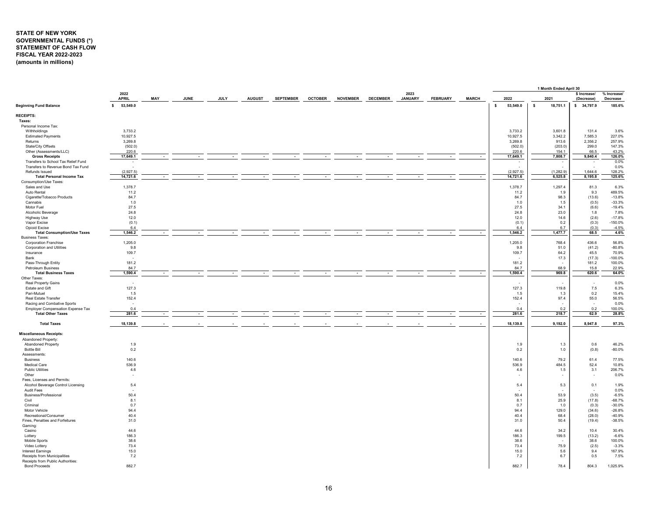# <span id="page-16-0"></span>**STATE OF NEW YORK GOVERNMENTAL FUNDS (\*) STATEMENT OF CASH FLOW FISCAL YEAR 2022-2023 (amounts in millions)**

|                                                                           |                      |        |             |             |               |                  |                |                 |                 |                        |                 |                |        |             | 1 Month Ended April 30 |                            |                         |
|---------------------------------------------------------------------------|----------------------|--------|-------------|-------------|---------------|------------------|----------------|-----------------|-----------------|------------------------|-----------------|----------------|--------|-------------|------------------------|----------------------------|-------------------------|
|                                                                           | 2022<br><b>APRIL</b> | MAY    | <b>JUNE</b> | <b>JULY</b> | <b>AUGUST</b> | <b>SEPTEMBER</b> | <b>OCTOBER</b> | <b>NOVEMBER</b> | <b>DECEMBER</b> | 2023<br><b>JANUARY</b> | <b>FEBRUARY</b> | <b>MARCH</b>   |        | 2022        | 2021                   | \$ Increase/<br>(Decrease) | % Increase/<br>Decrease |
| <b>Beginning Fund Balance</b>                                             | 53,549.0<br>s.       |        |             |             |               |                  |                |                 |                 |                        |                 |                | $\sim$ | 53,549.0    | $\sim$<br>18,751.1     | \$34,797.9                 | 185.6%                  |
| <b>RECEIPTS:</b>                                                          |                      |        |             |             |               |                  |                |                 |                 |                        |                 |                |        |             |                        |                            |                         |
| Taxes:                                                                    |                      |        |             |             |               |                  |                |                 |                 |                        |                 |                |        |             |                        |                            |                         |
| Personal Income Tax:                                                      |                      |        |             |             |               |                  |                |                 |                 |                        |                 |                |        |             |                        |                            |                         |
| Withholdings                                                              | 3,733.2              |        |             |             |               |                  |                |                 |                 |                        |                 |                |        | 3,733.2     | 3,601.8                | 131.4                      | 3.6%                    |
| <b>Estimated Payments</b>                                                 | 10,927.5             |        |             |             |               |                  |                |                 |                 |                        |                 |                |        | 10,927.5    | 3,342.2                | 7,585.3                    | 227.0%                  |
| Returns                                                                   | 3,269.8              |        |             |             |               |                  |                |                 |                 |                        |                 |                |        | 3,269.8     | 913.6                  | 2,356.2                    | 257.9%                  |
| State/City Offsets                                                        | (502.0)              |        |             |             |               |                  |                |                 |                 |                        |                 |                |        | (502.0)     | (203.0)                | 299.0                      | 147.3%                  |
| Other (Assessments/LLC)                                                   | 220.6                |        |             |             |               |                  |                |                 |                 |                        |                 |                |        | 220.6       | 154.1<br>7,808.7       | 66.5                       | 43.2%<br>126.0%         |
| <b>Gross Receipts</b>                                                     | 17,649.1             |        |             |             |               |                  |                |                 |                 |                        |                 | $\sim$         |        | 17,649.1    |                        | 9,840.4                    |                         |
| Transfers to School Tax Relief Fund<br>Transfers to Revenue Bond Tax Fund | $\sim$<br>- 11       |        |             |             |               |                  |                |                 |                 |                        |                 |                |        | $\sim$      | $\sim$                 | $\sim$                     | 0.0%<br>0.0%            |
| Refunds Issued                                                            | (2,927.5)            |        |             |             |               |                  |                |                 |                 |                        |                 |                |        | (2,927.5)   | (1.282.9)              | 1.644.6                    | 128.2%                  |
| <b>Total Personal Income Tax</b>                                          | 14,721.6             |        |             |             |               |                  |                |                 |                 |                        |                 |                |        | 14,721.6    | 6,525.8                | 8,195.8                    | 125.6%                  |
| Consumption/Use Taxes:                                                    |                      |        |             |             |               |                  |                |                 |                 |                        |                 |                |        |             |                        |                            |                         |
| Sales and Use                                                             | 1,378.7              |        |             |             |               |                  |                |                 |                 |                        |                 |                |        | 1,378.7     | 1,297.4                | 81.3                       | 6.3%                    |
| Auto Rental                                                               | 11.2                 |        |             |             |               |                  |                |                 |                 |                        |                 |                |        | 11.2        | 1.9                    | 9.3                        | 489.5%                  |
| Cigarette/Tobacco Products                                                | 84.7                 |        |             |             |               |                  |                |                 |                 |                        |                 |                |        | 84.7        | 98.3                   | (13.6)                     | $-13.8%$                |
| Cannabis                                                                  | 1.0                  |        |             |             |               |                  |                |                 |                 |                        |                 |                |        | 1.0         | 1.5                    | (0.5)                      | $-33.3%$                |
| Motor Fuel                                                                | 27.5                 |        |             |             |               |                  |                |                 |                 |                        |                 |                |        | 27.5        | 34.1                   | (6.6)                      | $-19.4%$                |
| Alcoholic Beverage                                                        | 24.8                 |        |             |             |               |                  |                |                 |                 |                        |                 |                |        | 24.8        | 23.0                   | 1.8                        | 7.8%                    |
| <b>Highway Use</b>                                                        | 12.0                 |        |             |             |               |                  |                |                 |                 |                        |                 |                |        | 12.0        | 14.6                   | (2.6)                      | $-17.8%$                |
| Vapor Excise                                                              | (0.1)                |        |             |             |               |                  |                |                 |                 |                        |                 |                |        | (0.1)       | 0.2                    | (0.3)                      | $-150.0%$               |
| Opioid Excise                                                             | 6.4                  |        |             |             |               |                  |                |                 |                 |                        |                 |                |        | 6.4         | 6.7                    | (0.3)                      | $-4.5%$                 |
| <b>Total Consumption/Use Taxes</b>                                        | 1,546.2              |        |             |             |               |                  |                |                 |                 |                        |                 | <b>Section</b> |        | 1,546.2     | 1,477.7                | 68.5                       | 4.6%                    |
| <b>Business Taxes:</b>                                                    |                      |        |             |             |               |                  |                |                 |                 |                        |                 |                |        |             |                        |                            |                         |
| <b>Corporation Franchise</b>                                              | 1,205.0              |        |             |             |               |                  |                |                 |                 |                        |                 |                |        | 1,205.0     | 768.4                  | 436.6                      | 56.8%                   |
| Corporation and Utilities                                                 | 9.8                  |        |             |             |               |                  |                |                 |                 |                        |                 |                |        | 9.8         | 51.0                   | (41.2)                     | $-80.8%$                |
| Insurance                                                                 | 109.7                |        |             |             |               |                  |                |                 |                 |                        |                 |                |        | 109.7       | 64.2                   | 45.5                       | 70.9%                   |
| Bank                                                                      | $\sim$               |        |             |             |               |                  |                |                 |                 |                        |                 |                |        |             | 17.3                   | (17.3)                     | $-100.0%$               |
| Pass-Through Entity                                                       | 181.2                |        |             |             |               |                  |                |                 |                 |                        |                 |                |        | 181.2       |                        | 181.2                      | 100.0%                  |
| Petroleum Business                                                        | 84.7                 |        |             |             |               |                  |                |                 |                 |                        |                 |                |        | 84.7        | 68.9                   | 15.8                       | 22.9%                   |
| <b>Total Business Taxes</b>                                               | 1,590.4              |        |             |             |               |                  |                |                 |                 |                        |                 | <b>COL</b>     |        | 1,590.4     | 969.8                  | 620.6                      | 64.0%                   |
| Other Taxes:<br>Real Property Gains                                       |                      |        |             |             |               |                  |                |                 |                 |                        |                 |                |        |             |                        |                            | 0.0%                    |
| Estate and Gift                                                           | 127.3                |        |             |             |               |                  |                |                 |                 |                        |                 |                |        | 127.3       | 119.8                  | 7.5                        | 6.3%                    |
| Pari-Mutuel                                                               | 1.5                  |        |             |             |               |                  |                |                 |                 |                        |                 |                |        | 1.5         | 1.3                    | 0.2                        | 15.4%                   |
| Real Estate Transfer                                                      | 152.4                |        |             |             |               |                  |                |                 |                 |                        |                 |                |        | 152.4       | 97.4                   | 55.0                       | 56.5%                   |
| Racing and Combative Sports                                               |                      |        |             |             |               |                  |                |                 |                 |                        |                 |                |        |             |                        |                            | 0.0%                    |
| Employer Compensation Expense Tax                                         | 0.4                  |        |             |             |               |                  |                |                 |                 |                        |                 |                |        | 0.4         | 0.2                    | 0.2                        | 100.0%                  |
| <b>Total Other Taxes</b>                                                  | 281.6                | $\sim$ | $\sim$      | $\sim$      | $\sim$        | $\sim$           |                | $\sim$          |                 |                        |                 | $\sim$         |        | 281.6       | 218.7                  | 62.9                       | 28.8%                   |
| <b>Total Taxes</b>                                                        | 18,139.8             |        |             |             |               |                  |                |                 |                 |                        |                 |                |        | 18,139.8    | 9,192.0                | 8,947.8                    | 97.3%                   |
|                                                                           |                      |        |             |             |               |                  |                |                 |                 |                        |                 |                |        |             |                        |                            |                         |
| <b>Miscellaneous Receipts:</b><br>Abandoned Property:                     |                      |        |             |             |               |                  |                |                 |                 |                        |                 |                |        |             |                        |                            |                         |
| Abandoned Property                                                        | 1.9                  |        |             |             |               |                  |                |                 |                 |                        |                 |                |        | 1.9         | 1.3                    | 0.6                        | 46.2%                   |
| <b>Bottle Bill</b>                                                        | 0.2                  |        |             |             |               |                  |                |                 |                 |                        |                 |                |        | 0.2         | 1.0                    | (0.8)                      | $-80.0%$                |
| Assessments:                                                              |                      |        |             |             |               |                  |                |                 |                 |                        |                 |                |        |             |                        |                            |                         |
| <b>Business</b>                                                           | 140.6                |        |             |             |               |                  |                |                 |                 |                        |                 |                |        | 140.6       | 79.2                   | 61.4                       | 77.5%                   |
| <b>Medical Care</b>                                                       | 536.9                |        |             |             |               |                  |                |                 |                 |                        |                 |                |        | 536.9       | 484.5                  | 52.4                       | 10.8%                   |
| <b>Public Utilities</b>                                                   | 4.6                  |        |             |             |               |                  |                |                 |                 |                        |                 |                |        | 4.6         | 1.5                    | 3.1                        | 206.7%                  |
| Other                                                                     | $\sim$               |        |             |             |               |                  |                |                 |                 |                        |                 |                |        | ٠           | $\sim$                 | $\sim$                     | 0.0%                    |
| Fees, Licenses and Permits:                                               |                      |        |             |             |               |                  |                |                 |                 |                        |                 |                |        |             |                        |                            |                         |
| Alcohol Beverage Control Licensing                                        | 5.4                  |        |             |             |               |                  |                |                 |                 |                        |                 |                |        | 5.4         | 5.3                    | 0.1                        | 1.9%                    |
| Audit Fees                                                                |                      |        |             |             |               |                  |                |                 |                 |                        |                 |                |        |             |                        | $\sim$                     | 0.0%                    |
| <b>Business/Professional</b>                                              | 50.4                 |        |             |             |               |                  |                |                 |                 |                        |                 |                |        | 50.4        | 53.9                   | (3.5)                      | $-6.5%$                 |
| Civil                                                                     | 8.1                  |        |             |             |               |                  |                |                 |                 |                        |                 |                |        | 8.1         | 25.9                   | (17.8)                     | $-68.7%$                |
| Criminal                                                                  | 0.7                  |        |             |             |               |                  |                |                 |                 |                        |                 |                |        | 0.7         | 1.0                    | (0.3)                      | $-30.0%$                |
| Motor Vehicle                                                             | 94.4                 |        |             |             |               |                  |                |                 |                 |                        |                 |                |        | 94.4        | 129.0                  | (34.6)                     | $-26.8%$                |
| Recreational/Consumer                                                     | 40.4                 |        |             |             |               |                  |                |                 |                 |                        |                 |                |        | 40.4        | 68.4                   | (28.0)                     | $-40.9%$                |
| Fines, Penalties and Forfeitures                                          | 31.0                 |        |             |             |               |                  |                |                 |                 |                        |                 |                |        | 31.0        | 50.4                   | (19.4)                     | $-38.5%$                |
| Gaming:                                                                   |                      |        |             |             |               |                  |                |                 |                 |                        |                 |                |        |             |                        |                            |                         |
| Casino                                                                    | 44.6                 |        |             |             |               |                  |                |                 |                 |                        |                 |                |        | 44.6        | 34.2                   | 10.4                       | 30.4%                   |
| Lottery                                                                   | 186.3                |        |             |             |               |                  |                |                 |                 |                        |                 |                |        | 186.3       | 199.5                  | (13.2)                     | $-6.6%$                 |
| Mobile Sports                                                             | 38.6                 |        |             |             |               |                  |                |                 |                 |                        |                 |                |        | 38.6        | $\sim$                 | 38.6                       | 100.0%                  |
| Video Lottery                                                             | 73.4                 |        |             |             |               |                  |                |                 |                 |                        |                 |                |        | 73.4        | 75.9                   | (2.5)                      | $-3.3%$                 |
| Interest Earnings<br>Receipts from Municipalities                         | 15.0                 |        |             |             |               |                  |                |                 |                 |                        |                 |                |        | 15.0<br>7.2 | 5.6<br>6.7             | 9.4<br>0.5                 | 167.9%<br>7.5%          |
| Receipts from Public Authorities:                                         | 7.2                  |        |             |             |               |                  |                |                 |                 |                        |                 |                |        |             |                        |                            |                         |
| <b>Bond Proceeds</b>                                                      | 882.7                |        |             |             |               |                  |                |                 |                 |                        |                 |                |        | 882.7       | 78.4                   | 804.3                      | 1,025.9%                |
|                                                                           |                      |        |             |             |               |                  |                |                 |                 |                        |                 |                |        |             |                        |                            |                         |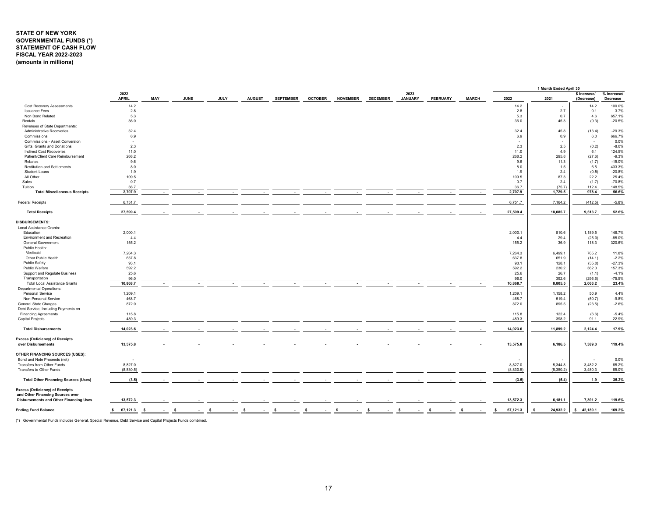# **STATE OF NEW YORK GOVERNMENTAL FUNDS (\*) STATEMENT OF CASH FLOW FISCAL YEAR 2022-2023 (amounts in millions)**

|                                                              |                      |                          |             |             |               |                  |                |                 |                 |                        |                 |              |                | 1 Month Ended April 30 |                            |                         |
|--------------------------------------------------------------|----------------------|--------------------------|-------------|-------------|---------------|------------------|----------------|-----------------|-----------------|------------------------|-----------------|--------------|----------------|------------------------|----------------------------|-------------------------|
|                                                              | 2022<br><b>APRIL</b> | MAY                      | <b>JUNE</b> | <b>JULY</b> | <b>AUGUST</b> | <b>SEPTEMBER</b> | <b>OCTOBER</b> | <b>NOVEMBER</b> | <b>DECEMBER</b> | 2023<br><b>JANUARY</b> | <b>FEBRUARY</b> | <b>MARCH</b> | 2022           | 2021                   | \$ Increase/<br>(Decrease) | % Increase/<br>Decrease |
| Cost Recovery Assessments                                    | 14.2                 |                          |             |             |               |                  |                |                 |                 |                        |                 |              | 14.2           |                        | 14.2                       | 100.0%                  |
| <b>Issuance Fees</b>                                         | 2.8                  |                          |             |             |               |                  |                |                 |                 |                        |                 |              | 2.8            | 2.7                    | 0.1                        | 3.7%                    |
| Non Bond Related                                             | 5.3                  |                          |             |             |               |                  |                |                 |                 |                        |                 |              | 5.3            | 0.7                    | 4.6                        | 657.1%                  |
| Rentals                                                      | 36.0                 |                          |             |             |               |                  |                |                 |                 |                        |                 |              | 36.0           | 45.3                   | (9.3)                      | $-20.5%$                |
| Revenues of State Departments:                               |                      |                          |             |             |               |                  |                |                 |                 |                        |                 |              |                |                        |                            |                         |
| Administrative Recoveries                                    | 32.4                 |                          |             |             |               |                  |                |                 |                 |                        |                 |              | 32.4           | 45.8                   | (13.4)                     | $-29.3%$                |
| Commissions                                                  | 6.9                  |                          |             |             |               |                  |                |                 |                 |                        |                 |              | 6.9            | 0.9                    | 6.0                        | 666.7%                  |
| Commissions - Asset Conversion                               | $\sim$               |                          |             |             |               |                  |                |                 |                 |                        |                 |              |                |                        | ٠                          | 0.0%                    |
| Gifts, Grants and Donations                                  | 2.3                  |                          |             |             |               |                  |                |                 |                 |                        |                 |              | 2.3            | 2.5                    | (0.2)                      | $-8.0%$                 |
| <b>Indirect Cost Recoveries</b>                              | 11.0                 |                          |             |             |               |                  |                |                 |                 |                        |                 |              | 11.0           | 4.9                    | 6.1                        | 124.5%                  |
| Patient/Client Care Reimbursement                            | 268.2                |                          |             |             |               |                  |                |                 |                 |                        |                 |              | 268.2          | 295.8                  | (27.6)                     | $-9.3%$                 |
| Rebates                                                      | 9.6                  |                          |             |             |               |                  |                |                 |                 |                        |                 |              | 9.6            | 11.3                   | (1.7)                      | $-15.0%$                |
| <b>Restitution and Settlements</b>                           | 8.0                  |                          |             |             |               |                  |                |                 |                 |                        |                 |              | 8.0            | 1.5                    | 6.5                        | 433.3%                  |
| Student Loans                                                | 1.9                  |                          |             |             |               |                  |                |                 |                 |                        |                 |              | 1.9            | 2.4                    | (0.5)                      | $-20.8%$                |
| All Other                                                    | 109.5                |                          |             |             |               |                  |                |                 |                 |                        |                 |              | 109.5          | 87.3                   | 22.2                       | 25.4%                   |
| Sales                                                        | 0.7                  |                          |             |             |               |                  |                |                 |                 |                        |                 |              | 0.7            | 2.4                    | (1.7)                      | $-70.8%$                |
| Tuition                                                      | 36.7                 |                          |             |             |               |                  |                |                 |                 |                        |                 |              | 36.7           | (75.7)                 | 112.4                      | 148.5%                  |
| <b>Total Miscellaneous Receipts</b>                          | 2,707.9              |                          |             |             |               |                  |                |                 |                 |                        |                 | $\sim$       | 2,707.9        | 1.729.5                | 978.4                      | 56.6%                   |
|                                                              |                      |                          |             |             |               |                  |                |                 |                 |                        |                 |              |                |                        |                            |                         |
| <b>Federal Receipts</b>                                      | 6,751.7              |                          |             |             |               |                  |                |                 |                 |                        |                 |              | 6,751.7        | 7,164.2                | (412.5)                    | $-5.8%$                 |
| <b>Total Receipts</b>                                        | 27,599.4             |                          |             |             |               |                  |                |                 |                 |                        |                 |              | 27,599.4       | 18,085.7               | 9,513.7                    | 52.6%                   |
| <b>DISBURSEMENTS:</b>                                        |                      |                          |             |             |               |                  |                |                 |                 |                        |                 |              |                |                        |                            |                         |
| Local Assistance Grants:                                     |                      |                          |             |             |               |                  |                |                 |                 |                        |                 |              |                |                        |                            |                         |
| Education                                                    | 2,000.1              |                          |             |             |               |                  |                |                 |                 |                        |                 |              | 2,000.1        | 810.6                  | 1,189.5                    | 146.7%                  |
| <b>Environment and Recreation</b>                            | 4.4                  |                          |             |             |               |                  |                |                 |                 |                        |                 |              | 4.4            | 29.4                   | (25.0)                     | $-85.0%$                |
| <b>General Government</b><br>Public Health:                  | 155.2                |                          |             |             |               |                  |                |                 |                 |                        |                 |              | 155.2          | 36.9                   | 118.3                      | 320.6%                  |
| Medicaid                                                     | 7,264.3              |                          |             |             |               |                  |                |                 |                 |                        |                 |              | 7,264.3        | 6,499.1                | 765.2                      | 11.8%                   |
| Other Public Health                                          | 637.8                |                          |             |             |               |                  |                |                 |                 |                        |                 |              | 637.8          | 651.9                  | (14.1)                     | $-2.2%$                 |
| Public Safety                                                | 93.1                 |                          |             |             |               |                  |                |                 |                 |                        |                 |              | 93.1           | 128.1                  | (35.0)                     | $-27.3%$                |
| Public Welfare                                               | 592.2                |                          |             |             |               |                  |                |                 |                 |                        |                 |              | 592.2          | 230.2                  | 362.0                      | 157.3%                  |
|                                                              |                      |                          |             |             |               |                  |                |                 |                 |                        |                 |              |                |                        |                            |                         |
| Support and Regulate Business                                | 25.6                 |                          |             |             |               |                  |                |                 |                 |                        |                 |              | 25.6           | 26.7                   | (1.1)                      | $-4.1%$                 |
| Transportation                                               | 96.0<br>10.868.7     |                          |             |             |               |                  |                |                 |                 |                        |                 |              | 96.0           | 392.6                  | (296.6)                    | $-75.5%$                |
| <b>Total Local Assistance Grants</b>                         |                      | $\overline{\phantom{a}}$ |             |             |               |                  |                |                 |                 |                        |                 | $\sim$       | 10,868.7       | 8,805.5                | 2,063.2                    | 23.4%                   |
| <b>Departmental Operations:</b>                              |                      |                          |             |             |               |                  |                |                 |                 |                        |                 |              |                |                        |                            |                         |
| <b>Personal Service</b>                                      | 1,209.1              |                          |             |             |               |                  |                |                 |                 |                        |                 |              | 1,209.1        | 1,158.2                | 50.9                       | 4.4%                    |
| Non-Personal Service                                         | 468.7                |                          |             |             |               |                  |                |                 |                 |                        |                 |              | 468.7          | 519.4                  | (50.7)                     | $-9.8%$                 |
| General State Charges                                        | 872.0                |                          |             |             |               |                  |                |                 |                 |                        |                 |              | 872.0          | 895.5                  | (23.5)                     | $-2.6%$                 |
| Debt Service, Including Payments on                          |                      |                          |             |             |               |                  |                |                 |                 |                        |                 |              |                |                        |                            |                         |
| <b>Financing Agreements</b>                                  | 115.8                |                          |             |             |               |                  |                |                 |                 |                        |                 |              | 115.8          | 122.4                  | (6.6)                      | $-5.4%$                 |
| Capital Projects                                             | 489.3                |                          |             |             |               |                  |                |                 |                 |                        |                 |              | 489.3          | 398.2                  | 91.1                       | 22.9%                   |
| <b>Total Disbursements</b>                                   | 14,023.6             |                          |             |             |               |                  |                |                 |                 |                        |                 |              | 14,023.6       | 11,899.2               | 2,124.4                    | 17.9%                   |
| <b>Excess (Deficiency) of Receipts</b><br>over Disbursements | 13,575.8             |                          |             |             |               |                  |                |                 |                 |                        |                 |              | 13,575.8       | 6,186.5                | 7,389.3                    | 119.4%                  |
|                                                              |                      |                          |             |             |               |                  |                |                 |                 |                        |                 |              |                |                        |                            |                         |
| OTHER FINANCING SOURCES (USES):                              |                      |                          |             |             |               |                  |                |                 |                 |                        |                 |              |                |                        |                            |                         |
| Bond and Note Proceeds (net)                                 |                      |                          |             |             |               |                  |                |                 |                 |                        |                 |              |                |                        |                            | 0.0%                    |
| Transfers from Other Funds                                   | 8,827.0              |                          |             |             |               |                  |                |                 |                 |                        |                 |              | 8,827.0        | 5,344.8                | 3,482.2                    | 65.2%                   |
| Transfers to Other Funds                                     | (8,830.5)            |                          |             |             |               |                  |                |                 |                 |                        |                 |              | (8,830.5)      | (5,350.2)              | 3,480.3                    | 65.0%                   |
| <b>Total Other Financing Sources (Uses)</b>                  | (3.5)                |                          |             |             |               |                  |                |                 |                 |                        |                 |              | (3.5)          | (5.4)                  | 1.9                        | 35.2%                   |
| <b>Excess (Deficiency) of Receipts</b>                       |                      |                          |             |             |               |                  |                |                 |                 |                        |                 |              |                |                        |                            |                         |
| and Other Financing Sources over                             |                      |                          |             |             |               |                  |                |                 |                 |                        |                 |              |                |                        |                            |                         |
| <b>Disbursements and Other Financing Uses</b>                | 13,572.3             |                          |             |             |               |                  |                |                 |                 |                        |                 |              | 13,572.3       | 6,181.1                | 7,391.2                    | 119.6%                  |
| <b>Ending Fund Balance</b>                                   | \$67,121.3           | $\mathbf{s}$             | - S         | - S         | - S           | - s              | -S             | - S             | -S              |                        | - \$            |              | 67,121.3<br>\$ | 24,932.2<br><b>S</b>   | 42,189.1<br>s              | 169.2%                  |
|                                                              |                      |                          |             |             |               |                  |                |                 |                 |                        |                 |              |                |                        |                            |                         |

(\*) Governmental Funds includes General, Special Revenue, Debt Service and Capital Projects Funds combined.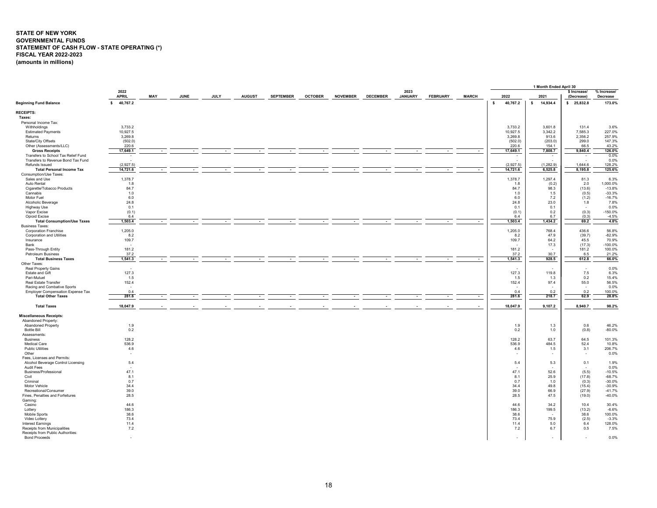# <span id="page-18-0"></span>**STATE OF NEW YORK GOVERNMENTAL FUNDS STATEMENT OF CASH FLOW - STATE OPERATING (\*) FISCAL YEAR 2022-2023 (amounts in millions)**

|                                                  |                          |            |             |             |               |                          |                |                 |                 |                        |                 |              |              |                   |              | 1 Month Ended April 30   |                            |                         |
|--------------------------------------------------|--------------------------|------------|-------------|-------------|---------------|--------------------------|----------------|-----------------|-----------------|------------------------|-----------------|--------------|--------------|-------------------|--------------|--------------------------|----------------------------|-------------------------|
|                                                  | 2022<br><b>APRIL</b>     | <b>MAY</b> | <b>JUNE</b> | <b>JULY</b> | <b>AUGUST</b> | <b>SEPTEMBER</b>         | <b>OCTOBER</b> | <b>NOVEMBER</b> | <b>DECEMBER</b> | 2023<br><b>JANUARY</b> | <b>FEBRUARY</b> | <b>MARCH</b> |              | 2022              | 2021         |                          | \$ Increase/<br>(Decrease) | % Increase/<br>Decrease |
| <b>Beginning Fund Balance</b>                    | 40,767.2<br>$\mathsf{s}$ |            |             |             |               |                          |                |                 |                 |                        |                 |              | $\mathsf{s}$ | 40,767.2          | $\mathsf{s}$ | 14,934.4                 | \$25,832.8                 | 173.0%                  |
| <b>RECEIPTS:</b>                                 |                          |            |             |             |               |                          |                |                 |                 |                        |                 |              |              |                   |              |                          |                            |                         |
| Taxes:                                           |                          |            |             |             |               |                          |                |                 |                 |                        |                 |              |              |                   |              |                          |                            |                         |
| Personal Income Tax:                             |                          |            |             |             |               |                          |                |                 |                 |                        |                 |              |              |                   |              |                          |                            |                         |
| Withholdings                                     | 3,733.2                  |            |             |             |               |                          |                |                 |                 |                        |                 |              |              | 3,733.2           |              | 3,601.8                  | 131.4                      | 3.6%                    |
| <b>Estimated Payments</b>                        | 10,927.5                 |            |             |             |               |                          |                |                 |                 |                        |                 |              |              | 10,927.5          |              | 3,342.2                  | 7,585.3                    | 227.0%                  |
| Returns                                          | 3,269.8                  |            |             |             |               |                          |                |                 |                 |                        |                 |              |              | 3,269.8           |              | 913.6                    | 2,356.2                    | 257.9%                  |
| State/City Offsets                               | (502.0)                  |            |             |             |               |                          |                |                 |                 |                        |                 |              |              | (502.0)           |              | (203.0)                  | 299.0                      | 147.3%                  |
| Other (Assessments/LLC)<br><b>Gross Receipts</b> | 220.6<br>17,649.1        |            |             |             |               |                          |                |                 |                 |                        |                 |              |              | 220.6<br>17,649.1 |              | 154.1<br>7,808.7         | 66.5<br>9,840.4            | 43.2%<br>126.0%         |
| Transfers to School Tax Relief Fund              | $\sim$                   | $\sim$     | ٠           | ٠           | $\sim$        | $\sim$                   | $\sim$         | $\sim$          | $\sim$          | $\sim$                 | $\sim$          | $\sim$       |              | $\sim$            |              | $\overline{\phantom{a}}$ | $\sim$                     | 0.0%                    |
| Transfers to Revenue Bond Tax Fund               | . .                      |            |             |             |               |                          |                |                 |                 |                        |                 |              |              | $\sim$            |              | $\sim$                   | . п.                       | 0.0%                    |
| Refunds Issued                                   | (2.927.5)                |            |             |             |               |                          |                |                 |                 |                        |                 |              |              | (2,927.5)         |              | (1.282.9)                | 1.644.6                    | 128.2%                  |
| <b>Total Personal Income Tax</b>                 | 14,721.6                 |            |             |             | ٠             | $\overline{\phantom{a}}$ |                | $\sim$          | ٠               |                        |                 | $\sim$       |              | 14,721.6          |              | 6,525.8                  | 8,195.8                    | 125.6%                  |
| Consumption/Use Taxes:                           |                          |            |             |             |               |                          |                |                 |                 |                        |                 |              |              |                   |              |                          |                            |                         |
| Sales and Use                                    | 1,378.7                  |            |             |             |               |                          |                |                 |                 |                        |                 |              |              | 1,378.7           |              | 1,297.4                  | 81.3                       | 6.3%                    |
| Auto Rental                                      | 1.8                      |            |             |             |               |                          |                |                 |                 |                        |                 |              |              | 1.8               |              | (0.2)                    | 2.0                        | 1,000.0%                |
| Cigarette/Tobacco Products                       | 84.7                     |            |             |             |               |                          |                |                 |                 |                        |                 |              |              | 84.7              |              | 98.3                     | (13.6)                     | $-13.8%$                |
| Cannabis                                         | 1.0                      |            |             |             |               |                          |                |                 |                 |                        |                 |              |              | 1.0               |              | 1.5                      | (0.5)                      | $-33.3%$                |
| Motor Fuel                                       | 6.0                      |            |             |             |               |                          |                |                 |                 |                        |                 |              |              | 6.0               |              | 7.2                      | (1.2)                      | $-16.7%$                |
| Alcoholic Beverage                               | 24.8                     |            |             |             |               |                          |                |                 |                 |                        |                 |              |              | 24.8              |              | 23.0                     | 1.8                        | 7.8%                    |
| Highway Use                                      | 0.1                      |            |             |             |               |                          |                |                 |                 |                        |                 |              |              | 0.1               |              | 0.1                      | $\sim$                     | 0.0%                    |
| Vapor Excise<br>Opioid Excise                    | (0.1)<br>6.4             |            |             |             |               |                          |                |                 |                 |                        |                 |              |              | (0.1)<br>6.4      |              | 0.2<br>6.7               | (0.3)<br>(0.3)             | $-150.0%$<br>$-4.5%$    |
| <b>Total Consumption/Use Taxes</b>               | 1,503.4                  |            |             |             |               |                          |                |                 |                 |                        |                 | $\sim$       |              | 1,503.4           |              | 1,434.2                  | 69.2                       | 4.8%                    |
| <b>Business Taxes:</b>                           |                          |            |             |             |               |                          |                |                 |                 |                        |                 |              |              |                   |              |                          |                            |                         |
| <b>Corporation Franchise</b>                     | 1,205.0                  |            |             |             |               |                          |                |                 |                 |                        |                 |              |              | 1,205.0           |              | 768.4                    | 436.6                      | 56.8%                   |
| Corporation and Utilities                        | 8.2                      |            |             |             |               |                          |                |                 |                 |                        |                 |              |              | 8.2               |              | 47.9                     | (39.7)                     | $-82.9%$                |
| Insurance                                        | 109.7                    |            |             |             |               |                          |                |                 |                 |                        |                 |              |              | 109.7             |              | 64.2                     | 45.5                       | 70.9%                   |
| Bank                                             |                          |            |             |             |               |                          |                |                 |                 |                        |                 |              |              |                   |              | 17.3                     | (17.3)                     | $-100.0%$               |
| Pass-Through Entity                              | 181.2                    |            |             |             |               |                          |                |                 |                 |                        |                 |              |              | 181.2             |              |                          | 181.2                      | 100.0%                  |
| Petroleum Business                               | 37.2                     |            |             |             |               |                          |                |                 |                 |                        |                 |              |              | 37.2              |              | 30.7                     | 6.5                        | 21.2%                   |
| <b>Total Business Taxes</b>                      | 1,541.3                  |            |             |             |               |                          |                |                 |                 |                        |                 | $\sim$       |              | 1,541.3           |              | 928.5                    | 612.8                      | 66.0%                   |
| Other Taxes:                                     |                          |            |             |             |               |                          |                |                 |                 |                        |                 |              |              |                   |              |                          |                            |                         |
| Real Property Gains                              | $\sim$                   |            |             |             |               |                          |                |                 |                 |                        |                 |              |              |                   |              |                          | $\sim$                     | 0.0%                    |
| Estate and Gift<br>Pari-Mutuel                   | 127.3                    |            |             |             |               |                          |                |                 |                 |                        |                 |              |              | 127.3             |              | 119.8<br>1.3             | 7.5<br>0.2                 | 6.3%<br>15.4%           |
| Real Estate Transfer                             | 1.5<br>152.4             |            |             |             |               |                          |                |                 |                 |                        |                 |              |              | 1.5<br>152.4      |              | 97.4                     | 55.0                       | 56.5%                   |
| Racing and Combative Sports                      | $\sim$                   |            |             |             |               |                          |                |                 |                 |                        |                 |              |              |                   |              |                          | $\sim$                     | 0.0%                    |
| Employer Compensation Expense Tax                | 0.4                      |            |             |             |               |                          |                |                 |                 |                        |                 |              |              | 0.4               |              | 0.2                      | 0.2                        | 100.0%                  |
| <b>Total Other Taxes</b>                         | 281.6                    |            |             |             |               |                          |                |                 |                 |                        |                 |              |              | 281.6             |              | 218.7                    | 62.9                       | 28.8%                   |
|                                                  |                          |            |             |             |               |                          |                |                 |                 |                        |                 |              |              |                   |              |                          |                            |                         |
| <b>Total Taxes</b>                               | 18,047.9                 |            |             |             |               |                          |                |                 |                 |                        |                 |              |              | 18,047.9          |              | 9,107.2                  | 8,940.7                    | 98.2%                   |
| <b>Miscellaneous Receipts:</b>                   |                          |            |             |             |               |                          |                |                 |                 |                        |                 |              |              |                   |              |                          |                            |                         |
| Abandoned Property:                              |                          |            |             |             |               |                          |                |                 |                 |                        |                 |              |              |                   |              |                          |                            |                         |
| Abandoned Property                               | 1.9                      |            |             |             |               |                          |                |                 |                 |                        |                 |              |              | 1.9               |              | 1.3                      | 0.6                        | 46.2%                   |
| <b>Bottle Bill</b>                               | 0.2                      |            |             |             |               |                          |                |                 |                 |                        |                 |              |              | 0.2               |              | 1.0                      | (0.8)                      | $-80.0%$                |
| Assessments:                                     |                          |            |             |             |               |                          |                |                 |                 |                        |                 |              |              |                   |              |                          |                            |                         |
| <b>Business</b>                                  | 128.2                    |            |             |             |               |                          |                |                 |                 |                        |                 |              |              | 128.2             |              | 63.7                     | 64.5                       | 101.3%                  |
| <b>Medical Care</b>                              | 536.9                    |            |             |             |               |                          |                |                 |                 |                        |                 |              |              | 536.9             |              | 484.5                    | 52.4<br>3.1                | 10.8%<br>206.7%         |
| <b>Public Utilities</b><br>Other                 | 4.6<br>$\sim$            |            |             |             |               |                          |                |                 |                 |                        |                 |              |              | 4.6               |              | 1.5<br>÷                 | $\sim$                     | 0.0%                    |
| Fees, Licenses and Permits:                      |                          |            |             |             |               |                          |                |                 |                 |                        |                 |              |              |                   |              |                          |                            |                         |
| Alcohol Beverage Control Licensing               | 5.4                      |            |             |             |               |                          |                |                 |                 |                        |                 |              |              | 5.4               |              | 5.3                      | 0.1                        | 1.9%                    |
| Audit Fees                                       | $\overline{\phantom{a}}$ |            |             |             |               |                          |                |                 |                 |                        |                 |              |              |                   |              |                          |                            | 0.0%                    |
| Business/Professional                            | 47.1                     |            |             |             |               |                          |                |                 |                 |                        |                 |              |              | 47.1              |              | 52.6                     | (5.5)                      | $-10.5%$                |
| Civil                                            | 8.1                      |            |             |             |               |                          |                |                 |                 |                        |                 |              |              | 8.1               |              | 25.9                     | (17.8)                     | $-68.7%$                |
| Criminal                                         | 0.7                      |            |             |             |               |                          |                |                 |                 |                        |                 |              |              | 0.7               |              | 1.0                      | (0.3)                      | $-30.0%$                |
| Motor Vehicle                                    | 34.4                     |            |             |             |               |                          |                |                 |                 |                        |                 |              |              | 34.4              |              | 49.8                     | (15.4)                     | $-30.9%$                |
| Recreational/Consumer                            | 39.0                     |            |             |             |               |                          |                |                 |                 |                        |                 |              |              | 39.0              |              | 66.9                     | (27.9)                     | $-41.7%$                |
| Fines, Penalties and Forfeitures                 | 28.5                     |            |             |             |               |                          |                |                 |                 |                        |                 |              |              | 28.5              |              | 47.5                     | (19.0)                     | $-40.0%$                |
| Gaming:                                          | 44.6                     |            |             |             |               |                          |                |                 |                 |                        |                 |              |              |                   |              |                          | 10.4                       |                         |
| Casino<br>Lottery                                | 186.3                    |            |             |             |               |                          |                |                 |                 |                        |                 |              |              | 44.6<br>186.3     |              | 34.2<br>199.5            | (13.2)                     | 30.4%<br>$-6.6%$        |
| Mobile Sports                                    | 38.6                     |            |             |             |               |                          |                |                 |                 |                        |                 |              |              | 38.6              |              | . .                      | 38.6                       | 100.0%                  |
| Video Lottery                                    | 73.4                     |            |             |             |               |                          |                |                 |                 |                        |                 |              |              | 73.4              |              | 75.9                     | (2.5)                      | $-3.3%$                 |
| <b>Interest Earnings</b>                         | 11.4                     |            |             |             |               |                          |                |                 |                 |                        |                 |              |              | 11.4              |              | 5.0                      | 6.4                        | 128.0%                  |
| Receipts from Municipalities                     | 7.2                      |            |             |             |               |                          |                |                 |                 |                        |                 |              |              | 7.2               |              | 6.7                      | 0.5                        | 7.5%                    |
| Receipts from Public Authorities:                |                          |            |             |             |               |                          |                |                 |                 |                        |                 |              |              |                   |              |                          |                            |                         |
| <b>Bond Proceeds</b>                             |                          |            |             |             |               |                          |                |                 |                 |                        |                 |              |              |                   |              |                          |                            | 0.0%                    |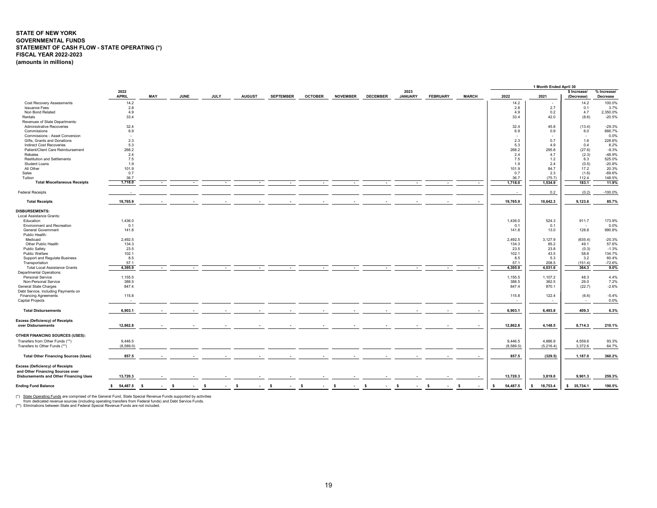# **STATE OF NEW YORK GOVERNMENTAL FUNDS STATEMENT OF CASH FLOW - STATE OPERATING (\*) FISCAL YEAR 2022-2023 (amounts in millions)**

|                                                                                   |                      |                |             |                |               |                  |                |                 |                 |                        |                 |              |                          | 1 Month Ended April 30 |                            |                                |
|-----------------------------------------------------------------------------------|----------------------|----------------|-------------|----------------|---------------|------------------|----------------|-----------------|-----------------|------------------------|-----------------|--------------|--------------------------|------------------------|----------------------------|--------------------------------|
|                                                                                   | 2022<br><b>APRIL</b> | MAY            | <b>JUNE</b> | <b>JULY</b>    | <b>AUGUST</b> | <b>SEPTEMBER</b> | <b>OCTOBER</b> | <b>NOVEMBER</b> | <b>DECEMBER</b> | 2023<br><b>JANUARY</b> | <b>FEBRUARY</b> | <b>MARCH</b> | 2022                     | 2021                   | \$ Increase/<br>(Decrease) | % Increase/<br><b>Decrease</b> |
| <b>Cost Recovery Assessments</b>                                                  | 14.2                 |                |             |                |               |                  |                |                 |                 |                        |                 |              | 14.2                     |                        | 14.2                       | 100.0%                         |
| <b>Issuance Fees</b>                                                              | 2.8                  |                |             |                |               |                  |                |                 |                 |                        |                 |              | 2.8                      | 2.7                    | 0.1                        | 3.7%                           |
| Non Bond Related                                                                  | 4.9                  |                |             |                |               |                  |                |                 |                 |                        |                 |              | 4.9                      | 0.2                    | 4.7                        | 2,350.0%                       |
| Rentals                                                                           | 33.4                 |                |             |                |               |                  |                |                 |                 |                        |                 |              | 33.4                     | 42.0                   | (8.6)                      | $-20.5%$                       |
| Revenues of State Departments:                                                    |                      |                |             |                |               |                  |                |                 |                 |                        |                 |              |                          |                        |                            |                                |
| Administrative Recoveries                                                         | 32.4                 |                |             |                |               |                  |                |                 |                 |                        |                 |              | 32.4                     | 45.8                   | (13.4)                     | $-29.3%$                       |
| Commissions                                                                       | 6.9                  |                |             |                |               |                  |                |                 |                 |                        |                 |              | 6.9                      | 0.9                    | 6.0                        | 666.7%                         |
| Commissions - Asset Conversion                                                    | $\sim$               |                |             |                |               |                  |                |                 |                 |                        |                 |              | $\overline{\phantom{a}}$ |                        | $\sim$                     | 0.0%                           |
| Gifts. Grants and Donations                                                       | 2.3                  |                |             |                |               |                  |                |                 |                 |                        |                 |              | 2.3                      | 0.7                    | 1.6                        | 228.6%                         |
| Indirect Cost Recoveries                                                          | 5.3                  |                |             |                |               |                  |                |                 |                 |                        |                 |              | 5.3                      | 4.9                    | 0.4                        | 8.2%                           |
| Patient/Client Care Reimbursement                                                 | 268.2                |                |             |                |               |                  |                |                 |                 |                        |                 |              | 268.2                    | 295.8                  | (27.6)                     | $-9.3%$                        |
| Rebates                                                                           | 2.4                  |                |             |                |               |                  |                |                 |                 |                        |                 |              | 2.4                      | 4.7                    | (2.3)                      | $-48.9%$                       |
| <b>Restitution and Settlements</b>                                                | 7.5                  |                |             |                |               |                  |                |                 |                 |                        |                 |              | 7.5                      | 1.2                    | 6.3                        | 525.0%                         |
| Student Loans                                                                     | 1.9                  |                |             |                |               |                  |                |                 |                 |                        |                 |              | 1.9                      | 2.4                    | (0.5)                      | $-20.8%$                       |
| All Other                                                                         | 101.9                |                |             |                |               |                  |                |                 |                 |                        |                 |              | 101.9                    | 84.7                   | 17.2                       | 20.3%                          |
| Sales                                                                             | 0.7                  |                |             |                |               |                  |                |                 |                 |                        |                 |              | 0.7                      | 2.3                    | (1.6)                      | $-69.6%$                       |
| Tuition                                                                           | 36.7                 |                |             |                |               |                  |                |                 |                 |                        |                 |              | 36.7                     | (75.7)                 | 112.4                      | 148.5%                         |
| <b>Total Miscellaneous Receipts</b>                                               | 1,718.0              |                |             |                |               |                  |                |                 |                 |                        |                 | $\sim$       | 1,718.0                  | 1,534.9                | 183.1                      | 11.9%                          |
| <b>Federal Receipts</b>                                                           |                      |                |             |                |               |                  |                |                 |                 |                        |                 |              |                          | 0.2                    | (0.2)                      | $-100.0%$                      |
| <b>Total Receipts</b>                                                             | 19,765.9             |                |             |                |               |                  |                |                 |                 |                        |                 | $\sim$       | 19,765.9                 | 10,642.3               | 9,123.6                    | 85.7%                          |
| <b>DISBURSEMENTS:</b>                                                             |                      |                |             |                |               |                  |                |                 |                 |                        |                 |              |                          |                        |                            |                                |
| Local Assistance Grants:                                                          |                      |                |             |                |               |                  |                |                 |                 |                        |                 |              |                          |                        |                            |                                |
| Education                                                                         | 1,436.0              |                |             |                |               |                  |                |                 |                 |                        |                 |              | 1,436.0                  | 524.3                  | 911.7                      | 173.9%                         |
| Environment and Recreation                                                        | 0.1                  |                |             |                |               |                  |                |                 |                 |                        |                 |              | 0.1                      | 0.1                    | $\sim$                     | 0.0%                           |
| General Government                                                                | 141.8                |                |             |                |               |                  |                |                 |                 |                        |                 |              | 141.8                    | 13.0                   | 128.8                      | 990.8%                         |
| Public Health:                                                                    |                      |                |             |                |               |                  |                |                 |                 |                        |                 |              |                          |                        |                            |                                |
| Medicaid                                                                          | 2,492.5              |                |             |                |               |                  |                |                 |                 |                        |                 |              | 2,492.5                  | 3,127.9                | (635.4)                    | $-20.3%$                       |
| Other Public Health                                                               | 134.3                |                |             |                |               |                  |                |                 |                 |                        |                 |              | 134.3                    | 85.2                   | 49.1                       | 57.6%                          |
| <b>Public Safety</b>                                                              | 23.5                 |                |             |                |               |                  |                |                 |                 |                        |                 |              | 23.5                     | 23.8                   | (0.3)                      | $-1.3%$                        |
| Public Welfare                                                                    | 102.1                |                |             |                |               |                  |                |                 |                 |                        |                 |              | 102.1                    | 43.5                   | 58.6                       | 134.7%                         |
| Support and Regulate Business                                                     | 8.5                  |                |             |                |               |                  |                |                 |                 |                        |                 |              | 8.5                      | 5.3                    | 3.2                        | 60.4%                          |
| Transportation                                                                    | 57.1                 |                |             |                |               |                  |                |                 |                 |                        |                 |              | 57.1                     | 208.5                  | (151.4)                    | $-72.6%$                       |
| <b>Total Local Assistance Grants</b>                                              | 4.395.9              | $\sim$         |             |                | $\sim$        |                  |                |                 |                 |                        | $\sim$          | $\sim$       | 4.395.9                  | 4,031.6                | 364.3                      | $9.0\%$                        |
| <b>Departmental Operations:</b>                                                   |                      |                |             |                |               |                  |                |                 |                 |                        |                 |              |                          |                        |                            |                                |
| Personal Service                                                                  | 1,155.5              |                |             |                |               |                  |                |                 |                 |                        |                 |              | 1,155.5                  | 1,107.2                | 48.3                       | 4.4%                           |
| Non-Personal Service                                                              | 388.5                |                |             |                |               |                  |                |                 |                 |                        |                 |              | 388.5                    | 362.5                  | 26.0                       | 7.2%                           |
| General State Charges                                                             | 847.4                |                |             |                |               |                  |                |                 |                 |                        |                 |              | 847.4                    | 870.1                  | (22.7)                     | $-2.6%$                        |
| Debt Service, Including Payments on                                               |                      |                |             |                |               |                  |                |                 |                 |                        |                 |              |                          |                        |                            |                                |
| <b>Financing Agreements</b>                                                       | 115.8                |                |             |                |               |                  |                |                 |                 |                        |                 |              | 115.8                    | 122.4                  | (6.6)                      | $-5.4%$                        |
| Capital Projects                                                                  |                      |                |             |                |               |                  |                |                 |                 |                        |                 |              |                          |                        | $\sim$                     | 0.0%                           |
| <b>Total Disbursements</b>                                                        | 6,903.1              |                |             |                |               |                  |                |                 |                 |                        |                 |              | 6,903.1                  | 6,493.8                | 409.3                      | 6.3%                           |
| <b>Excess (Deficiency) of Receipts</b>                                            |                      |                |             |                |               |                  |                |                 |                 |                        |                 |              |                          |                        |                            |                                |
| over Disbursements                                                                | 12,862.8             |                |             |                |               |                  |                |                 |                 |                        |                 |              | 12,862.8                 | 4,148.5                | 8,714.3                    | 210.1%                         |
| OTHER FINANCING SOURCES (USES):                                                   |                      |                |             |                |               |                  |                |                 |                 |                        |                 |              |                          |                        |                            |                                |
| Transfers from Other Funds (**)                                                   | 9,446.5              |                |             |                |               |                  |                |                 |                 |                        |                 |              | 9,446.5                  | 4,886.9                | 4,559.6                    | 93.3%                          |
| Transfers to Other Funds (**)                                                     | (8,589.0)            |                |             |                |               |                  |                |                 |                 |                        |                 |              | (8,589.0)                | (5,216.4)              | 3,372.6                    | 64.7%                          |
|                                                                                   |                      |                |             |                |               |                  |                |                 |                 |                        |                 |              |                          |                        |                            |                                |
| <b>Total Other Financing Sources (Uses)</b>                                       | 857.5                |                |             |                |               |                  |                |                 |                 |                        |                 |              | 857.5                    | (329.5)                | 1,187.0                    | 360.2%                         |
| Excess (Deficiency) of Receipts                                                   |                      |                |             |                |               |                  |                |                 |                 |                        |                 |              |                          |                        |                            |                                |
| and Other Financing Sources over<br><b>Disbursements and Other Financing Uses</b> | 13,720.3             |                |             |                |               |                  |                |                 |                 |                        |                 | $\sim$       | 13,720.3                 | 3,819.0                | 9,901.3                    | 259.3%                         |
| <b>Ending Fund Balance</b>                                                        | \$54,487.5           | - \$<br>$\sim$ | -S          | - \$<br>$\sim$ | - S<br>$\sim$ | - S<br>$\sim$    | <b>S</b>       | - \$            | - 5             | - S                    | - S             | -S           | 54,487.5<br>s.           | 18,753.4<br>-S         | \$35,734.1                 | 190.5%                         |
|                                                                                   |                      |                |             |                |               |                  |                |                 |                 |                        |                 |              |                          |                        |                            |                                |

(\*) <u>State Operating Funds</u> are comprised of the General Fund, State Special Revenue Funds supported by activities<br> from dedicated revenue sources (including operating transfers from Federal funds) and Debt Service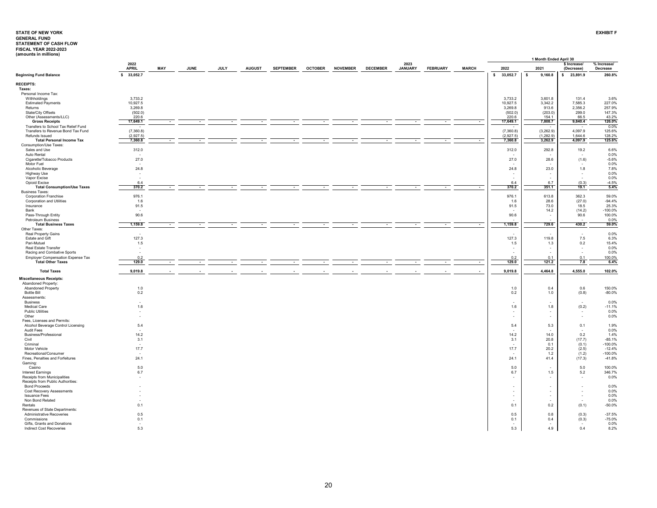<span id="page-20-0"></span>

| lamoanto in minionol                                      |                          |     |             |             |               |                  |                |                 |                 |                        |                 |              |                          | 1 Month Ended April 30   |                            |                         |
|-----------------------------------------------------------|--------------------------|-----|-------------|-------------|---------------|------------------|----------------|-----------------|-----------------|------------------------|-----------------|--------------|--------------------------|--------------------------|----------------------------|-------------------------|
|                                                           | 2022<br><b>APRIL</b>     | MAY | <b>JUNE</b> | <b>JULY</b> | <b>AUGUST</b> | <b>SEPTEMBER</b> | <b>OCTOBER</b> | <b>NOVEMBER</b> | <b>DECEMBER</b> | 2023<br><b>JANUARY</b> | <b>FEBRUARY</b> | <b>MARCH</b> | 2022                     | 2021                     | \$ Increase/<br>(Decrease) | % Increase/<br>Decrease |
| <b>Beginning Fund Balance</b>                             | s.<br>33,052.7           |     |             |             |               |                  |                |                 |                 |                        |                 |              | \$<br>33,052.7           | s.<br>9,160.8            | 23,891.9<br>s.             | 260.8%                  |
| <b>RECEIPTS:</b>                                          |                          |     |             |             |               |                  |                |                 |                 |                        |                 |              |                          |                          |                            |                         |
| Taxes:                                                    |                          |     |             |             |               |                  |                |                 |                 |                        |                 |              |                          |                          |                            |                         |
| Personal Income Tax:                                      |                          |     |             |             |               |                  |                |                 |                 |                        |                 |              |                          |                          |                            |                         |
| Withholdings                                              | 3,733.2                  |     |             |             |               |                  |                |                 |                 |                        |                 |              | 3,733.2                  | 3,601.8                  | 131.4                      | 3.6%                    |
| <b>Estimated Payments</b>                                 | 10,927.5                 |     |             |             |               |                  |                |                 |                 |                        |                 |              | 10,927.5                 | 3,342.2                  | 7,585.3                    | 227.0%<br>257.9%        |
| Returns<br>State/City Offsets                             | 3,269.8<br>(502.0)       |     |             |             |               |                  |                |                 |                 |                        |                 |              | 3,269.8<br>(502.0)       | 913.6<br>(203.0)         | 2,356.2<br>299.0           | 147.3%                  |
| Other (Assessments/LLC)                                   | 220.6                    |     |             |             |               |                  |                |                 |                 |                        |                 |              | 220.6                    | 154.1                    | 66.5                       | 43.2%                   |
| <b>Gross Receipts</b>                                     | 17,649.1                 |     |             |             |               |                  |                |                 |                 |                        |                 | $\sim$       | 17,649.1                 | 7,808.7                  | 9,840.4                    | 126.0%                  |
| Transfers to School Tax Relief Fund                       |                          |     |             |             |               |                  |                |                 |                 |                        |                 |              |                          |                          |                            | 0.0%                    |
| Transfers to Revenue Bond Tax Fund                        | (7,360.8)                |     |             |             |               |                  |                |                 |                 |                        |                 |              | (7,360.8)                | (3, 262.9)               | 4,097.9                    | 125.6%                  |
| Refunds Issued                                            | (2,927.5)                |     |             |             |               |                  |                |                 |                 |                        |                 |              | (2,927.5)                | (1, 282.9)               | 1,644.6                    | 128.2%                  |
| <b>Total Personal Income Tax</b>                          | 7,360.8                  |     | $\sim$      | $\sim$      | $\sim$        | $\sim$           | $\sim$         | $\sim$          | $\sim$          | $\sim$                 | $\sim$          | $\sim$       | 7,360.8                  | 3,262.9                  | 4,097.9                    | 125.6%                  |
| Consumption/Use Taxes:                                    |                          |     |             |             |               |                  |                |                 |                 |                        |                 |              |                          |                          |                            |                         |
| Sales and Use                                             | 312.0                    |     |             |             |               |                  |                |                 |                 |                        |                 |              | 312.0                    | 292.8                    | 19.2                       | 6.6%                    |
| Auto Rental                                               |                          |     |             |             |               |                  |                |                 |                 |                        |                 |              |                          |                          |                            | 0.0%                    |
| Cigarette/Tobacco Products                                | 27.0                     |     |             |             |               |                  |                |                 |                 |                        |                 |              | 27.0                     | 28.6                     | (1.6)                      | $-5.6%$<br>0.0%         |
| Motor Fuel<br>Alcoholic Beverage                          | 24.8                     |     |             |             |               |                  |                |                 |                 |                        |                 |              | 24.8                     | 23.0                     | 1.8                        | 7.8%                    |
| <b>Highway Use</b>                                        |                          |     |             |             |               |                  |                |                 |                 |                        |                 |              |                          |                          |                            | 0.0%                    |
| Vapor Excise                                              | $\overline{\phantom{a}}$ |     |             |             |               |                  |                |                 |                 |                        |                 |              | ÷.                       | $\sim$                   | $\sim$                     | 0.0%                    |
| Opioid Excise                                             | 6.4                      |     |             |             |               |                  |                |                 |                 |                        |                 |              | 6.4                      | 6.7                      | (0.3)                      | $-4.5%$                 |
| <b>Total Consumption/Use Taxes</b>                        | 370.2                    |     |             |             |               |                  |                |                 |                 |                        |                 |              | 370.2                    | 351.1                    | 19.1                       | 5.4%                    |
| <b>Business Taxes:</b>                                    |                          |     |             |             |               |                  |                |                 |                 |                        |                 |              |                          |                          |                            |                         |
| Corporation Franchise                                     | 976.1                    |     |             |             |               |                  |                |                 |                 |                        |                 |              | 976.1                    | 613.8                    | 362.3                      | 59.0%                   |
| Corporation and Utilities                                 | 1.6                      |     |             |             |               |                  |                |                 |                 |                        |                 |              | 1.6                      | 28.6                     | (27.0)                     | $-94.4%$                |
| Insurance<br>Bank                                         | 91.5                     |     |             |             |               |                  |                |                 |                 |                        |                 |              | 91.5                     | 73.0                     | 18.5                       | 25.3%<br>$-100.0%$      |
| Pass-Through Entity                                       | 90.6                     |     |             |             |               |                  |                |                 |                 |                        |                 |              | 90.6                     | 14.2<br>$\sim$           | (14.2)<br>90.6             | 100.0%                  |
| Petroleum Business                                        |                          |     |             |             |               |                  |                |                 |                 |                        |                 |              |                          |                          |                            | 0.0%                    |
| <b>Total Business Taxes</b>                               | 1,159.8                  |     |             |             |               |                  |                |                 |                 |                        |                 |              | 1,159.8                  | 729.6                    | 430.2                      | 59.0%                   |
| Other Taxes:                                              |                          |     |             |             |               |                  |                |                 |                 |                        |                 |              |                          |                          |                            |                         |
| Real Property Gains                                       |                          |     |             |             |               |                  |                |                 |                 |                        |                 |              |                          |                          | $\sim$                     | 0.0%                    |
| Estate and Gift                                           | 127.3                    |     |             |             |               |                  |                |                 |                 |                        |                 |              | 127.3                    | 119.8                    | 7.5                        | 6.3%                    |
| Pari-Mutuel                                               | 1.5                      |     |             |             |               |                  |                |                 |                 |                        |                 |              | 1.5                      | 1.3                      | $0.2\,$                    | 15.4%                   |
| Real Estate Transfer                                      | $\overline{\phantom{a}}$ |     |             |             |               |                  |                |                 |                 |                        |                 |              | ٠                        | $\sim$                   | $\sim$                     | 0.0%                    |
| Racing and Combative Sports                               |                          |     |             |             |               |                  |                |                 |                 |                        |                 |              |                          | $\sim$                   | $\sim$                     | 0.0%                    |
| <b>Employer Compensation Expense Tax</b>                  | 0.2                      |     |             |             |               |                  |                |                 |                 |                        |                 |              | 0.2                      | 0.1                      | 0.1                        | 100.0%                  |
| <b>Total Other Taxes</b>                                  | 129.0                    |     |             |             |               |                  |                |                 |                 |                        |                 | $\sim$       | 129.0                    | 121.2                    | 7.8                        | 6.4%                    |
| <b>Total Taxes</b>                                        | 9,019.8                  |     |             |             |               |                  |                |                 |                 |                        |                 | ÷            | 9,019.8                  | 4,464.8                  | 4,555.0                    | 102.0%                  |
|                                                           |                          |     |             |             |               |                  |                |                 |                 |                        |                 |              |                          |                          |                            |                         |
| <b>Miscellaneous Receipts:</b>                            |                          |     |             |             |               |                  |                |                 |                 |                        |                 |              |                          |                          |                            |                         |
| Abandoned Property:                                       |                          |     |             |             |               |                  |                |                 |                 |                        |                 |              |                          |                          |                            |                         |
| Abandoned Property                                        | 1.0                      |     |             |             |               |                  |                |                 |                 |                        |                 |              | 1.0                      | 0.4                      | $0.6\,$                    | 150.0%                  |
| <b>Bottle Bill</b>                                        | 0.2                      |     |             |             |               |                  |                |                 |                 |                        |                 |              | 0.2                      | 1.0                      | (0.8)                      | $-80.0%$                |
| Assessments:                                              |                          |     |             |             |               |                  |                |                 |                 |                        |                 |              |                          | ۰.                       | $\sim$                     | 0.0%                    |
| <b>Business</b><br>Medical Care                           | 1.6                      |     |             |             |               |                  |                |                 |                 |                        |                 |              | 1.6                      | 1.8                      | (0.2)                      | $-11.1%$                |
| <b>Public Utilities</b>                                   |                          |     |             |             |               |                  |                |                 |                 |                        |                 |              |                          |                          |                            | 0.0%                    |
| Other                                                     |                          |     |             |             |               |                  |                |                 |                 |                        |                 |              |                          | $\sim$                   | $\sim$                     | 0.0%                    |
| Fees, Licenses and Permits:                               |                          |     |             |             |               |                  |                |                 |                 |                        |                 |              |                          |                          |                            |                         |
| Alcohol Beverage Control Licensing                        | 5.4                      |     |             |             |               |                  |                |                 |                 |                        |                 |              | 5.4                      | 5.3                      | 0.1                        | 1.9%                    |
| Audit Fees                                                |                          |     |             |             |               |                  |                |                 |                 |                        |                 |              |                          |                          |                            | 0.0%                    |
| Business/Professional                                     | 14.2                     |     |             |             |               |                  |                |                 |                 |                        |                 |              | 14.2                     | 14.0                     | $0.2\,$                    | 1.4%                    |
| Civil                                                     | 3.1                      |     |             |             |               |                  |                |                 |                 |                        |                 |              | 3.1                      | 20.8                     | (17.7)                     | $-85.1%$                |
| Criminal                                                  | ٠.                       |     |             |             |               |                  |                |                 |                 |                        |                 |              |                          | 0.1                      | (0.1)                      | $-100.0%$               |
| Motor Vehicle                                             | 17.7                     |     |             |             |               |                  |                |                 |                 |                        |                 |              | 17.7                     | 20.2                     | (2.5)                      | $-12.4%$                |
| Recreational/Consumer<br>Fines, Penalties and Forfeitures | 24.1                     |     |             |             |               |                  |                |                 |                 |                        |                 |              | 24.1                     | 1.2<br>41.4              | (1.2)<br>(17.3)            | $-100.0%$<br>$-41.8%$   |
| Gaming:                                                   |                          |     |             |             |               |                  |                |                 |                 |                        |                 |              |                          |                          |                            |                         |
| Casino                                                    | 5.0                      |     |             |             |               |                  |                |                 |                 |                        |                 |              | 5.0                      | $\overline{\phantom{a}}$ | 5.0                        | 100.0%                  |
| <b>Interest Earnings</b>                                  | 6.7                      |     |             |             |               |                  |                |                 |                 |                        |                 |              | 6.7                      | 1.5                      | 5.2                        | 346.7%                  |
| Receipts from Municipalities                              | - 2                      |     |             |             |               |                  |                |                 |                 |                        |                 |              |                          |                          | $\sim$                     | 0.0%                    |
| Receipts from Public Authorities:                         |                          |     |             |             |               |                  |                |                 |                 |                        |                 |              |                          |                          |                            |                         |
| <b>Bond Proceeds</b>                                      |                          |     |             |             |               |                  |                |                 |                 |                        |                 |              |                          | ×                        |                            | 0.0%                    |
| <b>Cost Recovery Assessments</b>                          |                          |     |             |             |               |                  |                |                 |                 |                        |                 |              | $\overline{\phantom{a}}$ | $\sim$                   | $\sim$                     | 0.0%                    |
| <b>Issuance Fees</b>                                      |                          |     |             |             |               |                  |                |                 |                 |                        |                 |              | ٠                        | $\sim$                   | $\sim$                     | 0.0%                    |
| Non Bond Related                                          |                          |     |             |             |               |                  |                |                 |                 |                        |                 |              |                          | $\overline{\phantom{a}}$ |                            | 0.0%                    |
| Rentals                                                   | 0.1                      |     |             |             |               |                  |                |                 |                 |                        |                 |              | 0.1                      | 0.2                      | (0.1)                      | $-50.0%$                |
| Revenues of State Departments:                            |                          |     |             |             |               |                  |                |                 |                 |                        |                 |              |                          |                          |                            |                         |
| Administrative Recoveries                                 | 0.5                      |     |             |             |               |                  |                |                 |                 |                        |                 |              | 0.5                      | 0.8                      | (0.3)                      | $-37.5%$                |
| Commissions<br>Gifts, Grants and Donations                | 0.1<br>$\sim$            |     |             |             |               |                  |                |                 |                 |                        |                 |              | 0.1                      | 0.4                      | (0.3)<br>$\sim$            | $-75.0%$<br>0.0%        |
| Indirect Cost Recoveries                                  | 5.3                      |     |             |             |               |                  |                |                 |                 |                        |                 |              | 5.3                      | 4.9                      | 0.4                        | 8.2%                    |
|                                                           |                          |     |             |             |               |                  |                |                 |                 |                        |                 |              |                          |                          |                            |                         |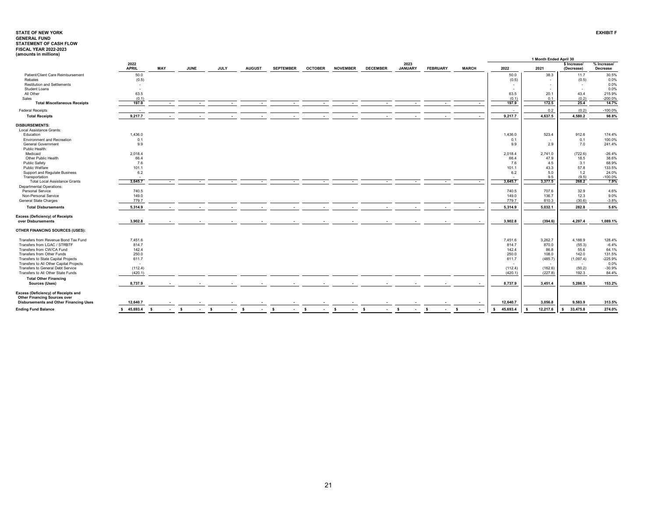| (amounts in millions)<br>1 Month Ended April 30                                                                                                                                                                                                                   |                                      |
|-------------------------------------------------------------------------------------------------------------------------------------------------------------------------------------------------------------------------------------------------------------------|--------------------------------------|
| 2022<br>2023<br>\$ Increase/<br><b>APRIL</b><br>MAY<br><b>JUNE</b><br><b>JULY</b><br><b>AUGUST</b><br><b>SEPTEMBER</b><br><b>OCTOBER</b><br><b>NOVEMBER</b><br><b>DECEMBER</b><br><b>JANUARY</b><br><b>FEBRUARY</b><br><b>MARCH</b><br>2022<br>2021<br>(Decrease) | % Increase/<br>Decrease              |
| Patient/Client Care Reimbursement<br>50.0<br>50.0<br>38.3                                                                                                                                                                                                         | 11.7<br>30.5%                        |
| Rebates<br>(0.5)<br>(0.5)                                                                                                                                                                                                                                         | (0.5)<br>0.0%                        |
| <b>Restitution and Settlements</b><br>$\sim$                                                                                                                                                                                                                      | 0.0%<br>$\sim$                       |
| Student Loans<br>ж.                                                                                                                                                                                                                                               | 0.0%<br>$\sim$                       |
| 63.5<br>All Other<br>63.5<br>20.1                                                                                                                                                                                                                                 | 43.4<br>215.9%                       |
| (0.1)<br>(0.1)<br>0.1<br>Sales                                                                                                                                                                                                                                    | (0.2)<br>$-200.0%$                   |
| 197.9<br>197.9<br>172.5<br><b>Total Miscellaneous Receipts</b><br>$\sim$<br>۰.<br>$\sim$                                                                                                                                                                          | 25.4<br>14.7%                        |
| 0.2<br><b>Federal Receipts</b>                                                                                                                                                                                                                                    | (0.2)<br>$-100.0%$                   |
| 4,637.5<br>4,580.2<br><b>Total Receipts</b><br>9,217.7<br>9,217.7                                                                                                                                                                                                 | 98.8%                                |
| <b>DISBURSEMENTS:</b>                                                                                                                                                                                                                                             |                                      |
| Local Assistance Grants:                                                                                                                                                                                                                                          |                                      |
| 1,436.0<br>1,436.0<br>523.4<br>Education                                                                                                                                                                                                                          | 912.6<br>174.4%                      |
| <b>Environment and Recreation</b><br>0.1<br>0.1<br>٠                                                                                                                                                                                                              | 0.1<br>100.0%                        |
| 9.9<br>2.9<br><b>General Government</b><br>9.9                                                                                                                                                                                                                    | 7.0<br>241.4%                        |
| Public Health:<br>Medicaid                                                                                                                                                                                                                                        |                                      |
| 2,018.4<br>2,741.0<br>2,018.4<br>Other Public Health<br>66.4                                                                                                                                                                                                      | (722.6)<br>$-26.4%$<br>38.6%<br>18.5 |
| 66.4<br>47.9<br><b>Public Safety</b><br>7.6<br>7.6<br>4.5                                                                                                                                                                                                         | 3.1<br>68.9%                         |
| 43.3<br>Public Welfare<br>101.1<br>101.1                                                                                                                                                                                                                          | 57.8<br>133.5%                       |
| Support and Regulate Business<br>6.2<br>5.0<br>6.2                                                                                                                                                                                                                | 1.2<br>24.0%                         |
| Transportation<br>9.5                                                                                                                                                                                                                                             | (9.5)<br>$-100.0%$                   |
| <b>Total Local Assistance Grants</b><br>3,645.7<br>3,645.7<br>3,377.5<br>$\sim$<br>. .<br>. .<br>. .<br>. .<br>$\sim$                                                                                                                                             | 268.2<br>7.9%                        |
| Departmental Operations:                                                                                                                                                                                                                                          |                                      |
| 740.5<br>Personal Service<br>740.5<br>707.6                                                                                                                                                                                                                       | 32.9<br>4.6%                         |
| 149.0<br>Non-Personal Service<br>149.0<br>136.7                                                                                                                                                                                                                   | 12.3<br>9.0%                         |
| General State Charges<br>779.7<br>779.7<br>810.3                                                                                                                                                                                                                  | (30.6)<br>$-3.8%$                    |
| 5.032.1<br><b>Total Disbursements</b><br>5,314.9<br>5,314.9<br>$\sim$                                                                                                                                                                                             | 5.6%<br>282.8                        |
| <b>Excess (Deficiency) of Receipts</b>                                                                                                                                                                                                                            |                                      |
| over Disbursements<br>3,902.8<br>3,902.8<br>(394.6)<br>4,297.4<br>$\sim$                                                                                                                                                                                          | 1,089.1%                             |
| OTHER FINANCING SOURCES (USES):                                                                                                                                                                                                                                   |                                      |
| 7,451.6<br>3,262.7<br>4,188.9<br>Transfers from Revenue Bond Tax Fund<br>7.451.6                                                                                                                                                                                  | 128.4%                               |
| 814.7<br>Transfers from LGAC / STRBTF<br>814.7<br>870.0                                                                                                                                                                                                           | (55.3)<br>$-6.4%$                    |
| Transfers from CW/CA Fund<br>142.4<br>142.4<br>86.8                                                                                                                                                                                                               | 55.6<br>64.1%                        |
| Transfers from Other Funds<br>250.0<br>250.0<br>108.0                                                                                                                                                                                                             | 142.0<br>131.5%                      |
| Transfers to State Capital Projects<br>611.7<br>(485.7)<br>611.7<br>(1,097.4)                                                                                                                                                                                     | $-225.9%$                            |
| Transfers to All Other Capital Projects<br>٠                                                                                                                                                                                                                      | 0.0%<br>$\sim$                       |
| (112.4)<br>Transfers to General Debt Service<br>(162.6)<br>(112.4)                                                                                                                                                                                                | (50.2)<br>$-30.9%$                   |
| Transfers to All Other State Funds<br>(420.1)<br>(227.8)<br>(420.1)                                                                                                                                                                                               | 192.3<br>84.4%                       |
| <b>Total Other Financing</b>                                                                                                                                                                                                                                      |                                      |
| 5,286.5<br>8,737.9<br>8,737.9<br>3.451.4<br>Sources (Uses)<br>$\sim$                                                                                                                                                                                              | 153.2%                               |
| Excess (Deficiency) of Receipts and                                                                                                                                                                                                                               |                                      |
| <b>Other Financing Sources over</b><br>3,056.8<br>9,583.9<br><b>Disbursements and Other Financing Uses</b><br>12,640.7<br>12,640.7                                                                                                                                | 313.5%                               |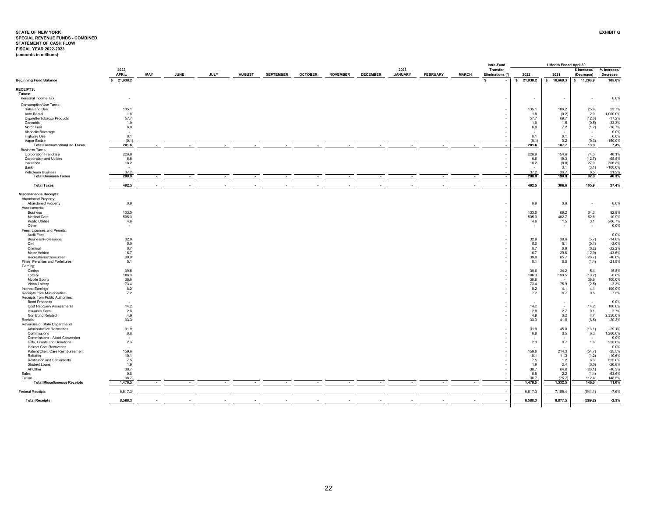# <span id="page-22-0"></span>STATE OF NEW YORK<br>SPECIAL REVENUE FUNDS - COMBINED<br>STATEMENT OF CASH FLOW<br>FISCAL YEAR 2022-2023 **EXHIBIT G(amounts in millions)**

|                                                         |                      |             |             |                          |                          |                          |                |                 |                 |                          |                 |              |    | Intra-Fund                   |              | 1 Month Ended April 30   |                                  |                         |
|---------------------------------------------------------|----------------------|-------------|-------------|--------------------------|--------------------------|--------------------------|----------------|-----------------|-----------------|--------------------------|-----------------|--------------|----|------------------------------|--------------|--------------------------|----------------------------------|-------------------------|
|                                                         | 2022<br><b>APRIL</b> | MAY         | <b>JUNE</b> | JULY                     | <b>AUGUST</b>            | <b>SEPTEMBER</b>         | <b>OCTOBER</b> | <b>NOVEMBER</b> | <b>DECEMBER</b> | 2023<br><b>JANUARY</b>   | <b>FEBRUARY</b> | <b>MARCH</b> |    | Transfer<br>Eliminations (*) | 2022         | 2021                     | \$ Increase/<br>(Decrease)       | % Increase/<br>Decrease |
| <b>Beginning Fund Balance</b>                           | \$21,938.2           |             |             |                          |                          |                          |                |                 |                 |                          |                 |              | s. |                              | \$21,938.2   | $\mathsf{s}$<br>10,669.3 | \$ 11,268.9                      | 105.6%                  |
| <b>RECEIPTS:</b>                                        |                      |             |             |                          |                          |                          |                |                 |                 |                          |                 |              |    |                              |              |                          |                                  |                         |
| Taxes:                                                  |                      |             |             |                          |                          |                          |                |                 |                 |                          |                 |              |    |                              |              |                          |                                  |                         |
| Personal Income Tax                                     |                      |             |             |                          |                          |                          |                |                 |                 |                          |                 |              |    |                              | $\mathbf{r}$ | $\sim$                   |                                  | 0.0%                    |
| Consumption/Use Taxes:                                  |                      |             |             |                          |                          |                          |                |                 |                 |                          |                 |              |    |                              |              |                          |                                  |                         |
| Sales and Use                                           | 135.1                |             |             |                          |                          |                          |                |                 |                 |                          |                 |              |    |                              | 135.1        | 109.2                    | 25.9                             | 23.7%                   |
| Auto Rental                                             | 1.8                  |             |             |                          |                          |                          |                |                 |                 |                          |                 |              |    |                              | 1.8          | (0.2)                    | 2.0                              | 1,000.0%                |
| Cigarette/Tobacco Products                              | 57.7                 |             |             |                          |                          |                          |                |                 |                 |                          |                 |              |    |                              | 57.7         | 69.7                     | (12.0)                           | $-17.2%$                |
| Cannabis                                                | 1.0                  |             |             |                          |                          |                          |                |                 |                 |                          |                 |              |    |                              | 1.0          | 1.5                      | (0.5)                            | $-33.3%$                |
| Motor Fuel                                              | $6.0\,$              |             |             |                          |                          |                          |                |                 |                 |                          |                 |              |    |                              | $6.0\,$      | 7.2                      | (1.2)                            | $-16.7%$                |
| Alcoholic Beverage                                      | $\sim$<br>0.1        |             |             |                          |                          |                          |                |                 |                 |                          |                 |              |    |                              | 0.1          | 0.1                      |                                  | 0.0%                    |
| Highway Use<br>Vapor Excise                             | (0.1)                |             |             |                          |                          |                          |                |                 |                 |                          |                 |              |    |                              | (0.1)        | 0.2                      | (0.3)                            | 0.0%<br>$-150.0%$       |
| <b>Total Consumption/Use Taxes</b>                      | 201.6                |             |             |                          |                          |                          |                |                 |                 |                          |                 |              |    |                              | 201.6        | 187.7                    | 13.9                             | 7.4%                    |
| <b>Business Taxes:</b>                                  |                      |             |             |                          |                          |                          |                |                 |                 |                          |                 |              |    |                              |              |                          |                                  |                         |
| Corporation Franchise                                   | 228.9                |             |             |                          |                          |                          |                |                 |                 |                          |                 |              |    |                              | 228.9        | 154.6                    | 74.3                             | 48.1%                   |
| Corporation and Utilities                               | 6.6                  |             |             |                          |                          |                          |                |                 |                 |                          |                 |              |    |                              | 6.6          | 19.3                     | (12.7)                           | $-65.8%$                |
| Insurance                                               | 18.2                 |             |             |                          |                          |                          |                |                 |                 |                          |                 |              |    |                              | 18.2         | (8.8)                    | 27.0                             | 306.8%                  |
| Bank<br>Petroleum Business                              | 37.2                 |             |             |                          |                          |                          |                |                 |                 |                          |                 |              |    |                              | 37.2         | 3.1<br>30.7              | (3.1)<br>6.5                     | $-100.0%$<br>21.2%      |
| <b>Total Business Taxes</b>                             | 290.9                | $\sim$      |             | $\overline{\phantom{a}}$ | $\overline{\phantom{a}}$ | $\overline{\phantom{a}}$ | $\sim$         | ۰.              | $\sim$          | $\overline{\phantom{a}}$ |                 | $\sim$       |    | $\sim$                       | 290.9        | 198.9                    | 92.0                             | 46.3%                   |
|                                                         |                      |             |             |                          |                          |                          |                |                 |                 |                          |                 |              |    |                              |              | 386.6                    |                                  |                         |
| <b>Total Taxes</b>                                      | 492.5                |             |             |                          |                          |                          |                |                 |                 |                          |                 |              |    | . .                          | 492.5        |                          | 105.9                            | 27.4%                   |
| <b>Miscellaneous Receipts:</b><br>Abandoned Property:   |                      |             |             |                          |                          |                          |                |                 |                 |                          |                 |              |    |                              |              |                          |                                  |                         |
| <b>Abandoned Property</b>                               | 0.9                  |             |             |                          |                          |                          |                |                 |                 |                          |                 |              |    |                              | 0.9          | 0.9                      |                                  | 0.0%                    |
| Assessments:                                            |                      |             |             |                          |                          |                          |                |                 |                 |                          |                 |              |    |                              |              |                          |                                  |                         |
| <b>Business</b>                                         | 133.5                |             |             |                          |                          |                          |                |                 |                 |                          |                 |              |    |                              | 133.5        | 69.2                     | 64.3                             | 92.9%                   |
| Medical Care                                            | 535.3                |             |             |                          |                          |                          |                |                 |                 |                          |                 |              |    |                              | 535.3        | 482.7                    | 52.6                             | 10.9%                   |
| <b>Public Utilities</b>                                 | 4.6                  |             |             |                          |                          |                          |                |                 |                 |                          |                 |              |    |                              | 4.6          | 1.5                      | 3.1                              | 206.7%                  |
| Other                                                   |                      |             |             |                          |                          |                          |                |                 |                 |                          |                 |              |    |                              |              |                          |                                  | 0.0%                    |
| Fees, Licenses and Permits:<br>Audit Fees               |                      |             |             |                          |                          |                          |                |                 |                 |                          |                 |              |    |                              |              |                          | $\sim$                           | 0.0%                    |
| Business/Professional                                   | 32.9                 |             |             |                          |                          |                          |                |                 |                 |                          |                 |              |    |                              | 32.9         | 38.6                     | (5.7)                            | $-14.8%$                |
| Civil                                                   | 5.0                  |             |             |                          |                          |                          |                |                 |                 |                          |                 |              |    |                              | 5.0          | 5.1                      | (0.1)                            | $-2.0%$                 |
| Criminal                                                | 0.7                  |             |             |                          |                          |                          |                |                 |                 |                          |                 |              |    |                              | 0.7          | 0.9                      | (0.2)                            | $-22.2%$                |
| Motor Vehicle                                           | 16.7                 |             |             |                          |                          |                          |                |                 |                 |                          |                 |              |    |                              | 16.7         | 29.6                     | (12.9)                           | $-43.6%$                |
| Recreational/Consumer                                   | 39.0                 |             |             |                          |                          |                          |                |                 |                 |                          |                 |              |    |                              | 39.0         | 65.7                     | (26.7)                           | $-40.6%$                |
| Fines, Penalties and Forfeitures                        | 5.1                  |             |             |                          |                          |                          |                |                 |                 |                          |                 |              |    |                              | 5.1          | 6.5                      | (1.4)                            | $-21.5%$                |
| Gaming:<br>Casino                                       | 39.6                 |             |             |                          |                          |                          |                |                 |                 |                          |                 |              |    |                              | 39.6         | 34.2                     | 5.4                              | 15.8%                   |
| Lottery                                                 | 186.3                |             |             |                          |                          |                          |                |                 |                 |                          |                 |              |    |                              | 186.3        | 199.5                    | (13.2)                           | $-6.6%$                 |
| Mobile Sports                                           | 38.6                 |             |             |                          |                          |                          |                |                 |                 |                          |                 |              |    |                              | 38.6         |                          | 38.6                             | 100.0%                  |
| Video Lottery                                           | 73.4                 |             |             |                          |                          |                          |                |                 |                 |                          |                 |              |    |                              | 73.4         | 75.9                     | (2.5)                            | $-3.3%$                 |
| Interest Earnings                                       | 8.2                  |             |             |                          |                          |                          |                |                 |                 |                          |                 |              |    |                              | 8.2          | 4.1                      | 4.1                              | 100.0%                  |
| Receipts from Municipalities                            | 7.2                  |             |             |                          |                          |                          |                |                 |                 |                          |                 |              |    |                              | $7.2\,$      | 6.7                      | 0.5                              | 7.5%                    |
| Receipts from Public Authorities:                       |                      |             |             |                          |                          |                          |                |                 |                 |                          |                 |              |    |                              |              |                          |                                  | 0.0%                    |
| <b>Bond Proceeds</b><br>Cost Recovery Assessments       | $\sim$<br>14.2       |             |             |                          |                          |                          |                |                 |                 |                          |                 |              |    |                              | 14.2         |                          | $\overline{\phantom{a}}$<br>14.2 | 100.0%                  |
| <b>Issuance Fees</b>                                    | 2.8                  |             |             |                          |                          |                          |                |                 |                 |                          |                 |              |    |                              | 2.8          | 2.7                      | 0.1                              | 3.7%                    |
| Non Bond Related                                        | 4.9                  |             |             |                          |                          |                          |                |                 |                 |                          |                 |              |    |                              | 4.9          | 0.2                      | 4.7                              | 2,350.0%                |
| Rentals                                                 | 33.3                 |             |             |                          |                          |                          |                |                 |                 |                          |                 |              |    |                              | 33.3         | 41.8                     | (8.5)                            | $-20.3%$                |
| Revenues of State Departments:                          |                      |             |             |                          |                          |                          |                |                 |                 |                          |                 |              |    |                              |              |                          |                                  |                         |
| Administrative Recoveries                               | 31.9                 |             |             |                          |                          |                          |                |                 |                 |                          |                 |              |    |                              | 31.9         | 45.0                     | (13.1)                           | $-29.1%$                |
| Commissions                                             | 6.8                  |             |             |                          |                          |                          |                |                 |                 |                          |                 |              |    |                              | 6.8          | 0.5                      | 6.3                              | 1,260.0%                |
| Commissions - Asset Conversion                          | $\sim$               |             |             |                          |                          |                          |                |                 |                 |                          |                 |              |    |                              |              |                          |                                  | 0.0%                    |
| Gifts, Grants and Donations<br>Indirect Cost Recoveries | 2.3                  |             |             |                          |                          |                          |                |                 |                 |                          |                 |              |    |                              | 2.3          | 0.7                      | 1.6                              | 228.6%<br>0.0%          |
| Patient/Client Care Reimbursement                       | 159.6                |             |             |                          |                          |                          |                |                 |                 |                          |                 |              |    |                              | 159.6        | 214.3                    | (54.7)                           | $-25.5%$                |
| Rebates                                                 | 10.1                 |             |             |                          |                          |                          |                |                 |                 |                          |                 |              |    |                              | 10.1         | 11.3                     | (1.2)                            | $-10.6%$                |
| <b>Restitution and Settlements</b>                      | 7.5                  |             |             |                          |                          |                          |                |                 |                 |                          |                 |              |    |                              | 7.5          | 1.2                      | 6.3                              | 525.0%                  |
| Student Loans                                           | 1.9                  |             |             |                          |                          |                          |                |                 |                 |                          |                 |              |    |                              | 1.9          | 2.4                      | (0.5)                            | $-20.8%$                |
| All Other                                               | 38.7                 |             |             |                          |                          |                          |                |                 |                 |                          |                 |              |    |                              | 38.7         | 64.8                     | (26.1)                           | $-40.3%$                |
| Sales                                                   | 0.8<br>36.7          |             |             |                          |                          |                          |                |                 |                 |                          |                 |              |    |                              | 0.8<br>36.7  | 2.2<br>(75.7)            | (1.4)<br>112.4                   | $-63.6%$<br>148.5%      |
| Tuition<br><b>Total Miscellaneous Receipts</b>          | 1,478.5              | <b>1999</b> |             |                          | $\overline{\phantom{a}}$ | $\sim$                   |                |                 | $\sim$          | $\overline{\phantom{a}}$ |                 |              |    | $\sim$                       | 1,478.5      | 1,332.5                  | 146.0                            | 11.0%                   |
| <b>Federal Receipts</b>                                 | 6,617.3              |             |             |                          |                          |                          |                |                 |                 |                          |                 |              |    |                              | 6,617.3      | 7,158.4                  | (541.1)                          | $-7.6%$                 |
|                                                         |                      |             |             |                          |                          |                          |                |                 |                 |                          |                 |              |    |                              |              |                          |                                  |                         |
| <b>Total Receipts</b>                                   | 8,588.3              |             |             |                          |                          |                          |                |                 |                 |                          |                 |              |    |                              | 8,588.3      | 8,877.5                  | (289.2)                          | $-3.3%$                 |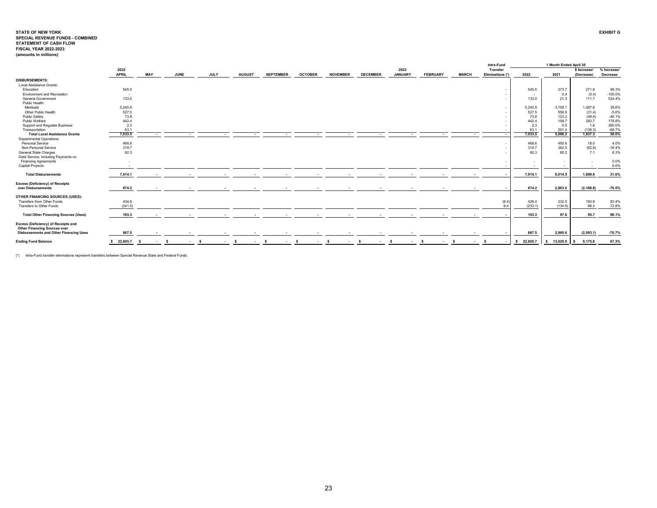|                                               |              |            |              |        |             |                    |                    |                |                    |                    |                |                 |              | Intra-Fund               |                | 1 Month Ended April 30 |              |             |
|-----------------------------------------------|--------------|------------|--------------|--------|-------------|--------------------|--------------------|----------------|--------------------|--------------------|----------------|-----------------|--------------|--------------------------|----------------|------------------------|--------------|-------------|
|                                               | 2022         |            |              |        |             |                    |                    |                |                    |                    | 2023           |                 |              | Transfer                 |                |                        | \$ Increase/ | % Increase/ |
|                                               | <b>APRIL</b> | <b>MAY</b> | JUNE         |        | <b>JULY</b> | <b>AUGUST</b>      | <b>SEPTEMBER</b>   | <b>OCTOBER</b> | <b>NOVEMBER</b>    | <b>DECEMBER</b>    | <b>JANUARY</b> | <b>FEBRUARY</b> | <b>MARCH</b> | Eliminations (*)         | 2022           | 2021                   | (Decrease)   | Decrease    |
| <b>DISBURSEMENTS:</b>                         |              |            |              |        |             |                    |                    |                |                    |                    |                |                 |              |                          |                |                        |              |             |
| Local Assistance Grants:                      |              |            |              |        |             |                    |                    |                |                    |                    |                |                 |              |                          |                |                        |              |             |
| Education                                     | 545.5        |            |              |        |             |                    |                    |                |                    |                    |                |                 |              |                          | 545.5          | 273.7                  | 271.8        | 99.3%       |
| Environment and Recreation                    | $\sim$       |            |              |        |             |                    |                    |                |                    |                    |                |                 |              |                          |                | 0.4                    | (0.4)        | $-100.0%$   |
| <b>General Government</b>                     | 133.0        |            |              |        |             |                    |                    |                |                    |                    |                |                 |              |                          | 133.0          | 21.3                   | 111.7        | 524.4%      |
| Public Health:                                |              |            |              |        |             |                    |                    |                |                    |                    |                |                 |              |                          |                |                        |              |             |
| Medicaid                                      | 5,245.9      |            |              |        |             |                    |                    |                |                    |                    |                |                 |              |                          | 5,245.9        | 3,758.1                | 1,487.8      | 39.6%       |
| Other Public Health                           | 527.5        |            |              |        |             |                    |                    |                |                    |                    |                |                 |              |                          | 527.5          | 558.9                  | (31.4)       | $-5.6%$     |
| Public Safety                                 | 73.8         |            |              |        |             |                    |                    |                |                    |                    |                |                 |              |                          | 73.8           | 123.2                  | (49.4)       | $-40.1%$    |
| Public Welfare                                | 442.4        |            |              |        |             |                    |                    |                |                    |                    |                |                 |              |                          | 442.4          | 158.7                  | 283.7        | 178.8%      |
| Support and Regulate Business                 | 2.3          |            |              |        |             |                    |                    |                |                    |                    |                |                 |              |                          | 2.3            | 0.5                    | 1.8          | 360.0%      |
| Transportation                                | 63.1         |            |              |        |             |                    |                    |                |                    |                    |                |                 |              |                          | 63.1           | 201.4                  | (138.3)      | $-68.7%$    |
| <b>Total Local Assistance Grants</b>          | 7,033.5      |            |              |        | . .         |                    |                    |                |                    |                    |                |                 |              |                          | 7,033.5<br>. . | 5.096.2                | 1.937.3      | 38.0%       |
| <b>Departmental Operations:</b>               |              |            |              |        |             |                    |                    |                |                    |                    |                |                 |              |                          |                |                        |              |             |
| Personal Service                              | 468.6        |            |              |        |             |                    |                    |                |                    |                    |                |                 |              |                          | 468.6          | 450.6                  | 18.0         | 4.0%        |
| Non-Personal Service                          | 319.7        |            |              |        |             |                    |                    |                |                    |                    |                |                 |              |                          | 319.7          | 382.5                  | (62.8)       | $-16.4%$    |
| General State Charges                         | 92.3         |            |              |        |             |                    |                    |                |                    |                    |                |                 |              |                          | 92.3           | 85.2                   | 7.1          | 8.3%        |
| Debt Service, Including Payments on           |              |            |              |        |             |                    |                    |                |                    |                    |                |                 |              |                          |                |                        |              |             |
| <b>Financing Agreements</b>                   |              |            |              |        |             |                    |                    |                |                    |                    |                |                 |              |                          |                |                        |              | 0.0%        |
| Capital Projects                              |              |            |              |        |             |                    |                    |                |                    |                    |                |                 |              |                          | . .            |                        |              | 0.0%        |
| <b>Total Disbursements</b>                    | 7,914.1      |            |              |        |             |                    |                    |                |                    |                    |                |                 |              |                          | 7,914.1        | 6,014.5                | 1,899.6      | 31.6%       |
| <b>Excess (Deficiency) of Receipts</b>        |              |            |              |        |             |                    |                    |                |                    |                    |                |                 |              |                          |                |                        |              |             |
| over Disbursements                            | 674.2        |            |              |        |             |                    |                    |                |                    |                    |                |                 |              |                          | 674.2          | 2,863.0                | (2, 188.8)   | $-76.5%$    |
|                                               |              |            |              |        |             |                    |                    |                |                    |                    |                |                 |              |                          |                |                        |              |             |
| OTHER FINANCING SOURCES (USES):               |              |            |              |        |             |                    |                    |                |                    |                    |                |                 |              |                          |                |                        |              |             |
| Transfers from Other Funds                    | 434.8        |            |              |        |             |                    |                    |                |                    |                    |                |                 |              |                          | (8.4)<br>426.4 | 232.5                  | 193.9        | 83.4%       |
| Transfers to Other Funds                      | (241.5)      |            |              |        |             |                    |                    |                |                    |                    |                |                 |              |                          | 8.4<br>(233.1) | (134.9)                | 98.2         | 72.8%       |
|                                               |              |            |              |        |             |                    |                    |                |                    |                    |                |                 |              |                          |                |                        |              |             |
| <b>Total Other Financing Sources (Uses)</b>   | 193.3        |            |              |        |             |                    |                    |                |                    |                    |                |                 |              |                          | 193.3          | 97.6                   | 95.7         | 98.1%       |
| Excess (Deficiency) of Receipts and           |              |            |              |        |             |                    |                    |                |                    |                    |                |                 |              |                          |                |                        |              |             |
| <b>Other Financing Sources over</b>           |              |            |              |        |             |                    |                    |                |                    |                    |                |                 |              |                          |                |                        |              |             |
| <b>Disbursements and Other Financing Uses</b> | 867.5        |            |              |        |             |                    |                    |                |                    |                    |                |                 |              |                          | 867.5          | 2,960.6                | (2,093.1)    | $-70.7%$    |
| <b>Ending Fund Balance</b>                    | \$22,805.7   | $\sim$     | $\mathbf{s}$ | $\sim$ | <b>S</b>    | $\sim$ s<br>$\sim$ | <b>S</b><br>$\sim$ | - \$<br>$\sim$ | <b>S</b><br>$\sim$ | <b>S</b><br>$\sim$ | -S<br>$\sim$   | - s<br>$\sim$   | <b>S</b>     | $\overline{\phantom{a}}$ | \$22,805.7     | 13,629.9<br>s.         | 9,175.8<br>s | 67.3%       |
|                                               |              |            |              |        |             |                    |                    |                |                    |                    |                |                 |              |                          |                |                        |              |             |

(\*) Intra-Fund transfer eliminations represent transfers between Special Revenue State and Federal Funds.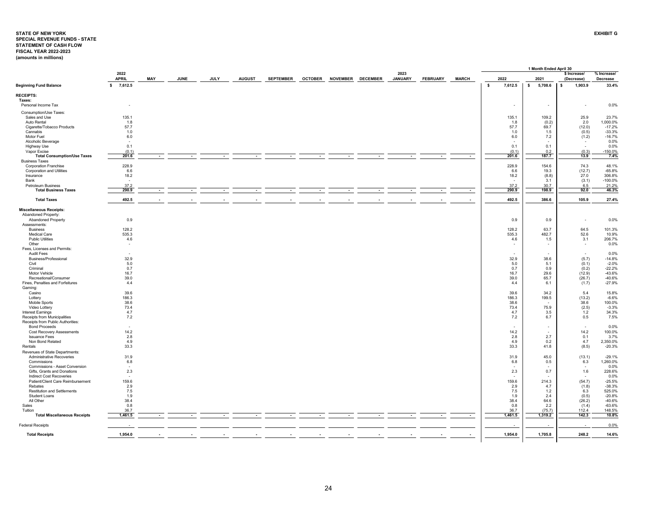# <span id="page-24-0"></span>**STATE OF NEW YORKSPECIAL REVENUE FUNDS - STATE STATEMENT OF CASH FLOW EXHIBIT GFISCAL YEAR 2022-2023 (amounts in millions)**

|                                                    |                |        |             |        |               |                  |                |                 |                 |                |                 |              |                | 1 Month Ended April 30 |    |                          |             |
|----------------------------------------------------|----------------|--------|-------------|--------|---------------|------------------|----------------|-----------------|-----------------|----------------|-----------------|--------------|----------------|------------------------|----|--------------------------|-------------|
|                                                    | 2022           |        |             |        |               |                  |                |                 |                 | 2023           |                 |              |                |                        |    | \$ Increase/             | % Increase/ |
|                                                    | <b>APRIL</b>   | MAY    | <b>JUNE</b> | JULY   | <b>AUGUST</b> | <b>SEPTEMBER</b> | <b>OCTOBER</b> | <b>NOVEMBER</b> | <b>DECEMBER</b> | <b>JANUARY</b> | <b>FEBRUARY</b> | <b>MARCH</b> | 2022           | 2021                   |    | (Decrease)               | Decrease    |
| <b>Beginning Fund Balance</b>                      | 7,612.5<br>\$  |        |             |        |               |                  |                |                 |                 |                |                 |              | \$<br>7,612.5  | \$<br>5,708.6          | -S | 1,903.9                  | 33.4%       |
| <b>RECEIPTS:</b>                                   |                |        |             |        |               |                  |                |                 |                 |                |                 |              |                |                        |    |                          |             |
| Taxes:                                             |                |        |             |        |               |                  |                |                 |                 |                |                 |              |                |                        |    |                          |             |
| Personal Income Tax                                |                |        |             |        |               |                  |                |                 |                 |                |                 |              | $\overline{a}$ | ÷.                     |    | $\sim$                   | 0.0%        |
| Consumption/Use Taxes:                             |                |        |             |        |               |                  |                |                 |                 |                |                 |              |                |                        |    |                          |             |
| Sales and Use                                      | 135.1          |        |             |        |               |                  |                |                 |                 |                |                 |              | 135.1          | 109.2                  |    | 25.9                     | 23.7%       |
| Auto Rental                                        | 1.8            |        |             |        |               |                  |                |                 |                 |                |                 |              | 1.8            | (0.2)                  |    | 2.0                      | 1,000.0%    |
| Cigarette/Tobacco Products                         | 57.7           |        |             |        |               |                  |                |                 |                 |                |                 |              | 57.7           | 69.7                   |    | (12.0)                   | $-17.2%$    |
| Cannabis                                           | 1.0            |        |             |        |               |                  |                |                 |                 |                |                 |              | 1.0            | 1.5                    |    | (0.5)                    | $-33.3%$    |
| Motor Fuel                                         | 6.0            |        |             |        |               |                  |                |                 |                 |                |                 |              | 6.0            | 7.2                    |    | (1.2)                    | $-16.7%$    |
|                                                    | $\sim$         |        |             |        |               |                  |                |                 |                 |                |                 |              |                |                        |    | $\overline{\phantom{a}}$ | 0.0%        |
| Alcoholic Beverage                                 | 0.1            |        |             |        |               |                  |                |                 |                 |                |                 |              | 0.1            | 0.1                    |    | $\sim$                   | 0.0%        |
| Highway Use                                        |                |        |             |        |               |                  |                |                 |                 |                |                 |              | (0.1)          |                        |    |                          | $-150.0%$   |
| Vapor Excise<br><b>Total Consumption/Use Taxes</b> | (0.1)<br>201.6 |        |             |        |               |                  |                |                 |                 |                |                 | $\sim$       | 201.6          | 0.2<br>187.7           |    | (0.3)<br>13.9            | 7.4%        |
| <b>Business Taxes</b>                              |                |        |             |        |               |                  |                |                 |                 |                |                 |              |                |                        |    |                          |             |
| <b>Corporation Franchise</b>                       | 228.9          |        |             |        |               |                  |                |                 |                 |                |                 |              | 228.9          | 154.6                  |    | 74.3                     | 48.1%       |
| <b>Corporation and Utilities</b>                   | 6.6            |        |             |        |               |                  |                |                 |                 |                |                 |              | 6.6            | 19.3                   |    | (12.7)                   | $-65.8%$    |
| Insurance                                          | 18.2           |        |             |        |               |                  |                |                 |                 |                |                 |              | 18.2           | (8.8)                  |    | 27.0                     | 306.8%      |
|                                                    |                |        |             |        |               |                  |                |                 |                 |                |                 |              |                | 3.1                    |    |                          | $-100.0%$   |
| Bank                                               | 37.2           |        |             |        |               |                  |                |                 |                 |                |                 |              | 37.2           |                        |    | (3.1)                    | 21.2%       |
| Petroleum Business<br><b>Total Business Taxes</b>  | 290.9          |        |             |        |               | $\sim$           |                |                 | $\sim$          |                |                 | $\sim$       | 290.9          | 30.7<br>198.9          |    | 6.5<br>92.0              | 46.3%       |
|                                                    |                | $\sim$ | $\sim$      | $\sim$ | $\sim$        |                  |                | $\blacksquare$  |                 |                |                 |              |                |                        |    |                          |             |
| <b>Total Taxes</b>                                 | 492.5          | $\sim$ |             |        |               | $\sim$           |                |                 |                 |                |                 | $\sim$       | 492.5          | 386.6                  |    | 105.9                    | 27.4%       |
| <b>Miscellaneous Receipts:</b>                     |                |        |             |        |               |                  |                |                 |                 |                |                 |              |                |                        |    |                          |             |
| Abandoned Property:                                |                |        |             |        |               |                  |                |                 |                 |                |                 |              |                |                        |    |                          |             |
| <b>Abandoned Property</b>                          | 0.9            |        |             |        |               |                  |                |                 |                 |                |                 |              | 0.9            | 0.9                    |    | $\sim$                   | 0.0%        |
| Assessments:                                       |                |        |             |        |               |                  |                |                 |                 |                |                 |              |                |                        |    |                          |             |
| <b>Business</b>                                    | 128.2          |        |             |        |               |                  |                |                 |                 |                |                 |              | 128.2          | 63.7                   |    | 64.5                     | 101.3%      |
| <b>Medical Care</b>                                | 535.3          |        |             |        |               |                  |                |                 |                 |                |                 |              | 535.3          | 482.7                  |    | 52.6                     | 10.9%       |
| <b>Public Utilities</b>                            | 4.6            |        |             |        |               |                  |                |                 |                 |                |                 |              | 4.6            | 1.5                    |    | 3.1                      | 206.7%      |
| Other                                              |                |        |             |        |               |                  |                |                 |                 |                |                 |              |                |                        |    | $\sim$                   | 0.0%        |
| Fees, Licenses and Permits:                        |                |        |             |        |               |                  |                |                 |                 |                |                 |              |                |                        |    |                          |             |
| Audit Fees                                         |                |        |             |        |               |                  |                |                 |                 |                |                 |              |                |                        |    | $\sim$                   | 0.0%        |
| Business/Professional                              | 32.9           |        |             |        |               |                  |                |                 |                 |                |                 |              | 32.9           | 38.6                   |    | (5.7)                    | $-14.8%$    |
| Civil                                              | 5.0            |        |             |        |               |                  |                |                 |                 |                |                 |              | 5.0            | 5.1                    |    | (0.1)                    | $-2.0%$     |
| Criminal                                           | 0.7            |        |             |        |               |                  |                |                 |                 |                |                 |              | 0.7            | 0.9                    |    | (0.2)                    | $-22.2%$    |
| Motor Vehicle                                      | 16.7           |        |             |        |               |                  |                |                 |                 |                |                 |              | 16.7           | 29.6                   |    | (12.9)                   | $-43.6%$    |
| Recreational/Consumer                              | 39.0           |        |             |        |               |                  |                |                 |                 |                |                 |              | 39.0           | 65.7                   |    | (26.7)                   | $-40.6%$    |
| Fines, Penalties and Forfeitures                   | 4.4            |        |             |        |               |                  |                |                 |                 |                |                 |              | 4.4            | 6.1                    |    | (1.7)                    | $-27.9%$    |
| Gaming:                                            |                |        |             |        |               |                  |                |                 |                 |                |                 |              |                |                        |    |                          |             |
| Casino                                             | 39.6           |        |             |        |               |                  |                |                 |                 |                |                 |              | 39.6           | 34.2                   |    | 5.4                      | 15.8%       |
| Lottery                                            | 186.3          |        |             |        |               |                  |                |                 |                 |                |                 |              | 186.3          | 199.5                  |    | (13.2)                   | $-6.6%$     |
| Mobile Sports                                      | 38.6           |        |             |        |               |                  |                |                 |                 |                |                 |              | 38.6           |                        |    | 38.6                     | 100.0%      |
| Video Lottery                                      | 73.4           |        |             |        |               |                  |                |                 |                 |                |                 |              | 73.4           | 75.9                   |    | (2.5)                    | $-3.3%$     |
| Interest Earnings                                  | 4.7            |        |             |        |               |                  |                |                 |                 |                |                 |              | 4.7            | 3.5                    |    | 1.2                      | 34.3%       |
| Receipts from Municipalities                       | 7.2            |        |             |        |               |                  |                |                 |                 |                |                 |              | 7.2            | 6.7                    |    | 0.5                      | 7.5%        |
| Receipts from Public Authorities:                  |                |        |             |        |               |                  |                |                 |                 |                |                 |              |                |                        |    |                          |             |
| <b>Bond Proceeds</b>                               |                |        |             |        |               |                  |                |                 |                 |                |                 |              |                |                        |    | $\sim$                   | 0.0%        |
| <b>Cost Recovery Assessments</b>                   | 14.2           |        |             |        |               |                  |                |                 |                 |                |                 |              | 14.2           |                        |    | 14.2                     | 100.0%      |
| <b>Issuance Fees</b>                               | 2.8            |        |             |        |               |                  |                |                 |                 |                |                 |              | 2.8            | 2.7                    |    | 0.1                      | 3.7%        |
| Non Bond Related                                   | 4.9            |        |             |        |               |                  |                |                 |                 |                |                 |              | 4.9            | 0.2                    |    | 4.7                      | 2,350.0%    |
| Rentals                                            | 33.3           |        |             |        |               |                  |                |                 |                 |                |                 |              | 33.3           | 41.8                   |    | (8.5)                    | $-20.3%$    |
| Revenues of State Departments:                     |                |        |             |        |               |                  |                |                 |                 |                |                 |              |                |                        |    |                          |             |
| Administrative Recoveries                          | 31.9           |        |             |        |               |                  |                |                 |                 |                |                 |              | 31.9           | 45.0                   |    | (13.1)                   | $-29.1%$    |
| Commissions                                        | 6.8            |        |             |        |               |                  |                |                 |                 |                |                 |              | 6.8            | 0.5                    |    | 6.3                      | 1,260.0%    |
| Commissions - Asset Conversion                     |                |        |             |        |               |                  |                |                 |                 |                |                 |              |                |                        |    | $\sim$                   | 0.0%        |
| Gifts, Grants and Donations                        | 2.3            |        |             |        |               |                  |                |                 |                 |                |                 |              | 2.3            | 0.7                    |    | 1.6                      | 228.6%      |
| Indirect Cost Recoveries                           | $\sim$         |        |             |        |               |                  |                |                 |                 |                |                 |              |                |                        |    | $\sim$                   | 0.0%        |
| Patient/Client Care Reimbursement                  | 159.6          |        |             |        |               |                  |                |                 |                 |                |                 |              | 159.6          | 214.3                  |    | (54.7)                   | $-25.5%$    |
| Rebates                                            | 2.9            |        |             |        |               |                  |                |                 |                 |                |                 |              | 2.9            | 4.7                    |    | (1.8)                    | $-38.3%$    |
| <b>Restitution and Settlements</b>                 | 7.5            |        |             |        |               |                  |                |                 |                 |                |                 |              | 7.5            | 1.2                    |    | 6.3                      | 525.0%      |
| <b>Student Loans</b>                               | 1.9            |        |             |        |               |                  |                |                 |                 |                |                 |              | 1.9            | 2.4                    |    | (0.5)                    | $-20.8%$    |
| All Other                                          | 38.4           |        |             |        |               |                  |                |                 |                 |                |                 |              | 38.4           | 64.6                   |    | (26.2)                   | -40.6%      |
| Sales                                              | 0.8            |        |             |        |               |                  |                |                 |                 |                |                 |              | 0.8            | 2.2                    |    | (1.4)                    | $-63.6%$    |
| Tuition                                            | 36.7           |        |             |        |               |                  |                |                 |                 |                |                 |              | 36.7           | (75.7)                 |    | 112.4                    | 148.5%      |
| <b>Total Miscellaneous Receipts</b>                | 1,461.5        | $\sim$ |             |        |               |                  |                |                 |                 |                |                 | $\sim$       | 1,461.5        | 1,319.2                |    | 142.3                    | 10.8%       |
| <b>Federal Receipts</b>                            |                |        |             |        |               |                  |                |                 |                 |                |                 |              |                |                        |    | $\overline{\phantom{a}}$ | 0.0%        |
| <b>Total Receipts</b>                              | 1,954.0        |        |             |        |               |                  |                |                 |                 |                |                 |              | 1,954.0        | 1,705.8                |    | 248.2                    | 14.6%       |
|                                                    |                |        |             |        |               |                  |                |                 |                 |                |                 |              |                |                        |    |                          |             |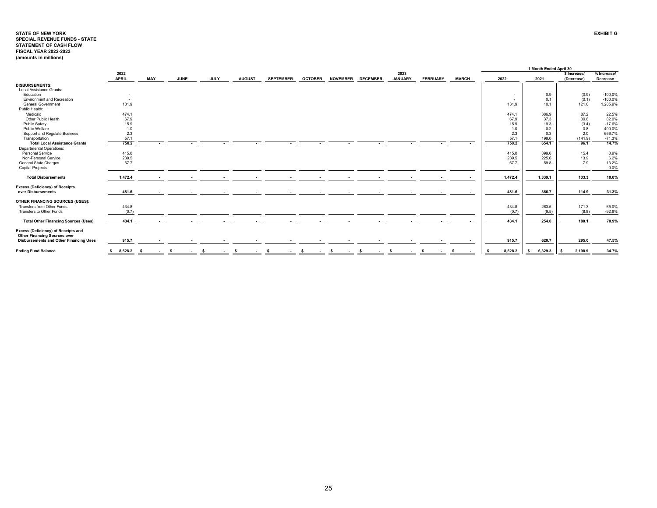# **STATE OF NEW YORKSPECIAL REVENUE FUNDS - STATE STATEMENT OF CASH FLOW EXHIBIT GFISCAL YEAR 2022-2023 (amounts in millions)**

|                                                                                                                             |                      |            |    |             |                  |                          |                          |                |                              |                       |                          |                          |               |                          | 1 Month Ended April 30 |                            |                                |
|-----------------------------------------------------------------------------------------------------------------------------|----------------------|------------|----|-------------|------------------|--------------------------|--------------------------|----------------|------------------------------|-----------------------|--------------------------|--------------------------|---------------|--------------------------|------------------------|----------------------------|--------------------------------|
|                                                                                                                             | 2022<br><b>APRIL</b> | <b>MAY</b> |    | <b>JUNE</b> | <b>JULY</b>      | <b>AUGUST</b>            | <b>SEPTEMBER</b>         | <b>OCTOBER</b> | <b>NOVEMBER</b>              | <b>DECEMBER</b>       | 2023<br><b>JANUARY</b>   | <b>FEBRUARY</b>          | <b>MARCH</b>  | 2022                     | 2021                   | \$ Increase/<br>(Decrease) | % Increase/<br><b>Decrease</b> |
| <b>DISBURSEMENTS:</b>                                                                                                       |                      |            |    |             |                  |                          |                          |                |                              |                       |                          |                          |               |                          |                        |                            |                                |
| Local Assistance Grants:                                                                                                    |                      |            |    |             |                  |                          |                          |                |                              |                       |                          |                          |               |                          |                        |                            |                                |
| Education                                                                                                                   |                      |            |    |             |                  |                          |                          |                |                              |                       |                          |                          |               | $\overline{\phantom{a}}$ | 0.9                    | (0.9)                      | $-100.0%$                      |
| <b>Environment and Recreation</b>                                                                                           | $\sim$               |            |    |             |                  |                          |                          |                |                              |                       |                          |                          |               | $\overline{\phantom{a}}$ | 0.1                    | (0.1)                      | $-100.0%$                      |
| <b>General Government</b>                                                                                                   | 131.9                |            |    |             |                  |                          |                          |                |                              |                       |                          |                          |               | 131.9                    | 10.1                   | 121.8                      | 1,205.9%                       |
| Public Health:                                                                                                              |                      |            |    |             |                  |                          |                          |                |                              |                       |                          |                          |               |                          |                        |                            |                                |
| Medicaid                                                                                                                    | 474.1                |            |    |             |                  |                          |                          |                |                              |                       |                          |                          |               | 474.1                    | 386.9                  | 87.2                       | 22.5%                          |
| Other Public Health                                                                                                         | 67.9                 |            |    |             |                  |                          |                          |                |                              |                       |                          |                          |               | 67.9                     | 37.3                   | 30.6                       | 82.0%                          |
| Public Safety                                                                                                               | 15.9                 |            |    |             |                  |                          |                          |                |                              |                       |                          |                          |               | 15.9                     | 19.3                   | (3.4)                      | $-17.6%$                       |
| Public Welfare                                                                                                              | 1.0                  |            |    |             |                  |                          |                          |                |                              |                       |                          |                          |               | 1.0                      | 0.2                    | 0.8                        | 400.0%                         |
| Support and Regulate Business                                                                                               | 2.3                  |            |    |             |                  |                          |                          |                |                              |                       |                          |                          |               | 2.3                      | 0.3                    | 2.0                        | 666.7%                         |
| Transportation                                                                                                              | 57.1                 |            |    |             |                  |                          |                          |                |                              |                       |                          |                          |               | 57.1                     | 199.0                  | (141.9)                    | $-71.3%$                       |
| <b>Total Local Assistance Grants</b>                                                                                        | 750.2                | $\sim$     |    | $\sim$      | $\sim$           | $\sim$                   | $\sim$                   | $\sim$         | $\overline{a}$               | $\sim$                | $\overline{\phantom{a}}$ | $\overline{\phantom{a}}$ |               | 750.2                    | 654.1                  | 96.1                       | 14.7%                          |
| <b>Departmental Operations:</b>                                                                                             |                      |            |    |             |                  |                          |                          |                |                              |                       |                          |                          |               |                          |                        |                            |                                |
| Personal Service                                                                                                            | 415.0                |            |    |             |                  |                          |                          |                |                              |                       |                          |                          |               | 415.0                    | 399.6                  | 15.4                       | 3.9%                           |
| Non-Personal Service                                                                                                        | 239.5                |            |    |             |                  |                          |                          |                |                              |                       |                          |                          |               | 239.5                    | 225.6                  | 13.9                       | 6.2%                           |
| <b>General State Charges</b>                                                                                                | 67.7                 |            |    |             |                  |                          |                          |                |                              |                       |                          |                          |               | 67.7                     | 59.8                   | 7.9                        | 13.2%                          |
| <b>Capital Projects</b>                                                                                                     | $\sim$               |            |    |             |                  |                          |                          |                |                              |                       |                          |                          |               | $\sim$                   | $\sim$                 | $\sim$                     | 0.0%                           |
| <b>Total Disbursements</b>                                                                                                  | 1,472.4              |            |    |             |                  |                          | $\sim$                   |                | $\overline{\phantom{a}}$     |                       |                          |                          | $\sim$        | 1,472.4                  | 1,339.1                | 133.3                      | 10.0%                          |
| <b>Excess (Deficiency) of Receipts</b><br>over Disbursements                                                                | 481.6                |            |    |             |                  |                          | $\sim$                   |                |                              |                       |                          |                          |               | 481.6                    | 366.7                  | 114.9                      | 31.3%                          |
| OTHER FINANCING SOURCES (USES):                                                                                             |                      |            |    |             |                  |                          |                          |                |                              |                       |                          |                          |               |                          |                        |                            |                                |
| Transfers from Other Funds                                                                                                  | 434.8                |            |    |             |                  |                          |                          |                |                              |                       |                          |                          |               | 434.8                    | 263.5                  | 171.3                      | 65.0%                          |
| Transfers to Other Funds                                                                                                    | (0.7)                |            |    |             |                  |                          |                          |                |                              |                       |                          |                          |               | (0.7)                    | (9.5)                  | (8.8)                      | $-92.6%$                       |
|                                                                                                                             |                      |            |    |             |                  |                          |                          |                |                              |                       |                          |                          |               |                          |                        |                            |                                |
| <b>Total Other Financing Sources (Uses)</b>                                                                                 | 434.1                |            |    |             | $\sim$           |                          | $\overline{\phantom{a}}$ |                |                              |                       |                          |                          |               | 434.1                    | 254.0                  | 180.1                      | 70.9%                          |
| Excess (Deficiency) of Receipts and<br><b>Other Financing Sources over</b><br><b>Disbursements and Other Financing Uses</b> | 915.7                |            |    |             |                  | $\overline{\phantom{a}}$ | $\sim$                   |                |                              |                       |                          |                          | . .           | 915.7                    | 620.7                  | 295.0                      | 47.5%                          |
|                                                                                                                             |                      |            |    |             |                  |                          |                          |                |                              |                       |                          |                          |               |                          |                        |                            |                                |
| <b>Ending Fund Balance</b>                                                                                                  | $8,528.2$ \$<br>s.   | $\sim 100$ | -S | $\sim 100$  | s.<br>$\sim 100$ | s.<br>$\sim 100$         | -S                       | $\sim$ s       | $\sim$ s<br>$\sim$ 100 $\mu$ | -S<br>$\sim 10^{-11}$ | $\mathbf{s}$<br>$\sim$   | -S<br>$\sim 100$         | - S<br>$\sim$ | 8,528.2                  | 6,329.3<br>- \$        | 2,198.9                    | 34.7%                          |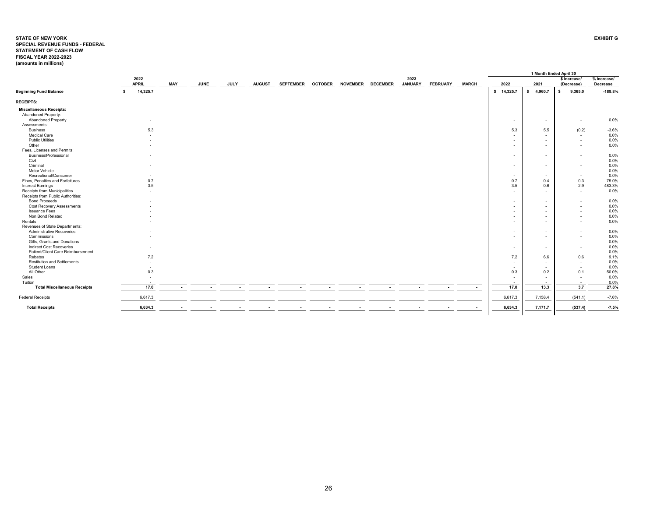#### <span id="page-26-0"></span>**STATE OF NEW YORK EXHIBIT GSPECIAL REVENUE FUNDS - FEDERALSTATEMENT OF CASH FLOWFISCAL YEAR 2022-2023 (amounts in millions)**

|                                     |    |                          |                          |             |             |               |                  |                |                 |                 |                        |                 |              |              |                          | 1 Month Ended April 30   |                                                      |                         |
|-------------------------------------|----|--------------------------|--------------------------|-------------|-------------|---------------|------------------|----------------|-----------------|-----------------|------------------------|-----------------|--------------|--------------|--------------------------|--------------------------|------------------------------------------------------|-------------------------|
|                                     |    | 2022<br><b>APRIL</b>     | <b>MAY</b>               | <b>JUNE</b> | <b>JULY</b> | <b>AUGUST</b> | <b>SEPTEMBER</b> | <b>OCTOBER</b> | <b>NOVEMBER</b> | <b>DECEMBER</b> | 2023<br><b>JANUARY</b> | <b>FEBRUARY</b> | <b>MARCH</b> | 2022         |                          | 2021                     | \$ Increase/<br>(Decrease)                           | % Increase/<br>Decrease |
| <b>Beginning Fund Balance</b>       | s. | 14,325.7                 |                          |             |             |               |                  |                |                 |                 |                        |                 |              | $\mathbf{s}$ | 14,325.7                 | 4,960.7<br>s.            | 9,365.0<br>-S                                        | $-188.8%$               |
| <b>RECEIPTS:</b>                    |    |                          |                          |             |             |               |                  |                |                 |                 |                        |                 |              |              |                          |                          |                                                      |                         |
| <b>Miscellaneous Receipts:</b>      |    |                          |                          |             |             |               |                  |                |                 |                 |                        |                 |              |              |                          |                          |                                                      |                         |
| Abandoned Property:                 |    |                          |                          |             |             |               |                  |                |                 |                 |                        |                 |              |              |                          |                          |                                                      |                         |
| <b>Abandoned Property</b>           |    | $\overline{\phantom{a}}$ |                          |             |             |               |                  |                |                 |                 |                        |                 |              |              | $\sim$                   | $\overline{\phantom{a}}$ | $\sim$                                               | 0.0%                    |
| Assessments:                        |    |                          |                          |             |             |               |                  |                |                 |                 |                        |                 |              |              |                          |                          |                                                      |                         |
| <b>Business</b>                     |    | 5.3                      |                          |             |             |               |                  |                |                 |                 |                        |                 |              |              | 5.3                      | 5.5                      | (0.2)                                                | $-3.6%$                 |
| Medical Care                        |    |                          |                          |             |             |               |                  |                |                 |                 |                        |                 |              |              | $\sim$                   | $\overline{\phantom{a}}$ | $\sim$                                               | 0.0%                    |
| <b>Public Utilities</b>             |    |                          |                          |             |             |               |                  |                |                 |                 |                        |                 |              |              |                          | $\overline{\phantom{a}}$ | $\sim$                                               | 0.0%                    |
| Other                               |    |                          |                          |             |             |               |                  |                |                 |                 |                        |                 |              |              |                          | $\overline{\phantom{a}}$ | $\sim$                                               | 0.0%                    |
| Fees, Licenses and Permits:         |    |                          |                          |             |             |               |                  |                |                 |                 |                        |                 |              |              |                          |                          |                                                      |                         |
| Business/Professional               |    |                          |                          |             |             |               |                  |                |                 |                 |                        |                 |              |              | $\sim$                   | $\overline{\phantom{a}}$ |                                                      | 0.0%                    |
| Civil                               |    |                          |                          |             |             |               |                  |                |                 |                 |                        |                 |              |              | $\sim$                   | $\overline{\phantom{a}}$ |                                                      | 0.0%                    |
| Criminal                            |    |                          |                          |             |             |               |                  |                |                 |                 |                        |                 |              |              | $\sim$                   | $\overline{\phantom{a}}$ | $\overline{\phantom{a}}$                             | 0.0%                    |
| Motor Vehicle                       |    |                          |                          |             |             |               |                  |                |                 |                 |                        |                 |              |              | $\sim$                   | $\overline{a}$           | $\overline{\phantom{a}}$                             | 0.0%                    |
| Recreational/Consumer               |    |                          |                          |             |             |               |                  |                |                 |                 |                        |                 |              |              | $\sim$                   | $\overline{a}$           | $\sim$                                               | 0.0%                    |
| Fines, Penalties and Forfeitures    |    | 0.7                      |                          |             |             |               |                  |                |                 |                 |                        |                 |              |              | 0.7                      | 0.4                      | 0.3                                                  | 75.0%                   |
| Interest Earnings                   |    | 3.5                      |                          |             |             |               |                  |                |                 |                 |                        |                 |              |              | 3.5                      | 0.6                      | 2.9                                                  | 483.3%                  |
| Receipts from Municipalities        |    | $\overline{\phantom{a}}$ |                          |             |             |               |                  |                |                 |                 |                        |                 |              |              |                          | $\overline{\phantom{a}}$ | $\sim$                                               | 0.0%                    |
| Receipts from Public Authorities:   |    |                          |                          |             |             |               |                  |                |                 |                 |                        |                 |              |              |                          |                          |                                                      |                         |
| <b>Bond Proceeds</b>                |    |                          |                          |             |             |               |                  |                |                 |                 |                        |                 |              |              |                          |                          |                                                      | 0.0%                    |
| <b>Cost Recovery Assessments</b>    |    |                          |                          |             |             |               |                  |                |                 |                 |                        |                 |              |              | $\overline{\phantom{a}}$ | $\sim$                   | $\sim$                                               | 0.0%                    |
| <b>Issuance Fees</b>                |    |                          |                          |             |             |               |                  |                |                 |                 |                        |                 |              |              | $\sim$<br>$\sim$         | $\overline{\phantom{a}}$ | $\overline{\phantom{a}}$<br>$\overline{\phantom{a}}$ | 0.0%                    |
| Non Bond Related                    |    |                          |                          |             |             |               |                  |                |                 |                 |                        |                 |              |              |                          | $\overline{\phantom{a}}$ |                                                      | 0.0%                    |
| Rentals                             |    |                          |                          |             |             |               |                  |                |                 |                 |                        |                 |              |              | $\sim$                   | $\overline{\phantom{a}}$ | $\overline{\phantom{a}}$                             |                         |
| Revenues of State Departments:      |    |                          |                          |             |             |               |                  |                |                 |                 |                        |                 |              |              | $\sim$                   | $\overline{a}$           | $\overline{\phantom{a}}$                             | 0.0%                    |
| Administrative Recoveries           |    |                          |                          |             |             |               |                  |                |                 |                 |                        |                 |              |              |                          |                          |                                                      |                         |
|                                     |    |                          |                          |             |             |               |                  |                |                 |                 |                        |                 |              |              | $\sim$                   | $\overline{a}$           |                                                      | 0.0%                    |
| Commissions                         |    |                          |                          |             |             |               |                  |                |                 |                 |                        |                 |              |              |                          | $\overline{\phantom{a}}$ |                                                      | 0.0%                    |
| Gifts, Grants and Donations         |    |                          |                          |             |             |               |                  |                |                 |                 |                        |                 |              |              | $\sim$                   | $\overline{\phantom{a}}$ |                                                      | 0.0%                    |
| Indirect Cost Recoveries            |    |                          |                          |             |             |               |                  |                |                 |                 |                        |                 |              |              | $\sim$                   | $\overline{\phantom{a}}$ | $\overline{\phantom{a}}$                             | 0.0%                    |
| Patient/Client Care Reimbursement   |    |                          |                          |             |             |               |                  |                |                 |                 |                        |                 |              |              | $\sim$                   | $\overline{\phantom{a}}$ | $\overline{\phantom{a}}$                             | 0.0%                    |
| Rebates                             |    | 7.2                      |                          |             |             |               |                  |                |                 |                 |                        |                 |              |              | 7.2                      | 6.6                      | 0.6                                                  | 9.1%                    |
| <b>Restitution and Settlements</b>  |    | $\overline{\phantom{a}}$ |                          |             |             |               |                  |                |                 |                 |                        |                 |              |              | $\sim$                   | $\overline{\phantom{a}}$ | $\sim$                                               | 0.0%                    |
| Student Loans                       |    | $\overline{a}$           |                          |             |             |               |                  |                |                 |                 |                        |                 |              |              | $\sim$                   | $\overline{a}$           | $\sim$                                               | 0.0%                    |
| All Other                           |    | 0.3                      |                          |             |             |               |                  |                |                 |                 |                        |                 |              |              | 0.3                      | 0.2                      | 0.1                                                  | 50.0%                   |
| Sales                               |    | $\overline{\phantom{a}}$ |                          |             |             |               |                  |                |                 |                 |                        |                 |              |              | $\sim$                   | $\sim$                   | $\sim$                                               | 0.0%                    |
| Tuition                             |    |                          |                          |             |             |               |                  |                |                 |                 |                        |                 |              |              |                          |                          | $\sim$                                               | 0.0%                    |
| <b>Total Miscellaneous Receipts</b> |    | 17.0                     | $\sim$                   | $\sim$      | $\sim$      | $\sim$        | $\sim$           | $\sim$         | $\sim$          | $\sim$          | $\sim$                 | $\sim$          | $\sim$       |              | 17.0                     | 13.3                     | 3.7                                                  | 27.8%                   |
| <b>Federal Receipts</b>             |    | 6,617.3                  |                          |             |             |               |                  |                |                 |                 |                        |                 |              |              | 6,617.3                  | 7,158.4                  | (541.1)                                              | $-7.6%$                 |
| <b>Total Receipts</b>               |    | 6.634.3                  | $\overline{\phantom{a}}$ |             |             |               |                  |                |                 |                 |                        |                 |              |              | 6,634.3                  | 7,171.7                  | (537.4)                                              | $-7.5%$                 |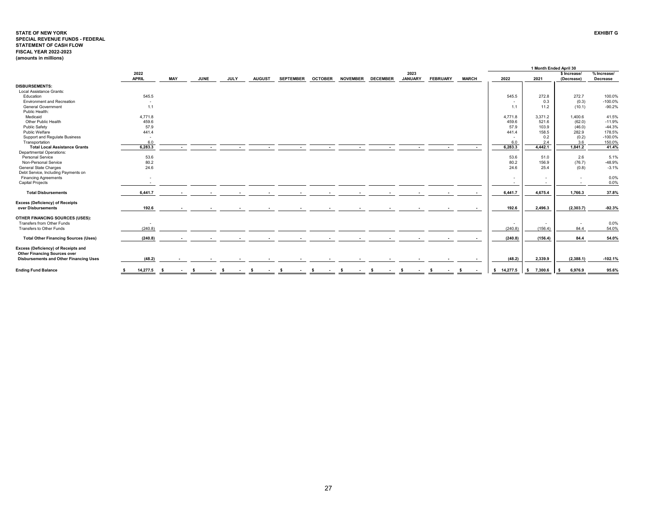#### **STATE OF NEW YORK EXHIBIT GSPECIAL REVENUE FUNDS - FEDERAL STATEMENT OF CASH FLOW FISCAL YEAR 2022-2023 (amounts in millions)**

|                                               |                          |                          |             |             |               |                  |                |                 |                 |                |                 |              |            | 1 Month Ended April 30   |                          |             |
|-----------------------------------------------|--------------------------|--------------------------|-------------|-------------|---------------|------------------|----------------|-----------------|-----------------|----------------|-----------------|--------------|------------|--------------------------|--------------------------|-------------|
|                                               | 2022<br><b>APRIL</b>     | <b>MAY</b>               | <b>JUNE</b> |             | <b>AUGUST</b> | <b>SEPTEMBER</b> | <b>OCTOBER</b> | <b>NOVEMBER</b> | <b>DECEMBER</b> | 2023           | <b>FEBRUARY</b> |              | 2022       |                          | \$ Increase/             | % Increase/ |
|                                               |                          |                          |             | <b>JULY</b> |               |                  |                |                 |                 | <b>JANUARY</b> |                 | <b>MARCH</b> |            | 2021                     | (Decrease)               | Decrease    |
| <b>DISBURSEMENTS:</b>                         |                          |                          |             |             |               |                  |                |                 |                 |                |                 |              |            |                          |                          |             |
| Local Assistance Grants:                      |                          |                          |             |             |               |                  |                |                 |                 |                |                 |              |            |                          |                          |             |
| Education                                     | 545.5                    |                          |             |             |               |                  |                |                 |                 |                |                 |              | 545.5      | 272.8                    | 272.7                    | 100.0%      |
| <b>Environment and Recreation</b>             | $\sim$                   |                          |             |             |               |                  |                |                 |                 |                |                 |              |            | 0.3                      | (0.3)                    | $-100.0%$   |
| <b>General Government</b>                     | 1.1                      |                          |             |             |               |                  |                |                 |                 |                |                 |              | 1.1        | 11.2                     | (10.1)                   | $-90.2%$    |
| Public Health:                                |                          |                          |             |             |               |                  |                |                 |                 |                |                 |              |            |                          |                          |             |
| Medicaid                                      | 4,771.8                  |                          |             |             |               |                  |                |                 |                 |                |                 |              | 4,771.8    | 3,371.2                  | 1,400.6                  | 41.5%       |
| Other Public Health                           | 459.6                    |                          |             |             |               |                  |                |                 |                 |                |                 |              | 459.6      | 521.6                    | (62.0)                   | $-11.9%$    |
| <b>Public Safety</b>                          | 57.9                     |                          |             |             |               |                  |                |                 |                 |                |                 |              | 57.9       | 103.9                    | (46.0)                   | $-44.3%$    |
| Public Welfare                                | 441.4                    |                          |             |             |               |                  |                |                 |                 |                |                 |              | 441.4      | 158.5                    | 282.9                    | 178.5%      |
| Support and Regulate Business                 | $\overline{\phantom{a}}$ |                          |             |             |               |                  |                |                 |                 |                |                 |              |            | 0.2                      | (0.2)                    | $-100.0%$   |
| Transportation                                | 6.0                      |                          |             |             |               |                  |                |                 |                 |                |                 |              | 6.0        | 2.4                      | 3.6                      | 150.0%      |
| <b>Total Local Assistance Grants</b>          | 6,283.3                  |                          |             |             |               |                  |                |                 |                 |                |                 |              | 6,283.3    | 4.442.1                  | 1,841.2                  | 41.4%       |
| <b>Departmental Operations:</b>               |                          |                          |             |             |               |                  |                |                 |                 |                |                 |              |            |                          |                          |             |
| Personal Service                              | 53.6                     |                          |             |             |               |                  |                |                 |                 |                |                 |              | 53.6       | 51.0                     | 2.6                      | 5.1%        |
| Non-Personal Service                          | 80.2                     |                          |             |             |               |                  |                |                 |                 |                |                 |              | 80.2       | 156.9                    | (76.7)                   | $-48.9%$    |
| General State Charges                         | 24.6                     |                          |             |             |               |                  |                |                 |                 |                |                 |              | 24.6       | 25.4                     | (0.8)                    | $-3.1%$     |
| Debt Service, Including Payments on           |                          |                          |             |             |               |                  |                |                 |                 |                |                 |              |            |                          |                          |             |
| <b>Financing Agreements</b>                   | $\overline{\phantom{a}}$ |                          |             |             |               |                  |                |                 |                 |                |                 |              |            |                          |                          | 0.0%        |
| <b>Capital Projects</b>                       |                          |                          |             |             |               |                  |                |                 |                 |                |                 |              |            | $\overline{a}$           | $\overline{\phantom{a}}$ | 0.0%        |
|                                               |                          |                          |             |             |               |                  |                |                 |                 |                |                 |              |            |                          |                          |             |
| <b>Total Disbursements</b>                    | 6.441.7                  | $\overline{\phantom{a}}$ |             |             |               |                  |                |                 |                 |                |                 |              | 6,441.7    | 4.675.4                  | 1.766.3                  | 37.8%       |
| <b>Excess (Deficiency) of Receipts</b>        |                          |                          |             |             |               |                  |                |                 |                 |                |                 |              |            |                          |                          |             |
| over Disbursements                            | 192.6                    |                          |             |             |               |                  |                |                 |                 |                |                 |              | 192.6      | 2.496.3                  | (2, 303.7)               | $-92.3%$    |
| OTHER FINANCING SOURCES (USES):               |                          |                          |             |             |               |                  |                |                 |                 |                |                 |              |            |                          |                          |             |
| Transfers from Other Funds                    | $\overline{\phantom{a}}$ |                          |             |             |               |                  |                |                 |                 |                |                 |              | $\sim$     | $\overline{\phantom{a}}$ | $\overline{\phantom{a}}$ | 0.0%        |
| Transfers to Other Funds                      | (240.8)                  |                          |             |             |               |                  |                |                 |                 |                |                 |              | (240.8)    | (156.4)                  | 84.4                     | 54.0%       |
|                                               |                          |                          |             |             |               |                  |                |                 |                 |                |                 |              |            |                          |                          |             |
| <b>Total Other Financing Sources (Uses)</b>   | (240.8)                  |                          |             |             |               |                  |                |                 |                 |                |                 |              | (240.8)    | (156.4)                  | 84.4                     | 54.0%       |
| Excess (Deficiency) of Receipts and           |                          |                          |             |             |               |                  |                |                 |                 |                |                 |              |            |                          |                          |             |
| <b>Other Financing Sources over</b>           |                          |                          |             |             |               |                  |                |                 |                 |                |                 |              |            |                          |                          |             |
| <b>Disbursements and Other Financing Uses</b> | (48.2)                   |                          |             |             |               |                  |                |                 |                 |                |                 |              | (48.2)     | 2,339.9                  | (2,388.1)                | $-102.1%$   |
| <b>Ending Fund Balance</b>                    | 14,277.5                 | - S                      |             |             |               |                  |                |                 |                 |                |                 |              | \$14,277.5 | \$7,300.6                | 6,976.9<br>- S           | 95.6%       |
|                                               |                          |                          |             |             |               |                  |                |                 |                 |                |                 |              |            |                          |                          |             |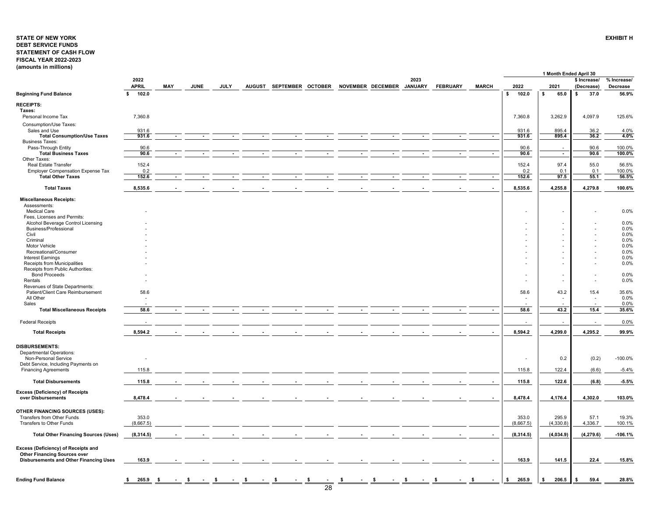## <span id="page-28-0"></span>**STATE OF NEW YORKDEBT SERVICE FUNDS STATEMENT OF CASH FLOW FISCAL YEAR 2022-2023 (amounts in millions)**

|                                                                     |                      |     |             |             |               |                   |    |                           |      |                          |                          |                          | 1 Month Ended April 30 |                            |                         |
|---------------------------------------------------------------------|----------------------|-----|-------------|-------------|---------------|-------------------|----|---------------------------|------|--------------------------|--------------------------|--------------------------|------------------------|----------------------------|-------------------------|
|                                                                     | 2022<br><b>APRIL</b> | MAY | <b>JUNE</b> | <b>JULY</b> | <b>AUGUST</b> | SEPTEMBER OCTOBER |    | NOVEMBER DECEMBER JANUARY | 2023 | <b>FEBRUARY</b>          | <b>MARCH</b>             | 2022                     | 2021                   | \$ Increase/<br>(Decrease) | % Increase/<br>Decrease |
| <b>Beginning Fund Balance</b>                                       | s.<br>102.0          |     |             |             |               |                   |    |                           |      |                          |                          | 102.0<br>\$              | s.<br>65.0             | 37.0<br>\$                 | 56.9%                   |
| <b>RECEIPTS:</b>                                                    |                      |     |             |             |               |                   |    |                           |      |                          |                          |                          |                        |                            |                         |
| Taxes:                                                              | 7,360.8              |     |             |             |               |                   |    |                           |      |                          |                          | 7,360.8                  | 3,262.9                | 4,097.9                    | 125.6%                  |
| Personal Income Tax<br>Consumption/Use Taxes:                       |                      |     |             |             |               |                   |    |                           |      |                          |                          |                          |                        |                            |                         |
| Sales and Use                                                       | 931.6                |     |             |             |               |                   |    |                           |      |                          |                          | 931.6                    | 895.4                  | 36.2                       | 4.0%                    |
| <b>Total Consumption/Use Taxes</b>                                  | 931.6                |     |             |             |               |                   |    |                           |      |                          |                          | 931.6                    | 895.4                  | 36.2                       | 4.0%                    |
| <b>Business Taxes:</b><br>Pass-Through Entity                       | 90.6                 |     |             |             |               |                   |    |                           |      |                          |                          | 90.6                     |                        | 90.6                       | 100.0%                  |
| <b>Total Business Taxes</b>                                         | 90.6                 |     |             |             |               |                   |    |                           |      | $\overline{\phantom{a}}$ | $\overline{\phantom{a}}$ | 90.6                     | $\sim$                 | 90.6                       | 100.0%                  |
| Other Taxes:                                                        |                      |     |             |             |               |                   |    |                           |      |                          |                          |                          |                        |                            |                         |
| Real Estate Transfer<br><b>Employer Compensation Expense Tax</b>    | 152.4<br>0.2         |     |             |             |               |                   |    |                           |      |                          |                          | 152.4<br>0.2             | 97.4<br>0.1            | 55.0<br>0.1                | 56.5%<br>100.0%         |
| <b>Total Other Taxes</b>                                            | 152.6                |     |             |             |               |                   |    |                           |      |                          | $\blacksquare$           | 152.6                    | 97.5                   | 55.1                       | 56.5%                   |
|                                                                     |                      |     |             |             |               |                   |    |                           |      |                          |                          |                          |                        |                            |                         |
| <b>Total Taxes</b>                                                  | 8,535.6              |     |             |             |               |                   |    |                           |      |                          |                          | 8,535.6                  | 4,255.8                | 4,279.8                    | 100.6%                  |
| <b>Miscellaneous Receipts:</b>                                      |                      |     |             |             |               |                   |    |                           |      |                          |                          |                          |                        |                            |                         |
| Assessments:<br><b>Medical Care</b>                                 |                      |     |             |             |               |                   |    |                           |      |                          |                          |                          |                        |                            | 0.0%                    |
| Fees, Licenses and Permits:                                         |                      |     |             |             |               |                   |    |                           |      |                          |                          |                          |                        |                            |                         |
| Alcohol Beverage Control Licensing                                  |                      |     |             |             |               |                   |    |                           |      |                          |                          |                          |                        |                            | 0.0%                    |
| <b>Business/Professional</b>                                        |                      |     |             |             |               |                   |    |                           |      |                          |                          |                          |                        |                            | 0.0%                    |
| Civil<br>Criminal                                                   |                      |     |             |             |               |                   |    |                           |      |                          |                          |                          |                        |                            | 0.0%<br>0.0%            |
| Motor Vehicle                                                       |                      |     |             |             |               |                   |    |                           |      |                          |                          |                          |                        |                            | 0.0%                    |
| Recreational/Consumer                                               |                      |     |             |             |               |                   |    |                           |      |                          |                          |                          |                        |                            | 0.0%                    |
| Interest Earnings<br>Receipts from Municipalities                   |                      |     |             |             |               |                   |    |                           |      |                          |                          |                          |                        |                            | 0.0%<br>0.0%            |
| Receipts from Public Authorities:                                   |                      |     |             |             |               |                   |    |                           |      |                          |                          |                          |                        |                            |                         |
| <b>Bond Proceeds</b>                                                |                      |     |             |             |               |                   |    |                           |      |                          |                          |                          |                        |                            | 0.0%                    |
| Rentals                                                             |                      |     |             |             |               |                   |    |                           |      |                          |                          |                          |                        |                            | 0.0%                    |
| Revenues of State Departments:<br>Patient/Client Care Reimbursement | 58.6                 |     |             |             |               |                   |    |                           |      |                          |                          | 58.6                     | 43.2                   | 15.4                       | 35.6%                   |
| All Other                                                           |                      |     |             |             |               |                   |    |                           |      |                          |                          |                          |                        |                            | 0.0%                    |
| Sales                                                               |                      |     |             |             |               |                   |    |                           |      |                          |                          |                          |                        | ÷.                         | 0.0%                    |
| <b>Total Miscellaneous Receipts</b>                                 | 58.6                 |     |             |             |               |                   |    |                           |      |                          | $\sim$                   | 58.6                     | 43.2                   | 15.4                       | 35.6%                   |
| <b>Federal Receipts</b>                                             |                      |     |             |             |               |                   |    |                           |      |                          |                          |                          |                        |                            | 0.0%                    |
| <b>Total Receipts</b>                                               | 8,594.2              |     |             |             |               |                   |    |                           |      |                          |                          | 8,594.2                  | 4,299.0                | 4,295.2                    | 99.9%                   |
|                                                                     |                      |     |             |             |               |                   |    |                           |      |                          |                          |                          |                        |                            |                         |
| DISBURSEMENTS:                                                      |                      |     |             |             |               |                   |    |                           |      |                          |                          |                          |                        |                            |                         |
| <b>Departmental Operations:</b>                                     |                      |     |             |             |               |                   |    |                           |      |                          |                          |                          |                        |                            |                         |
| Non-Personal Service                                                |                      |     |             |             |               |                   |    |                           |      |                          |                          | $\overline{\phantom{a}}$ | 0.2                    | (0.2)                      | $-100.0%$               |
| Debt Service, Including Payments on<br><b>Financing Agreements</b>  | 115.8                |     |             |             |               |                   |    |                           |      |                          |                          | 115.8                    | 122.4                  | (6.6)                      | $-5.4%$                 |
|                                                                     |                      |     |             |             |               |                   |    |                           |      |                          |                          |                          |                        |                            |                         |
| <b>Total Disbursements</b>                                          | 115.8                |     |             |             |               |                   |    |                           |      |                          |                          | 115.8                    | 122.6                  | (6.8)                      | $-5.5%$                 |
| <b>Excess (Deficiency) of Receipts</b>                              |                      |     |             |             |               |                   |    |                           |      |                          |                          |                          |                        |                            |                         |
| over Disbursements                                                  | 8,478.4              |     |             |             |               |                   |    |                           |      |                          |                          | 8,478.4                  | 4,176.4                | 4,302.0                    | 103.0%                  |
|                                                                     |                      |     |             |             |               |                   |    |                           |      |                          |                          |                          |                        |                            |                         |
| OTHER FINANCING SOURCES (USES):<br>Transfers from Other Funds       | 353.0                |     |             |             |               |                   |    |                           |      |                          |                          | 353.0                    | 295.9                  | 57.1                       | 19.3%                   |
| Transfers to Other Funds                                            | (8,667.5)            |     |             |             |               |                   |    |                           |      |                          |                          | (8,667.5)                | (4,330.8)              | 4,336.7                    | 100.1%                  |
|                                                                     |                      |     |             |             |               |                   |    |                           |      |                          |                          |                          |                        |                            |                         |
| <b>Total Other Financing Sources (Uses)</b>                         | (8,314.5)            |     |             |             |               |                   |    |                           |      |                          |                          | (8,314.5)                | (4,034.9)              | (4, 279.6)                 | $-106.1%$               |
| Excess (Deficiency) of Receipts and                                 |                      |     |             |             |               |                   |    |                           |      |                          |                          |                          |                        |                            |                         |
| <b>Other Financing Sources over</b>                                 |                      |     |             |             |               |                   |    |                           |      |                          |                          |                          |                        |                            |                         |
| <b>Disbursements and Other Financing Uses</b>                       | 163.9                |     |             |             |               |                   |    |                           |      |                          |                          | 163.9                    | 141.5                  | 22.4                       | 15.8%                   |
|                                                                     |                      |     |             |             |               |                   |    |                           |      |                          |                          |                          |                        |                            |                         |
| <b>Ending Fund Balance</b>                                          | 265.9                | - S |             |             |               |                   | \$ |                           |      |                          |                          | 265.9<br>S               | 206.5<br>\$            | 59.4                       | 28.8%                   |
|                                                                     |                      |     |             |             |               |                   | 28 |                           |      |                          |                          |                          |                        |                            |                         |
|                                                                     |                      |     |             |             |               |                   |    |                           |      |                          |                          |                          |                        |                            |                         |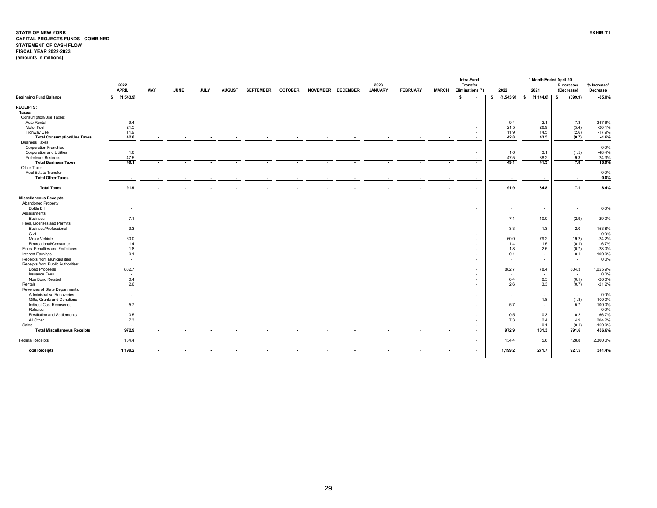#### <span id="page-29-0"></span>**STATE OF NEW YORK EXHIBIT I CAPITAL PROJECTS FUNDS - COMBINED STATEMENT OF CASH FLOW FISCAL YEAR 2022-2023 (amounts in millions)**

|                                     |                          |                          |             |             |                          |                  |                |        |                   |                        |                          |                          | Intra-Fund                          |                                 | 1 Month Ended April 30   |                            |                         |
|-------------------------------------|--------------------------|--------------------------|-------------|-------------|--------------------------|------------------|----------------|--------|-------------------|------------------------|--------------------------|--------------------------|-------------------------------------|---------------------------------|--------------------------|----------------------------|-------------------------|
|                                     | 2022<br><b>APRIL</b>     | MAY                      | <b>JUNE</b> | <b>JULY</b> | <b>AUGUST</b>            | <b>SEPTEMBER</b> | <b>OCTOBER</b> |        | NOVEMBER DECEMBER | 2023<br><b>JANUARY</b> | <b>FEBRUARY</b>          | <b>MARCH</b>             | <b>Transfer</b><br>Eliminations (*) | 2022                            | 2021                     | \$ Increase/<br>(Decrease) | % Increase/<br>Decrease |
| <b>Beginning Fund Balance</b>       | \$(1,543.9)              |                          |             |             |                          |                  |                |        |                   |                        |                          |                          | s                                   | \$(1,543.9)                     | \$(1,144.0)              | (399.9)<br>$\mathbf{s}$    | $-35.0%$                |
| <b>RECEIPTS:</b>                    |                          |                          |             |             |                          |                  |                |        |                   |                        |                          |                          |                                     |                                 |                          |                            |                         |
| Taxes:                              |                          |                          |             |             |                          |                  |                |        |                   |                        |                          |                          |                                     |                                 |                          |                            |                         |
| Consumption/Use Taxes:              |                          |                          |             |             |                          |                  |                |        |                   |                        |                          |                          |                                     |                                 |                          |                            |                         |
| Auto Rental                         | 9.4                      |                          |             |             |                          |                  |                |        |                   |                        |                          |                          | $\overline{a}$                      | 9.4                             | 2.1                      | 7.3                        | 347.6%                  |
| Motor Fuel                          | 21.5                     |                          |             |             |                          |                  |                |        |                   |                        |                          |                          | $\overline{\phantom{a}}$            | 21.5                            | 26.9                     | (5.4)                      | $-20.1%$                |
| Highway Use                         | 11.9                     |                          |             |             |                          |                  |                |        |                   |                        |                          |                          |                                     | 11.9                            | 14.5                     | (2.6)                      | $-17.9%$                |
| <b>Total Consumption/Use Taxes</b>  | 42.8                     | $\sim$                   | $\sim$      | $\sim$      | $\sim$                   | $\sim$           | $\sim$         | $\sim$ | $\sim$            | $\sim$                 | $\overline{\phantom{a}}$ | $\overline{\phantom{a}}$ | $\sim$                              | 42.8                            | 43.5                     | (0.7)                      | $-1.6%$                 |
| <b>Business Taxes:</b>              |                          |                          |             |             |                          |                  |                |        |                   |                        |                          |                          |                                     |                                 |                          |                            |                         |
| <b>Corporation Franchise</b>        | $\overline{\phantom{a}}$ |                          |             |             |                          |                  |                |        |                   |                        |                          |                          | ٠                                   | $\sim$                          | $\overline{\phantom{a}}$ | $\overline{\phantom{a}}$   | 0.0%                    |
| Corporation and Utilities           | 1.6                      |                          |             |             |                          |                  |                |        |                   |                        |                          |                          | $\overline{a}$                      | 1.6                             | 3.1                      | (1.5)                      | $-48.4%$                |
| Petroleum Business                  | 47.5                     |                          |             |             |                          |                  |                |        |                   |                        |                          |                          | $\overline{\phantom{a}}$            | 47.5                            | 38.2                     | 9.3                        | 24.3%                   |
| <b>Total Business Taxes</b>         | 49.1                     |                          |             | $\sim$      | $\overline{\phantom{a}}$ | $\sim$           | $\sim$         | $\sim$ | $\sim$            |                        | $\overline{\phantom{a}}$ | $\overline{\phantom{a}}$ | $\overline{\phantom{a}}$            | 49.1                            | 41.3                     | 7.8                        | 18.9%                   |
| Other Taxes:                        |                          |                          |             |             |                          |                  |                |        |                   |                        |                          |                          |                                     |                                 |                          |                            |                         |
| Real Estate Transfer                |                          |                          |             |             |                          |                  |                |        |                   |                        |                          |                          | $\overline{a}$                      | $\sim$                          | $\sim$                   | $\overline{\phantom{a}}$   | 0.0%                    |
| <b>Total Other Taxes</b>            | $\sim$                   |                          |             | $\sim$      |                          |                  |                |        |                   |                        |                          | $\overline{\phantom{a}}$ | $\sim$                              | $\sim$                          | $\overline{\phantom{a}}$ | $\sim$                     | 0.0%                    |
|                                     |                          |                          |             |             |                          |                  |                |        |                   |                        |                          |                          |                                     |                                 |                          |                            |                         |
| <b>Total Taxes</b>                  | 91.9                     | $\overline{\phantom{a}}$ |             | $\sim$      | $\blacksquare$           |                  |                |        |                   |                        |                          | $\blacksquare$           | $\sim$                              | 91.9                            | 84.8                     | 7.1                        | 8.4%                    |
| <b>Miscellaneous Receipts:</b>      |                          |                          |             |             |                          |                  |                |        |                   |                        |                          |                          |                                     |                                 |                          |                            |                         |
| Abandoned Property:                 |                          |                          |             |             |                          |                  |                |        |                   |                        |                          |                          |                                     |                                 |                          |                            |                         |
| <b>Bottle Bill</b>                  | $\sim$                   |                          |             |             |                          |                  |                |        |                   |                        |                          |                          | ٠                                   | $\sim$                          | $\sim$                   | $\overline{\phantom{a}}$   | 0.0%                    |
| Assessments:                        |                          |                          |             |             |                          |                  |                |        |                   |                        |                          |                          |                                     |                                 |                          |                            |                         |
| <b>Business</b>                     | 7.1                      |                          |             |             |                          |                  |                |        |                   |                        |                          |                          | $\sim$                              | 7.1                             | 10.0                     | (2.9)                      | $-29.0%$                |
| Fees, Licenses and Permits:         |                          |                          |             |             |                          |                  |                |        |                   |                        |                          |                          |                                     |                                 |                          |                            |                         |
| Business/Professional               | 3.3                      |                          |             |             |                          |                  |                |        |                   |                        |                          |                          | ٠                                   | 3.3                             | 1.3                      | 2.0                        | 153.8%                  |
| Civil                               | $\sim$                   |                          |             |             |                          |                  |                |        |                   |                        |                          |                          |                                     | $\overline{\phantom{a}}$        | $\sim$                   | $\overline{\phantom{a}}$   | 0.0%                    |
| Motor Vehicle                       | 60.0                     |                          |             |             |                          |                  |                |        |                   |                        |                          |                          | $\overline{\phantom{a}}$            | 60.0                            | 79.2                     | (19.2)                     | $-24.2%$                |
| Recreational/Consumer               | 1.4                      |                          |             |             |                          |                  |                |        |                   |                        |                          |                          |                                     | 1.4                             | 1.5                      | (0.1)                      | $-6.7%$                 |
| Fines, Penalties and Forfeitures    | 1.8                      |                          |             |             |                          |                  |                |        |                   |                        |                          |                          | $\sim$                              | 1.8                             | 2.5                      | (0.7)                      | $-28.0%$                |
| Interest Earnings                   | 0.1                      |                          |             |             |                          |                  |                |        |                   |                        |                          |                          | ٠                                   | 0.1                             | $\sim$                   | 0.1                        | 100.0%                  |
| Receipts from Municipalities        | $\sim$                   |                          |             |             |                          |                  |                |        |                   |                        |                          |                          | $\overline{a}$                      | $\overline{a}$                  |                          | $\overline{a}$             | 0.0%                    |
| Receipts from Public Authorities:   |                          |                          |             |             |                          |                  |                |        |                   |                        |                          |                          |                                     |                                 | $\sim$                   |                            |                         |
| <b>Bond Proceeds</b>                | 882.7                    |                          |             |             |                          |                  |                |        |                   |                        |                          |                          | $\overline{a}$                      | 882.7                           | 78.4                     | 804.3                      | 1,025.9%                |
| <b>Issuance Fees</b>                |                          |                          |             |             |                          |                  |                |        |                   |                        |                          |                          |                                     |                                 |                          |                            | 0.0%                    |
| Non Bond Related                    | $\sim$                   |                          |             |             |                          |                  |                |        |                   |                        |                          |                          |                                     | $\overline{\phantom{a}}$<br>0.4 | $\sim$                   | $\sim$                     |                         |
|                                     | 0.4                      |                          |             |             |                          |                  |                |        |                   |                        |                          |                          | ٠                                   |                                 | 0.5                      | (0.1)                      | $-20.0%$                |
| Rentals                             | 2.6                      |                          |             |             |                          |                  |                |        |                   |                        |                          |                          | $\overline{a}$                      | 2.6                             | 3.3                      | (0.7)                      | $-21.2%$                |
| Revenues of State Departments:      |                          |                          |             |             |                          |                  |                |        |                   |                        |                          |                          |                                     |                                 |                          |                            |                         |
| Administrative Recoveries           |                          |                          |             |             |                          |                  |                |        |                   |                        |                          |                          | $\sim$                              | $\sim$                          | $\sim$                   | $\sim$                     | 0.0%                    |
| Gifts, Grants and Donations         | $\sim$                   |                          |             |             |                          |                  |                |        |                   |                        |                          |                          |                                     | $\overline{a}$                  | 1.8                      | (1.8)                      | $-100.0%$               |
| <b>Indirect Cost Recoveries</b>     | 5.7                      |                          |             |             |                          |                  |                |        |                   |                        |                          |                          | ٠                                   | 5.7                             | $\sim$                   | 5.7                        | 100.0%                  |
| Rebates                             | $\overline{\phantom{a}}$ |                          |             |             |                          |                  |                |        |                   |                        |                          |                          | ٠                                   | $\sim$                          | $\sim$                   | $\overline{\phantom{a}}$   | 0.0%                    |
| <b>Restitution and Settlements</b>  | 0.5                      |                          |             |             |                          |                  |                |        |                   |                        |                          |                          | $\sim$                              | 0.5                             | 0.3                      | 0.2                        | 66.7%                   |
| All Other                           | 7.3                      |                          |             |             |                          |                  |                |        |                   |                        |                          |                          | ٠                                   | 7.3                             | 2.4                      | 4.9                        | 204.2%                  |
| Sales                               |                          |                          |             |             |                          |                  |                |        |                   |                        |                          |                          |                                     | $\overline{\phantom{a}}$        | 0.1                      | (0.1)                      | $-100.0%$               |
| <b>Total Miscellaneous Receipts</b> | 972.9                    | $\overline{\phantom{a}}$ |             | $\sim$      | $\overline{\phantom{a}}$ | $\sim$           | $\sim$         | $\sim$ | $\sim$            |                        | $\overline{\phantom{a}}$ | $\overline{\phantom{a}}$ | $\sim$                              | 972.9                           | 181.3                    | 791.6                      | 436.6%                  |
| <b>Federal Receipts</b>             | 134.4                    |                          |             |             |                          |                  |                |        |                   |                        |                          |                          |                                     | 134.4                           | 5.6                      | 128.8                      | 2,300.0%                |
| <b>Total Receipts</b>               | 1,199.2                  |                          |             |             |                          |                  |                |        |                   |                        |                          |                          |                                     | 1,199.2                         | 271.7                    | 927.5                      | 341.4%                  |
|                                     |                          |                          |             |             |                          |                  |                |        |                   |                        |                          |                          |                                     |                                 |                          |                            |                         |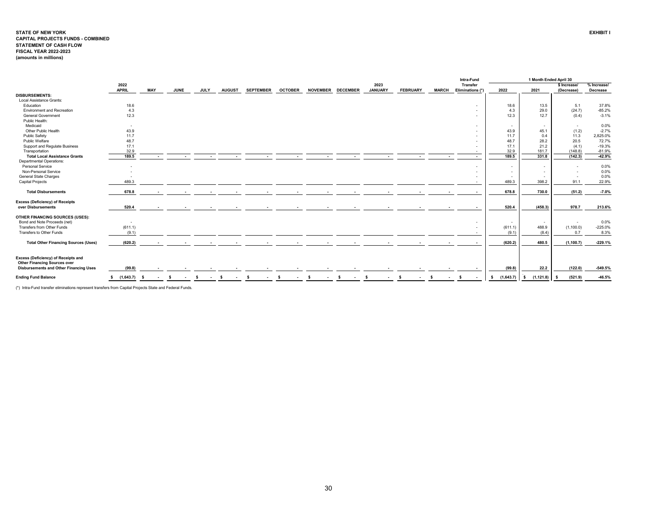#### **STATE OF NEW YORK EXHIBIT I CAPITAL PROJECTS FUNDS - COMBINED STATEMENT OF CASH FLOW FISCAL YEAR 2022-2023 (amounts in millions)**

| 2022<br>2023<br><b>Transfer</b><br>% Increase/<br>\$ Increase/<br><b>APRIL</b><br><b>MAY</b><br><b>JUNE</b><br><b>JANUARY</b><br><b>JULY</b><br><b>AUGUST</b><br><b>SEPTEMBER</b><br><b>OCTOBER</b><br><b>NOVEMBER</b><br><b>DECEMBER</b><br><b>FEBRUARY</b><br><b>MARCH</b><br>2022<br>2021<br>Eliminations (*<br>Decrease<br>(Decrease)<br><b>DISBURSEMENTS:</b><br>Local Assistance Grants:<br>Education<br>18.6<br>18.6<br>5.1<br>37.8%<br>13.5<br>$\overline{\phantom{a}}$<br>4.3<br>4.3<br>29.0<br>(24.7)<br>$-85.2%$<br><b>Environment and Recreation</b><br>12.3<br><b>General Government</b><br>12.3<br>12.7<br>(0.4)<br>$-3.1%$<br>Public Health:<br>Medicaid<br>0.0%<br>$\overline{\phantom{a}}$<br>$\sim$<br>$\sim$<br>$\overline{\phantom{a}}$<br>$\overline{\phantom{a}}$<br>Other Public Health<br>43.9<br>$-2.7%$<br>43.9<br>45.1<br>(1.2)<br>Public Safety<br>11.7<br>11.3<br>11.7<br>2,825.0%<br>0.4<br>48.7<br>48.7<br>20.5<br>72.7%<br>Public Welfare<br>28.2<br>17.1<br>$-19.3%$<br>Support and Regulate Business<br>17.1<br>21.2<br>(4.1)<br>32.9<br>32.9<br>181.7<br>Transportation<br>(148.8)<br>$-81.9%$<br>189.5<br>189.5<br>$-42.9%$<br><b>Total Local Assistance Grants</b><br>331.8<br>(142.3)<br>Departmental Operations:<br>Personal Service<br>0.0%<br>$\overline{a}$<br>$\sim$<br>$\overline{\phantom{a}}$<br>Non-Personal Service<br>0.0%<br>$\overline{\phantom{a}}$<br>$\sim$<br>$\overline{a}$<br><b>General State Charges</b><br>0.0%<br>$\overline{\phantom{a}}$<br>$\sim$<br>$\overline{\phantom{a}}$<br>489.3<br>489.3<br>91.1<br>22.9%<br><b>Capital Projects</b><br>398.2<br>678.8<br><b>Total Disbursements</b><br>678.8<br>(51.2)<br>$-7.0%$<br>730.0<br><b>Excess (Deficiency) of Receipts</b><br>520.4<br>520.4<br>978.7<br>213.6%<br>over Disbursements<br>(458.3)<br>$\sim$<br>$\blacksquare$<br>$\sim$<br>$\sim$<br>$\sim$<br>$\sim$<br>$\sim$<br>$\sim$<br>$\sim$<br>OTHER FINANCING SOURCES (USES):<br>0.0%<br>Bond and Note Proceeds (net)<br>$\overline{a}$<br>$\sim$<br>$\sim$<br>$\overline{\phantom{a}}$<br>(1,100.0)<br>$-225.0%$<br>Transfers from Other Funds<br>(611.1)<br>488.9<br>(611.1)<br>$\overline{a}$<br>Transfers to Other Funds<br>(9.1)<br>0.7<br>8.3%<br>(9.1)<br>(8.4)<br>$\overline{\phantom{a}}$<br>(620.2)<br>(620.2)<br>480.5<br>(1, 100.7)<br>$-229.1%$<br><b>Total Other Financing Sources (Uses)</b><br>$\sim$<br>$\overline{a}$<br>$\sim$<br>Excess (Deficiency) of Receipts and<br><b>Other Financing Sources over</b><br>22.2<br>(122.0)<br>$-549.5%$<br><b>Disbursements and Other Financing Uses</b><br>(99.8)<br>(99.8)<br>$\sim$<br>$\sim$<br><b>Ending Fund Balance</b><br>\$(1,643.7)<br>\$(1,643.7)<br>(1, 121.8)<br>(521.9)<br>$-46.5%$<br>$\mathbf{s}$<br>$\mathbf{s}$<br>$\mathbf{s}$<br>s.<br>$\sim$ s<br>$\sim$ s<br><b>S</b><br><b>S</b><br>- \$<br>-S<br>- \$<br>- \$<br>-S<br>$\sim$<br>$\sim$<br>$\sim$<br><b>Service</b><br>$\sim$<br>$\sim$<br>$\sim$ |  |  |  |  |  |  |  | Intra-Fund | 1 Month Ended April 30 |  |
|-------------------------------------------------------------------------------------------------------------------------------------------------------------------------------------------------------------------------------------------------------------------------------------------------------------------------------------------------------------------------------------------------------------------------------------------------------------------------------------------------------------------------------------------------------------------------------------------------------------------------------------------------------------------------------------------------------------------------------------------------------------------------------------------------------------------------------------------------------------------------------------------------------------------------------------------------------------------------------------------------------------------------------------------------------------------------------------------------------------------------------------------------------------------------------------------------------------------------------------------------------------------------------------------------------------------------------------------------------------------------------------------------------------------------------------------------------------------------------------------------------------------------------------------------------------------------------------------------------------------------------------------------------------------------------------------------------------------------------------------------------------------------------------------------------------------------------------------------------------------------------------------------------------------------------------------------------------------------------------------------------------------------------------------------------------------------------------------------------------------------------------------------------------------------------------------------------------------------------------------------------------------------------------------------------------------------------------------------------------------------------------------------------------------------------------------------------------------------------------------------------------------------------------------------------------------------------------------------------------------------------------------------------------------------------------------------------------------------------------------------------------------------------------------------------------------------------------------------------------------------------------------------------------------------------------------------------------|--|--|--|--|--|--|--|------------|------------------------|--|
|                                                                                                                                                                                                                                                                                                                                                                                                                                                                                                                                                                                                                                                                                                                                                                                                                                                                                                                                                                                                                                                                                                                                                                                                                                                                                                                                                                                                                                                                                                                                                                                                                                                                                                                                                                                                                                                                                                                                                                                                                                                                                                                                                                                                                                                                                                                                                                                                                                                                                                                                                                                                                                                                                                                                                                                                                                                                                                                                                             |  |  |  |  |  |  |  |            |                        |  |
|                                                                                                                                                                                                                                                                                                                                                                                                                                                                                                                                                                                                                                                                                                                                                                                                                                                                                                                                                                                                                                                                                                                                                                                                                                                                                                                                                                                                                                                                                                                                                                                                                                                                                                                                                                                                                                                                                                                                                                                                                                                                                                                                                                                                                                                                                                                                                                                                                                                                                                                                                                                                                                                                                                                                                                                                                                                                                                                                                             |  |  |  |  |  |  |  |            |                        |  |
|                                                                                                                                                                                                                                                                                                                                                                                                                                                                                                                                                                                                                                                                                                                                                                                                                                                                                                                                                                                                                                                                                                                                                                                                                                                                                                                                                                                                                                                                                                                                                                                                                                                                                                                                                                                                                                                                                                                                                                                                                                                                                                                                                                                                                                                                                                                                                                                                                                                                                                                                                                                                                                                                                                                                                                                                                                                                                                                                                             |  |  |  |  |  |  |  |            |                        |  |
|                                                                                                                                                                                                                                                                                                                                                                                                                                                                                                                                                                                                                                                                                                                                                                                                                                                                                                                                                                                                                                                                                                                                                                                                                                                                                                                                                                                                                                                                                                                                                                                                                                                                                                                                                                                                                                                                                                                                                                                                                                                                                                                                                                                                                                                                                                                                                                                                                                                                                                                                                                                                                                                                                                                                                                                                                                                                                                                                                             |  |  |  |  |  |  |  |            |                        |  |
|                                                                                                                                                                                                                                                                                                                                                                                                                                                                                                                                                                                                                                                                                                                                                                                                                                                                                                                                                                                                                                                                                                                                                                                                                                                                                                                                                                                                                                                                                                                                                                                                                                                                                                                                                                                                                                                                                                                                                                                                                                                                                                                                                                                                                                                                                                                                                                                                                                                                                                                                                                                                                                                                                                                                                                                                                                                                                                                                                             |  |  |  |  |  |  |  |            |                        |  |
|                                                                                                                                                                                                                                                                                                                                                                                                                                                                                                                                                                                                                                                                                                                                                                                                                                                                                                                                                                                                                                                                                                                                                                                                                                                                                                                                                                                                                                                                                                                                                                                                                                                                                                                                                                                                                                                                                                                                                                                                                                                                                                                                                                                                                                                                                                                                                                                                                                                                                                                                                                                                                                                                                                                                                                                                                                                                                                                                                             |  |  |  |  |  |  |  |            |                        |  |
|                                                                                                                                                                                                                                                                                                                                                                                                                                                                                                                                                                                                                                                                                                                                                                                                                                                                                                                                                                                                                                                                                                                                                                                                                                                                                                                                                                                                                                                                                                                                                                                                                                                                                                                                                                                                                                                                                                                                                                                                                                                                                                                                                                                                                                                                                                                                                                                                                                                                                                                                                                                                                                                                                                                                                                                                                                                                                                                                                             |  |  |  |  |  |  |  |            |                        |  |
|                                                                                                                                                                                                                                                                                                                                                                                                                                                                                                                                                                                                                                                                                                                                                                                                                                                                                                                                                                                                                                                                                                                                                                                                                                                                                                                                                                                                                                                                                                                                                                                                                                                                                                                                                                                                                                                                                                                                                                                                                                                                                                                                                                                                                                                                                                                                                                                                                                                                                                                                                                                                                                                                                                                                                                                                                                                                                                                                                             |  |  |  |  |  |  |  |            |                        |  |
|                                                                                                                                                                                                                                                                                                                                                                                                                                                                                                                                                                                                                                                                                                                                                                                                                                                                                                                                                                                                                                                                                                                                                                                                                                                                                                                                                                                                                                                                                                                                                                                                                                                                                                                                                                                                                                                                                                                                                                                                                                                                                                                                                                                                                                                                                                                                                                                                                                                                                                                                                                                                                                                                                                                                                                                                                                                                                                                                                             |  |  |  |  |  |  |  |            |                        |  |
|                                                                                                                                                                                                                                                                                                                                                                                                                                                                                                                                                                                                                                                                                                                                                                                                                                                                                                                                                                                                                                                                                                                                                                                                                                                                                                                                                                                                                                                                                                                                                                                                                                                                                                                                                                                                                                                                                                                                                                                                                                                                                                                                                                                                                                                                                                                                                                                                                                                                                                                                                                                                                                                                                                                                                                                                                                                                                                                                                             |  |  |  |  |  |  |  |            |                        |  |
|                                                                                                                                                                                                                                                                                                                                                                                                                                                                                                                                                                                                                                                                                                                                                                                                                                                                                                                                                                                                                                                                                                                                                                                                                                                                                                                                                                                                                                                                                                                                                                                                                                                                                                                                                                                                                                                                                                                                                                                                                                                                                                                                                                                                                                                                                                                                                                                                                                                                                                                                                                                                                                                                                                                                                                                                                                                                                                                                                             |  |  |  |  |  |  |  |            |                        |  |
|                                                                                                                                                                                                                                                                                                                                                                                                                                                                                                                                                                                                                                                                                                                                                                                                                                                                                                                                                                                                                                                                                                                                                                                                                                                                                                                                                                                                                                                                                                                                                                                                                                                                                                                                                                                                                                                                                                                                                                                                                                                                                                                                                                                                                                                                                                                                                                                                                                                                                                                                                                                                                                                                                                                                                                                                                                                                                                                                                             |  |  |  |  |  |  |  |            |                        |  |
|                                                                                                                                                                                                                                                                                                                                                                                                                                                                                                                                                                                                                                                                                                                                                                                                                                                                                                                                                                                                                                                                                                                                                                                                                                                                                                                                                                                                                                                                                                                                                                                                                                                                                                                                                                                                                                                                                                                                                                                                                                                                                                                                                                                                                                                                                                                                                                                                                                                                                                                                                                                                                                                                                                                                                                                                                                                                                                                                                             |  |  |  |  |  |  |  |            |                        |  |
|                                                                                                                                                                                                                                                                                                                                                                                                                                                                                                                                                                                                                                                                                                                                                                                                                                                                                                                                                                                                                                                                                                                                                                                                                                                                                                                                                                                                                                                                                                                                                                                                                                                                                                                                                                                                                                                                                                                                                                                                                                                                                                                                                                                                                                                                                                                                                                                                                                                                                                                                                                                                                                                                                                                                                                                                                                                                                                                                                             |  |  |  |  |  |  |  |            |                        |  |
|                                                                                                                                                                                                                                                                                                                                                                                                                                                                                                                                                                                                                                                                                                                                                                                                                                                                                                                                                                                                                                                                                                                                                                                                                                                                                                                                                                                                                                                                                                                                                                                                                                                                                                                                                                                                                                                                                                                                                                                                                                                                                                                                                                                                                                                                                                                                                                                                                                                                                                                                                                                                                                                                                                                                                                                                                                                                                                                                                             |  |  |  |  |  |  |  |            |                        |  |
|                                                                                                                                                                                                                                                                                                                                                                                                                                                                                                                                                                                                                                                                                                                                                                                                                                                                                                                                                                                                                                                                                                                                                                                                                                                                                                                                                                                                                                                                                                                                                                                                                                                                                                                                                                                                                                                                                                                                                                                                                                                                                                                                                                                                                                                                                                                                                                                                                                                                                                                                                                                                                                                                                                                                                                                                                                                                                                                                                             |  |  |  |  |  |  |  |            |                        |  |
|                                                                                                                                                                                                                                                                                                                                                                                                                                                                                                                                                                                                                                                                                                                                                                                                                                                                                                                                                                                                                                                                                                                                                                                                                                                                                                                                                                                                                                                                                                                                                                                                                                                                                                                                                                                                                                                                                                                                                                                                                                                                                                                                                                                                                                                                                                                                                                                                                                                                                                                                                                                                                                                                                                                                                                                                                                                                                                                                                             |  |  |  |  |  |  |  |            |                        |  |
|                                                                                                                                                                                                                                                                                                                                                                                                                                                                                                                                                                                                                                                                                                                                                                                                                                                                                                                                                                                                                                                                                                                                                                                                                                                                                                                                                                                                                                                                                                                                                                                                                                                                                                                                                                                                                                                                                                                                                                                                                                                                                                                                                                                                                                                                                                                                                                                                                                                                                                                                                                                                                                                                                                                                                                                                                                                                                                                                                             |  |  |  |  |  |  |  |            |                        |  |
|                                                                                                                                                                                                                                                                                                                                                                                                                                                                                                                                                                                                                                                                                                                                                                                                                                                                                                                                                                                                                                                                                                                                                                                                                                                                                                                                                                                                                                                                                                                                                                                                                                                                                                                                                                                                                                                                                                                                                                                                                                                                                                                                                                                                                                                                                                                                                                                                                                                                                                                                                                                                                                                                                                                                                                                                                                                                                                                                                             |  |  |  |  |  |  |  |            |                        |  |
|                                                                                                                                                                                                                                                                                                                                                                                                                                                                                                                                                                                                                                                                                                                                                                                                                                                                                                                                                                                                                                                                                                                                                                                                                                                                                                                                                                                                                                                                                                                                                                                                                                                                                                                                                                                                                                                                                                                                                                                                                                                                                                                                                                                                                                                                                                                                                                                                                                                                                                                                                                                                                                                                                                                                                                                                                                                                                                                                                             |  |  |  |  |  |  |  |            |                        |  |
|                                                                                                                                                                                                                                                                                                                                                                                                                                                                                                                                                                                                                                                                                                                                                                                                                                                                                                                                                                                                                                                                                                                                                                                                                                                                                                                                                                                                                                                                                                                                                                                                                                                                                                                                                                                                                                                                                                                                                                                                                                                                                                                                                                                                                                                                                                                                                                                                                                                                                                                                                                                                                                                                                                                                                                                                                                                                                                                                                             |  |  |  |  |  |  |  |            |                        |  |
|                                                                                                                                                                                                                                                                                                                                                                                                                                                                                                                                                                                                                                                                                                                                                                                                                                                                                                                                                                                                                                                                                                                                                                                                                                                                                                                                                                                                                                                                                                                                                                                                                                                                                                                                                                                                                                                                                                                                                                                                                                                                                                                                                                                                                                                                                                                                                                                                                                                                                                                                                                                                                                                                                                                                                                                                                                                                                                                                                             |  |  |  |  |  |  |  |            |                        |  |
|                                                                                                                                                                                                                                                                                                                                                                                                                                                                                                                                                                                                                                                                                                                                                                                                                                                                                                                                                                                                                                                                                                                                                                                                                                                                                                                                                                                                                                                                                                                                                                                                                                                                                                                                                                                                                                                                                                                                                                                                                                                                                                                                                                                                                                                                                                                                                                                                                                                                                                                                                                                                                                                                                                                                                                                                                                                                                                                                                             |  |  |  |  |  |  |  |            |                        |  |
|                                                                                                                                                                                                                                                                                                                                                                                                                                                                                                                                                                                                                                                                                                                                                                                                                                                                                                                                                                                                                                                                                                                                                                                                                                                                                                                                                                                                                                                                                                                                                                                                                                                                                                                                                                                                                                                                                                                                                                                                                                                                                                                                                                                                                                                                                                                                                                                                                                                                                                                                                                                                                                                                                                                                                                                                                                                                                                                                                             |  |  |  |  |  |  |  |            |                        |  |
|                                                                                                                                                                                                                                                                                                                                                                                                                                                                                                                                                                                                                                                                                                                                                                                                                                                                                                                                                                                                                                                                                                                                                                                                                                                                                                                                                                                                                                                                                                                                                                                                                                                                                                                                                                                                                                                                                                                                                                                                                                                                                                                                                                                                                                                                                                                                                                                                                                                                                                                                                                                                                                                                                                                                                                                                                                                                                                                                                             |  |  |  |  |  |  |  |            |                        |  |
|                                                                                                                                                                                                                                                                                                                                                                                                                                                                                                                                                                                                                                                                                                                                                                                                                                                                                                                                                                                                                                                                                                                                                                                                                                                                                                                                                                                                                                                                                                                                                                                                                                                                                                                                                                                                                                                                                                                                                                                                                                                                                                                                                                                                                                                                                                                                                                                                                                                                                                                                                                                                                                                                                                                                                                                                                                                                                                                                                             |  |  |  |  |  |  |  |            |                        |  |
|                                                                                                                                                                                                                                                                                                                                                                                                                                                                                                                                                                                                                                                                                                                                                                                                                                                                                                                                                                                                                                                                                                                                                                                                                                                                                                                                                                                                                                                                                                                                                                                                                                                                                                                                                                                                                                                                                                                                                                                                                                                                                                                                                                                                                                                                                                                                                                                                                                                                                                                                                                                                                                                                                                                                                                                                                                                                                                                                                             |  |  |  |  |  |  |  |            |                        |  |
|                                                                                                                                                                                                                                                                                                                                                                                                                                                                                                                                                                                                                                                                                                                                                                                                                                                                                                                                                                                                                                                                                                                                                                                                                                                                                                                                                                                                                                                                                                                                                                                                                                                                                                                                                                                                                                                                                                                                                                                                                                                                                                                                                                                                                                                                                                                                                                                                                                                                                                                                                                                                                                                                                                                                                                                                                                                                                                                                                             |  |  |  |  |  |  |  |            |                        |  |
|                                                                                                                                                                                                                                                                                                                                                                                                                                                                                                                                                                                                                                                                                                                                                                                                                                                                                                                                                                                                                                                                                                                                                                                                                                                                                                                                                                                                                                                                                                                                                                                                                                                                                                                                                                                                                                                                                                                                                                                                                                                                                                                                                                                                                                                                                                                                                                                                                                                                                                                                                                                                                                                                                                                                                                                                                                                                                                                                                             |  |  |  |  |  |  |  |            |                        |  |
|                                                                                                                                                                                                                                                                                                                                                                                                                                                                                                                                                                                                                                                                                                                                                                                                                                                                                                                                                                                                                                                                                                                                                                                                                                                                                                                                                                                                                                                                                                                                                                                                                                                                                                                                                                                                                                                                                                                                                                                                                                                                                                                                                                                                                                                                                                                                                                                                                                                                                                                                                                                                                                                                                                                                                                                                                                                                                                                                                             |  |  |  |  |  |  |  |            |                        |  |

(\*) Intra-Fund transfer eliminations represent transfers from Capital Projects State and Federal Funds.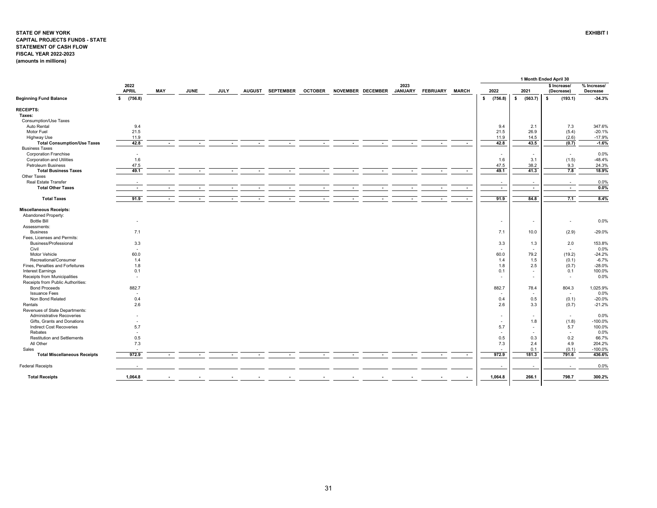#### <span id="page-31-0"></span>**STATE OF NEW YORK EXHIBIT I CAPITAL PROJECTS FUNDS - STATE STATEMENT OF CASH FLOW FISCAL YEAR 2022-2023 (amounts in millions)**

|                                     |                                 |                          |             |                          |                          |                          |                          |                          |                          |                          |                          |              |                          |               | 1 Month Ended April 30     |                         |
|-------------------------------------|---------------------------------|--------------------------|-------------|--------------------------|--------------------------|--------------------------|--------------------------|--------------------------|--------------------------|--------------------------|--------------------------|--------------|--------------------------|---------------|----------------------------|-------------------------|
|                                     | 2022<br><b>APRIL</b>            | MAY                      | <b>JUNE</b> | <b>JULY</b>              |                          | AUGUST SEPTEMBER         | <b>OCTOBER</b>           |                          | NOVEMBER DECEMBER        | 2023<br><b>JANUARY</b>   | <b>FEBRUARY</b>          | <b>MARCH</b> | 2022                     | 2021          | \$ Increase/<br>(Decrease) | % Increase/<br>Decrease |
| <b>Beginning Fund Balance</b>       | (756.8)<br>s.                   |                          |             |                          |                          |                          |                          |                          |                          |                          |                          |              | $\bullet$<br>(756.8)     | (563.7)<br>s. | \$<br>(193.1)              | $-34.3%$                |
| <b>RECEIPTS:</b>                    |                                 |                          |             |                          |                          |                          |                          |                          |                          |                          |                          |              |                          |               |                            |                         |
| Taxes:                              |                                 |                          |             |                          |                          |                          |                          |                          |                          |                          |                          |              |                          |               |                            |                         |
| Consumption/Use Taxes               |                                 |                          |             |                          |                          |                          |                          |                          |                          |                          |                          |              |                          |               |                            |                         |
| Auto Rental                         | 9.4                             |                          |             |                          |                          |                          |                          |                          |                          |                          |                          |              | 9.4                      | 2.1           | 7.3                        | 347.6%                  |
| Motor Fuel                          | 21.5                            |                          |             |                          |                          |                          |                          |                          |                          |                          |                          |              | 21.5                     | 26.9          | (5.4)                      | $-20.1%$                |
| <b>Highway Use</b>                  | 11.9                            |                          |             |                          |                          |                          |                          |                          |                          |                          |                          |              | 11.9                     | 14.5          | (2.6)                      | $-17.9%$                |
| <b>Total Consumption/Use Taxes</b>  | 42.8                            | $\blacksquare$           |             |                          | $\overline{\phantom{a}}$ | $\blacksquare$           | $\overline{\phantom{a}}$ | $\blacksquare$           | $\blacksquare$           | $\blacksquare$           | $\overline{\phantom{a}}$ | $\sim$       | 42.8                     | 43.5          | (0.7)                      | $-1.6%$                 |
| <b>Business Taxes</b>               |                                 |                          |             |                          |                          |                          |                          |                          |                          |                          |                          |              |                          |               |                            |                         |
| <b>Corporation Franchise</b>        |                                 |                          |             |                          |                          |                          |                          |                          |                          |                          |                          |              | $\overline{\phantom{a}}$ | $\sim$        | $\sim$                     | 0.0%                    |
|                                     | $\overline{\phantom{a}}$<br>1.6 |                          |             |                          |                          |                          |                          |                          |                          |                          |                          |              |                          | 3.1           |                            |                         |
| <b>Corporation and Utilities</b>    |                                 |                          |             |                          |                          |                          |                          |                          |                          |                          |                          |              | 1.6                      |               | (1.5)                      | $-48.4%$                |
| Petroleum Business                  | 47.5                            |                          |             |                          |                          |                          |                          |                          |                          |                          |                          |              | 47.5                     | 38.2          | 9.3                        | 24.3%                   |
| <b>Total Business Taxes</b>         | 49.1                            |                          |             |                          |                          |                          | $\blacksquare$           | $\blacksquare$           | $\blacksquare$           | $\blacksquare$           |                          |              | 49.1                     | 41.3          | 7.8                        | 18.9%                   |
| Other Taxes                         |                                 |                          |             |                          |                          |                          |                          |                          |                          |                          |                          |              |                          |               |                            |                         |
| Real Estate Transfer                | $\overline{\phantom{a}}$        |                          |             |                          |                          |                          |                          |                          |                          |                          |                          |              | $\overline{\phantom{a}}$ | $\sim$        | $\sim$                     | 0.0%                    |
| <b>Total Other Taxes</b>            | $\blacksquare$                  |                          |             |                          |                          |                          |                          |                          | $\overline{\phantom{a}}$ |                          |                          |              | $\sim$                   | $\sim$        | $\overline{\phantom{a}}$   | 0.0%                    |
| <b>Total Taxes</b>                  | 91.9                            | $\overline{\phantom{a}}$ |             | $\overline{\phantom{a}}$ |                          | $\overline{\phantom{a}}$ |                          | $\overline{\phantom{a}}$ | $\overline{\phantom{a}}$ | $\overline{\phantom{a}}$ |                          |              | 91.9                     | 84.8          | 7.1                        | 8.4%                    |
| <b>Miscellaneous Receipts:</b>      |                                 |                          |             |                          |                          |                          |                          |                          |                          |                          |                          |              |                          |               |                            |                         |
| Abandoned Property:                 |                                 |                          |             |                          |                          |                          |                          |                          |                          |                          |                          |              |                          |               |                            |                         |
| <b>Bottle Bill</b>                  |                                 |                          |             |                          |                          |                          |                          |                          |                          |                          |                          |              | $\overline{\phantom{a}}$ | $\sim$        | $\sim$                     | 0.0%                    |
| Assessments:                        |                                 |                          |             |                          |                          |                          |                          |                          |                          |                          |                          |              |                          |               |                            |                         |
| <b>Business</b>                     | 7.1                             |                          |             |                          |                          |                          |                          |                          |                          |                          |                          |              | 7.1                      | 10.0          | (2.9)                      | $-29.0%$                |
| Fees, Licenses and Permits:         |                                 |                          |             |                          |                          |                          |                          |                          |                          |                          |                          |              |                          |               |                            |                         |
| Business/Professional               | 3.3                             |                          |             |                          |                          |                          |                          |                          |                          |                          |                          |              | 3.3                      | 1.3           | 2.0                        | 153.8%                  |
| Civil                               | $\sim$                          |                          |             |                          |                          |                          |                          |                          |                          |                          |                          |              | $\sim$                   | $\sim$        | $\sim$                     | 0.0%                    |
| Motor Vehicle                       | 60.0                            |                          |             |                          |                          |                          |                          |                          |                          |                          |                          |              | 60.0                     | 79.2          | (19.2)                     | $-24.2%$                |
| Recreational/Consumer               | 1.4                             |                          |             |                          |                          |                          |                          |                          |                          |                          |                          |              | 1.4                      | 1.5           | (0.1)                      | $-6.7%$                 |
| Fines, Penalties and Forfeitures    | 1.8                             |                          |             |                          |                          |                          |                          |                          |                          |                          |                          |              |                          | 2.5           |                            | $-28.0%$                |
|                                     |                                 |                          |             |                          |                          |                          |                          |                          |                          |                          |                          |              | 1.8                      |               | (0.7)                      |                         |
| <b>Interest Earnings</b>            | 0.1                             |                          |             |                          |                          |                          |                          |                          |                          |                          |                          |              | 0.1                      | $\sim$        | 0.1                        | 100.0%                  |
| Receipts from Municipalities        | $\sim$                          |                          |             |                          |                          |                          |                          |                          |                          |                          |                          |              | $\overline{\phantom{a}}$ | $\sim$        | $\blacksquare$             | 0.0%                    |
| Receipts from Public Authorities:   |                                 |                          |             |                          |                          |                          |                          |                          |                          |                          |                          |              |                          |               |                            |                         |
| <b>Bond Proceeds</b>                | 882.7                           |                          |             |                          |                          |                          |                          |                          |                          |                          |                          |              | 882.7                    | 78.4          | 804.3                      | 1,025.9%                |
| <b>Issuance Fees</b>                | $\overline{\phantom{a}}$        |                          |             |                          |                          |                          |                          |                          |                          |                          |                          |              | $\tilde{\phantom{a}}$    | $\sim$        | $\sim$                     | 0.0%                    |
| Non Bond Related                    | 0.4                             |                          |             |                          |                          |                          |                          |                          |                          |                          |                          |              | 0.4                      | 0.5           | (0.1)                      | $-20.0%$                |
| Rentals                             | 2.6                             |                          |             |                          |                          |                          |                          |                          |                          |                          |                          |              | 2.6                      | 3.3           | (0.7)                      | $-21.2%$                |
| Revenues of State Departments:      |                                 |                          |             |                          |                          |                          |                          |                          |                          |                          |                          |              |                          |               |                            |                         |
| <b>Administrative Recoveries</b>    |                                 |                          |             |                          |                          |                          |                          |                          |                          |                          |                          |              |                          | $\sim$        | $\sim$                     | 0.0%                    |
| Gifts, Grants and Donations         | $\overline{\phantom{a}}$        |                          |             |                          |                          |                          |                          |                          |                          |                          |                          |              | $\tilde{\phantom{a}}$    | 1.8           | (1.8)                      | $-100.0%$               |
| <b>Indirect Cost Recoveries</b>     | 5.7                             |                          |             |                          |                          |                          |                          |                          |                          |                          |                          |              | 5.7                      | $\sim$        | 5.7                        | 100.0%                  |
| Rebates                             | $\sim$                          |                          |             |                          |                          |                          |                          |                          |                          |                          |                          |              | $\overline{\phantom{a}}$ | $\sim$        | $\blacksquare$             | 0.0%                    |
| <b>Restitution and Settlements</b>  | 0.5                             |                          |             |                          |                          |                          |                          |                          |                          |                          |                          |              | 0.5                      | 0.3           | 0.2                        | 66.7%                   |
| All Other                           | 7.3                             |                          |             |                          |                          |                          |                          |                          |                          |                          |                          |              | 7.3                      | 2.4           | 4.9                        | 204.2%                  |
| Sales                               |                                 |                          |             |                          |                          |                          |                          |                          |                          |                          |                          |              | $\overline{\phantom{a}}$ | 0.1           | (0.1)                      | $-100.0%$               |
| <b>Total Miscellaneous Receipts</b> | 972.9                           |                          |             |                          |                          |                          |                          |                          |                          |                          |                          |              | 972.9                    | 181.3         | 791.6                      | 436.6%                  |
| <b>Federal Receipts</b>             |                                 |                          |             |                          |                          |                          |                          |                          |                          |                          |                          |              | $\sim$                   | $\sim$        | $\overline{\phantom{a}}$   | 0.0%                    |
|                                     |                                 |                          |             |                          |                          |                          |                          |                          |                          |                          |                          |              |                          |               |                            |                         |
| <b>Total Receipts</b>               | 1,064.8                         |                          |             |                          |                          |                          |                          |                          |                          |                          |                          |              | 1,064.8                  | 266.1         | 798.7                      | 300.2%                  |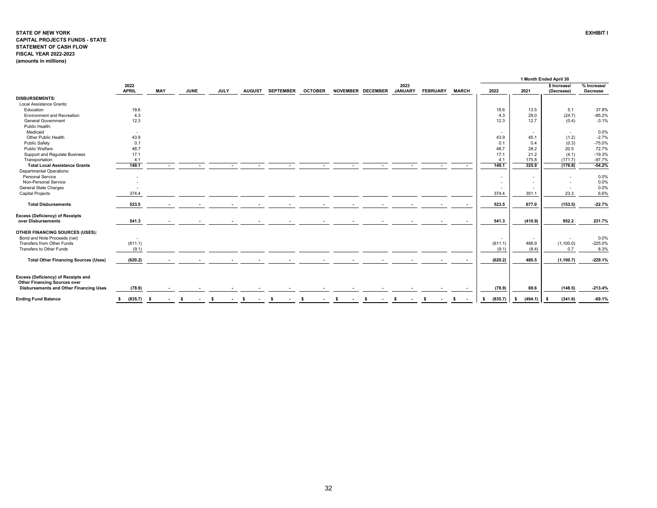#### **STATE OF NEW YORK EXHIBIT I CAPITAL PROJECTS FUNDS - STATE STATEMENT OF CASH FLOW FISCAL YEAR 2022-2023 (amounts in millions)**

|                                                                            |                      |      |             |             |               |                  |                |    |                   |                        |                 |              |                          |               | 1 Month Ended April 30     |                         |
|----------------------------------------------------------------------------|----------------------|------|-------------|-------------|---------------|------------------|----------------|----|-------------------|------------------------|-----------------|--------------|--------------------------|---------------|----------------------------|-------------------------|
|                                                                            | 2022<br><b>APRIL</b> | MAY  | <b>JUNE</b> | <b>JULY</b> | <b>AUGUST</b> | <b>SEPTEMBER</b> | <b>OCTOBER</b> |    | NOVEMBER DECEMBER | 2023<br><b>JANUARY</b> | <b>FEBRUARY</b> | <b>MARCH</b> | 2022                     | 2021          | \$ Increase/<br>(Decrease) | % Increase/<br>Decrease |
| <b>DISBURSEMENTS:</b>                                                      |                      |      |             |             |               |                  |                |    |                   |                        |                 |              |                          |               |                            |                         |
| Local Assistance Grants:                                                   |                      |      |             |             |               |                  |                |    |                   |                        |                 |              |                          |               |                            |                         |
| Education                                                                  | 18.6                 |      |             |             |               |                  |                |    |                   |                        |                 |              | 18.6                     | 13.5          | 5.1                        | 37.8%                   |
| <b>Environment and Recreation</b>                                          | 4.3                  |      |             |             |               |                  |                |    |                   |                        |                 |              | 4.3                      | 29.0          | (24.7)                     | $-85.2%$                |
| <b>General Government</b>                                                  | 12.3                 |      |             |             |               |                  |                |    |                   |                        |                 |              | 12.3                     | 12.7          | (0.4)                      | $-3.1%$                 |
| Public Health:                                                             |                      |      |             |             |               |                  |                |    |                   |                        |                 |              |                          |               |                            |                         |
| Medicaid                                                                   | $\sim$               |      |             |             |               |                  |                |    |                   |                        |                 |              | $\overline{\phantom{a}}$ | $\sim$        | $\overline{\phantom{a}}$   | 0.0%                    |
| Other Public Health                                                        | 43.9                 |      |             |             |               |                  |                |    |                   |                        |                 |              | 43.9                     | 45.1          | (1.2)                      | $-2.7%$                 |
| <b>Public Safety</b>                                                       | 0.1                  |      |             |             |               |                  |                |    |                   |                        |                 |              | 0.1                      | 0.4           | (0.3)                      | $-75.0%$                |
| Public Welfare                                                             | 48.7                 |      |             |             |               |                  |                |    |                   |                        |                 |              | 48.7                     | 28.2          | 20.5                       | 72.7%                   |
| Support and Regulate Business                                              | 17.1                 |      |             |             |               |                  |                |    |                   |                        |                 |              | 17.1                     | 21.2          | (4.1)                      | $-19.3%$                |
| Transportation                                                             | 4.1                  |      |             |             |               |                  |                |    |                   |                        |                 |              | 4.1                      | 175.8         | (171.7)                    | $-97.7%$                |
| <b>Total Local Assistance Grants</b>                                       | 149.1                |      |             |             |               |                  |                |    |                   |                        |                 |              | 149.1                    | 325.9         | (176.8)                    | $-54.2%$                |
| <b>Departmental Operations:</b>                                            |                      |      |             |             |               |                  |                |    |                   |                        |                 |              |                          |               |                            |                         |
| <b>Personal Service</b>                                                    |                      |      |             |             |               |                  |                |    |                   |                        |                 |              | $\overline{\phantom{a}}$ | $\sim$        |                            | 0.0%                    |
| Non-Personal Service                                                       |                      |      |             |             |               |                  |                |    |                   |                        |                 |              | $\overline{\phantom{a}}$ | $\sim$        |                            | 0.0%                    |
| General State Charges                                                      |                      |      |             |             |               |                  |                |    |                   |                        |                 |              | $\overline{\phantom{a}}$ |               |                            | 0.0%                    |
| <b>Capital Projects</b>                                                    | 374.4                |      |             |             |               |                  |                |    |                   |                        |                 |              | 374.4                    | 351.1         | 23.3                       | 6.6%                    |
| <b>Total Disbursements</b>                                                 | 523.5                |      |             |             |               |                  |                |    |                   |                        |                 |              | 523.5                    | 677.0         | (153.5)                    | $-22.7%$                |
| <b>Excess (Deficiency) of Receipts</b>                                     |                      |      |             |             |               |                  |                |    |                   |                        |                 |              |                          |               |                            |                         |
| over Disbursements                                                         | 541.3                |      |             |             |               |                  |                |    |                   |                        |                 |              | 541.3                    | (410.9)       | 952.2                      | 231.7%                  |
| OTHER FINANCING SOURCES (USES):                                            |                      |      |             |             |               |                  |                |    |                   |                        |                 |              |                          |               |                            |                         |
| Bond and Note Proceeds (net)                                               | $\sim$               |      |             |             |               |                  |                |    |                   |                        |                 |              | $\overline{\phantom{a}}$ | $\sim$        | $\sim$                     | 0.0%                    |
| Transfers from Other Funds                                                 | (611.1)              |      |             |             |               |                  |                |    |                   |                        |                 |              | (611.1)                  | 488.9         | (1,100.0)                  | $-225.0%$               |
| Transfers to Other Funds                                                   | (9.1)                |      |             |             |               |                  |                |    |                   |                        |                 |              | (9.1)                    | (8.4)         | 0.7                        | 8.3%                    |
| <b>Total Other Financing Sources (Uses)</b>                                | (620.2)              |      |             |             |               |                  |                |    |                   |                        |                 |              | (620.2)                  | 480.5         | (1, 100.7)                 | $-229.1%$               |
|                                                                            |                      |      |             |             |               |                  |                |    |                   |                        |                 |              |                          |               |                            |                         |
| Excess (Deficiency) of Receipts and<br><b>Other Financing Sources over</b> |                      |      |             |             |               |                  |                |    |                   |                        |                 |              |                          |               |                            |                         |
| Disbursements and Other Financing Uses                                     | (78.9)               |      |             |             |               |                  |                |    |                   |                        |                 |              | (78.9)                   | 69.6          | (148.5)                    | $-213.4%$               |
| <b>Ending Fund Balance</b>                                                 | (835.7)<br>s.        | - \$ | s.          | - \$        | -S            |                  |                | -S |                   |                        |                 | -S           | (835.7)<br>\$            | (494.1)<br>s. | (341.6)<br>-S              | $-69.1%$                |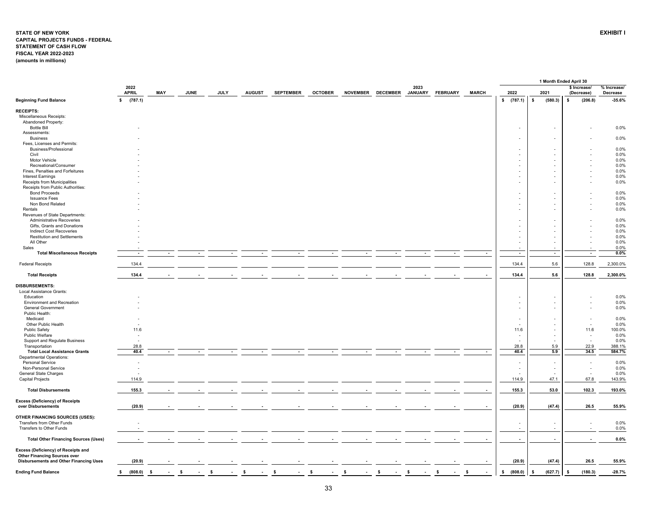#### <span id="page-33-0"></span>**STATE OF NEW YORK EXHIBIT I CAPITAL PROJECTS FUNDS - FEDERAL STATEMENT OF CASH FLOW FISCAL YEAR 2022-2023 (amounts in millions)**

|                                                                |                          |            |             |             |               |                  |                |    |                   |                        |                 |              |                          | 1 Month Ended April 30   |                                    |                      |
|----------------------------------------------------------------|--------------------------|------------|-------------|-------------|---------------|------------------|----------------|----|-------------------|------------------------|-----------------|--------------|--------------------------|--------------------------|------------------------------------|----------------------|
|                                                                | 2022<br><b>APRIL</b>     |            |             |             |               |                  |                |    |                   | 2023<br><b>JANUARY</b> |                 |              |                          |                          | \$ Increase/                       | % Increase/          |
| <b>Beginning Fund Balance</b>                                  | $\mathbf{s}$<br>(787.1)  | <b>MAY</b> | <b>JUNE</b> | <b>JULY</b> | <b>AUGUST</b> | <b>SEPTEMBER</b> | <b>OCTOBER</b> |    | NOVEMBER DECEMBER |                        | <b>FEBRUARY</b> | <b>MARCH</b> | 2022<br>\$ (787.1)       | 2021<br>s.<br>(580.3)    | (Decrease)<br>(206.8)<br>s         | Decrease<br>$-35.6%$ |
|                                                                |                          |            |             |             |               |                  |                |    |                   |                        |                 |              |                          |                          |                                    |                      |
| <b>RECEIPTS:</b>                                               |                          |            |             |             |               |                  |                |    |                   |                        |                 |              |                          |                          |                                    |                      |
| Miscellaneous Receipts:<br>Abandoned Property:                 |                          |            |             |             |               |                  |                |    |                   |                        |                 |              |                          |                          |                                    |                      |
| <b>Bottle Bill</b>                                             |                          |            |             |             |               |                  |                |    |                   |                        |                 |              |                          |                          |                                    | 0.0%                 |
| Assessments:                                                   |                          |            |             |             |               |                  |                |    |                   |                        |                 |              |                          |                          |                                    |                      |
| <b>Business</b>                                                |                          |            |             |             |               |                  |                |    |                   |                        |                 |              |                          |                          |                                    | 0.0%                 |
| Fees, Licenses and Permits:                                    |                          |            |             |             |               |                  |                |    |                   |                        |                 |              |                          |                          |                                    |                      |
| Business/Professional                                          |                          |            |             |             |               |                  |                |    |                   |                        |                 |              |                          |                          |                                    | 0.0%                 |
| Civil                                                          |                          |            |             |             |               |                  |                |    |                   |                        |                 |              |                          |                          |                                    | 0.0%                 |
| Motor Vehicle                                                  |                          |            |             |             |               |                  |                |    |                   |                        |                 |              |                          |                          |                                    | 0.0%                 |
| Recreational/Consumer<br>Fines, Penalties and Forfeitures      |                          |            |             |             |               |                  |                |    |                   |                        |                 |              |                          |                          |                                    | 0.0%<br>0.0%         |
| <b>Interest Earnings</b>                                       |                          |            |             |             |               |                  |                |    |                   |                        |                 |              |                          |                          |                                    | 0.0%                 |
| Receipts from Municipalities                                   |                          |            |             |             |               |                  |                |    |                   |                        |                 |              |                          |                          |                                    | 0.0%                 |
| Receipts from Public Authorities:                              |                          |            |             |             |               |                  |                |    |                   |                        |                 |              |                          |                          |                                    |                      |
| <b>Bond Proceeds</b>                                           |                          |            |             |             |               |                  |                |    |                   |                        |                 |              |                          |                          |                                    | 0.0%                 |
| <b>Issuance Fees</b>                                           |                          |            |             |             |               |                  |                |    |                   |                        |                 |              | $\sim$                   |                          |                                    | 0.0%                 |
| Non Bond Related                                               |                          |            |             |             |               |                  |                |    |                   |                        |                 |              |                          |                          |                                    | 0.0%                 |
| Rentals                                                        |                          |            |             |             |               |                  |                |    |                   |                        |                 |              |                          |                          |                                    | 0.0%                 |
| Revenues of State Departments:                                 |                          |            |             |             |               |                  |                |    |                   |                        |                 |              |                          |                          |                                    |                      |
| <b>Administrative Recoveries</b>                               |                          |            |             |             |               |                  |                |    |                   |                        |                 |              |                          |                          |                                    | 0.0%                 |
| Gifts, Grants and Donations                                    |                          |            |             |             |               |                  |                |    |                   |                        |                 |              |                          |                          |                                    | 0.0%                 |
| Indirect Cost Recoveries<br><b>Restitution and Settlements</b> |                          |            |             |             |               |                  |                |    |                   |                        |                 |              |                          |                          |                                    | 0.0%<br>0.0%         |
| All Other                                                      |                          |            |             |             |               |                  |                |    |                   |                        |                 |              |                          |                          |                                    | 0.0%                 |
| Sales                                                          |                          |            |             |             |               |                  |                |    |                   |                        |                 |              | $\sim$                   | $\sim$                   |                                    | 0.0%                 |
| <b>Total Miscellaneous Receipts</b>                            | $\overline{\phantom{a}}$ |            |             |             |               |                  |                |    |                   |                        |                 | $\sim$       | $\sim$                   | $\overline{\phantom{a}}$ | $\sim$                             | $0.0\%$              |
|                                                                |                          |            |             |             |               |                  |                |    |                   |                        |                 |              |                          |                          |                                    |                      |
| <b>Federal Receipts</b>                                        | 134.4                    |            |             |             |               |                  |                |    |                   |                        |                 |              | 134.4                    | 5.6                      | 128.8                              | 2,300.0%             |
| <b>Total Receipts</b>                                          | 134.4                    |            |             |             |               |                  |                |    |                   |                        |                 |              | 134.4                    | 5.6                      | 128.8                              | 2,300.0%             |
| <b>DISBURSEMENTS:</b>                                          |                          |            |             |             |               |                  |                |    |                   |                        |                 |              |                          |                          |                                    |                      |
| Local Assistance Grants:                                       |                          |            |             |             |               |                  |                |    |                   |                        |                 |              |                          |                          |                                    |                      |
| Education                                                      |                          |            |             |             |               |                  |                |    |                   |                        |                 |              |                          |                          |                                    | 0.0%                 |
| <b>Environment and Recreation</b>                              |                          |            |             |             |               |                  |                |    |                   |                        |                 |              | $\sim$                   |                          |                                    | 0.0%                 |
| <b>General Government</b><br>Public Health:                    |                          |            |             |             |               |                  |                |    |                   |                        |                 |              |                          |                          |                                    | 0.0%                 |
| Medicaid                                                       |                          |            |             |             |               |                  |                |    |                   |                        |                 |              | $\sim$                   |                          | $\overline{\phantom{a}}$           | 0.0%                 |
| Other Public Health                                            |                          |            |             |             |               |                  |                |    |                   |                        |                 |              |                          |                          | $\sim$                             | 0.0%                 |
| <b>Public Safety</b>                                           | 11.6                     |            |             |             |               |                  |                |    |                   |                        |                 |              | 11.6                     |                          | 11.6                               | 100.0%               |
| Public Welfare                                                 |                          |            |             |             |               |                  |                |    |                   |                        |                 |              | $\overline{\phantom{a}}$ |                          | $\overline{\phantom{a}}$           | 0.0%                 |
| Support and Regulate Business                                  |                          |            |             |             |               |                  |                |    |                   |                        |                 |              | $\sim$                   |                          | $\sim$                             | 0.0%                 |
| Transportation                                                 | 28.8                     |            |             |             |               |                  |                |    |                   |                        |                 |              | 28.8                     | 5.9                      | 22.9                               | 388.1%               |
| <b>Total Local Assistance Grants</b>                           | 40.4                     |            |             |             |               |                  |                |    |                   |                        |                 |              | 40.4                     | 5.9                      | 34.5                               | 584.7%               |
| <b>Departmental Operations:</b>                                |                          |            |             |             |               |                  |                |    |                   |                        |                 |              |                          |                          |                                    |                      |
| <b>Personal Service</b>                                        |                          |            |             |             |               |                  |                |    |                   |                        |                 |              |                          |                          | $\overline{\phantom{a}}$           | 0.0%                 |
| Non-Personal Service<br><b>General State Charges</b>           |                          |            |             |             |               |                  |                |    |                   |                        |                 |              | $\sim$                   |                          | $\sim$<br>$\overline{\phantom{a}}$ | 0.0%<br>0.0%         |
| <b>Capital Projects</b>                                        | 114.9                    |            |             |             |               |                  |                |    |                   |                        |                 |              | 114.9                    | 47.1                     | 67.8                               | 143.9%               |
|                                                                |                          |            |             |             |               |                  |                |    |                   |                        |                 |              |                          |                          |                                    |                      |
| <b>Total Disbursements</b>                                     | 155.3                    |            |             |             |               |                  |                |    |                   |                        |                 |              | 155.3                    | 53.0                     | 102.3                              | 193.0%               |
| <b>Excess (Deficiency) of Receipts</b>                         |                          |            |             |             |               |                  |                |    |                   |                        |                 |              |                          |                          |                                    |                      |
| over Disbursements                                             | (20.9)                   |            |             |             |               |                  |                |    |                   |                        |                 |              | (20.9)                   | (47.4)                   | 26.5                               | 55.9%                |
| OTHER FINANCING SOURCES (USES):                                |                          |            |             |             |               |                  |                |    |                   |                        |                 |              |                          |                          |                                    |                      |
| Transfers from Other Funds                                     |                          |            |             |             |               |                  |                |    |                   |                        |                 |              |                          |                          | $\overline{\phantom{a}}$           | 0.0%                 |
| Transfers to Other Funds                                       |                          |            |             |             |               |                  |                |    |                   |                        |                 |              | $\sim$                   | $\sim$                   | $\sim$                             | 0.0%                 |
|                                                                |                          |            |             |             |               |                  |                |    |                   |                        |                 |              |                          |                          |                                    |                      |
| <b>Total Other Financing Sources (Uses)</b>                    |                          |            |             |             |               |                  |                |    |                   |                        |                 |              | $\overline{\phantom{a}}$ | $\overline{\phantom{a}}$ |                                    | 0.0%                 |
| Excess (Deficiency) of Receipts and                            |                          |            |             |             |               |                  |                |    |                   |                        |                 |              |                          |                          |                                    |                      |
| <b>Other Financing Sources over</b>                            |                          |            |             |             |               |                  |                |    |                   |                        |                 |              |                          |                          |                                    |                      |
| Disbursements and Other Financing Uses                         | (20.9)                   |            |             |             |               |                  |                |    |                   |                        |                 |              | (20.9)                   | (47.4)                   | 26.5                               | 55.9%                |
|                                                                |                          |            |             |             |               |                  |                |    |                   |                        |                 |              |                          |                          |                                    |                      |
| <b>Ending Fund Balance</b>                                     | (808.0)<br>\$            | - \$       | -S          | -S          | -S            | - \$             | -S             | S. | s.                | -S                     | -\$             | \$           | (808.0)<br>s.            | (627.7)<br>\$            | (180.3)<br>-S                      | $-28.7%$             |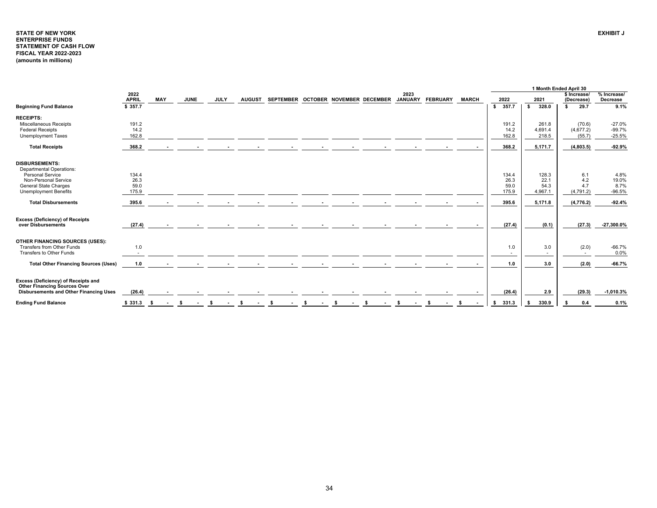## <span id="page-34-0"></span>**STATE OF NEW YORKENTERPRISE FUNDS STATEMENT OF CASH FLOW FISCAL YEAR 2022-2023 (amounts in millions)**

|                                                                            |                      |                |             |             |               |                                     |    |      |    |                        |                 |              |             |                          | 1 Month Ended April 30     |                         |
|----------------------------------------------------------------------------|----------------------|----------------|-------------|-------------|---------------|-------------------------------------|----|------|----|------------------------|-----------------|--------------|-------------|--------------------------|----------------------------|-------------------------|
|                                                                            | 2022<br><b>APRIL</b> | <b>MAY</b>     | <b>JUNE</b> | <b>JULY</b> | <b>AUGUST</b> | SEPTEMBER OCTOBER NOVEMBER DECEMBER |    |      |    | 2023<br><b>JANUARY</b> | <b>FEBRUARY</b> | <b>MARCH</b> | 2022        | 2021                     | \$ Increase/<br>(Decrease) | % Increase/<br>Decrease |
| <b>Beginning Fund Balance</b>                                              | \$357.7              |                |             |             |               |                                     |    |      |    |                        |                 |              | 357.7<br>s. | 328.0<br>s.              | 29.7<br>s.                 | 9.1%                    |
| <b>RECEIPTS:</b>                                                           |                      |                |             |             |               |                                     |    |      |    |                        |                 |              |             |                          |                            |                         |
| Miscellaneous Receipts                                                     | 191.2                |                |             |             |               |                                     |    |      |    |                        |                 |              | 191.2       | 261.8                    | (70.6)                     | $-27.0%$                |
| <b>Federal Receipts</b>                                                    | 14.2                 |                |             |             |               |                                     |    |      |    |                        |                 |              | 14.2        | 4,691.4                  | (4,677.2)                  | $-99.7%$                |
| Unemployment Taxes                                                         | 162.8                |                |             |             |               |                                     |    |      |    |                        |                 |              | 162.8       | 218.5                    | (55.7)                     | $-25.5%$                |
| <b>Total Receipts</b>                                                      | 368.2                | $\sim$         | $\sim$      |             |               |                                     |    |      |    |                        |                 |              | 368.2       | 5,171.7                  | (4,803.5)                  | $-92.9%$                |
| <b>DISBURSEMENTS:</b>                                                      |                      |                |             |             |               |                                     |    |      |    |                        |                 |              |             |                          |                            |                         |
| <b>Departmental Operations:</b>                                            |                      |                |             |             |               |                                     |    |      |    |                        |                 |              |             |                          |                            |                         |
| Personal Service                                                           | 134.4                |                |             |             |               |                                     |    |      |    |                        |                 |              | 134.4       | 128.3                    | 6.1                        | 4.8%                    |
| Non-Personal Service                                                       | 26.3                 |                |             |             |               |                                     |    |      |    |                        |                 |              | 26.3        | 22.1                     | 4.2                        | 19.0%                   |
| <b>General State Charges</b>                                               | 59.0                 |                |             |             |               |                                     |    |      |    |                        |                 |              | 59.0        | 54.3                     | 4.7                        | 8.7%                    |
| Unemployment Benefits                                                      | 175.9                |                |             |             |               |                                     |    |      |    |                        |                 |              | 175.9       | 4,967.1                  | (4,791.2)                  | $-96.5%$                |
| <b>Total Disbursements</b>                                                 | 395.6                |                |             |             |               |                                     |    |      |    |                        |                 |              | 395.6       | 5,171.8                  | (4,776.2)                  | $-92.4%$                |
| <b>Excess (Deficiency) of Receipts</b><br>over Disbursements               | (27.4)               |                |             |             |               |                                     |    |      |    |                        |                 |              | (27.4)      | (0.1)                    | (27.3)                     | $-27,300.0%$            |
|                                                                            |                      |                |             |             |               |                                     |    |      |    |                        |                 |              |             |                          |                            |                         |
| <b>OTHER FINANCING SOURCES (USES):</b>                                     |                      |                |             |             |               |                                     |    |      |    |                        |                 |              |             |                          |                            |                         |
| Transfers from Other Funds                                                 | 1.0                  |                |             |             |               |                                     |    |      |    |                        |                 |              | 1.0         | 3.0                      | (2.0)                      | $-66.7%$                |
| Transfers to Other Funds                                                   |                      |                |             |             |               |                                     |    |      |    |                        |                 |              |             | $\overline{\phantom{a}}$ | $\sim$                     | 0.0%                    |
| <b>Total Other Financing Sources (Uses)</b>                                | 1.0                  | $\sim$         | $\sim$      |             |               |                                     |    |      |    |                        |                 | $\sim$       | 1.0         | 3.0                      | (2.0)                      | $-66.7%$                |
| Excess (Deficiency) of Receipts and<br><b>Other Financing Sources Over</b> |                      |                |             |             |               |                                     |    |      |    |                        |                 |              |             |                          |                            |                         |
| <b>Disbursements and Other Financing Uses</b>                              | (26.4)               |                |             |             |               |                                     |    |      |    |                        |                 |              | (26.4)      | 2.9                      | (29.3)                     | $-1,010.3%$             |
| <b>Ending Fund Balance</b>                                                 | \$331.3              | - \$<br>$\sim$ | -S          | S.          | -S            | -96                                 | -S | - \$ | s. |                        | s.              | s.<br>$\sim$ | 331.3<br>s. | 330.9                    | 0.4<br>-S                  | 0.1%                    |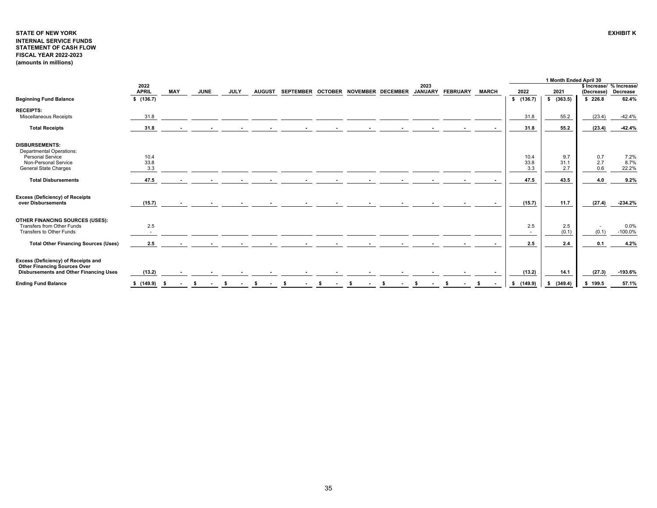# <span id="page-35-0"></span>**STATE OF NEW YORK INTERNAL SERVICE FUNDS STATEMENT OF CASH FLOW FISCAL YEAR 2022-2023 (amounts in millions)**

|                                                                                                                                      |                      |            |             |             |                          |               |                                     |        |  |                        |                 |              |                     | 1 Month Ended April 30 |                                        |                       |
|--------------------------------------------------------------------------------------------------------------------------------------|----------------------|------------|-------------|-------------|--------------------------|---------------|-------------------------------------|--------|--|------------------------|-----------------|--------------|---------------------|------------------------|----------------------------------------|-----------------------|
|                                                                                                                                      | 2022<br><b>APRIL</b> | <b>MAY</b> | <b>JUNE</b> | <b>JULY</b> |                          | <b>AUGUST</b> | SEPTEMBER OCTOBER NOVEMBER DECEMBER |        |  | 2023<br><b>JANUARY</b> | <b>FEBRUARY</b> | <b>MARCH</b> | 2022                | 2021                   | \$ Increase/ % Increase/<br>(Decrease) | Decrease              |
| <b>Beginning Fund Balance</b>                                                                                                        | \$(136.7)            |            |             |             |                          |               |                                     |        |  |                        |                 |              | \$(136.7)           | \$(363.5)              | \$226.8                                | 62.4%                 |
| <b>RECEIPTS:</b><br><b>Miscellaneous Receipts</b>                                                                                    | 31.8                 |            |             |             |                          |               |                                     |        |  |                        |                 |              | 31.8                | 55.2                   | (23.4)                                 | $-42.4%$              |
| <b>Total Receipts</b>                                                                                                                | 31.8                 |            |             |             | $\sim$                   | $\sim$        | <b>Section</b>                      | $\sim$ |  |                        |                 |              | 31.8                | 55.2                   | (23.4)                                 | $-42.4%$              |
| <b>DISBURSEMENTS:</b><br><b>Departmental Operations:</b><br>Personal Service<br>Non-Personal Service<br><b>General State Charges</b> | 10.4<br>33.8<br>3.3  |            |             |             |                          |               |                                     |        |  |                        |                 |              | 10.4<br>33.8<br>3.3 | 9.7<br>31.1<br>2.7     | 0.7<br>2.7<br>0.6                      | 7.2%<br>8.7%<br>22.2% |
| <b>Total Disbursements</b>                                                                                                           | 47.5                 |            |             |             |                          |               |                                     |        |  |                        |                 |              | 47.5                | 43.5                   | 4.0                                    | 9.2%                  |
| <b>Excess (Deficiency) of Receipts</b><br>over Disbursements                                                                         | (15.7)               |            |             |             |                          |               |                                     |        |  |                        |                 |              | (15.7)              | 11.7                   | (27.4)                                 | -234.2%               |
| OTHER FINANCING SOURCES (USES):<br>Transfers from Other Funds<br>Transfers to Other Funds                                            | 2.5<br>$\sim$        |            |             |             |                          |               |                                     |        |  |                        |                 |              | 2.5<br>$\sim$       | 2.5<br>(0.1)           | $\sim$<br>(0.1)                        | 0.0%<br>$-100.0%$     |
| <b>Total Other Financing Sources (Uses)</b>                                                                                          | 2.5                  |            |             |             | $\overline{\phantom{a}}$ |               |                                     |        |  |                        |                 |              | 2.5                 | 2.4                    | 0.1                                    | 4.2%                  |
| Excess (Deficiency) of Receipts and<br><b>Other Financing Sources Over</b><br>Disbursements and Other Financing Uses                 | (13.2)               |            |             |             |                          |               |                                     |        |  |                        |                 |              | (13.2)              | 14.1                   | (27.3)                                 | $-193.6%$             |
| <b>Ending Fund Balance</b>                                                                                                           | \$(149.9)            | - S        |             |             |                          |               |                                     |        |  |                        |                 |              | \$(149.9)           | (349.4)<br>- 56        | \$199.5                                | 57.1%                 |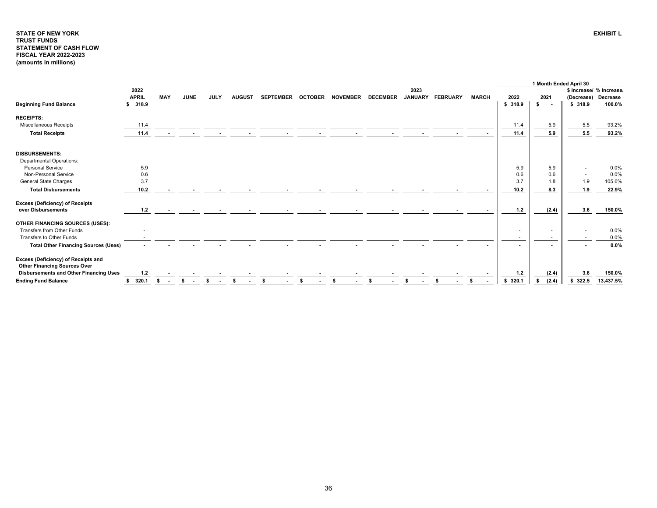## <span id="page-36-0"></span>**STATE OF NEW YORKTRUST FUNDS STATEMENT OF CASH FLOW FISCAL YEAR 2022-2023 (amounts in millions)**

|                                                                            |              |                                |             |             |               |                  |                |                 |                 |                |                 |              |           | 1 Month Ended April 30 |            |                         |
|----------------------------------------------------------------------------|--------------|--------------------------------|-------------|-------------|---------------|------------------|----------------|-----------------|-----------------|----------------|-----------------|--------------|-----------|------------------------|------------|-------------------------|
|                                                                            | 2022         |                                |             |             |               |                  |                |                 |                 | 2023           |                 |              |           |                        |            | \$ Increase/ % Increase |
|                                                                            | <b>APRIL</b> | <b>MAY</b>                     | <b>JUNE</b> | <b>JULY</b> | <b>AUGUST</b> | <b>SEPTEMBER</b> | <b>OCTOBER</b> | <b>NOVEMBER</b> | <b>DECEMBER</b> | <b>JANUARY</b> | <b>FEBRUARY</b> | <b>MARCH</b> | 2022      | 2021                   | (Decrease) | Decrease                |
| <b>Beginning Fund Balance</b>                                              | \$318.9      |                                |             |             |               |                  |                |                 |                 |                |                 |              | \$318.9   | \$<br>$\sim$ $\sim$    | \$318.9    | 100.0%                  |
| <b>RECEIPTS:</b>                                                           |              |                                |             |             |               |                  |                |                 |                 |                |                 |              |           |                        |            |                         |
| Miscellaneous Receipts                                                     | 11.4         |                                |             |             |               |                  |                |                 |                 |                |                 |              | 11.4      | 5.9                    | 5.5        | 93.2%                   |
| <b>Total Receipts</b>                                                      | 11.4         |                                |             |             |               |                  |                |                 |                 |                |                 |              | 11.4      | 5.9                    | 5.5        | 93.2%                   |
| <b>DISBURSEMENTS:</b>                                                      |              |                                |             |             |               |                  |                |                 |                 |                |                 |              |           |                        |            |                         |
| <b>Departmental Operations:</b>                                            |              |                                |             |             |               |                  |                |                 |                 |                |                 |              |           |                        |            |                         |
| <b>Personal Service</b>                                                    | 5.9          |                                |             |             |               |                  |                |                 |                 |                |                 |              | 5.9       | 5.9                    |            | 0.0%                    |
| Non-Personal Service                                                       | 0.6          |                                |             |             |               |                  |                |                 |                 |                |                 |              | 0.6       | 0.6                    |            | 0.0%                    |
| General State Charges                                                      | 3.7          |                                |             |             |               |                  |                |                 |                 |                |                 |              | 3.7       | 1.8                    | 1.9        | 105.6%                  |
| <b>Total Disbursements</b>                                                 | 10.2         |                                |             |             |               |                  |                |                 |                 |                |                 |              | 10.2      | 8.3                    | 1.9        | 22.9%                   |
| <b>Excess (Deficiency) of Receipts</b>                                     |              |                                |             |             |               |                  |                |                 |                 |                |                 |              |           |                        |            |                         |
| over Disbursements                                                         | 1.2          |                                |             |             |               |                  |                |                 |                 |                |                 |              | $1.2$     | (2.4)                  | 3.6        | 150.0%                  |
| OTHER FINANCING SOURCES (USES):                                            |              |                                |             |             |               |                  |                |                 |                 |                |                 |              |           |                        |            |                         |
| Transfers from Other Funds                                                 |              |                                |             |             |               |                  |                |                 |                 |                |                 |              | <b>м.</b> |                        |            | 0.0%                    |
| Transfers to Other Funds                                                   |              |                                |             |             |               |                  |                |                 |                 |                |                 |              |           |                        |            | 0.0%                    |
| <b>Total Other Financing Sources (Uses)</b>                                |              |                                |             |             |               |                  | $\sim$         |                 |                 |                |                 |              |           |                        |            | 0.0%                    |
| Excess (Deficiency) of Receipts and<br><b>Other Financing Sources Over</b> |              |                                |             |             |               |                  |                |                 |                 |                |                 |              |           |                        |            |                         |
| <b>Disbursements and Other Financing Uses</b>                              | $1.2$        |                                |             |             |               |                  |                |                 |                 |                |                 |              | $1.2$     | (2.4)                  | 3.6        | 150.0%                  |
| <b>Ending Fund Balance</b>                                                 | 320.1        | s.<br>$\overline{\phantom{a}}$ | s.          | - \$        |               | -\$              |                |                 |                 |                |                 |              | \$320.1   | (2.4)                  | 322.5      | 13,437.5%               |

**EXHIBIT L**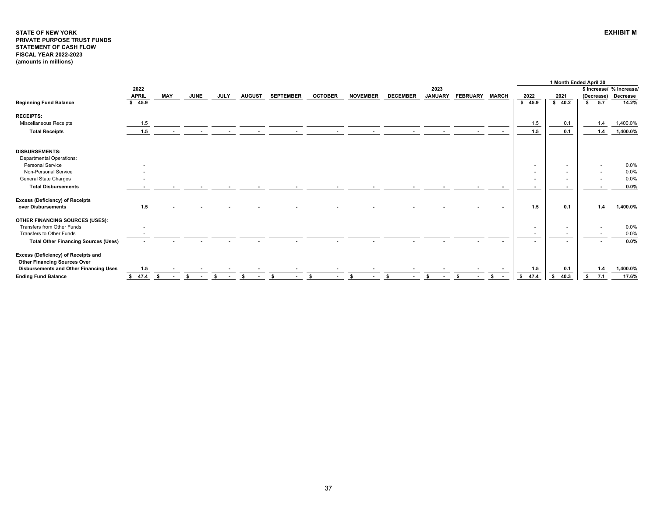#### <span id="page-37-0"></span>**STATE OF NEW YORK EXHIBIT MPRIVATE PURPOSE TRUST FUNDS STATEMENT OF CASH FLOW FISCAL YEAR 2022-2023 (amounts in millions)**

|                                                                            |              |            |    |             |             |               |                  |                |                 |                 |                |                 |              |                          | 1 Month Ended April 30 |            |                          |
|----------------------------------------------------------------------------|--------------|------------|----|-------------|-------------|---------------|------------------|----------------|-----------------|-----------------|----------------|-----------------|--------------|--------------------------|------------------------|------------|--------------------------|
|                                                                            | 2022         |            |    |             |             |               |                  |                |                 |                 | 2023           |                 |              |                          |                        |            | \$ Increase/ % Increase/ |
|                                                                            | <b>APRIL</b> | <b>MAY</b> |    | <b>JUNE</b> | <b>JULY</b> | <b>AUGUST</b> | <b>SEPTEMBER</b> | <b>OCTOBER</b> | <b>NOVEMBER</b> | <b>DECEMBER</b> | <b>JANUARY</b> | <b>FEBRUARY</b> | <b>MARCH</b> | 2022                     | 2021                   | (Decrease) | Decrease                 |
| <b>Beginning Fund Balance</b>                                              | \$45.9       |            |    |             |             |               |                  |                |                 |                 |                |                 |              | \$45.9                   | \$40.2                 | \$ 5.7     | 14.2%                    |
| <b>RECEIPTS:</b>                                                           |              |            |    |             |             |               |                  |                |                 |                 |                |                 |              |                          |                        |            |                          |
| Miscellaneous Receipts                                                     | 1.5          |            |    |             |             |               |                  |                |                 |                 |                |                 |              | 1.5                      | 0.1                    | 1.4        | 1,400.0%                 |
| <b>Total Receipts</b>                                                      | 1.5          |            |    |             |             |               |                  |                |                 |                 |                |                 |              | 1.5                      | 0.1                    | 1.4        | 1,400.0%                 |
| <b>DISBURSEMENTS:</b>                                                      |              |            |    |             |             |               |                  |                |                 |                 |                |                 |              |                          |                        |            |                          |
| <b>Departmental Operations:</b>                                            |              |            |    |             |             |               |                  |                |                 |                 |                |                 |              |                          |                        |            |                          |
| <b>Personal Service</b>                                                    |              |            |    |             |             |               |                  |                |                 |                 |                |                 |              | $\overline{\phantom{a}}$ | <b>м.</b>              |            | 0.0%                     |
| Non-Personal Service                                                       |              |            |    |             |             |               |                  |                |                 |                 |                |                 |              | $\overline{\phantom{a}}$ |                        |            | 0.0%                     |
| <b>General State Charges</b>                                               |              |            |    |             |             |               |                  |                |                 |                 |                |                 |              | $\overline{\phantom{a}}$ |                        |            | 0.0%                     |
| <b>Total Disbursements</b>                                                 |              |            |    |             |             |               |                  |                |                 |                 |                |                 |              |                          |                        |            | 0.0%                     |
| <b>Excess (Deficiency) of Receipts</b>                                     |              |            |    |             |             |               |                  |                |                 |                 |                |                 |              |                          |                        |            |                          |
| over Disbursements                                                         | 1.5          |            |    |             |             |               |                  |                |                 |                 |                |                 |              | 1.5                      | 0.1                    | 1.4        | 1,400.0%                 |
| OTHER FINANCING SOURCES (USES):                                            |              |            |    |             |             |               |                  |                |                 |                 |                |                 |              |                          |                        |            |                          |
| Transfers from Other Funds                                                 |              |            |    |             |             |               |                  |                |                 |                 |                |                 |              | $\sim$                   |                        |            | 0.0%                     |
| Transfers to Other Funds                                                   |              |            |    |             |             |               |                  |                |                 |                 |                |                 |              | $\sim$                   |                        |            | 0.0%                     |
| <b>Total Other Financing Sources (Uses)</b>                                |              |            |    |             |             |               |                  |                |                 |                 |                |                 |              |                          |                        |            | 0.0%                     |
| Excess (Deficiency) of Receipts and<br><b>Other Financing Sources Over</b> |              |            |    |             |             |               |                  |                |                 |                 |                |                 |              |                          |                        |            |                          |
| Disbursements and Other Financing Uses                                     | 1.5          |            |    |             |             |               |                  |                |                 |                 |                |                 |              | 1.5                      | 0.1                    | 1.4        | 1,400.0%                 |
| <b>Ending Fund Balance</b>                                                 | 47.4<br>s.   | - \$       | S. |             | s.          |               | -S               | S.             | -S              | - \$            |                |                 | \$           | \$ 47.4                  | 40.3<br>s.             | 7.1<br>s.  | 17.6%                    |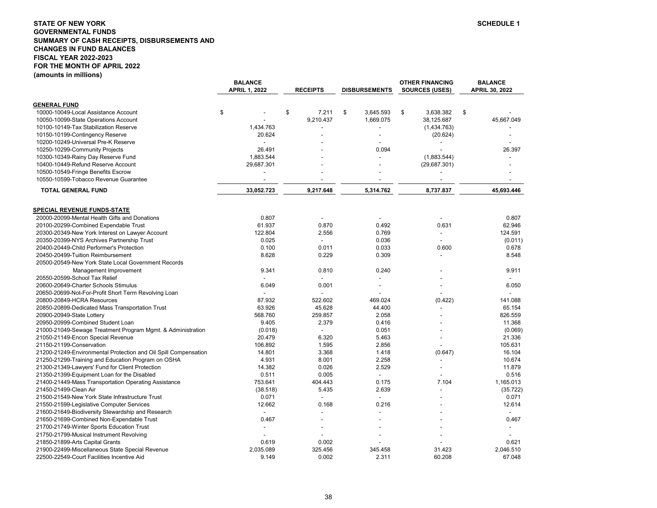## <span id="page-38-0"></span>**STATE OF NEW YORK SCHEDULE 1 GOVERNMENTAL FUNDS SUMMARY OF CASH RECEIPTS, DISBURSEMENTS AND CHANGES IN FUND BALANCES FISCAL YEAR 2022-2023 FOR THE MONTH OF APRIL 2022 (amounts in millions)**

|                                                                 | <b>BALANCE</b>           |                          |                          | OTHER FINANCING          | <b>BALANCE</b> |
|-----------------------------------------------------------------|--------------------------|--------------------------|--------------------------|--------------------------|----------------|
|                                                                 | <b>APRIL 1, 2022</b>     | <b>RECEIPTS</b>          | <b>DISBURSEMENTS</b>     | <b>SOURCES (USES)</b>    | APRIL 30, 2022 |
| <b>GENERAL FUND</b>                                             |                          |                          |                          |                          |                |
| 10000-10049-Local Assistance Account                            | \$                       | \$<br>7.211              | \$<br>3,645.593          | \$<br>3,638.382          | \$             |
| 10050-10099-State Operations Account                            |                          | 9,210.437                | 1,669.075                | 38,125.687               | 45,667.049     |
| 10100-10149-Tax Stabilization Reserve                           | 1,434.763                |                          |                          | (1,434.763)              |                |
| 10150-10199-Contingency Reserve                                 | 20.624                   |                          |                          | (20.624)                 |                |
| 10200-10249-Universal Pre-K Reserve                             | $\overline{a}$           |                          |                          |                          |                |
| 10250-10299-Community Projects                                  | 26.491                   |                          | 0.094                    |                          | 26.397         |
| 10300-10349-Rainy Day Reserve Fund                              | 1,883.544                |                          |                          | (1,883.544)              |                |
| 10400-10449-Refund Reserve Account                              | 29,687.301               |                          |                          | (29,687.301)             |                |
| 10500-10549-Fringe Benefits Escrow                              |                          |                          |                          |                          |                |
| 10550-10599-Tobacco Revenue Guarantee                           | $\overline{\phantom{a}}$ |                          |                          | $\overline{\phantom{a}}$ | ٠              |
| <b>TOTAL GENERAL FUND</b>                                       | 33,052.723               | 9,217.648                | 5,314.762                | 8,737.837                | 45,693.446     |
|                                                                 |                          |                          |                          |                          |                |
|                                                                 |                          |                          |                          |                          |                |
| <b>SPECIAL REVENUE FUNDS-STATE</b>                              |                          |                          |                          |                          |                |
| 20000-20099-Mental Health Gifts and Donations                   | 0.807                    |                          |                          |                          | 0.807          |
| 20100-20299-Combined Expendable Trust                           | 61.937                   | 0.870                    | 0.492                    | 0.631                    | 62.946         |
| 20300-20349-New York Interest on Lawyer Account                 | 122.804                  | 2.556                    | 0.769                    | $\overline{\phantom{a}}$ | 124.591        |
| 20350-20399-NYS Archives Partnership Trust                      | 0.025                    |                          | 0.036                    | $\blacksquare$           | (0.011)        |
| 20400-20449-Child Performer's Protection                        | 0.100                    | 0.011                    | 0.033                    | 0.600                    | 0.678          |
| 20450-20499-Tuition Reimbursement                               | 8.628                    | 0.229                    | 0.309                    | $\blacksquare$           | 8.548          |
| 20500-20549-New York State Local Government Records             |                          |                          |                          |                          |                |
| Management Improvement                                          | 9.341                    | 0.810                    | 0.240                    |                          | 9.911          |
| 20550-20599-School Tax Relief                                   |                          |                          |                          |                          |                |
| 20600-20649-Charter Schools Stimulus                            | 6.049                    | 0.001                    |                          |                          | 6.050          |
| 20650-20699-Not-For-Profit Short Term Revolving Loan            |                          |                          |                          |                          |                |
| 20800-20849-HCRA Resources                                      | 87.932                   | 522.602                  | 469.024                  | (0.422)                  | 141.088        |
| 20850-20899-Dedicated Mass Transportation Trust                 | 63.926                   | 45.628                   | 44.400                   |                          | 65.154         |
| 20900-20949-State Lottery                                       | 568.760                  | 259.857                  | 2.058                    |                          | 826.559        |
| 20950-20999-Combined Student Loan                               | 9.405                    | 2.379                    | 0.416                    |                          | 11.368         |
| 21000-21049-Sewage Treatment Program Mgmt. & Administration     | (0.018)                  | $\overline{\phantom{a}}$ | 0.051                    |                          | (0.069)        |
| 21050-21149-Encon Special Revenue                               | 20.479                   | 6.320                    | 5.463                    |                          | 21.336         |
| 21150-21199-Conservation                                        | 106.892                  | 1.595                    | 2.856                    |                          | 105.631        |
| 21200-21249-Environmental Protection and Oil Spill Compensation | 14.801                   | 3.368                    | 1.418                    | (0.647)                  | 16.104         |
| 21250-21299-Training and Education Program on OSHA              | 4.931                    | 8.001                    | 2.258                    |                          | 10.674         |
| 21300-21349-Lawyers' Fund for Client Protection                 | 14.382                   | 0.026                    | 2.529                    | $\blacksquare$           | 11.879         |
| 21350-21399-Equipment Loan for the Disabled                     | 0.511                    | 0.005                    | $\overline{\phantom{a}}$ |                          | 0.516          |
| 21400-21449-Mass Transportation Operating Assistance            | 753.641                  | 404.443                  | 0.175                    | 7.104                    | 1,165.013      |
| 21450-21499-Clean Air                                           | (38.518)                 | 5.435                    | 2.639                    |                          | (35.722)       |
| 21500-21549-New York State Infrastructure Trust                 | 0.071                    | $\overline{\phantom{a}}$ | ÷,                       |                          | 0.071          |
| 21550-21599-Legislative Computer Services                       | 12.662                   | 0.168                    | 0.216                    |                          | 12.614         |
| 21600-21649-Biodiversity Stewardship and Research               | $\blacksquare$           |                          |                          |                          |                |
| 21650-21699-Combined Non-Expendable Trust                       | 0.467                    |                          |                          |                          | 0.467          |
| 21700-21749-Winter Sports Education Trust                       | $\overline{a}$           |                          |                          |                          |                |
| 21750-21799-Musical Instrument Revolving                        |                          |                          |                          |                          |                |
| 21850-21899-Arts Capital Grants                                 | 0.619                    | 0.002                    |                          |                          | 0.621          |
| 21900-22499-Miscellaneous State Special Revenue                 | 2.035.089                | 325.456                  | 345.458                  | 31.423                   | 2,046.510      |
| 22500-22549-Court Facilities Incentive Aid                      | 9.149                    | 0.002                    | 2.311                    | 60.208                   | 67.048         |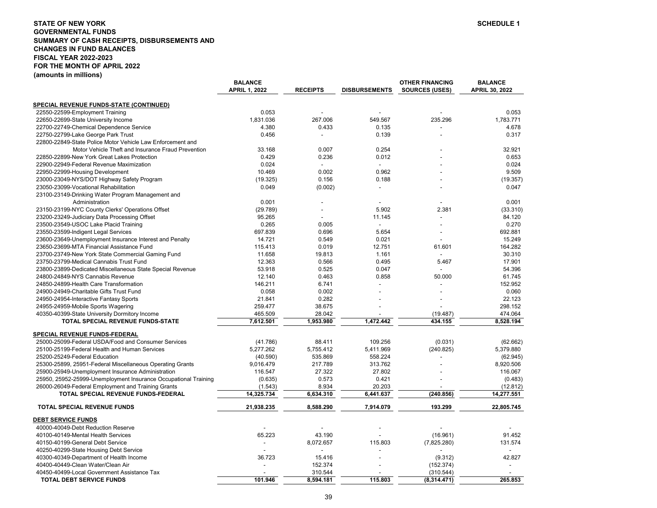## **STATE OF NEW YORK SCHEDULE 1 GOVERNMENTAL FUNDS SUMMARY OF CASH RECEIPTS, DISBURSEMENTS AND CHANGES IN FUND BALANCES FISCAL YEAR 2022-2023 FOR THE MONTH OF APRIL 2022(amounts in millions)**

|                                                                 | <b>BALANCE</b>       |                 |                      | <b>OTHER FINANCING</b>  | <b>BALANCE</b> |
|-----------------------------------------------------------------|----------------------|-----------------|----------------------|-------------------------|----------------|
|                                                                 | <b>APRIL 1, 2022</b> | <b>RECEIPTS</b> | <b>DISBURSEMENTS</b> | <b>SOURCES (USES)</b>   | APRIL 30, 2022 |
| <b>SPECIAL REVENUE FUNDS-STATE (CONTINUED)</b>                  |                      |                 |                      |                         |                |
| 22550-22599-Employment Training                                 | 0.053                |                 |                      |                         | 0.053          |
| 22650-22699-State University Income                             | 1,831.036            | 267.006         | 549.567              | 235.296                 | 1.783.771      |
| 22700-22749-Chemical Dependence Service                         | 4.380                | 0.433           | 0.135                |                         | 4.678          |
| 22750-22799-Lake George Park Trust                              | 0.456                | $\overline{a}$  | 0.139                |                         | 0.317          |
| 22800-22849-State Police Motor Vehicle Law Enforcement and      |                      |                 |                      |                         |                |
| Motor Vehicle Theft and Insurance Fraud Prevention              | 33.168               | 0.007           | 0.254                |                         | 32.921         |
| 22850-22899-New York Great Lakes Protection                     | 0.429                | 0.236           | 0.012                |                         | 0.653          |
| 22900-22949-Federal Revenue Maximization                        | 0.024                |                 |                      |                         | 0.024          |
| 22950-22999-Housing Development                                 | 10.469               | 0.002           | 0.962                |                         | 9.509          |
| 23000-23049-NYS/DOT Highway Safety Program                      | (19.325)             | 0.156           | 0.188                |                         | (19.357)       |
| 23050-23099-Vocational Rehabilitation                           | 0.049                | (0.002)         | $\overline{a}$       |                         | 0.047          |
| 23100-23149-Drinking Water Program Management and               |                      |                 |                      |                         |                |
| Administration                                                  | 0.001                |                 |                      |                         | 0.001          |
| 23150-23199-NYC County Clerks' Operations Offset                | (29.789)             |                 | 5.902                | 2.381                   | (33.310)       |
| 23200-23249-Judiciary Data Processing Offset                    | 95.265               |                 | 11.145               | $\overline{a}$          | 84.120         |
| 23500-23549-USOC Lake Placid Training                           | 0.265                | 0.005           |                      |                         | 0.270          |
|                                                                 |                      |                 | 5.654                |                         | 692.881        |
| 23550-23599-Indigent Legal Services                             | 697.839<br>14.721    | 0.696<br>0.549  | 0.021                |                         | 15.249         |
| 23600-23649-Unemployment Insurance Interest and Penalty         |                      |                 |                      |                         | 164.282        |
| 23650-23699-MTA Financial Assistance Fund                       | 115.413              | 0.019           | 12.751               | 61.601                  |                |
| 23700-23749-New York State Commercial Gaming Fund               | 11.658               | 19.813          | 1.161                |                         | 30.310         |
| 23750-23799-Medical Cannabis Trust Fund                         | 12.363               | 0.566           | 0.495                | 5.467<br>$\overline{a}$ | 17.901         |
| 23800-23899-Dedicated Miscellaneous State Special Revenue       | 53.918               | 0.525           | 0.047                |                         | 54.396         |
| 24800-24849-NYS Cannabis Revenue                                | 12.140               | 0.463           | 0.858                | 50.000                  | 61.745         |
| 24850-24899-Health Care Transformation                          | 146.211              | 6.741           |                      |                         | 152.952        |
| 24900-24949-Charitable Gifts Trust Fund                         | 0.058                | 0.002           |                      |                         | 0.060          |
| 24950-24954-Interactive Fantasy Sports                          | 21.841               | 0.282           |                      |                         | 22.123         |
| 24955-24959-Mobile Sports Wagering                              | 259.477              | 38.675          |                      |                         | 298.152        |
| 40350-40399-State University Dormitory Income                   | 465.509              | 28.042          |                      | (19.487)                | 474.064        |
| TOTAL SPECIAL REVENUE FUNDS-STATE                               | 7,612.501            | 1,953.980       | 1.472.442            | 434.155                 | 8.528.194      |
| SPECIAL REVENUE FUNDS-FEDERAL                                   |                      |                 |                      |                         |                |
| 25000-25099-Federal USDA/Food and Consumer Services             | (41.786)             | 88.411          | 109.256              | (0.031)                 | (62.662)       |
| 25100-25199-Federal Health and Human Services                   | 5,277.262            | 5,755.412       | 5,411.969            | (240.825)               | 5,379.880      |
| 25200-25249-Federal Education                                   | (40.590)             | 535.869         | 558.224              |                         | (62.945)       |
| 25300-25899, 25951-Federal Miscellaneous Operating Grants       | 9,016.479            | 217.789         | 313.762              |                         | 8.920.506      |
| 25900-25949-Unemployment Insurance Administration               | 116.547              | 27.322          | 27.802               |                         | 116.067        |
| 25950, 25952-25999-Unemployment Insurance Occupational Training | (0.635)              | 0.573           | 0.421                |                         | (0.483)        |
| 26000-26049-Federal Employment and Training Grants              | (1.543)              | 8.934           | 20.203               |                         | (12.812)       |
| TOTAL SPECIAL REVENUE FUNDS-FEDERAL                             | 14,325.734           | 6,634.310       | 6,441.637            | (240.856)               | 14,277.551     |
| TOTAL SPECIAL REVENUE FUNDS                                     | 21,938.235           | 8,588.290       | 7,914.079            | 193.299                 | 22,805.745     |
| <b>DEBT SERVICE FUNDS</b>                                       |                      |                 |                      |                         |                |
| 40000-40049-Debt Reduction Reserve                              |                      |                 |                      |                         |                |
| 40100-40149-Mental Health Services                              | 65.223               | 43.190          |                      | (16.961)                | 91.452         |
| 40150-40199-General Debt Service                                | $\overline{a}$       | 8,072.657       | 115.803              | (7,825.280)             | 131.574        |
| 40250-40299-State Housing Debt Service                          |                      |                 |                      |                         |                |
| 40300-40349-Department of Health Income                         | 36.723               | 15.416          |                      | (9.312)                 | 42.827         |
| 40400-40449-Clean Water/Clean Air                               |                      | 152.374         |                      | (152.374)               |                |
| 40450-40499-Local Government Assistance Tax                     |                      | 310.544         |                      | (310.544)               |                |
| <b>TOTAL DEBT SERVICE FUNDS</b>                                 | 101.946              | 8,594.181       | 115.803              | (8,314.471)             | 265.853        |
|                                                                 |                      |                 |                      |                         |                |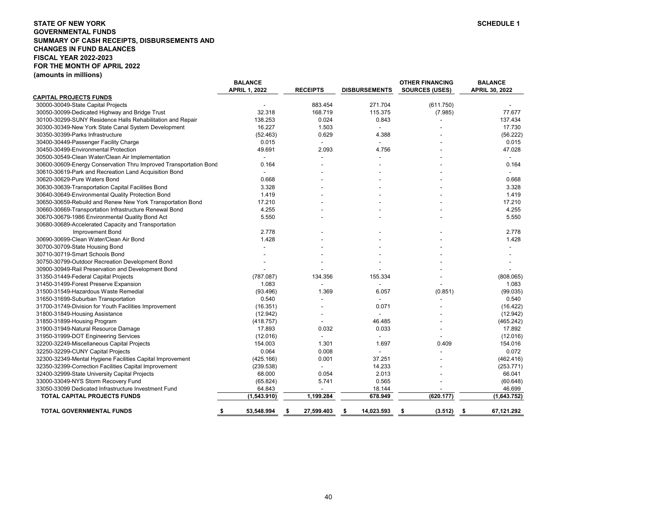# **STATE OF NEW YORKGOVERNMENTAL FUNDS SUMMARY OF CASH RECEIPTS, DISBURSEMENTS AND CHANGES IN FUND BALANCES FISCAL YEAR 2022-2023 FOR THE MONTH OF APRIL 2022 (amounts in millions)**

|                                                                   | <b>BALANCE</b>       |                  |                          | <b>OTHER FINANCING</b> | <b>BALANCE</b>           |
|-------------------------------------------------------------------|----------------------|------------------|--------------------------|------------------------|--------------------------|
|                                                                   | <b>APRIL 1, 2022</b> | <b>RECEIPTS</b>  | <b>DISBURSEMENTS</b>     | <b>SOURCES (USES)</b>  | APRIL 30, 2022           |
| <b>CAPITAL PROJECTS FUNDS</b>                                     |                      |                  |                          |                        |                          |
| 30000-30049-State Capital Projects                                |                      | 883.454          | 271.704                  | (611.750)              |                          |
| 30050-30099-Dedicated Highway and Bridge Trust                    | 32.318               | 168.719          | 115.375                  | (7.985)                | 77.677                   |
| 30100-30299-SUNY Residence Halls Rehabilitation and Repair        | 138.253              | 0.024            | 0.843                    |                        | 137.434                  |
| 30300-30349-New York State Canal System Development               | 16.227               | 1.503            | $\overline{\phantom{a}}$ |                        | 17.730                   |
| 30350-30399-Parks Infrastructure                                  | (52.463)             | 0.629            | 4.388                    |                        | (56.222)                 |
| 30400-30449-Passenger Facility Charge                             | 0.015                |                  |                          |                        | 0.015                    |
| 30450-30499-Environmental Protection                              | 49.691               | 2.093            | 4.756                    |                        | 47.028                   |
| 30500-30549-Clean Water/Clean Air Implementation                  |                      |                  |                          |                        |                          |
| 30600-30609-Energy Conservation Thru Improved Transportation Bond | 0.164                |                  |                          |                        | 0.164                    |
| 30610-30619-Park and Recreation Land Acquisition Bond             | L,                   |                  |                          |                        | $\overline{\phantom{a}}$ |
| 30620-30629-Pure Waters Bond                                      | 0.668                |                  |                          |                        | 0.668                    |
| 30630-30639-Transportation Capital Facilities Bond                | 3.328                |                  |                          |                        | 3.328                    |
| 30640-30649-Environmental Quality Protection Bond                 | 1.419                |                  |                          |                        | 1.419                    |
| 30650-30659-Rebuild and Renew New York Transportation Bond        | 17.210               |                  |                          |                        | 17.210                   |
| 30660-30669-Transportation Infrastructure Renewal Bond            | 4.255                |                  |                          |                        | 4.255                    |
| 30670-30679-1986 Environmental Quality Bond Act                   | 5.550                |                  |                          |                        | 5.550                    |
| 30680-30689-Accelerated Capacity and Transportation               |                      |                  |                          |                        |                          |
| <b>Improvement Bond</b>                                           | 2.778                |                  |                          |                        | 2.778                    |
| 30690-30699-Clean Water/Clean Air Bond                            | 1.428                |                  |                          |                        | 1.428                    |
| 30700-30709-State Housing Bond                                    |                      |                  |                          |                        |                          |
| 30710-30719-Smart Schools Bond                                    |                      |                  |                          |                        |                          |
| 30750-30799-Outdoor Recreation Development Bond                   |                      |                  |                          |                        |                          |
| 30900-30949-Rail Preservation and Development Bond                |                      |                  |                          |                        |                          |
| 31350-31449-Federal Capital Projects                              | (787.087)            | 134.356          | 155.334                  |                        | (808.065)                |
| 31450-31499-Forest Preserve Expansion                             | 1.083                |                  |                          |                        | 1.083                    |
| 31500-31549-Hazardous Waste Remedial                              | (93.496)             | 1.369            | 6.057                    | (0.851)                | (99.035)                 |
| 31650-31699-Suburban Transportation                               | 0.540                |                  |                          |                        | 0.540                    |
| 31700-31749-Division for Youth Facilities Improvement             | (16.351)             |                  | 0.071                    |                        | (16.422)                 |
| 31800-31849-Housing Assistance                                    | (12.942)             |                  | $\blacksquare$           |                        | (12.942)                 |
| 31850-31899-Housing Program                                       | (418.757)            |                  | 46.485                   |                        | (465.242)                |
| 31900-31949-Natural Resource Damage                               | 17.893               | 0.032            | 0.033                    |                        | 17.892                   |
| 31950-31999-DOT Engineering Services                              | (12.016)             |                  |                          |                        | (12.016)                 |
| 32200-32249-Miscellaneous Capital Projects                        | 154.003              | 1.301            | 1.697                    | 0.409                  | 154.016                  |
| 32250-32299-CUNY Capital Projects                                 | 0.064                | 0.008            | $\overline{a}$           |                        | 0.072                    |
| 32300-32349-Mental Hygiene Facilities Capital Improvement         | (425.166)            | 0.001            | 37.251                   |                        | (462.416)                |
| 32350-32399-Correction Facilities Capital Improvement             | (239.538)            |                  | 14.233                   |                        | (253.771)                |
| 32400-32999-State University Capital Projects                     | 68.000               | 0.054            | 2.013                    |                        | 66.041                   |
| 33000-33049-NYS Storm Recovery Fund                               | (65.824)             | 5.741            | 0.565                    |                        | (60.648)                 |
| 33050-33099 Dedicated Infrastructure Investment Fund              | 64.843               |                  | 18.144                   |                        | 46.699                   |
| <b>TOTAL CAPITAL PROJECTS FUNDS</b>                               | (1,543.910)          | 1,199.284        | 678.949                  | (620.177)              | (1,643.752)              |
|                                                                   |                      |                  |                          |                        |                          |
| <b>TOTAL GOVERNMENTAL FUNDS</b><br>\$                             | 53,548.994           | 27,599.403<br>\$ | 14,023.593<br>\$         | -\$<br>(3.512)         | 67,121.292<br>- \$       |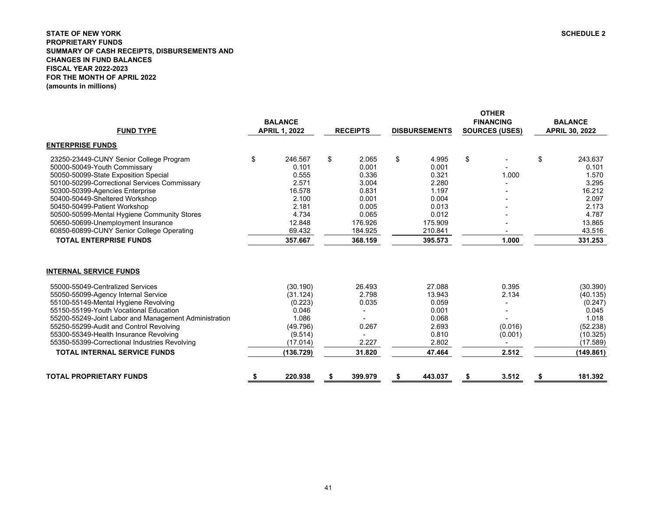# <span id="page-41-0"></span>**STATE OF NEW YORK SCHEDULE 2 PROPRIETARY FUNDS SUMMARY OF CASH RECEIPTS, DISBURSEMENTS AND CHANGES IN FUND BALANCES FISCAL YEAR 2022-2023 FOR THE MONTH OF APRIL 2022(amounts in millions)**

| <b>FUND TYPE</b>                                                                                                                                                                                                                                                                                                                                                                                                                 | <b>BALANCE</b><br><b>APRIL 1, 2022</b>                                                            | <b>RECEIPTS</b>                                      | <b>DISBURSEMENTS</b>                                                             | <b>OTHER</b><br><b>FINANCING</b><br><b>SOURCES (USES)</b> | <b>BALANCE</b><br><b>APRIL 30, 2022</b>                                                            |
|----------------------------------------------------------------------------------------------------------------------------------------------------------------------------------------------------------------------------------------------------------------------------------------------------------------------------------------------------------------------------------------------------------------------------------|---------------------------------------------------------------------------------------------------|------------------------------------------------------|----------------------------------------------------------------------------------|-----------------------------------------------------------|----------------------------------------------------------------------------------------------------|
| <b>ENTERPRISE FUNDS</b>                                                                                                                                                                                                                                                                                                                                                                                                          |                                                                                                   |                                                      |                                                                                  |                                                           |                                                                                                    |
| 23250-23449-CUNY Senior College Program                                                                                                                                                                                                                                                                                                                                                                                          | \$<br>246.567                                                                                     | \$<br>2.065                                          | \$<br>4.995                                                                      | \$                                                        | \$<br>243.637                                                                                      |
| 50000-50049-Youth Commissary                                                                                                                                                                                                                                                                                                                                                                                                     | 0.101                                                                                             | 0.001                                                | 0.001                                                                            |                                                           | 0.101                                                                                              |
| 50050-50099-State Exposition Special                                                                                                                                                                                                                                                                                                                                                                                             | 0.555                                                                                             | 0.336                                                | 0.321                                                                            | 1.000                                                     | 1.570                                                                                              |
| 50100-50299-Correctional Services Commissary                                                                                                                                                                                                                                                                                                                                                                                     | 2.571                                                                                             | 3.004                                                | 2.280                                                                            |                                                           | 3.295                                                                                              |
| 50300-50399-Agencies Enterprise                                                                                                                                                                                                                                                                                                                                                                                                  | 16.578                                                                                            | 0.831                                                | 1.197                                                                            |                                                           | 16.212                                                                                             |
| 50400-50449-Sheltered Workshop                                                                                                                                                                                                                                                                                                                                                                                                   | 2.100                                                                                             | 0.001                                                | 0.004                                                                            |                                                           | 2.097                                                                                              |
| 50450-50499-Patient Workshop                                                                                                                                                                                                                                                                                                                                                                                                     | 2.181                                                                                             | 0.005                                                | 0.013                                                                            |                                                           | 2.173                                                                                              |
| 50500-50599-Mental Hygiene Community Stores                                                                                                                                                                                                                                                                                                                                                                                      | 4.734                                                                                             | 0.065                                                | 0.012                                                                            |                                                           | 4.787                                                                                              |
| 50650-50699-Unemployment Insurance                                                                                                                                                                                                                                                                                                                                                                                               | 12.848<br>69.432                                                                                  | 176.926                                              | 175.909                                                                          |                                                           | 13.865<br>43.516                                                                                   |
| 60850-60899-CUNY Senior College Operating                                                                                                                                                                                                                                                                                                                                                                                        |                                                                                                   | 184.925                                              | 210.841                                                                          |                                                           |                                                                                                    |
| <b>TOTAL ENTERPRISE FUNDS</b>                                                                                                                                                                                                                                                                                                                                                                                                    | 357.667                                                                                           | 368.159                                              | 395.573                                                                          | 1.000                                                     | 331.253                                                                                            |
| <b>INTERNAL SERVICE FUNDS</b><br>55000-55049-Centralized Services<br>55050-55099-Agency Internal Service<br>55100-55149-Mental Hygiene Revolving<br>55150-55199-Youth Vocational Education<br>55200-55249-Joint Labor and Management Administration<br>55250-55299-Audit and Control Revolving<br>55300-55349-Health Insurance Revolving<br>55350-55399-Correctional Industries Revolving<br><b>TOTAL INTERNAL SERVICE FUNDS</b> | (30.190)<br>(31.124)<br>(0.223)<br>0.046<br>1.086<br>(49.796)<br>(9.514)<br>(17.014)<br>(136.729) | 26.493<br>2.798<br>0.035<br>0.267<br>2.227<br>31.820 | 27.088<br>13.943<br>0.059<br>0.001<br>0.068<br>2.693<br>0.810<br>2.802<br>47.464 | 0.395<br>2.134<br>(0.016)<br>(0.001)<br>2.512             | (30.390)<br>(40.135)<br>(0.247)<br>0.045<br>1.018<br>(52.238)<br>(10.325)<br>(17.589)<br>(149.861) |
| <b>TOTAL PROPRIETARY FUNDS</b>                                                                                                                                                                                                                                                                                                                                                                                                   | 220.938                                                                                           | \$<br>399.979                                        | \$<br>443.037                                                                    | \$<br>3.512                                               | 181.392                                                                                            |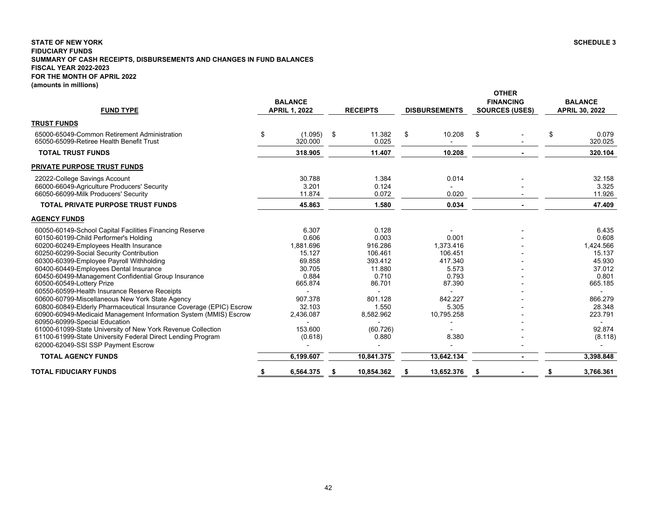## <span id="page-42-0"></span>**STATE OF NEW YORK SCHEDULE 3 FIDUCIARY FUNDS SUMMARY OF CASH RECEIPTS, DISBURSEMENTS AND CHANGES IN FUND BALANCES FISCAL YEAR 2022-2023 FOR THE MONTH OF APRIL 2022 (amounts in millions)**

| <b>FUND TYPE</b>                                                                                                                                                                                                                                                                                                                                                                                                                                                                                                                                                                                                                                                                                                                                                                                                     | <b>BALANCE</b><br><b>APRIL 1, 2022</b>                                                                                                | <b>RECEIPTS</b>                                                                                                                    | <b>DISBURSEMENTS</b>                                                                                            | <b>OTHER</b><br><b>FINANCING</b><br><b>SOURCES (USES)</b> | <b>BALANCE</b><br><b>APRIL 30, 2022</b>                                                                                            |
|----------------------------------------------------------------------------------------------------------------------------------------------------------------------------------------------------------------------------------------------------------------------------------------------------------------------------------------------------------------------------------------------------------------------------------------------------------------------------------------------------------------------------------------------------------------------------------------------------------------------------------------------------------------------------------------------------------------------------------------------------------------------------------------------------------------------|---------------------------------------------------------------------------------------------------------------------------------------|------------------------------------------------------------------------------------------------------------------------------------|-----------------------------------------------------------------------------------------------------------------|-----------------------------------------------------------|------------------------------------------------------------------------------------------------------------------------------------|
| <b>TRUST FUNDS</b>                                                                                                                                                                                                                                                                                                                                                                                                                                                                                                                                                                                                                                                                                                                                                                                                   |                                                                                                                                       |                                                                                                                                    |                                                                                                                 |                                                           |                                                                                                                                    |
| 65000-65049-Common Retirement Administration<br>65050-65099-Retiree Health Benefit Trust                                                                                                                                                                                                                                                                                                                                                                                                                                                                                                                                                                                                                                                                                                                             | \$<br>(1.095)<br>320.000                                                                                                              | \$<br>11.382<br>0.025                                                                                                              | \$<br>10.208                                                                                                    | \$                                                        | \$<br>0.079<br>320.025                                                                                                             |
| <b>TOTAL TRUST FUNDS</b>                                                                                                                                                                                                                                                                                                                                                                                                                                                                                                                                                                                                                                                                                                                                                                                             | 318.905                                                                                                                               | 11.407                                                                                                                             | 10.208                                                                                                          |                                                           | 320.104                                                                                                                            |
| <b>PRIVATE PURPOSE TRUST FUNDS</b>                                                                                                                                                                                                                                                                                                                                                                                                                                                                                                                                                                                                                                                                                                                                                                                   |                                                                                                                                       |                                                                                                                                    |                                                                                                                 |                                                           |                                                                                                                                    |
| 22022-College Savings Account<br>66000-66049-Agriculture Producers' Security<br>66050-66099-Milk Producers' Security                                                                                                                                                                                                                                                                                                                                                                                                                                                                                                                                                                                                                                                                                                 | 30.788<br>3.201<br>11.874                                                                                                             | 1.384<br>0.124<br>0.072                                                                                                            | 0.014<br>0.020                                                                                                  |                                                           | 32.158<br>3.325<br>11.926                                                                                                          |
| <b>TOTAL PRIVATE PURPOSE TRUST FUNDS</b>                                                                                                                                                                                                                                                                                                                                                                                                                                                                                                                                                                                                                                                                                                                                                                             | 45.863                                                                                                                                | 1.580                                                                                                                              | 0.034                                                                                                           |                                                           | 47.409                                                                                                                             |
| <b>AGENCY FUNDS</b>                                                                                                                                                                                                                                                                                                                                                                                                                                                                                                                                                                                                                                                                                                                                                                                                  |                                                                                                                                       |                                                                                                                                    |                                                                                                                 |                                                           |                                                                                                                                    |
| 60050-60149-School Capital Facilities Financing Reserve<br>60150-60199-Child Performer's Holding<br>60200-60249-Employees Health Insurance<br>60250-60299-Social Security Contribution<br>60300-60399-Employee Payroll Withholding<br>60400-60449-Employees Dental Insurance<br>60450-60499-Management Confidential Group Insurance<br>60500-60549-Lottery Prize<br>60550-60599-Health Insurance Reserve Receipts<br>60600-60799-Miscellaneous New York State Agency<br>60800-60849-Elderly Pharmaceutical Insurance Coverage (EPIC) Escrow<br>60900-60949-Medicaid Management Information System (MMIS) Escrow<br>60950-60999-Special Education<br>61000-61099-State University of New York Revenue Collection<br>61100-61999-State University Federal Direct Lending Program<br>62000-62049-SSI SSP Payment Escrow | 6.307<br>0.606<br>1,881.696<br>15.127<br>69.858<br>30.705<br>0.884<br>665.874<br>907.378<br>32.103<br>2,436.087<br>153.600<br>(0.618) | 0.128<br>0.003<br>916.286<br>106.461<br>393.412<br>11.880<br>0.710<br>86.701<br>801.128<br>1.550<br>8,582.962<br>(60.726)<br>0.880 | 0.001<br>1,373.416<br>106.451<br>417.340<br>5.573<br>0.793<br>87.390<br>842.227<br>5.305<br>10,795.258<br>8.380 |                                                           | 6.435<br>0.608<br>1,424.566<br>15.137<br>45.930<br>37.012<br>0.801<br>665.185<br>866.279<br>28.348<br>223.791<br>92.874<br>(8.118) |
| <b>TOTAL AGENCY FUNDS</b>                                                                                                                                                                                                                                                                                                                                                                                                                                                                                                                                                                                                                                                                                                                                                                                            | 6,199.607                                                                                                                             | 10,841.375                                                                                                                         | 13,642.134                                                                                                      |                                                           | 3,398.848                                                                                                                          |
| <b>TOTAL FIDUCIARY FUNDS</b>                                                                                                                                                                                                                                                                                                                                                                                                                                                                                                                                                                                                                                                                                                                                                                                         | \$<br>6,564.375                                                                                                                       | 10,854.362                                                                                                                         | 13,652.376                                                                                                      |                                                           | 3,766.361                                                                                                                          |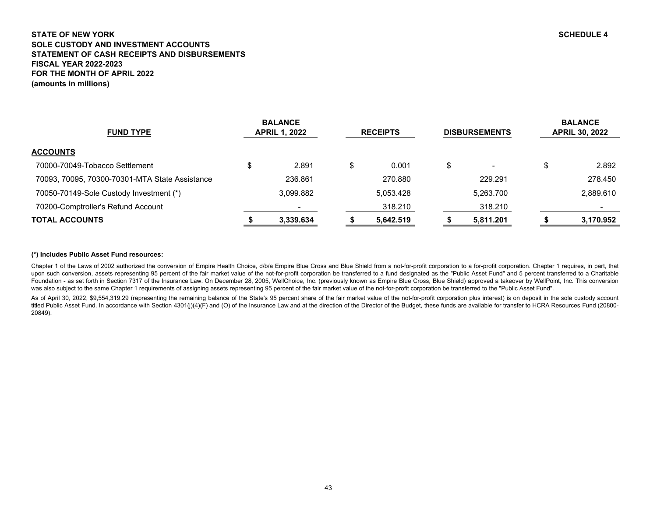# <span id="page-43-0"></span>**STATE OF NEW YORK SCHEDULE 4 SOLE CUSTODY AND INVESTMENT ACCOUNTSSTATEMENT OF CASH RECEIPTS AND DISBURSEMENTS FISCAL YEAR 2022-2023FOR THE MONTH OF APRIL 2022(amounts in millions)**

| <b>FUND TYPE</b>                               | <b>BALANCE</b><br><b>APRIL 1, 2022</b> | <b>RECEIPTS</b> | <b>DISBURSEMENTS</b>     | <b>BALANCE</b><br><b>APRIL 30, 2022</b> |
|------------------------------------------------|----------------------------------------|-----------------|--------------------------|-----------------------------------------|
| <b>ACCOUNTS</b>                                |                                        |                 |                          |                                         |
| 70000-70049-Tobacco Settlement                 | \$<br>2.891                            | \$<br>0.001     | $\overline{\phantom{0}}$ | \$<br>2.892                             |
| 70093, 70095, 70300-70301-MTA State Assistance | 236.861                                | 270.880         | 229.291                  | 278.450                                 |
| 70050-70149-Sole Custody Investment (*)        | 3.099.882                              | 5.053.428       | 5,263.700                | 2,889.610                               |
| 70200-Comptroller's Refund Account             |                                        | 318.210         | 318.210                  | $\,$                                    |
| <b>TOTAL ACCOUNTS</b>                          | 3,339.634                              | 5,642.519       | 5,811.201                | 3,170.952                               |

# **(\*) Includes Public Asset Fund resources:**

Chapter 1 of the Laws of 2002 authorized the conversion of Empire Health Choice, d/b/a Empire Blue Cross and Blue Shield from a not-for-profit corporation to a for-profit corporation. Chapter 1 requires, in part, that upon such conversion, assets representing 95 percent of the fair market value of the not-for-profit corporation be transferred to a fund designated as the "Public Asset Fund" and 5 percent transferred to a Charitable Foundation - as set forth in Section 7317 of the Insurance Law. On December 28, 2005, WellChoice, Inc. (previously known as Empire Blue Cross, Blue Shield) approved a takeover by WellPoint, Inc. This conversion was also subject to the same Chapter 1 requirements of assigning assets representing 95 percent of the fair market value of the not-for-profit corporation be transferred to the "Public Asset Fund".

As of April 30, 2022, \$9,554,319.29 (representing the remaining balance of the State's 95 percent share of the fair market value of the not-for-profit corporation plus interest) is on deposit in the sole custody account titled Public Asset Fund. In accordance with Section 4301(j)(4)(F) and (O) of the Insurance Law and at the direction of the Director of the Budget, these funds are available for transfer to HCRA Resources Fund (20800-20849).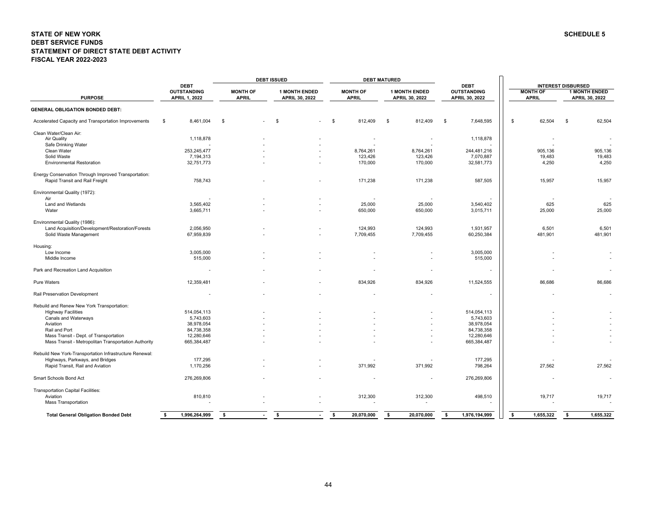#### <span id="page-44-0"></span>**STATE OF NEW YORK SCHEDULE 5 DEBT SERVICE FUNDS STATEMENT OF DIRECT STATE DEBT ACTIVITYFISCAL YEAR 2022-2023**

|                                                                                        |                                   |                 | <b>DEBT ISSUED</b>             |                  | <b>DEBT MATURED</b>   |                                   |                         |                                                   |
|----------------------------------------------------------------------------------------|-----------------------------------|-----------------|--------------------------------|------------------|-----------------------|-----------------------------------|-------------------------|---------------------------------------------------|
|                                                                                        | <b>DEBT</b><br><b>OUTSTANDING</b> | <b>MONTH OF</b> | <b>1 MONTH ENDED</b>           | <b>MONTH OF</b>  | <b>1 MONTH ENDED</b>  | <b>DEBT</b><br><b>OUTSTANDING</b> | <b>MONTH OF</b>         | <b>INTEREST DISBURSED</b><br><b>1 MONTH ENDED</b> |
| <b>PURPOSE</b>                                                                         | <b>APRIL 1, 2022</b>              | <b>APRIL</b>    | <b>APRIL 30, 2022</b>          | <b>APRIL</b>     | <b>APRIL 30, 2022</b> | APRIL 30, 2022                    | <b>APRIL</b>            | <b>APRIL 30, 2022</b>                             |
| <b>GENERAL OBLIGATION BONDED DEBT:</b>                                                 |                                   |                 |                                |                  |                       |                                   |                         |                                                   |
| Accelerated Capacity and Transportation Improvements                                   | \$<br>8,461,004                   | \$              | \$<br>$\overline{\phantom{a}}$ | \$<br>812,409    | \$<br>812,409         | \$<br>7,648,595                   | 62,504<br>\$            | 62,504<br>\$                                      |
| Clean Water/Clean Air:                                                                 |                                   |                 |                                |                  |                       |                                   |                         |                                                   |
| Air Quality                                                                            | 1,118,878                         |                 |                                |                  |                       | 1,118,878                         |                         |                                                   |
| Safe Drinking Water                                                                    |                                   |                 |                                |                  |                       |                                   |                         |                                                   |
| Clean Water                                                                            | 253,245,477                       |                 |                                | 8,764,261        | 8,764,261             | 244,481,216                       | 905,136                 | 905,136                                           |
| Solid Waste                                                                            | 7,194,313                         |                 |                                | 123,426          | 123,426               | 7,070,887                         | 19,483                  | 19,483                                            |
| <b>Environmental Restoration</b>                                                       | 32,751,773                        |                 |                                | 170,000          | 170,000               | 32,581,773                        | 4,250                   | 4,250                                             |
| Energy Conservation Through Improved Transportation:<br>Rapid Transit and Rail Freight | 758,743                           |                 |                                | 171,238          | 171,238               | 587,505                           | 15,957                  | 15,957                                            |
| Environmental Quality (1972):                                                          |                                   |                 |                                |                  |                       |                                   |                         |                                                   |
| Air                                                                                    |                                   |                 |                                |                  |                       |                                   |                         |                                                   |
| Land and Wetlands                                                                      | 3,565,402                         |                 |                                | 25,000           | 25,000                | 3,540,402                         | 625                     | 625                                               |
| Water                                                                                  | 3,665,711                         |                 |                                | 650,000          | 650,000               | 3,015,711                         | 25,000                  | 25,000                                            |
| Environmental Quality (1986):                                                          |                                   |                 |                                |                  |                       |                                   |                         |                                                   |
| Land Acquisition/Development/Restoration/Forests                                       | 2,056,950                         |                 |                                | 124,993          | 124,993               | 1,931,957                         | 6,501                   | 6,501                                             |
| Solid Waste Management                                                                 | 67,959,839                        |                 |                                | 7,709,455        | 7,709,455             | 60,250,384                        | 481,901                 | 481,901                                           |
|                                                                                        |                                   |                 |                                |                  |                       |                                   |                         |                                                   |
| Housing:                                                                               |                                   |                 |                                |                  |                       |                                   |                         |                                                   |
| Low Income<br>Middle Income                                                            | 3,005,000<br>515,000              |                 |                                |                  |                       | 3,005,000<br>515,000              |                         |                                                   |
|                                                                                        |                                   |                 |                                |                  |                       |                                   |                         |                                                   |
| Park and Recreation Land Acquisition                                                   |                                   |                 |                                |                  |                       |                                   |                         |                                                   |
| Pure Waters                                                                            | 12,359,481                        |                 |                                | 834,926          | 834,926               | 11,524,555                        | 86,686                  | 86,686                                            |
| Rail Preservation Development                                                          |                                   |                 |                                |                  |                       |                                   |                         |                                                   |
| Rebuild and Renew New York Transportation:                                             |                                   |                 |                                |                  |                       |                                   |                         |                                                   |
| <b>Highway Facilities</b>                                                              | 514,054,113                       |                 |                                |                  |                       | 514,054,113                       |                         |                                                   |
| Canals and Waterways                                                                   | 5,743,603                         |                 |                                |                  |                       | 5,743,603                         |                         |                                                   |
| Aviation                                                                               | 38,978,054                        |                 |                                |                  |                       | 38,978,054                        |                         |                                                   |
| Rail and Port                                                                          | 84,738,358                        |                 |                                |                  |                       | 84,738,358                        |                         |                                                   |
| Mass Transit - Dept. of Transportation                                                 | 12,280,646                        |                 |                                |                  |                       | 12,280,646                        |                         |                                                   |
| Mass Transit - Metropolitan Transportation Authority                                   | 665,384,487                       |                 |                                |                  |                       | 665,384,487                       |                         |                                                   |
| Rebuild New York-Transportation Infrastructure Renewal:                                |                                   |                 |                                |                  |                       |                                   |                         |                                                   |
| Highways, Parkways, and Bridges                                                        | 177,295                           |                 |                                |                  |                       | 177,295                           |                         |                                                   |
| Rapid Transit, Rail and Aviation                                                       | 1,170,256                         |                 |                                | 371,992          | 371,992               | 798,264                           | 27,562                  | 27,562                                            |
| Smart Schools Bond Act                                                                 | 276,269,806                       |                 |                                |                  |                       | 276,269,806                       |                         |                                                   |
| Transportation Capital Facilities:                                                     |                                   |                 |                                |                  |                       |                                   |                         |                                                   |
| Aviation                                                                               | 810,810                           |                 |                                | 312,300          | 312,300               | 498,510                           | 19,717                  | 19,717                                            |
| <b>Mass Transportation</b>                                                             |                                   |                 |                                |                  |                       |                                   |                         |                                                   |
| <b>Total General Obligation Bonded Debt</b>                                            | 1,996,264,999<br>- \$             | \$              | \$                             | 20,070,000<br>s. | \$<br>20,070,000      | 1,976,194,999<br>- \$             | $\sqrt{2}$<br>1,655,322 | \$<br>1,655,322                                   |
|                                                                                        |                                   |                 |                                |                  |                       |                                   |                         |                                                   |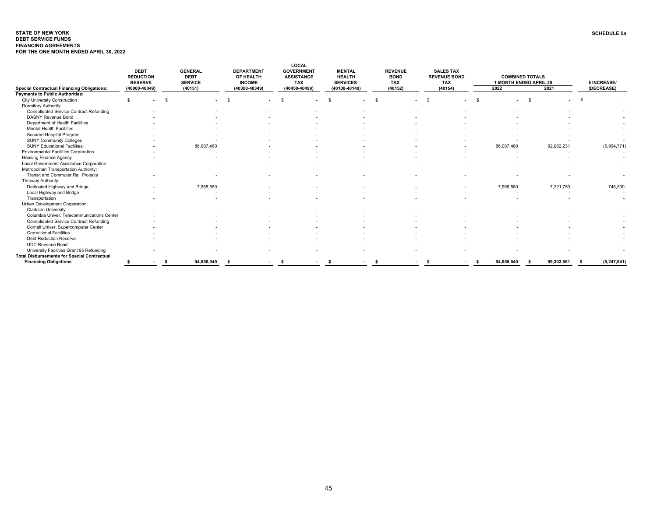#### <span id="page-45-0"></span>**STATE OF NEW YORK SCHEDULE 5aDEBT SERVICE FUNDS FINANCING AGREEMENTSFOR THE ONE MONTH ENDED APRIL 30, 2022**

| <b>Special Contractual Financing Obligations:</b>  | <b>DEBT</b><br><b>REDUCTION</b><br><b>RESERVE</b><br>(40000-40049) |    | <b>GENERAL</b><br><b>DEBT</b><br><b>SERVICE</b><br>(40151) | <b>DEPARTMENT</b><br>OF HEALTH<br><b>INCOME</b><br>(40300-40349) | LOCAL<br><b>GOVERNMENT</b><br><b>ASSISTANCE</b><br><b>TAX</b><br>(40450-40499) | <b>MENTAL</b><br><b>HEALTH</b><br><b>SERVICES</b><br>(40100-40149) | <b>REVENUE</b><br><b>BOND</b><br><b>TAX</b><br>(40152) | <b>SALES TAX</b><br><b>REVENUE BOND</b><br><b>TAX</b><br>(40154) | 2022                     | <b>COMBINED TOTALS</b><br>1 MONTH ENDED APRIL 30<br>2021 | \$ INCREASE/<br>(DECREASE) |
|----------------------------------------------------|--------------------------------------------------------------------|----|------------------------------------------------------------|------------------------------------------------------------------|--------------------------------------------------------------------------------|--------------------------------------------------------------------|--------------------------------------------------------|------------------------------------------------------------------|--------------------------|----------------------------------------------------------|----------------------------|
| <b>Payments to Public Authorities:</b>             |                                                                    |    |                                                            |                                                                  |                                                                                |                                                                    |                                                        |                                                                  |                          |                                                          |                            |
| <b>City University Construction</b>                | \$.                                                                | \$ |                                                            | $\mathbf{\hat{S}}$                                               | $\hat{\mathbf{r}}$                                                             |                                                                    | $\hat{\tau}$                                           |                                                                  |                          | $\mathbf{s}$                                             |                            |
| Dormitory Authority:                               |                                                                    |    |                                                            |                                                                  |                                                                                |                                                                    |                                                        |                                                                  |                          |                                                          |                            |
| <b>Consolidated Service Contract Refunding</b>     |                                                                    |    |                                                            |                                                                  |                                                                                |                                                                    |                                                        |                                                                  |                          |                                                          |                            |
| <b>DASNY Revenue Bond</b>                          |                                                                    |    |                                                            |                                                                  |                                                                                |                                                                    |                                                        |                                                                  |                          |                                                          |                            |
| Department of Health Facilities                    |                                                                    |    |                                                            |                                                                  |                                                                                |                                                                    |                                                        |                                                                  |                          |                                                          |                            |
| <b>Mental Health Facilities</b>                    |                                                                    |    |                                                            |                                                                  |                                                                                |                                                                    |                                                        |                                                                  |                          |                                                          |                            |
| Secured Hospital Program                           |                                                                    |    |                                                            |                                                                  |                                                                                |                                                                    |                                                        |                                                                  |                          |                                                          | $\overline{\phantom{a}}$   |
| <b>SUNY Community Colleges</b>                     |                                                                    |    |                                                            |                                                                  |                                                                                |                                                                    |                                                        |                                                                  |                          |                                                          |                            |
| <b>SUNY Educational Facilities</b>                 |                                                                    |    | 86,087,460                                                 |                                                                  |                                                                                |                                                                    |                                                        |                                                                  | 86,087,460               | 92,082,231                                               | (5,994,771)                |
| <b>Environmental Facilities Corporation</b>        |                                                                    |    |                                                            |                                                                  |                                                                                |                                                                    |                                                        |                                                                  | $\overline{\phantom{a}}$ |                                                          | $\overline{\phantom{a}}$   |
| <b>Housing Finance Agency</b>                      |                                                                    |    |                                                            |                                                                  |                                                                                |                                                                    |                                                        |                                                                  |                          |                                                          |                            |
| Local Government Assistance Corporation            |                                                                    |    |                                                            |                                                                  |                                                                                |                                                                    |                                                        |                                                                  |                          |                                                          |                            |
| Metropolitan Transportation Authority:             |                                                                    |    |                                                            |                                                                  |                                                                                |                                                                    |                                                        |                                                                  |                          |                                                          |                            |
| Transit and Commuter Rail Projects                 |                                                                    |    |                                                            |                                                                  |                                                                                |                                                                    |                                                        |                                                                  |                          |                                                          |                            |
| Thruway Authority:                                 |                                                                    |    |                                                            |                                                                  |                                                                                |                                                                    |                                                        |                                                                  |                          |                                                          |                            |
| Dedicated Highway and Bridge                       |                                                                    |    | 7,968,580                                                  |                                                                  |                                                                                |                                                                    |                                                        |                                                                  | 7,968,580                | 7,221,750                                                | 746,830                    |
| Local Highway and Bridge                           |                                                                    |    |                                                            |                                                                  |                                                                                |                                                                    |                                                        |                                                                  |                          |                                                          |                            |
| Transportation                                     |                                                                    |    |                                                            |                                                                  |                                                                                |                                                                    |                                                        |                                                                  |                          |                                                          | $\overline{\phantom{a}}$   |
| Urban Development Corporation:                     |                                                                    |    |                                                            |                                                                  |                                                                                |                                                                    |                                                        |                                                                  |                          |                                                          |                            |
| <b>Clarkson University</b>                         |                                                                    |    |                                                            |                                                                  |                                                                                |                                                                    |                                                        |                                                                  |                          |                                                          |                            |
| Columbia Univer. Telecommunications Center         |                                                                    |    |                                                            |                                                                  |                                                                                |                                                                    |                                                        |                                                                  |                          |                                                          |                            |
| <b>Consolidated Service Contract Refunding</b>     |                                                                    |    |                                                            |                                                                  |                                                                                |                                                                    |                                                        |                                                                  |                          |                                                          |                            |
| Cornell Univer. Supercomputer Center               |                                                                    |    |                                                            |                                                                  |                                                                                |                                                                    |                                                        |                                                                  |                          |                                                          |                            |
| <b>Correctional Facilities</b>                     |                                                                    |    |                                                            |                                                                  |                                                                                |                                                                    |                                                        |                                                                  |                          |                                                          |                            |
| <b>Debt Reduction Reserve</b>                      |                                                                    |    |                                                            |                                                                  |                                                                                |                                                                    |                                                        |                                                                  |                          |                                                          |                            |
| <b>UDC Revenue Bond</b>                            |                                                                    |    |                                                            |                                                                  |                                                                                |                                                                    |                                                        |                                                                  |                          |                                                          |                            |
| University Facilities Grant 95 Refunding           |                                                                    |    |                                                            |                                                                  |                                                                                |                                                                    |                                                        |                                                                  |                          |                                                          | $\overline{\phantom{a}}$   |
| <b>Total Disbursements for Special Contractual</b> |                                                                    |    |                                                            |                                                                  |                                                                                |                                                                    |                                                        |                                                                  |                          |                                                          |                            |
| <b>Financing Obligations</b>                       |                                                                    | s. | 94,056,040                                                 | ŝ                                                                | -S                                                                             | -S                                                                 | -S                                                     | -S                                                               | 94,056,040<br>-S         | 99,303,981<br>- \$                                       | (5, 247, 941)<br>s.        |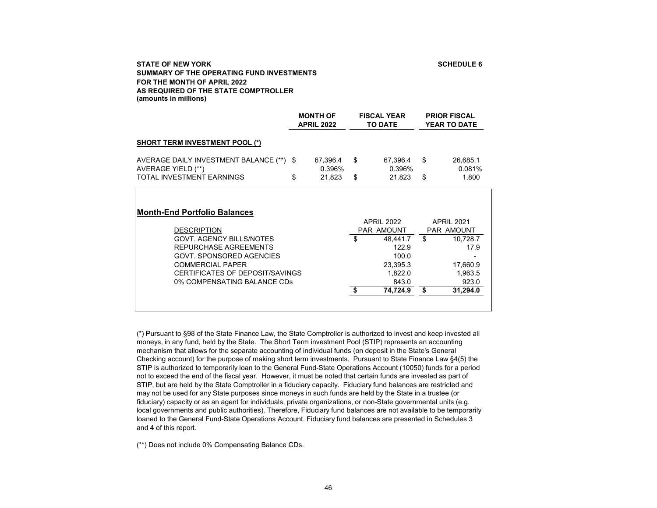# **SCHEDULE 6**

# <span id="page-46-0"></span>**STATE OF NEW YORKSUMMARY OF THE OPERATING FUND INVESTMENTS FOR THE MONTH OF APRIL 2022AS REQUIRED OF THE STATE COMPTROLLER(amounts in millions)**

|                                                                                                                                                                                                                                                | <b>MONTH OF</b><br><b>APRIL 2022</b> |          | <b>FISCAL YEAR</b><br><b>TO DATE</b>                                                                             | <b>PRIOR FISCAL</b><br><b>YEAR TO DATE</b> |                                                                                                        |
|------------------------------------------------------------------------------------------------------------------------------------------------------------------------------------------------------------------------------------------------|--------------------------------------|----------|------------------------------------------------------------------------------------------------------------------|--------------------------------------------|--------------------------------------------------------------------------------------------------------|
| <b>SHORT TERM INVESTMENT POOL (*)</b>                                                                                                                                                                                                          |                                      |          |                                                                                                                  |                                            |                                                                                                        |
| AVERAGE DAILY INVESTMENT BALANCE (**) \$<br>AVERAGE YIELD (**)<br><b>TOTAL INVESTMENT EARNINGS</b>                                                                                                                                             | \$<br>67,396.4<br>0.396%<br>21.823   | \$<br>\$ | 67,396.4<br>0.396%<br>21.823                                                                                     | \$<br>\$                                   | 26,685.1<br>0.081%<br>1.800                                                                            |
| <b>Month-End Portfolio Balances</b><br><b>DESCRIPTION</b><br><b>GOVT. AGENCY BILLS/NOTES</b><br>REPURCHASE AGREEMENTS<br>GOVT, SPONSORED AGENCIES<br><b>COMMERCIAL PAPER</b><br>CERTIFICATES OF DEPOSIT/SAVINGS<br>0% COMPENSATING BALANCE CDs |                                      | \$       | <b>APRIL 2022</b><br><b>PAR AMOUNT</b><br>48,441.7<br>122.9<br>100.0<br>23,395.3<br>1,822.0<br>843.0<br>74,724.9 | \$<br>\$                                   | <b>APRIL 2021</b><br><b>PAR AMOUNT</b><br>10,728.7<br>17.9<br>17,660.9<br>1,963.5<br>923.0<br>31,294.0 |

(\*) Pursuant to §98 of the State Finance Law, the State Comptroller is authorized to invest and keep invested all moneys, in any fund, held by the State. The Short Term investment Pool (STIP) represents an accounting mechanism that allows for the separate accounting of individual funds (on deposit in the State's General Checking account) for the purpose of making short term investments. Pursuant to State Finance Law §4(5) the STIP is authorized to temporarily loan to the General Fund-State Operations Account (10050) funds for a period not to exceed the end of the fiscal year. However, it must be noted that certain funds are invested as part of STIP, but are held by the State Comptroller in a fiduciary capacity. Fiduciary fund balances are restricted and may not be used for any State purposes since moneys in such funds are held by the State in a trustee (or fiduciary) capacity or as an agent for individuals, private organizations, or non-State governmental units (e.g. local governments and public authorities). Therefore, Fiduciary fund balances are not available to be temporarily loaned to the General Fund-State Operations Account. Fiduciary fund balances are presented in Schedules 3 and 4 of this report.

(\*\*) Does not include 0% Compensating Balance CDs.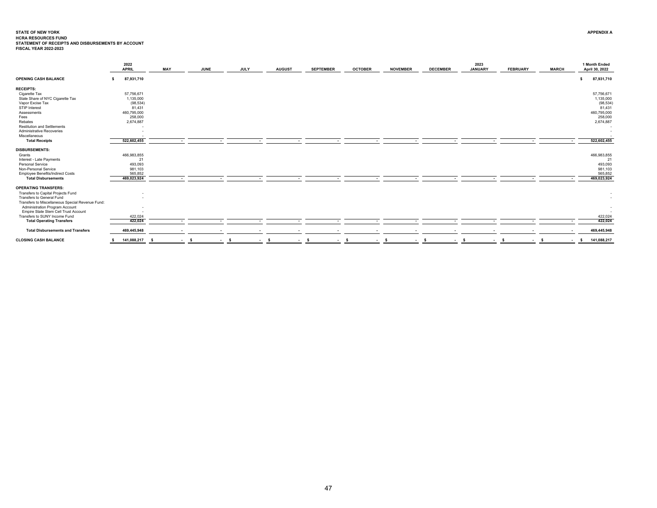# <span id="page-47-0"></span>**STATE OF NEW YORK**STATE OF NEW YORK<br>HCRA RESOURCES FUND<br>STATEMENT OF RECEIPTS AND DISBURSEMENTS BY ACCOUNT<br>FISCAL YEAR 2022-2023

|                                                  | 2022<br><b>APRIL</b> | MAY |        | <b>JUNE</b> | <b>JULY</b> | <b>AUGUST</b> | <b>SEPTEMBER</b>         | <b>OCTOBER</b> | <b>NOVEMBER</b>          | <b>DECEMBER</b> | 2023<br><b>JANUARY</b> | <b>FEBRUARY</b> | <b>MARCH</b>   | 1 Month Ended<br>April 30, 2022 |
|--------------------------------------------------|----------------------|-----|--------|-------------|-------------|---------------|--------------------------|----------------|--------------------------|-----------------|------------------------|-----------------|----------------|---------------------------------|
| <b>OPENING CASH BALANCE</b>                      | 87,931,710<br>\$     |     |        |             |             |               |                          |                |                          |                 |                        |                 |                | 87,931,710<br>-S                |
| <b>RECEIPTS:</b>                                 |                      |     |        |             |             |               |                          |                |                          |                 |                        |                 |                |                                 |
| Cigarette Tax                                    | 57,756,671           |     |        |             |             |               |                          |                |                          |                 |                        |                 |                | 57,756,671                      |
| State Share of NYC Cigarette Tax                 | 1,135,000            |     |        |             |             |               |                          |                |                          |                 |                        |                 |                | 1,135,000                       |
| Vapor Excise Tax                                 | (98, 534)            |     |        |             |             |               |                          |                |                          |                 |                        |                 |                | (98, 534)                       |
| STIP Interest                                    | 81,431               |     |        |             |             |               |                          |                |                          |                 |                        |                 |                | 81,431                          |
| Assessments                                      | 460,795,000          |     |        |             |             |               |                          |                |                          |                 |                        |                 |                | 460,795,000                     |
| Fees                                             | 258,000              |     |        |             |             |               |                          |                |                          |                 |                        |                 |                | 258,000                         |
| Rebates                                          | 2,674,887            |     |        |             |             |               |                          |                |                          |                 |                        |                 |                | 2,674,887                       |
| <b>Restitution and Settlements</b>               |                      |     |        |             |             |               |                          |                |                          |                 |                        |                 |                |                                 |
| Administrative Recoveries                        |                      |     |        |             |             |               |                          |                |                          |                 |                        |                 |                |                                 |
| Miscellaneous                                    |                      |     |        |             |             |               |                          |                |                          |                 |                        |                 |                |                                 |
| <b>Total Receipts</b>                            | 522,602,455          |     |        |             |             |               |                          |                |                          |                 |                        |                 |                | 522,602,455                     |
| <b>DISBURSEMENTS:</b>                            |                      |     |        |             |             |               |                          |                |                          |                 |                        |                 |                |                                 |
| Grants                                           | 466,983,855          |     |        |             |             |               |                          |                |                          |                 |                        |                 |                | 466,983,855                     |
| Interest - Late Payments                         |                      | 21  |        |             |             |               |                          |                |                          |                 |                        |                 |                | 21                              |
| Personal Service                                 | 493,093              |     |        |             |             |               |                          |                |                          |                 |                        |                 |                | 493,093                         |
| Non-Personal Service                             | 981,103              |     |        |             |             |               |                          |                |                          |                 |                        |                 |                | 981,103                         |
| <b>Employee Benefits/Indirect Costs</b>          | 565,852              |     |        |             |             |               |                          |                |                          |                 |                        |                 |                | 565,852                         |
| <b>Total Disbursements</b>                       | 469,023,924          |     | $\sim$ |             | ٠           | $\sim$        | $\sim$                   | . .            | $\sim$                   |                 | ٠                      | $\sim$          |                | 469,023,924                     |
| <b>OPERATING TRANSFERS:</b>                      |                      |     |        |             |             |               |                          |                |                          |                 |                        |                 |                |                                 |
| Transfers to Capital Projects Fund               |                      |     |        |             |             |               |                          |                |                          |                 |                        |                 |                |                                 |
| Transfers to General Fund                        |                      |     |        |             |             |               |                          |                |                          |                 |                        |                 |                |                                 |
| Transfers to Miscellaneous Special Revenue Fund: |                      |     |        |             |             |               |                          |                |                          |                 |                        |                 |                |                                 |
| Administration Program Account                   |                      |     |        |             |             |               |                          |                |                          |                 |                        |                 |                |                                 |
| Empire State Stem Cell Trust Account             |                      |     |        |             |             |               |                          |                |                          |                 |                        |                 |                |                                 |
| Transfers to SUNY Income Fund                    | 422,024              |     |        |             |             |               |                          |                |                          |                 |                        |                 |                | 422,024                         |
| <b>Total Operating Transfers</b>                 | 422,024              |     | $\sim$ | $\sim$      | $\sim$      | $\sim$        | $\sim$                   | $\sim$         | $\overline{\phantom{a}}$ | $\sim$          | ٠.                     | $\sim$          |                | 422,024                         |
| <b>Total Disbursements and Transfers</b>         | 469,445,948          |     |        |             | ٠           |               | $\overline{\phantom{a}}$ |                |                          |                 |                        |                 |                | 469,445,948                     |
| <b>CLOSING CASH BALANCE</b>                      | 141,088,217          |     | $-5$   |             | $-5$        | - s<br>$\sim$ | - \$                     | $\sim$ s       | $\sim$ s                 | $\sim$ s        | $-5$                   | $-5$            | $-5$<br>$\sim$ | 141,088,217<br>$\mathbf{s}$     |
|                                                  |                      |     |        |             |             |               |                          |                |                          |                 |                        |                 |                |                                 |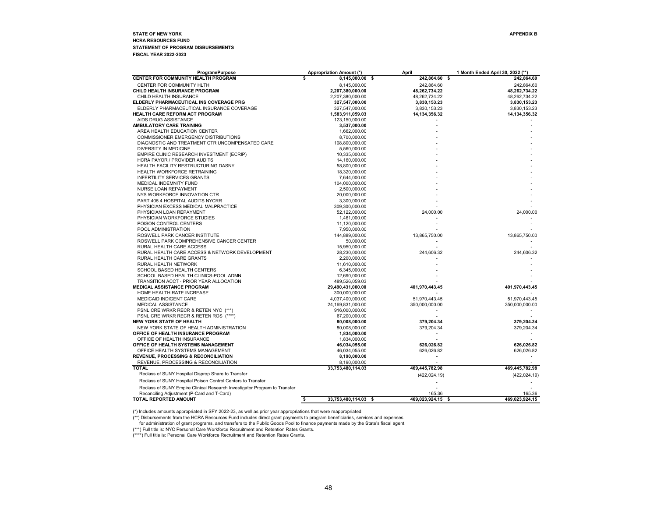### <span id="page-48-0"></span>**STATE OF NEW YORK APPENDIX BHCRA RESOURCES FUND STATEMENT OF PROGRAM DISBURSEMENTS FISCAL YEAR 2022-2023**

| Program/Purpose                                                           | <b>Appropriation Amount (*)</b> | April                 | 1 Month Ended April 30, 2022 (**) |
|---------------------------------------------------------------------------|---------------------------------|-----------------------|-----------------------------------|
| <b>CENTER FOR COMMUNITY HEALTH PROGRAM</b>                                | \$<br>8,145,000.00 \$           | 242,864.60 \$         | 242,864.60                        |
| CENTER FOR COMMUNITY HLTH                                                 | 8,145,000.00                    | 242,864.60            | 242,864.60                        |
| CHILD HEALTH INSURANCE PROGRAM                                            | 2,207,380,000.00                | 48,262,734.22         | 48,262,734.22                     |
| CHILD HEALTH INSURANCE                                                    | 2,207,380,000.00                | 48,262,734.22         | 48,262,734.22                     |
| ELDERLY PHARMACEUTICAL INS COVERAGE PRG                                   | 327,547,000.00                  | 3,830,153.23          | 3,830,153.23                      |
| ELDERLY PHARMACEUTICAL INSURANCE COVERAGE                                 | 327,547,000.00                  | 3,830,153.23          | 3,830,153.23                      |
| <b>HEALTH CARE REFORM ACT PROGRAM</b>                                     | 1,583,911,059.03                | 14, 134, 356. 32      | 14, 134, 356.32                   |
| AIDS DRUG ASSISTANCE                                                      | 123,150,000.00                  |                       |                                   |
| AMBULATORY CARE TRAINING                                                  | 3,537,000.00                    |                       |                                   |
| AREA HEALTH EDUCATION CENTER                                              | 1,662,000.00                    |                       |                                   |
| <b>COMMISSIONER EMERGENCY DISTRIBUTIONS</b>                               | 8,700,000.00                    |                       |                                   |
| DIAGNOSTIC AND TREATMENT CTR UNCOMPENSATED CARE                           | 108,800,000.00                  |                       |                                   |
| DIVERSITY IN MEDICINE                                                     | 5,560,000.00                    |                       |                                   |
| EMPIRE CLINIC RESEARCH INVESTMENT (ECRIP)                                 | 10,335,000.00                   |                       |                                   |
| HCRA PAYOR / PROVIDER AUDITS                                              | 14,160,000.00                   |                       |                                   |
| HEALTH FACILITY RESTRUCTURING DASNY                                       | 58,800,000.00                   |                       |                                   |
| HEALTH WORKFORCE RETRAINING                                               | 18,320,000.00                   |                       |                                   |
| <b>INFERTILITY SERVICES GRANTS</b>                                        | 7,644,000.00                    |                       |                                   |
| <b>MEDICAL INDEMNITY FUND</b>                                             | 104,000,000.00                  |                       |                                   |
| NURSE LOAN REPAYMENT                                                      | 2,500,000.00                    |                       |                                   |
| NYS WORKFORCE INNOVATION CTR                                              | 20,000,000.00                   |                       |                                   |
| PART 405.4 HOSPITAL AUDITS NYCRR                                          | 3,300,000.00                    |                       |                                   |
| PHYSICIAN EXCESS MEDICAL MALPRACTICE                                      | 309,300,000.00                  |                       |                                   |
| PHYSICIAN LOAN REPAYMENT                                                  | 52,122,000.00                   | 24,000.00             | 24,000.00                         |
| PHYSICIAN WORKFORCE STUDIES                                               | 1,461,000.00                    |                       |                                   |
| POISON CONTROL CENTERS                                                    | 11,120,000.00                   |                       |                                   |
| POOL ADMINISTRATION                                                       | 7,950,000.00                    |                       |                                   |
| ROSWELL PARK CANCER INSTITUTE                                             | 144,889,000.00                  | 13,865,750.00         | 13,865,750.00                     |
| ROSWELL PARK COMPREHENSIVE CANCER CENTER                                  | 50,000.00                       |                       |                                   |
| RURAL HEALTH CARE ACCESS                                                  | 15,950,000.00                   |                       |                                   |
|                                                                           |                                 |                       |                                   |
| RURAL HEALTH CARE ACCESS & NETWORK DEVELOPMENT                            | 28.230.000.00                   | 244,606.32            | 244,606.32                        |
| RURAL HEALTH CARE GRANTS                                                  | 2,200,000.00                    |                       |                                   |
| RURAL HEALTH NETWORK                                                      | 11,610,000.00                   |                       |                                   |
| SCHOOL BASED HEALTH CENTERS                                               | 6,345,000.00                    |                       |                                   |
| SCHOOL BASED HEALTH CLINICS-POOL ADMN                                     | 12,690,000.00                   |                       |                                   |
| TRANSITION ACCT - PRIOR YEAR ALLOCATION                                   | 489,526,059.03                  |                       |                                   |
| <b>MEDICAL ASSISTANCE PROGRAM</b>                                         | 29,490,431,000.00               | 401,970,443.45        | 401,970,443.45                    |
| HOME HEALTH RATE INCREASE                                                 | 300,000,000.00                  |                       |                                   |
| MEDICAID INDIGENT CARE                                                    | 4,037,400,000.00                | 51,970,443.45         | 51,970,443.45                     |
| <b>MEDICAL ASSISTANCE</b>                                                 | 24,169,831,000.00               | 350,000,000.00        | 350,000,000.00                    |
| PSNL CRE WRKR RECR & RETEN NYC (***)                                      | 916,000,000.00                  |                       |                                   |
| PSNL CRE WRKR RECR & RETEN ROS (****)                                     | 67,200,000.00                   |                       |                                   |
| <b>NEW YORK STATE OF HEALTH</b>                                           | 80,008,000.00                   | 379,204.34            | 379,204.34                        |
| NEW YORK STATE OF HEALTH ADMINISTRATION                                   | 80,008,000.00                   | 379,204.34            | 379,204.34                        |
| OFFICE OF HEALTH INSURANCE PROGRAM                                        | 1,834,000.00                    |                       |                                   |
| OFFICE OF HEALTH INSURANCE                                                | 1,834,000.00                    |                       |                                   |
| OFFICE OF HEALTH SYSTEMS MANAGEMENT                                       | 46,034,055.00                   | 626,026.82            | 626,026.82                        |
| OFFICE HEALTH SYSTEMS MANAGEMENT                                          | 46,034,055.00                   | 626,026.82            | 626,026.82                        |
| <b>REVENUE, PROCESSING &amp; RECONCILIATION</b>                           | 8,190,000.00                    |                       |                                   |
| REVENUE, PROCESSING & RECONCILIATION                                      | 8,190,000.00                    |                       |                                   |
| <b>TOTAL</b>                                                              | 33,753,480,114.03               | 469,445,782.98        | 469,445,782.98                    |
| Reclass of SUNY Hospital Disprop Share to Transfer                        |                                 | (422, 024.19)         | (422, 024.19)                     |
| Reclass of SUNY Hospital Poison Control Centers to Transfer               |                                 |                       |                                   |
|                                                                           |                                 |                       |                                   |
| Reclass of SUNY Empire Clinical Research Investigator Program to Transfer |                                 |                       |                                   |
| Reconciling Adjustment (P-Card and T-Card)<br>TOTAL REPORTED AMOUNT       | 33,753,480,114.03 \$            | 165.36                | 165.36<br>469,023,924.15          |
|                                                                           | \$                              | 469,023,924.15<br>-\$ |                                   |

(\*) Includes amounts appropriated in SFY 2022-23, as well as prior year appropriations that were reappropriated.

\*\*) Disbursements from the HCRA Resources Fund includes direct grant payments to program beneficiaries, services and expenses<br>for administration of grant programs, and transfers to the Public Goods Pool to finance payments

(\*\*\*) Full title is: NYC Personal Care Workforce Recruitment and Retention Rates Grants. (\*\*\*\*) Full title is: Personal Care Workforce Recruitment and Retention Rates Grants.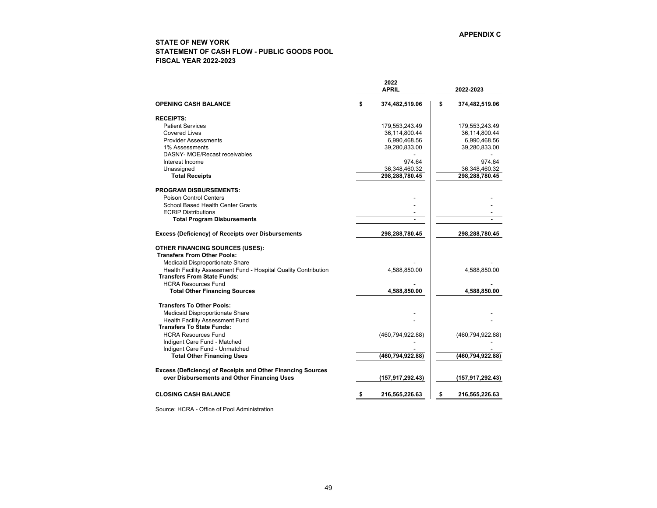# <span id="page-49-0"></span>**STATE OF NEW YORK STATEMENT OF CASH FLOW - PUBLIC GOODS POOL FISCAL YEAR 2022-2023**

|                                                                 | 2022<br><b>APRIL</b> | 2022-2023 |                    |  |
|-----------------------------------------------------------------|----------------------|-----------|--------------------|--|
| <b>OPENING CASH BALANCE</b>                                     | \$<br>374,482,519.06 | \$        | 374,482,519.06     |  |
| <b>RECEIPTS:</b>                                                |                      |           |                    |  |
| <b>Patient Services</b>                                         | 179,553,243.49       |           | 179,553,243.49     |  |
| Covered Lives                                                   | 36,114,800.44        |           | 36,114,800.44      |  |
| <b>Provider Assessments</b>                                     | 6,990,468.56         |           | 6,990,468.56       |  |
| 1% Assessments                                                  | 39,280,833.00        |           | 39,280,833.00      |  |
| DASNY- MOE/Recast receivables                                   |                      |           |                    |  |
| Interest Income                                                 | 974.64               |           | 974.64             |  |
| Unassigned                                                      | 36,348,460.32        |           | 36,348,460.32      |  |
| <b>Total Receipts</b>                                           | 298,288,780.45       |           | 298,288,780.45     |  |
| <b>PROGRAM DISBURSEMENTS:</b>                                   |                      |           |                    |  |
| Poison Control Centers                                          |                      |           |                    |  |
| School Based Health Center Grants                               |                      |           |                    |  |
| <b>ECRIP Distributions</b>                                      | $\blacksquare$       |           |                    |  |
| <b>Total Program Disbursements</b>                              | $\blacksquare$       |           |                    |  |
| <b>Excess (Deficiency) of Receipts over Disbursements</b>       | 298,288,780.45       |           | 298,288,780.45     |  |
| <b>OTHER FINANCING SOURCES (USES):</b>                          |                      |           |                    |  |
| <b>Transfers From Other Pools:</b>                              |                      |           |                    |  |
| Medicaid Disproportionate Share                                 |                      |           |                    |  |
| Health Facility Assessment Fund - Hospital Quality Contribution | 4,588,850.00         |           | 4,588,850.00       |  |
| <b>Transfers From State Funds:</b>                              |                      |           |                    |  |
| <b>HCRA Resources Fund</b>                                      |                      |           |                    |  |
| <b>Total Other Financing Sources</b>                            | 4,588,850.00         |           | 4,588,850.00       |  |
| <b>Transfers To Other Pools:</b>                                |                      |           |                    |  |
| Medicaid Disproportionate Share                                 |                      |           |                    |  |
| Health Facility Assessment Fund                                 |                      |           |                    |  |
| <b>Transfers To State Funds:</b>                                |                      |           |                    |  |
| <b>HCRA Resources Fund</b>                                      | (460, 794, 922.88)   |           | (460, 794, 922.88) |  |
| Indigent Care Fund - Matched                                    |                      |           |                    |  |
| Indigent Care Fund - Unmatched                                  |                      |           |                    |  |
| <b>Total Other Financing Uses</b>                               | (460,794,922.88)     |           | (460, 794, 922.88) |  |
| Excess (Deficiency) of Receipts and Other Financing Sources     |                      |           |                    |  |
| over Disbursements and Other Financing Uses                     | (157, 917, 292.43)   |           | (157, 917, 292.43) |  |
| <b>CLOSING CASH BALANCE</b>                                     | \$<br>216,565,226.63 | \$        | 216,565,226.63     |  |

Source: HCRA - Office of Pool Administration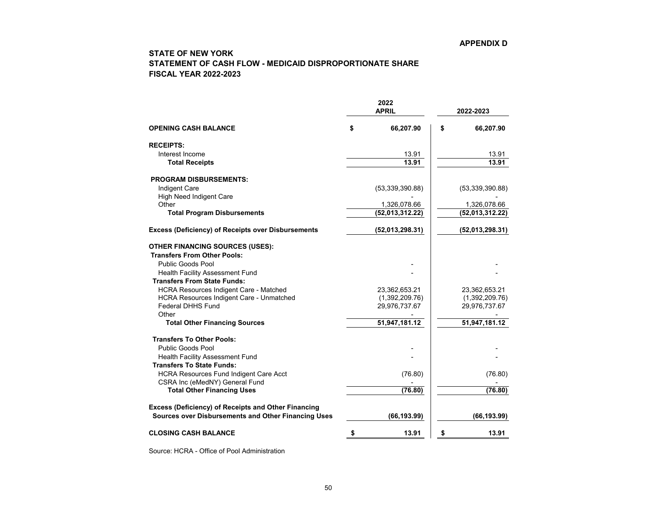# <span id="page-50-0"></span>**STATE OF NEW YORK STATEMENT OF CASH FLOW - MEDICAID DISPROPORTIONATE SHARE FISCAL YEAR 2022-2023**

|                                                                              | 2022<br><b>APRIL</b> | 2022-2023 |                 |  |  |
|------------------------------------------------------------------------------|----------------------|-----------|-----------------|--|--|
| <b>OPENING CASH BALANCE</b>                                                  | \$<br>66,207.90      | \$        | 66,207.90       |  |  |
| <b>RECEIPTS:</b>                                                             |                      |           |                 |  |  |
| Interest Income                                                              | 13.91                |           | 13.91           |  |  |
| <b>Total Receipts</b>                                                        | 13.91                |           | 13.91           |  |  |
| <b>PROGRAM DISBURSEMENTS:</b>                                                |                      |           |                 |  |  |
| <b>Indigent Care</b>                                                         | (53,339,390.88)      |           | (53,339,390.88) |  |  |
| <b>High Need Indigent Care</b>                                               |                      |           |                 |  |  |
| Other                                                                        | 1,326,078.66         |           | 1,326,078.66    |  |  |
| <b>Total Program Disbursements</b>                                           | (52,013,312.22)      |           | (52,013,312.22) |  |  |
| <b>Excess (Deficiency) of Receipts over Disbursements</b>                    | (52,013,298.31)      |           | (52,013,298.31) |  |  |
| <b>OTHER FINANCING SOURCES (USES):</b>                                       |                      |           |                 |  |  |
| <b>Transfers From Other Pools:</b>                                           |                      |           |                 |  |  |
| Public Goods Pool                                                            |                      |           |                 |  |  |
| <b>Health Facility Assessment Fund</b><br><b>Transfers From State Funds:</b> |                      |           |                 |  |  |
| <b>HCRA Resources Indigent Care - Matched</b>                                | 23,362,653.21        |           | 23,362,653.21   |  |  |
| <b>HCRA Resources Indigent Care - Unmatched</b>                              | (1,392,209.76)       |           | (1,392,209.76)  |  |  |
| <b>Federal DHHS Fund</b>                                                     | 29,976,737.67        |           | 29,976,737.67   |  |  |
| Other                                                                        |                      |           |                 |  |  |
| <b>Total Other Financing Sources</b>                                         | 51,947,181.12        |           | 51,947,181.12   |  |  |
| <b>Transfers To Other Pools:</b>                                             |                      |           |                 |  |  |
| <b>Public Goods Pool</b>                                                     |                      |           |                 |  |  |
| Health Facility Assessment Fund                                              |                      |           |                 |  |  |
| <b>Transfers To State Funds:</b>                                             |                      |           |                 |  |  |
| <b>HCRA Resources Fund Indigent Care Acct</b>                                | (76.80)              |           | (76.80)         |  |  |
| CSRA Inc (eMedNY) General Fund                                               |                      |           |                 |  |  |
| <b>Total Other Financing Uses</b>                                            | (76.80)              |           | (76.80)         |  |  |
| <b>Excess (Deficiency) of Receipts and Other Financing</b>                   |                      |           |                 |  |  |
| <b>Sources over Disbursements and Other Financing Uses</b>                   | (66, 193.99)         |           | (66, 193.99)    |  |  |
| <b>CLOSING CASH BALANCE</b>                                                  | \$<br>13.91          | \$        | 13.91           |  |  |

Source: HCRA - Office of Pool Administration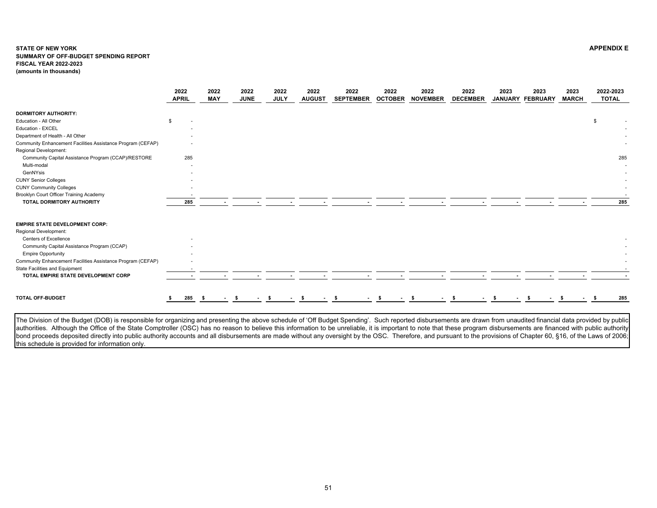#### <span id="page-51-0"></span>**STATE OF NEW YORK APPENDIX E SUMMARY OF OFF-BUDGET SPENDING REPORTFISCAL YEAR 2022-2023 (amounts in thousands)**

|                                                             | 2022<br><b>APRIL</b>           | 2022<br><b>MAY</b> | 2022<br><b>JUNE</b> | 2022<br><b>JULY</b> | 2022<br><b>AUGUST</b> | 2022<br><b>SEPTEMBER</b> | 2022<br><b>OCTOBER</b> | 2022<br><b>NOVEMBER</b> | 2022<br><b>DECEMBER</b> | 2023 | 2023<br>JANUARY FEBRUARY | 2023<br><b>MARCH</b> | 2022-2023<br><b>TOTAL</b> |
|-------------------------------------------------------------|--------------------------------|--------------------|---------------------|---------------------|-----------------------|--------------------------|------------------------|-------------------------|-------------------------|------|--------------------------|----------------------|---------------------------|
| <b>DORMITORY AUTHORITY:</b>                                 |                                |                    |                     |                     |                       |                          |                        |                         |                         |      |                          |                      |                           |
| Education - All Other                                       | £.<br>$\overline{\phantom{a}}$ |                    |                     |                     |                       |                          |                        |                         |                         |      |                          |                      | \$                        |
| Education - EXCEL                                           |                                |                    |                     |                     |                       |                          |                        |                         |                         |      |                          |                      |                           |
| Department of Health - All Other                            |                                |                    |                     |                     |                       |                          |                        |                         |                         |      |                          |                      |                           |
| Community Enhancement Facilities Assistance Program (CEFAP) |                                |                    |                     |                     |                       |                          |                        |                         |                         |      |                          |                      |                           |
| Regional Development:                                       |                                |                    |                     |                     |                       |                          |                        |                         |                         |      |                          |                      |                           |
| Community Capital Assistance Program (CCAP)/RESTORE         | 285                            |                    |                     |                     |                       |                          |                        |                         |                         |      |                          |                      | 285                       |
| Multi-modal                                                 |                                |                    |                     |                     |                       |                          |                        |                         |                         |      |                          |                      |                           |
| GenNYsis                                                    |                                |                    |                     |                     |                       |                          |                        |                         |                         |      |                          |                      |                           |
| <b>CUNY Senior Colleges</b>                                 |                                |                    |                     |                     |                       |                          |                        |                         |                         |      |                          |                      |                           |
| <b>CUNY Community Colleges</b>                              |                                |                    |                     |                     |                       |                          |                        |                         |                         |      |                          |                      |                           |
| Brooklyn Court Officer Training Academy                     |                                |                    |                     |                     |                       |                          |                        |                         |                         |      |                          |                      |                           |
| TOTAL DORMITORY AUTHORITY                                   | 285                            |                    |                     |                     |                       |                          |                        |                         |                         |      |                          |                      | 285                       |
| <b>EMPIRE STATE DEVELOPMENT CORP:</b>                       |                                |                    |                     |                     |                       |                          |                        |                         |                         |      |                          |                      |                           |
| Regional Development:                                       |                                |                    |                     |                     |                       |                          |                        |                         |                         |      |                          |                      |                           |
| Centers of Excellence                                       |                                |                    |                     |                     |                       |                          |                        |                         |                         |      |                          |                      |                           |
| Community Capital Assistance Program (CCAP)                 |                                |                    |                     |                     |                       |                          |                        |                         |                         |      |                          |                      |                           |
| <b>Empire Opportunity</b>                                   |                                |                    |                     |                     |                       |                          |                        |                         |                         |      |                          |                      |                           |
| Community Enhancement Facilities Assistance Program (CEFAP) |                                |                    |                     |                     |                       |                          |                        |                         |                         |      |                          |                      |                           |
| State Facilities and Equipment                              |                                |                    |                     |                     |                       |                          |                        |                         |                         |      |                          |                      |                           |
| TOTAL EMPIRE STATE DEVELOPMENT CORP                         |                                |                    |                     |                     |                       |                          |                        |                         |                         |      |                          |                      |                           |
|                                                             |                                |                    |                     |                     |                       |                          |                        |                         |                         |      |                          |                      |                           |
| <b>TOTAL OFF-BUDGET</b>                                     | 285\$                          |                    | $-5$                | - \$<br>$\sim$      | - \$<br>$\sim$        | - \$                     |                        |                         |                         |      |                          |                      | 285                       |

The Division of the Budget (DOB) is responsible for organizing and presenting the above schedule of 'Off Budget Spending'. Such reported disbursements are drawn from unaudited financial data provided by public authorities. Although the Office of the State Comptroller (OSC) has no reason to believe this information to be unreliable, it is important to note that these program disbursements are financed with public authority bond proceeds deposited directly into public authority accounts and all disbursements are made without any oversight by the OSC. Therefore, and pursuant to the provisions of Chapter 60, §16, of the Laws of 2006; this schedule is provided for information only.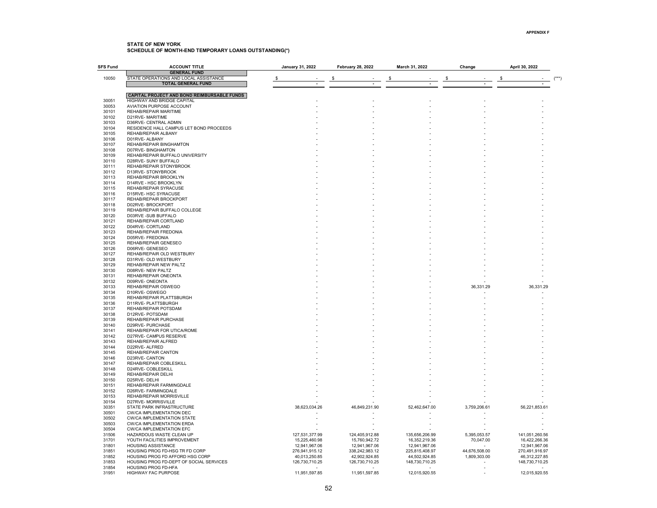<span id="page-52-0"></span>

| SFS Fund       | <b>ACCOUNT TITLE</b>                                         | January 31, 2022 |                                 | <b>February 28, 2022</b>        | March 31, 2022                  | Change                    | April 30, 2022                  |
|----------------|--------------------------------------------------------------|------------------|---------------------------------|---------------------------------|---------------------------------|---------------------------|---------------------------------|
| 10050          | <b>GENERAL FUND</b><br>STATE OPERATIONS AND LOCAL ASSISTANCE |                  |                                 |                                 |                                 |                           |                                 |
|                | <b>TOTAL GENERAL FUND</b>                                    |                  |                                 |                                 |                                 |                           |                                 |
|                |                                                              |                  |                                 |                                 |                                 |                           |                                 |
|                | CAPITAL PROJECT AND BOND REIMBURSABLE FUNDS                  |                  |                                 |                                 |                                 |                           |                                 |
| 30051          | <b>HIGHWAY AND BRIDGE CAPITAL</b>                            |                  |                                 |                                 |                                 |                           |                                 |
| 30053<br>30101 | AVIATION PURPOSE ACCOUNT<br>REHAB/REPAIR MARITIME            |                  |                                 |                                 |                                 |                           |                                 |
| 30102          | D21RVE-MARITIME                                              |                  |                                 |                                 |                                 |                           |                                 |
| 30103          | D36RVE- CENTRAL ADMIN                                        |                  |                                 |                                 |                                 |                           |                                 |
| 30104          | RESIDENCE HALL CAMPUS LET BOND PROCEEDS                      |                  |                                 |                                 |                                 |                           |                                 |
| 30105          | REHAB/REPAIR ALBANY                                          |                  |                                 |                                 |                                 |                           |                                 |
| 30106          | D01RVE-ALBANY                                                |                  |                                 |                                 |                                 |                           |                                 |
| 30107<br>30108 | REHAB/REPAIR BINGHAMTON<br>D07RVE-BINGHAMTON                 |                  |                                 |                                 |                                 |                           |                                 |
| 30109          | REHAB/REPAIR BUFFALO UNIVERSITY                              |                  |                                 |                                 |                                 |                           |                                 |
| 30110          | D28RVE- SUNY BUFFALO                                         |                  |                                 |                                 |                                 |                           |                                 |
| 30111          | REHAB/REPAIR STONYBROOK                                      |                  |                                 |                                 |                                 |                           |                                 |
| 30112          | D13RVE-STONYBROOK                                            |                  |                                 |                                 |                                 |                           |                                 |
| 30113          | REHAB/REPAIR BROOKLYN                                        |                  |                                 |                                 |                                 |                           |                                 |
| 30114          | D14RVE - HSC BROOKLYN                                        |                  |                                 |                                 |                                 |                           |                                 |
| 30115<br>30116 | REHAB/REPAIR SYRACUSE<br>D15RVE- HSC SYRACUSE                |                  |                                 |                                 |                                 |                           |                                 |
| 30117          | REHAB/REPAIR BROCKPORT                                       |                  |                                 |                                 |                                 |                           |                                 |
| 30118          | D02RVE-BROCKPORT                                             |                  |                                 |                                 |                                 |                           |                                 |
| 30119          | REHAB/REPAIR BUFFALO COLLEGE                                 |                  |                                 |                                 |                                 |                           |                                 |
| 30120          | D03RVE -SUB BUFFALO                                          |                  |                                 |                                 |                                 |                           |                                 |
| 30121          | REHAB/REPAIR CORTLAND                                        |                  |                                 |                                 |                                 |                           |                                 |
| 30122<br>30123 | D04RVE-CORTLAND                                              |                  |                                 |                                 |                                 |                           |                                 |
| 30124          | REHAB/REPAIR FREDONIA<br>D05RVE- FREDONIA                    |                  |                                 |                                 |                                 |                           |                                 |
| 30125          | REHAB/REPAIR GENESEO                                         |                  |                                 |                                 |                                 |                           |                                 |
| 30126          | D06RVE-GENESEO                                               |                  |                                 |                                 |                                 |                           |                                 |
| 30127          | REHAB/REPAIR OLD WESTBURY                                    |                  |                                 |                                 |                                 |                           |                                 |
| 30128          | D31RVE- OLD WESTBURY                                         |                  |                                 |                                 |                                 |                           |                                 |
| 30129          | REHAB/REPAIR NEW PALTZ                                       |                  |                                 |                                 |                                 |                           |                                 |
| 30130<br>30131 | D08RVE- NEW PALTZ<br>REHAB/REPAIR ONEONTA                    |                  |                                 |                                 |                                 |                           |                                 |
| 30132          | D09RVE-ONEONTA                                               |                  |                                 |                                 |                                 |                           |                                 |
| 30133          | REHAB/REPAIR OSWEGO                                          |                  |                                 |                                 |                                 | 36,331.29                 | 36,331.29                       |
| 30134          | D10RVE-OSWEGO                                                |                  |                                 |                                 |                                 |                           |                                 |
| 30135          | REHAB/REPAIR PLATTSBURGH                                     |                  |                                 |                                 |                                 |                           |                                 |
| 30136          | D11RVE-PLATTSBURGH                                           |                  |                                 |                                 |                                 |                           |                                 |
| 30137          | REHAB/REPAIR POTSDAM                                         |                  |                                 |                                 |                                 |                           |                                 |
| 30138<br>30139 | D12RVE-POTSDAM<br>REHAB/REPAIR PURCHASE                      |                  |                                 |                                 |                                 |                           |                                 |
| 30140          | D29RVE- PURCHASE                                             |                  |                                 |                                 |                                 |                           |                                 |
| 30141          | REHAB/REPAIR FOR UTICA/ROME                                  |                  |                                 |                                 |                                 |                           |                                 |
| 30142          | D27RVE- CAMPUS RESERVE                                       |                  |                                 |                                 |                                 |                           |                                 |
| 30143          | REHAB/REPAIR ALFRED                                          |                  |                                 |                                 |                                 |                           |                                 |
| 30144          | D22RVE-ALFRED                                                |                  |                                 |                                 |                                 |                           |                                 |
| 30145<br>30146 | REHAB/REPAIR CANTON<br>D23RVE- CANTON                        |                  |                                 |                                 |                                 |                           |                                 |
| 30147          | REHAB/REPAIR COBLESKILL                                      |                  |                                 |                                 |                                 |                           |                                 |
| 30148          | D24RVE-COBLESKILL                                            |                  |                                 |                                 |                                 |                           |                                 |
| 30149          | REHAB/REPAIR DELHI                                           |                  |                                 |                                 |                                 |                           |                                 |
| 30150          | D25RVE-DELHI                                                 |                  |                                 |                                 |                                 |                           |                                 |
| 30151          | REHAB/REPAIR FARMINGDALE                                     |                  |                                 |                                 |                                 |                           |                                 |
| 30152<br>30153 | D26RVE-FARMINGDALE<br>REHAB/REPAIR MORRISVILLE               |                  |                                 |                                 |                                 |                           |                                 |
| 30154          | D27RVE-MORRISVILLE                                           |                  |                                 |                                 |                                 |                           |                                 |
| 30351          | STATE PARK INFRASTRUCTURE                                    |                  | 38,623,034.26                   | 46,849,231.90                   | 52,462,647.00                   | 3,759,206.61              | 56,221,853.61                   |
| 30501          | <b>CW/CA IMPLEMENTATION DEC</b>                              |                  |                                 |                                 |                                 |                           |                                 |
| 30502          | <b>CW/CA IMPLEMENTATION STATE</b>                            |                  |                                 |                                 |                                 |                           |                                 |
| 30503          | <b>CW/CA IMPLEMENTATION ERDA</b>                             |                  |                                 |                                 |                                 |                           |                                 |
| 30504          | <b>CW/CA IMPLEMENTATION EFC</b>                              |                  |                                 |                                 |                                 |                           |                                 |
| 31506<br>31701 | HAZARDOUS WASTE CLEAN UP<br>YOUTH FACILITIES IMPROVEMENT     |                  | 127,531,377.99<br>15,225,460.98 | 124,405,912.88<br>15,760,942.72 | 135,656,206.99<br>16,352,219.36 | 5,395,053.57<br>70,047.00 | 141,051,260.56<br>16,422,266.36 |
| 31801          | HOUSING ASSISTANCE                                           |                  | 12,941,967.06                   | 12,941,967.06                   | 12,941,967.06                   |                           | 12,941,967.06                   |
| 31851          | HOUSING PROG FD-HSG TR FD CORP                               |                  | 276,941,915.12                  | 338,242,983.12                  | 225,815,408.97                  | 44,676,508.00             | 270,491,916.97                  |
| 31852          | HOUSING PROG FD AFFORD HSG CORP                              |                  | 40,013,250.85                   | 42,902,924.85                   | 44,502,924.85                   | 1,809,303.00              | 46,312,227.85                   |
| 31853          | HOUSING PROG FD-DEPT OF SOCIAL SERVICES                      |                  | 126,730,710.25                  | 126,730,710.25                  | 148,730,710.25                  |                           | 148,730,710.25                  |
| 31854          | HOUSING PROG FD-HFA                                          |                  |                                 |                                 |                                 |                           |                                 |
| 31951          | HIGHWAY FAC PURPOSE                                          |                  | 11,951,597.85                   | 11,951,597.85                   | 12,015,920.55                   |                           | 12,015,920.55                   |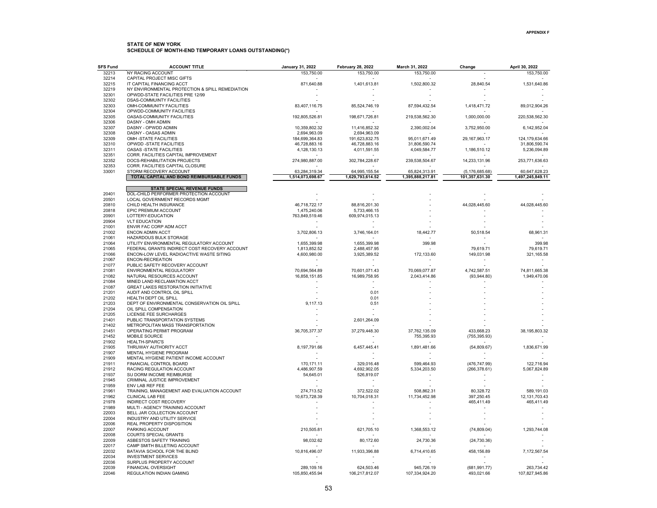| <b>SFS Fund</b> | <b>ACCOUNT TITLE</b>                                         | <b>January 31, 2022</b> | <b>February 28, 2022</b> | March 31, 2022   | Change           | April 30, 2022    |
|-----------------|--------------------------------------------------------------|-------------------------|--------------------------|------------------|------------------|-------------------|
| 32213           | NY RACING ACCOUNT                                            | 153,750.00              | 153,750.00               | 153,750.00       |                  | 153,750.00        |
| 32214           | CAPITAL PROJECT MISC GIFTS                                   |                         |                          |                  |                  |                   |
| 32215           | IT CAPITAL FINANCING ACCT                                    | 871,640.88              | 1,401,613.81             | 1,502,800.32     | 28,840.54        | 1,531,640.86      |
| 32219           | NY ENVIRONMENTAL PROTECTION & SPILL REMEDIATION              |                         |                          |                  |                  |                   |
| 32301           | OPWDD-STATE FACILITIES PRE 12/99                             |                         |                          |                  |                  |                   |
| 32302<br>32303  | <b>DSAS-COMMUINTY FACILITIES</b><br>OMH-COMMUNITY FACILITIES | 83,407,116.75           | 85,524,746.19            | 87,594,432.54    | 1,418,471.72     | 89,012,904.26     |
| 32304           | OPWDD-COMMUNITY FACILITIES                                   |                         |                          |                  |                  |                   |
| 32305           | OASAS-COMMUNITY FACILITIES                                   | 192,805,526.81          | 198,671,726.81           | 219,538,562.30   | 1,000,000.00     | 220,538,562.30    |
| 32306           | DASNY - OMH ADMIN                                            |                         |                          |                  |                  |                   |
| 32307           | DASNY - OPWDD ADMIN                                          | 10,359,802.32           | 11,416,852.32            | 2,390,002.04     | 3,752,950.00     | 6,142,952.04      |
| 32308           | DASNY - OASAS ADMIN                                          | 2,694,963.09            | 2,694,963.09             |                  |                  |                   |
| 32309           | OMH-STATE FACILITIES                                         | 184,699,364.83          | 191,623,832.75           | 95,011,671.49    | 29, 167, 963. 17 | 124, 179, 634. 66 |
| 32310           | OPWDD -STATE FACILITIES                                      | 46,728,883.16           | 46,728,883.16            | 31,806,590.74    |                  | 31,806,590.74     |
| 32311           | OASAS -STATE FACILITIES                                      | 4,128,130.13            | 4,011,591.55             | 4,049,584.77     | 1,186,510.12     | 5,236,094.89      |
| 32351           | CORR. FACILITIES CAPITAL IMPROVEMENT                         |                         |                          |                  |                  |                   |
| 32352           | DOCS-REHABILITATION PROJECTS                                 | 274,980,887.00          | 302,784,228.67           | 239,538,504.67   | 14,233,131.96    | 253,771,636.63    |
| 32353           | CORR. FACILITIES CAPITAL CLOSURE                             |                         |                          |                  |                  |                   |
| 33001           | STORM RECOVERY ACCOUNT                                       | 63,284,319.34           | 64,995,155.54            | 65,824,313.91    | (5, 176, 685.68) | 60,647,628.23     |
|                 | TOTAL CAPITAL AND BOND REIMBURSABLE FUNDS                    | 1,514,073,698.67        | 1,629,793,614.52         | 1,395,888,217.81 | 101,357,631.30   | 1,497,245,849.11  |
|                 | <b>STATE SPECIAL REVENUE FUNDS</b>                           |                         |                          |                  |                  |                   |
| 20401           | DOL-CHILD PERFORMER PROTECTION ACCOUNT                       |                         |                          |                  |                  |                   |
| 20501           | <b>LOCAL GOVERNMENT RECORDS MGMT</b>                         |                         |                          |                  |                  |                   |
| 20810           | CHILD HEALTH INSURANCE                                       | 46,718,722.17           | 88,816,201.30            |                  | 44,028,445.60    | 44,028,445.60     |
| 20818           | EPIC PREMIUM ACCOUNT                                         | 1,475,240.06            | 5,733,466.15             |                  |                  |                   |
| 20901           | LOTTERY-EDUCATION                                            | 763,849,519.46          | 609,974,015.13           |                  |                  |                   |
| 20904           | <b>VLT EDUCATION</b>                                         |                         |                          |                  |                  |                   |
| 21001           | ENVIR FAC CORP ADM ACCT                                      |                         |                          |                  |                  |                   |
| 21002           | <b>ENCON ADMIN ACCT</b>                                      | 3,702,806.13            | 3,746,164.01             | 18,442.77        | 50,518.54        | 68,961.31         |
| 21061           | HAZARDOUS BULK STORAGE                                       |                         |                          |                  |                  |                   |
| 21064           | UTILITY ENVIRONMENTAL REGULATORY ACCOUNT                     | 1,655,399.98            | 1,655,399.98             | 399.98           |                  | 399.98            |
| 21065           | FEDERAL GRANTS INDIRECT COST RECOVERY ACCOUNT                | 1,813,852.52            | 2,488,457.95             |                  | 79,619.71        | 79,619.71         |
| 21066<br>21067  | ENCON-LOW LEVEL RADIOACTIVE WASTE SITING<br>ENCON-RECREATION | 4,600,980.00            | 3,925,389.52             | 172,133.60       | 149,031.98       | 321,165.58        |
| 21077           | PUBLIC SAFETY RECOVERY ACCOUNT                               |                         |                          |                  |                  |                   |
| 21081           | ENVIRONMENTAL REGULATORY                                     | 70,694,564.89           | 70,601,071.43            | 70,069,077.87    | 4,742,587.51     | 74,811,665.38     |
| 21082           | NATURAL RESOURCES ACCOUNT                                    | 16,858,151.85           | 16,989,758.95            | 2,043,414.86     | (93, 944.80)     | 1,949,470.06      |
| 21084           | MINED LAND RECLAMATION ACCT                                  |                         |                          |                  |                  |                   |
| 21087           | <b>GREAT LAKES RESTORATION INITIATIVE</b>                    |                         | $\overline{a}$           |                  |                  |                   |
| 21201           | AUDIT AND CONTROL OIL SPILL                                  |                         | 0.01                     |                  |                  |                   |
| 21202           | HEALTH DEPT OIL SPILL                                        |                         | 0.01                     |                  |                  |                   |
| 21203           | DEPT OF ENVIRONMENTAL CONSERVATION OIL SPILL                 | 9,117.13                | 0.51                     |                  |                  |                   |
| 21204           | OIL SPILL COMPENSATION                                       |                         |                          |                  |                  |                   |
| 21205           | LICENSE FEE SURCHARGES                                       |                         |                          |                  |                  |                   |
| 21401           | PUBLIC TRANSPORTATION SYSTEMS                                |                         | 2,601,264.09             |                  |                  |                   |
| 21402           | METROPOLITAN MASS TRANSPORTATION                             |                         |                          |                  |                  |                   |
| 21451           | OPERATING PERMIT PROGRAM                                     | 36,705,377.37           | 37,279,448.30            | 37,762,135.09    | 433,668.23       | 38, 195, 803. 32  |
| 21452<br>21902  | MOBILE SOURCE<br>HEALTH-SPARC'S                              |                         |                          | 755,395.93       | (755, 395.93)    |                   |
| 21905           | THRUWAY AUTHORITY ACCT                                       | 8,197,791.66            | 6,457,445.41             | 1,891,481.66     | (54, 809.67)     | 1,836,671.99      |
| 21907           | MENTAL HYGIENE PROGRAM                                       |                         |                          |                  |                  |                   |
| 21909           | MENTAL HYGIENE PATIENT INCOME ACCOUNT                        |                         |                          |                  |                  |                   |
| 21911           | FINANCIAL CONTROL BOARD                                      | 170,171.11              | 329,016.48               | 599,464.93       | (476, 747.99)    | 122,716.94        |
| 21912           | RACING REGULATION ACCOUNT                                    | 4,486,907.59            | 4,692,902.05             | 5,334,203.50     | (266, 378.61)    | 5,067,824.89      |
| 21937           | SU DORM INCOME REIMBURSE                                     | 54,645.01               | 526,819.07               |                  |                  |                   |
| 21945           | CRIMINAL JUSTICE IMPROVEMENT                                 |                         |                          |                  |                  |                   |
| 21959           | ENV LAB REF FEE                                              |                         |                          |                  |                  |                   |
| 21961           | TRAINING, MANAGEMENT AND EVALUATION ACCOUNT                  | 274,713.52              | 372,522.02               | 508,862.31       | 80,328.72        | 589,191.03        |
| 21962           | CLINICAL LAB FEE                                             | 10,673,728.39           | 10,704,018.31            | 11,734,452.98    | 397,250.45       | 12, 131, 703. 43  |
| 21978           | INDIRECT COST RECOVERY                                       |                         |                          |                  | 465,411.49       | 465,411.49        |
| 21989           | MULTI - AGENCY TRAINING ACCOUNT                              |                         |                          |                  |                  |                   |
| 22003           | BELL JAR COLLECTION ACCOUNT                                  |                         |                          |                  |                  |                   |
| 22004<br>22006  | INDUSTRY AND UTILITY SERVICE<br>REAL PROPERTY DISPOSITION    |                         |                          |                  |                  |                   |
| 22007           |                                                              |                         |                          | 1,368,553.12     |                  | 1,293,744.08      |
| 22008           | PARKING ACCOUNT<br>COURTS SPECIAL GRANTS                     | 210,505.81              | 621,705.10               |                  | (74, 809.04)     |                   |
| 22009           | ASBESTOS SAFETY TRAINING                                     | 98,032.62               | 80,172.60                | 24,730.36        | (24, 730.36)     |                   |
| 22017           | CAMP SMITH BILLETING ACCOUNT                                 |                         |                          |                  |                  |                   |
| 22032           | BATAVIA SCHOOL FOR THE BLIND                                 | 10,816,496.07           | 11,933,396.88            | 6,714,410.65     | 458,156.89       | 7,172,567.54      |
| 22034           | <b>INVESTMENT SERVICES</b>                                   |                         |                          |                  |                  |                   |
| 22036           | SURPLUS PROPERTY ACCOUNT                                     |                         |                          |                  |                  |                   |
| 22039           | FINANCIAL OVERSIGHT                                          | 289,109.16              | 624,503.46               | 945,726.19       | (681, 991.77)    | 263,734.42        |
| 22046           | <b>REGULATION INDIAN GAMING</b>                              | 105.850.455.94          | 106.217.812.07           | 107.334.924.20   | 493.021.66       | 107.827.945.86    |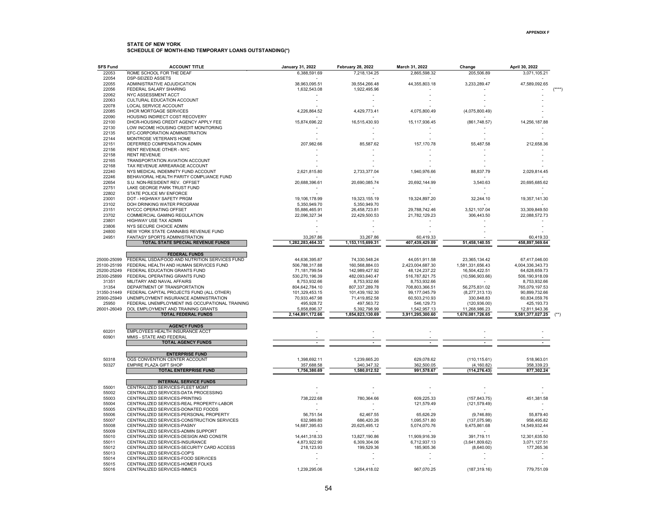| <b>SFS Fund</b> | <b>ACCOUNT TITLE</b>                                    | January 31, 2022 | <b>February 28, 2022</b> | March 31, 2022           | Change            | April 30, 2022           |
|-----------------|---------------------------------------------------------|------------------|--------------------------|--------------------------|-------------------|--------------------------|
| 22053           | ROME SCHOOL FOR THE DEAF                                | 6,388,591.69     | 7,218,134.25             | 2,865,598.32             | 205,506.89        | 3,071,105.21             |
| 22054           | <b>DSP-SEIZED ASSETS</b>                                |                  |                          |                          |                   |                          |
| 22055           | ADMINISTRATIVE ADJUDICATION                             | 38,963,095.51    | 39,554,266.48            | 44,355,803.18            | 3,233,289.47      | 47,589,092.65            |
| 22056           | FEDERAL SALARY SHARING                                  | 1,632,543.08     | 1,922,495.96             |                          |                   |                          |
| 22062           | NYC ASSESSMENT ACCT                                     |                  |                          |                          |                   |                          |
| 22063           | CULTURAL EDUCATION ACCOUNT                              |                  |                          |                          |                   |                          |
| 22078           | LOCAL SERVICE ACCOUNT                                   |                  |                          |                          |                   |                          |
| 22085           | DHCR MORTGAGE SERVICES                                  | 4,226,864.52     | 4,429,773.41             | 4,075,800.49             | (4,075,800.49)    |                          |
| 22090           | HOUSING INDIRECT COST RECOVERY                          |                  |                          |                          |                   |                          |
| 22100           | DHCR-HOUSING CREDIT AGENCY APPLY FEE                    | 15,874,696.22    | 16,515,430.93            | 15,117,936.45            | (861,748.57)      | 14,256,187.88            |
| 22130           | LOW INCOME HOUSING CREDIT MONITORING                    |                  |                          |                          |                   |                          |
| 22135           | EFC-CORPORATION ADMINISTRATION                          |                  |                          |                          |                   |                          |
| 22144           | MONTROSE VETERAN'S HOME                                 |                  |                          |                          |                   |                          |
| 22151<br>22156  | DEFERRED COMPENSATION ADMIN<br>RENT REVENUE OTHER - NYC | 207,982.66       | 85,587.62                | 157, 170.78              | 55,487.58         | 212,658.36               |
| 22158           | <b>RENT REVENUE</b>                                     |                  |                          |                          |                   |                          |
| 22165           | TRANSPORTATION AVIATION ACCOUNT                         |                  |                          |                          |                   |                          |
| 22168           | TAX REVENUE ARREARAGE ACCOUNT                           |                  |                          |                          |                   |                          |
| 22240           | NYS MEDICAL INDEMNITY FUND ACCOUNT                      | 2,621,815.80     | 2,733,377.04             | 1,940,976.66             | 88,837.79         | 2,029,814.45             |
| 22246           | BEHAVIORAL HEALTH PARITY COMPLIANCE FUND                |                  |                          |                          |                   |                          |
| 22654           | S.U. NON-RESIDENT REV. OFFSET                           | 20,688,396.61    | 20,690,085.74            | 20,692,144.99            | 3,540.63          | 20,695,685.62            |
| 22751           | LAKE GEORGE PARK TRUST FUND                             |                  |                          |                          |                   |                          |
| 22802           | STATE POLICE MV ENFORCE                                 |                  |                          |                          |                   |                          |
| 23001           | DOT - HIGHWAY SAFETY PRGM                               | 19,106,178.99    | 19,323,155.19            | 19,324,897.20            | 32,244.10         | 19,357,141.30            |
| 23102           | DOH DRINKING WATER PROGRAM                              | 5,350,949.70     | 5,350,949.70             |                          |                   |                          |
| 23151           | NYCCC OPERATING OFFSET                                  | 55,886,465.91    | 26,458,723.81            | 29,788,742.46            | 3,521,107.04      | 33,309,849.50            |
| 23702           | <b>COMMERCIAL GAMING REGULATION</b>                     | 22,096,327.34    | 22,429,500.53            | 21,782,129.23            | 306,443.50        | 22,088,572.73            |
| 23801           | HIGHWAY USE TAX ADMIN                                   |                  |                          |                          |                   |                          |
| 23806           | NYS SECURE CHOICE ADMIN                                 |                  |                          |                          |                   |                          |
| 24800           | NEW YORK STATE CANNABIS REVENUE FUND                    |                  |                          |                          |                   |                          |
| 24951           | FANTASY SPORTS ADMINISTRATION                           | 33,267.86        | 33,267.86                | 60,419.33                |                   | 60,419.33                |
|                 | TOTAL STATE SPECIAL REVENUE FUNDS                       | 1,282,283,464.33 | 1,153,115,699.31         | 407,439,429.09           | 51,458,140.55     | 458,897,569.64           |
|                 |                                                         |                  |                          |                          |                   |                          |
|                 | <b>FEDERAL FUNDS</b>                                    |                  |                          |                          |                   |                          |
| 25000-25099     | FEDERAL USDA/FOOD AND NUTRITION SERVICES FUND           | 44,636,395.87    | 74,330,548.24            | 44,051,911.58            | 23,365,134.42     | 67,417,046.00            |
| 25100-25199     | FEDERAL HEALTH AND HUMAN SERVICES FUND                  | 506,788,317.88   | 160,568,884.03           | 2,423,004,687.30         | 1,581,331,656.43  | 4,004,336,343.73         |
| 25200-25249     | FEDERAL EDUCATION GRANTS FUND                           | 71,181,799.54    | 142,989,427.92           | 48,124,237.22            | 16,504,422.51     | 64,628,659.73            |
| 25300-25899     | FEDERAL OPERATING GRANTS FUND                           | 530,270,196.39   | 482,093,640.47           | 516,787,821.75           | (10, 596, 903.66) | 506,190,918.09           |
| 31351           | MILITARY AND NAVAL AFFAIRS                              | 8,753,932.66     | 8,753,932.66             | 8,753,932.66             |                   | 8,753,932.66             |
| 31354           | DEPARTMENT OF TRANSPORTATION                            | 804,642,784.10   | 807,337,289.78           | 708,803,366.51           | 56,275,831.02     | 765,079,197.53           |
| 31350-31449     | FEDERAL CAPITAL PROJECTS FUND (ALL OTHER)               | 101,329,453.15   | 101,439,192.30           | 99,177,045.79            | (8,277,313,13)    | 90,899,732.66            |
| 25900-25949     | UNEMPLOYMENT INSURANCE ADMINISTRATION                   | 70,933,467.98    | 71,419,852.58            | 60,503,210.93            | 330,848.83        | 60,834,059.76            |
| 25950           | FEDERAL UNEMPLOYMENT INS OCCUPATIONAL TRAINING          | 495,928.72       | 497,563.72               | 546,129.73               | (120, 936.00)     | 425, 193.73              |
| 26001-26049     | DOL EMPLOYMENT AND TRAINING GRANTS                      | 5,858,896.37     | 5,392,798.99             | 1,542,957.13             | 11,268,986.23     | 12,811,943.36            |
|                 | <b>TOTAL FEDERAL FUNDS</b>                              | 2,144,891,172.66 | 1,854,823,130.69         | 3,911,295,300.60         | 1,670,081,726.65  | 5,581,377,027.25         |
|                 |                                                         |                  |                          |                          |                   |                          |
|                 | <b>AGENCY FUNDS</b>                                     |                  |                          |                          |                   |                          |
| 60201           | EMPLOYEES HEALTH INSURANCE ACCT                         |                  |                          |                          |                   |                          |
| 60901           | MMIS - STATE AND FEDERAL                                |                  |                          |                          |                   |                          |
|                 | <b>TOTAL AGENCY FUNDS</b>                               | $\overline{a}$   | $\overline{\phantom{a}}$ | $\overline{\phantom{a}}$ |                   | $\overline{\phantom{a}}$ |
|                 |                                                         |                  |                          |                          |                   |                          |
|                 | <b>ENTERPRISE FUND</b>                                  |                  |                          |                          |                   |                          |
| 50318           | OGS CONVENTION CENTER ACCOUNT                           | 1,398,692.11     | 1.239.665.20             | 629.078.62               | (110, 115.61)     | 518.963.01               |
| 50327           | EMPIRE PLAZA GIFT SHOP                                  | 357,688.58       | 340,347.32               | 362,500.05               | (4, 160.82)       | 358,339.23               |
|                 | <b>TOTAL ENTERPRISE FUND</b>                            | 1,756,380.69     | 1,580,012.52             | 991,578.67               | (114, 276.43)     | 877,302.24               |
|                 |                                                         |                  |                          |                          |                   |                          |
|                 | <b>INTERNAL SERVICE FUNDS</b>                           |                  |                          |                          |                   |                          |
| 55001           | CENTRALIZED SERVICES-FLEET MGMT                         |                  |                          |                          |                   |                          |
| 55002           | CENTRALIZED SERVICES-DATA PROCESSING                    |                  |                          |                          |                   |                          |
| 55003           | CENTRALIZED SERVICES-PRINTING                           | 738,222.68       | 780,364.66               | 609,225.33               | (157, 843.75)     | 451,381.58               |
| 55004           | CENTRALIZED SERVICES-REAL PROPERTY-LABOR                |                  |                          | 121,579.49               | (121, 579.49)     |                          |
| 55005           | CENTRALIZED SERVICES-DONATED FOODS                      |                  |                          |                          |                   |                          |
| 55006           | CENTRALIZED SERVICES-PERSONAL PROPERTY                  | 56,751.54        | 62,467.55                | 65,626.29                | (9,746.89)        | 55,879.40                |
| 55007           | CENTRALIZED SERVICES-CONSTRUCTION SERVICES              | 632,989.80       | 686,420.26               | 1,095,571.80             | (137, 075.98)     | 958,495.82               |
| 55008           | CENTRALIZED SERVICES-PASNY                              | 14,687,395.63    | 20,625,495.12            | 5,074,070.76             | 9,475,861.68      | 14,549,932.44            |
| 55009           | CENTRALIZED SERVICES-ADMIN SUPPORT                      |                  |                          |                          |                   |                          |
| 55010           | CENTRALIZED SERVICES-DESIGN AND CONSTR                  | 14,441,318.33    | 13,827,190.86            | 11,909,916.39            | 391,719.11        | 12,301,635.50            |
| 55011           | CENTRALIZED SERVICES-INSURANCE                          | 4,873,922.90     | 6,309,304.06             | 6,712,937.13             | (3,641,809.62)    | 3,071,127.51             |
| 55012           | CENTRALIZED SERVICES-SECURITY CARD ACCESS               | 218,123.93       | 199,529.36               | 185,905.36               | (8,640.00)        | 177,265.36               |
| 55013           | CENTRALIZED SERVICES-COP'S                              |                  |                          |                          |                   |                          |
| 55014           | CENTRALIZED SERVICES-FOOD SERVICES                      |                  |                          |                          |                   |                          |
| 55015           | CENTRALIZED SERVICES-HOMER FOLKS                        |                  |                          |                          |                   |                          |
| 55016           | CENTRALIZED SERVICES-IMMICS                             | 1.239.295.06     | 1.264.418.02             | 967.070.25               | (187, 319.16)     | 779.751.09               |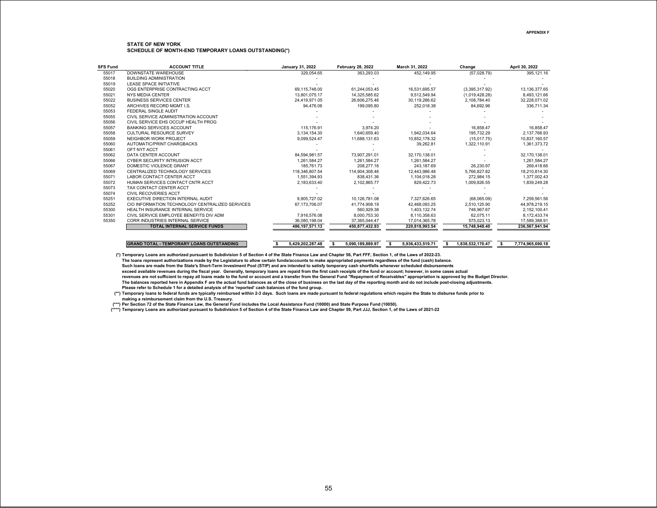| <b>SFS Fund</b> | <b>ACCOUNT TITLE</b>                             | January 31, 2022      | <b>February 28, 2022</b> | March 31, 2022         | Change                | April 30, 2022         |
|-----------------|--------------------------------------------------|-----------------------|--------------------------|------------------------|-----------------------|------------------------|
| 55017           | DOWNSTATE WAREHOUSE                              | 329.054.65            | 363.293.03               | 452.149.95             | (57,028.79)           | 395,121.16             |
| 55018           | <b>BUILDING ADMINISTRATION</b>                   |                       |                          |                        |                       |                        |
| 55019           | <b>LEASE SPACE INITIATIVE</b>                    |                       |                          |                        |                       |                        |
| 55020           | OGS ENTERPRISE CONTRACTING ACCT                  | 69.115.748.00         | 61,244,053.45            | 16,531,695.57          | (3,395,317.92)        | 13, 136, 377.65        |
| 55021           | <b>NYS MEDIA CENTER</b>                          | 13.801.075.17         | 14,325,585.62            | 9,512,549.94           | (1,019,428.28)        | 8,493,121.66           |
| 55022           | <b>BUSINESS SERVICES CENTER</b>                  | 24.419.971.05         | 26,606,275.46            | 30,119,286.62          | 2,108,784.40          | 32,228,071.02          |
| 55052           | ARCHIVES RECORD MGMT LS.                         | 94.476.06             | 199.095.80               | 252.018.38             | 84,692.96             | 336.711.34             |
| 55053           | FEDERAL SINGLE AUDIT                             |                       |                          |                        |                       |                        |
| 55055           | CIVIL SERVICE ADMINISTRATION ACCOUNT             |                       |                          |                        |                       |                        |
| 55056           | CIVIL SERVICE EHS OCCUP HEALTH PROG              |                       |                          |                        |                       |                        |
| 55057           | <b>BANKING SERVICES ACCOUNT</b>                  | 115.176.91            | 3,974.20                 |                        | 16,858.47             | 16,858.47              |
| 55058           | <b>CULTURAL RESOURCE SURVEY</b>                  | 3.134.154.30          | 1.640.659.40             | 1.942.034.64           | 195.732.29            | 2.137.766.93           |
| 55059           | NEIGHBOR WORK PROJECT                            | 9,099,524.47          | 11,688,131.63            | 10,852,178.32          | (15,017.75)           | 10,837,160.57          |
| 55060           | AUTOMATIC/PRINT CHARGBACKS                       |                       |                          | 39,262.81              | 1.322.110.91          | 1,361,373.72           |
| 55061           | OFT NYT ACCT                                     |                       |                          |                        |                       |                        |
| 55062           | DATA CENTER ACCOUNT                              | 84.594.981.57         | 73.907.291.01            | 32,170,138.01          |                       | 32,170,138.01          |
| 55066           | CYBER SECURITY INTRUSION ACCT                    | 1,261,584.27          | 1,261,584.27             | 1.261.584.27           |                       | 1,261,584.27           |
| 55067           | DOMESTIC VIOLENCE GRANT                          | 185.761.73            | 208.277.16               | 243.187.69             | 26,230.97             | 269.418.66             |
| 55069           | CENTRALIZED TECHNOLOGY SERVICES                  | 118,346,807.54        | 114,904,308.46           | 12,443,986.48          | 5,766,827.82          | 18,210,814.30          |
| 55071           | <b>LABOR CONTACT CENTER ACCT</b>                 | 1.551.394.93          | 838.431.36               | 1,104,018.28           | 272.984.15            | 1,377,002.43           |
| 55072           | HUMAN SERVICES CONTACT CNTR ACCT                 | 2,183,633.40          | 2,102,865.77             | 829,422.73             | 1,009,826.55          | 1,839,249.28           |
| 55073           | TAX CONTACT CENTER ACCT                          |                       |                          |                        |                       |                        |
| 55074           | <b>CIVIL RECOVERIES ACCT</b>                     |                       |                          |                        |                       |                        |
| 55251           | EXECUTIVE DIRECTION INTERNAL AUDIT               | 9.905.727.02          | 10.126.781.08            | 7,327,626.65           | (68,065.09)           | 7,259,561.56           |
| 55252           | CIO INFORMATION TECHNOLOGY CENTRALIZED SERVICES  | 67.173.706.07         | 41.774.908.19            | 42.468.093.25          | 2.510.125.90          | 44,978,219.15          |
| 55300           | HEALTH INSURANCE INTERNAL SERVICE                |                       | 560.929.38               | 1.403.132.74           | 748.967.67            | 2,152,100.41           |
| 55301           | CIVIL SERVICE EMPLOYEE BENEFITS DIV ADM          | 7.916.576.08          | 8.000.753.30             | 8.110.358.63           | 62.075.11             | 8.172.433.74           |
| 55350           | CORR INDUSTRIES INTERNAL SERVICE                 | 36.080.198.04         | 37,365,044.47            | 17.014.365.78          | 575.023.13            | 17,589,388.91          |
|                 | <b>TOTAL INTERNAL SERVICE FUNDS</b>              | 486.197.571.13        | 450.877.432.93           | 220.818.993.54         | 15.748.948.40         | 236.567.941.94         |
|                 |                                                  |                       |                          |                        |                       |                        |
|                 | <b>GRAND TOTAL - TEMPORARY LOANS OUTSTANDING</b> | 5,429,202,287.48<br>s | 5,090,189,889.97<br>s    | 5,936,433,519.71<br>s. | 1,838,532,170.47<br>s | 7,774,965,690.18<br>-S |

**(\*) Temporary Loans are authorized pursuant to Subdivision 5 of Section 4 of the State Finance Law and Chapter 56, Part FFF, Section 1, of the Laws of 2022-23.**

**The loans represent authorizations made by the Legislature to allow certain funds/accounts to make appropriated payments regardless of the fund (cash) balance. Such loans are made from the State's Short-Term Investment Pool (STIP) and are intended to satisfy temporary cash shortfalls whenever scheduled disbursements exceed available revenues during the fiscal year. Generally, temporary loans are repaid from the first cash receipts of the fund or account; however, in some cases actual revenues are not sufficient to repay all loans made to the fund or account and a transfer from the General Fund "Repayment of Receivables" appropriation is approved by the Budget Director. The balances reported here in Appendix F are the actual fund balances as of the close of business on the last day of the reporting month and do not include post-closing adjustments. Please refer to Schedule 1 for a detailed analysis of the 'reported' cash balances of the fund group.**

**(\*\*) Temporary loans to federal funds are typically reimbursed within 2-3 days. Such loans are made pursuant to federal regulations which require the State to disburse funds prior to making a reimbursement claim from the U.S. Treasury.**

**(\*\*\*) Per Section 72 of the State Finance Law, the General Fund includes the Local Assistance Fund (10000) and State Purpose Fund (10050).** 

**(\*\*\*\*) Temporary Loans are authorized pursuant to Subdivision 5 of Section 4 of the State Finance Law and Chapter 59, Part JJJ, Section 1, of the Laws of 2021-22**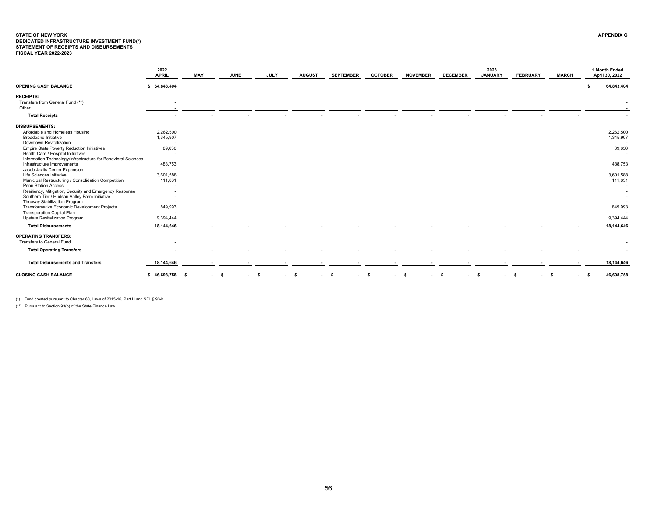# <span id="page-56-0"></span>STATE OF NEW YORK<br>DEDICATED INFRASTRUCTURE INVESTMENT FUND(\*)<br>STATEMENT OF RECEIPTS AND DISBURSEMENTS<br>FISCAL YEAR 2022-2023

|                                                               | 2022<br><b>APRIL</b>     | <b>MAY</b> | <b>JUNE</b>    | <b>JULY</b> | <b>AUGUST</b> | <b>SEPTEMBER</b> | <b>OCTOBER</b> | <b>NOVEMBER</b> | <b>DECEMBER</b> | 2023<br><b>JANUARY</b> | <b>FEBRUARY</b> | <b>MARCH</b> | 1 Month Ended<br>April 30, 2022 |
|---------------------------------------------------------------|--------------------------|------------|----------------|-------------|---------------|------------------|----------------|-----------------|-----------------|------------------------|-----------------|--------------|---------------------------------|
| <b>OPENING CASH BALANCE</b>                                   | \$64,843,404             |            |                |             |               |                  |                |                 |                 |                        |                 |              | 64,843,404                      |
| <b>RECEIPTS:</b>                                              |                          |            |                |             |               |                  |                |                 |                 |                        |                 |              |                                 |
| Transfers from General Fund (**)                              | $\overline{\phantom{a}}$ |            |                |             |               |                  |                |                 |                 |                        |                 |              |                                 |
| Other                                                         |                          |            |                |             |               |                  |                |                 |                 |                        |                 |              |                                 |
| <b>Total Receipts</b>                                         |                          |            |                |             |               |                  |                |                 |                 |                        |                 |              |                                 |
| <b>DISBURSEMENTS:</b>                                         |                          |            |                |             |               |                  |                |                 |                 |                        |                 |              |                                 |
| Affordable and Homeless Housing                               | 2,262,500                |            |                |             |               |                  |                |                 |                 |                        |                 |              | 2,262,500                       |
| <b>Broadband Initiative</b>                                   | 1,345,907                |            |                |             |               |                  |                |                 |                 |                        |                 |              | 1,345,907                       |
| Downtown Revitalization                                       | $\overline{\phantom{a}}$ |            |                |             |               |                  |                |                 |                 |                        |                 |              |                                 |
| <b>Empire State Poverty Reduction Initiatives</b>             | 89,630                   |            |                |             |               |                  |                |                 |                 |                        |                 |              | 89,630                          |
| Health Care / Hospital Initiatives                            |                          |            |                |             |               |                  |                |                 |                 |                        |                 |              |                                 |
| Information Technology/Infrastructure for Behavioral Sciences |                          |            |                |             |               |                  |                |                 |                 |                        |                 |              |                                 |
| Infrastructure Improvements                                   | 488,753                  |            |                |             |               |                  |                |                 |                 |                        |                 |              | 488,753                         |
| Jacob Javits Center Expansion                                 | $\overline{\phantom{a}}$ |            |                |             |               |                  |                |                 |                 |                        |                 |              |                                 |
| Life Sciences Initiative                                      | 3,601,588                |            |                |             |               |                  |                |                 |                 |                        |                 |              | 3,601,588                       |
| Municipal Restructuring / Consolidation Competition           | 111,831                  |            |                |             |               |                  |                |                 |                 |                        |                 |              | 111,831                         |
| Penn Station Access                                           |                          |            |                |             |               |                  |                |                 |                 |                        |                 |              |                                 |
| Resiliency, Mitigation, Security and Emergency Response       |                          |            |                |             |               |                  |                |                 |                 |                        |                 |              |                                 |
| Southern Tier / Hudson Valley Farm Initiative                 |                          |            |                |             |               |                  |                |                 |                 |                        |                 |              |                                 |
| Thruway Stabilization Program                                 |                          |            |                |             |               |                  |                |                 |                 |                        |                 |              |                                 |
| Transformative Economic Development Projects                  | 849,993                  |            |                |             |               |                  |                |                 |                 |                        |                 |              | 849,993                         |
| <b>Transporation Capital Plan</b>                             |                          |            |                |             |               |                  |                |                 |                 |                        |                 |              |                                 |
| Upstate Revitalization Program                                | 9.394.444                |            |                |             |               |                  |                |                 |                 |                        |                 |              | 9.394.444                       |
| <b>Total Disbursements</b>                                    | 18,144,646               |            |                |             |               |                  |                |                 |                 |                        |                 |              | 18,144,646                      |
| <b>OPERATING TRANSFERS:</b>                                   |                          |            |                |             |               |                  |                |                 |                 |                        |                 |              |                                 |
| Transfers to General Fund                                     |                          |            |                |             |               |                  |                |                 |                 |                        |                 |              |                                 |
| <b>Total Operating Transfers</b>                              |                          |            |                |             |               |                  |                |                 |                 |                        |                 |              |                                 |
| <b>Total Disbursements and Transfers</b>                      | 18,144,646               |            |                |             |               |                  |                |                 |                 |                        |                 |              | 18,144,646                      |
| <b>CLOSING CASH BALANCE</b>                                   | \$46,698,758             | - 5        | - \$<br>$\sim$ | - \$        | - S           | - S              | - \$           | - \$            |                 |                        | - S             |              | 46,698,758                      |

(\*) Fund created pursuant to Chapter 60, Laws of 2015-16, Part H and SFL § 93-b

(\*\*) Pursuant to Section 93(b) of the State Finance Law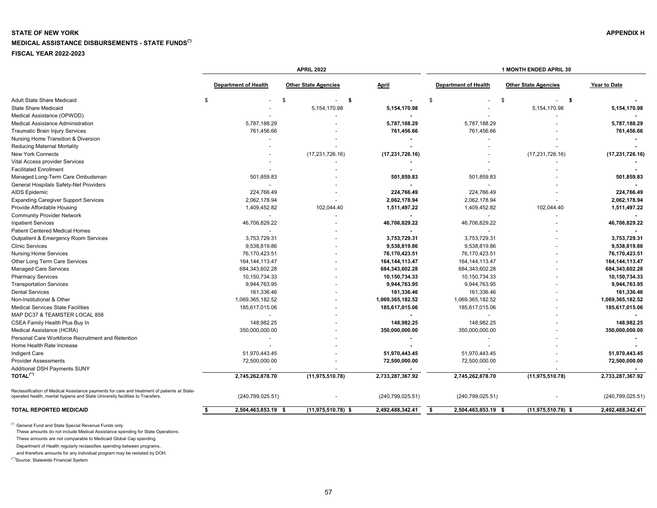# <span id="page-57-0"></span>**STATE OF NEW YORK** APPENDIX H **MEDICAL ASSISTANCE DISBURSEMENTS - STATE FUNDS(\*) FISCAL YEAR 2022-2023**

|                                                                                                                                                                              | <b>APRIL 2022</b>           |                             |                          | 1 MONTH ENDED APRIL 30      |                             |                          |
|------------------------------------------------------------------------------------------------------------------------------------------------------------------------------|-----------------------------|-----------------------------|--------------------------|-----------------------------|-----------------------------|--------------------------|
|                                                                                                                                                                              | <b>Department of Health</b> | <b>Other State Agencies</b> | April                    | <b>Department of Health</b> | <b>Other State Agencies</b> | Year to Date             |
| Adult State Share Medicaid                                                                                                                                                   | \$                          | \$<br>-\$<br>$\sim$         |                          | \$                          | \$<br>- \$<br>$\sim$        |                          |
| <b>State Share Medicaid</b>                                                                                                                                                  |                             | 5,154,170.98                | 5,154,170.98             |                             | 5,154,170.98                | 5,154,170.98             |
| Medical Assistance (OPWDD)                                                                                                                                                   |                             |                             |                          |                             |                             |                          |
| Medical Assistance Administration                                                                                                                                            | 5,787,188.29                |                             | 5,787,188.29             | 5,787,188.29                |                             | 5,787,188.29             |
| <b>Traumatic Brain Injury Services</b>                                                                                                                                       | 761,456.66                  |                             | 761,456.66               | 761,456.66                  |                             | 761,456.66               |
| Nursing Home Transition & Diversion                                                                                                                                          |                             |                             |                          |                             |                             |                          |
| <b>Reducing Maternal Mortality</b>                                                                                                                                           |                             |                             | $\blacksquare$           |                             |                             |                          |
| New York Connects                                                                                                                                                            |                             | (17, 231, 726.16)           | (17, 231, 726.16)        |                             | (17,231,726.16)             | (17, 231, 726.16)        |
| Vital Access provider Services                                                                                                                                               |                             |                             |                          |                             |                             |                          |
| <b>Facilitated Enrollment</b>                                                                                                                                                |                             |                             | $\blacksquare$           |                             |                             |                          |
| Managed Long-Term Care Ombudsman                                                                                                                                             | 501,859.83                  |                             | 501,859.83               | 501,859.83                  |                             | 501,859.83               |
| General Hospitals Safety-Net Providers                                                                                                                                       |                             |                             | $\overline{a}$           | $\overline{\phantom{a}}$    |                             |                          |
| <b>AIDS Epidemic</b>                                                                                                                                                         | 224,766.49                  |                             | 224,766.49               | 224,766.49                  |                             | 224,766.49               |
| <b>Expanding Caregiver Support Services</b>                                                                                                                                  | 2,062,178.94                |                             | 2,062,178.94             | 2,062,178.94                |                             | 2,062,178.94             |
| Provide Affordable Housing                                                                                                                                                   | 1,409,452.82                | 102,044.40                  | 1,511,497.22             | 1,409,452.82                | 102,044.40                  | 1,511,497.22             |
| <b>Community Provider Network</b>                                                                                                                                            |                             |                             | $\blacksquare$           | $\sim$                      |                             | $\overline{\phantom{a}}$ |
| <b>Inpatient Services</b>                                                                                                                                                    | 46,706,829.22               |                             | 46,706,829.22            | 46,706,829.22               |                             | 46,706,829.22            |
| <b>Patient Centered Medical Homes</b>                                                                                                                                        |                             |                             |                          | $\overline{\phantom{a}}$    |                             |                          |
| Outpatient & Emergency Room Services                                                                                                                                         | 3,753,729.31                |                             | 3,753,729.31             | 3,753,729.31                |                             | 3,753,729.31             |
| <b>Clinic Services</b>                                                                                                                                                       | 9,538,819.86                |                             | 9,538,819.86             | 9,538,819.86                |                             | 9,538,819.86             |
| <b>Nursing Home Services</b>                                                                                                                                                 | 76,170,423.51               |                             | 76,170,423.51            | 76,170,423.51               |                             | 76,170,423.51            |
| Other Long Term Care Services                                                                                                                                                | 164, 144, 113.47            |                             | 164, 144, 113. 47        | 164, 144, 113. 47           |                             | 164, 144, 113. 47        |
| <b>Managed Care Services</b>                                                                                                                                                 | 684, 343, 602. 28           |                             | 684,343,602.28           | 684,343,602.28              |                             | 684,343,602.28           |
| <b>Pharmacy Services</b>                                                                                                                                                     | 10,150,734.33               |                             | 10,150,734.33            | 10,150,734.33               |                             | 10,150,734.33            |
| <b>Transportation Services</b>                                                                                                                                               | 9,944,763.95                |                             | 9,944,763.95             | 9,944,763.95                |                             | 9,944,763.95             |
| <b>Dental Services</b>                                                                                                                                                       | 161,336.46                  |                             | 161,336.46               | 161,336.46                  |                             | 161,336.46               |
| Non-Institutional & Other                                                                                                                                                    | 1,069,365,182.52            |                             | 1,069,365,182.52         | 1,069,365,182.52            |                             | 1,069,365,182.52         |
| <b>Medical Services State Facilities</b>                                                                                                                                     | 185,617,015.06              |                             | 185,617,015.06           | 185,617,015.06              |                             | 185,617,015.06           |
| MAP DC37 & TEAMSTER LOCAL 858                                                                                                                                                |                             |                             |                          |                             |                             |                          |
| CSEA Family Health Plus Buy In                                                                                                                                               | 148,982.25                  |                             | 148,982.25               | 148,982.25                  |                             | 148,982.25               |
| Medical Assistance (HCRA)                                                                                                                                                    | 350,000,000.00              |                             | 350,000,000.00           | 350,000,000.00              |                             | 350,000,000.00           |
| Personal Care Workforce Recruitment and Retention                                                                                                                            |                             |                             |                          |                             |                             |                          |
| Home Health Rate Increase                                                                                                                                                    |                             |                             | $\overline{\phantom{a}}$ |                             |                             |                          |
| Indigent Care                                                                                                                                                                | 51,970,443.45               |                             | 51,970,443.45            | 51,970,443.45               |                             | 51,970,443.45            |
| <b>Provider Assessments</b>                                                                                                                                                  | 72,500,000.00               |                             | 72,500,000.00            | 72,500,000.00               |                             | 72,500,000.00            |
| Additional DSH Payments SUNY                                                                                                                                                 |                             |                             |                          |                             |                             |                          |
| TOTAL <sup>(**)</sup>                                                                                                                                                        | 2,745,262,878.70            | (11, 975, 510.78)           | 2,733,287,367.92         | 2,745,262,878.70            | (11, 975, 510.78)           | 2,733,287,367.92         |
| Reclassification of Medical Assistance payments for care and treatment of patients at State-<br>operated health, mental hygiene and State University facilities to Transfers | (240, 799, 025.51)          |                             | (240, 799, 025.51)       | (240, 799, 025.51)          |                             | (240, 799, 025.51)       |
| <b>TOTAL REPORTED MEDICAID</b>                                                                                                                                               | \$<br>2,504,463,853.19 \$   | $(11,975,510.78)$ \$        | 2,492,488,342.41         | \$<br>2,504,463,853.19 \$   | $(11, 975, 510.78)$ \$      | 2,492,488,342.41         |

(\*) General Fund and State Special Revenue Funds only.

These amounts do not include Medical Assistance spending for State Operations.

These amounts are not comparable to Medicaid Global Cap spending.

Department of Health regularly reclassifies spending between programs,

and therefore amounts for any individual program may be restated by DOH.

(\*\*)Source: Statewide Financial System